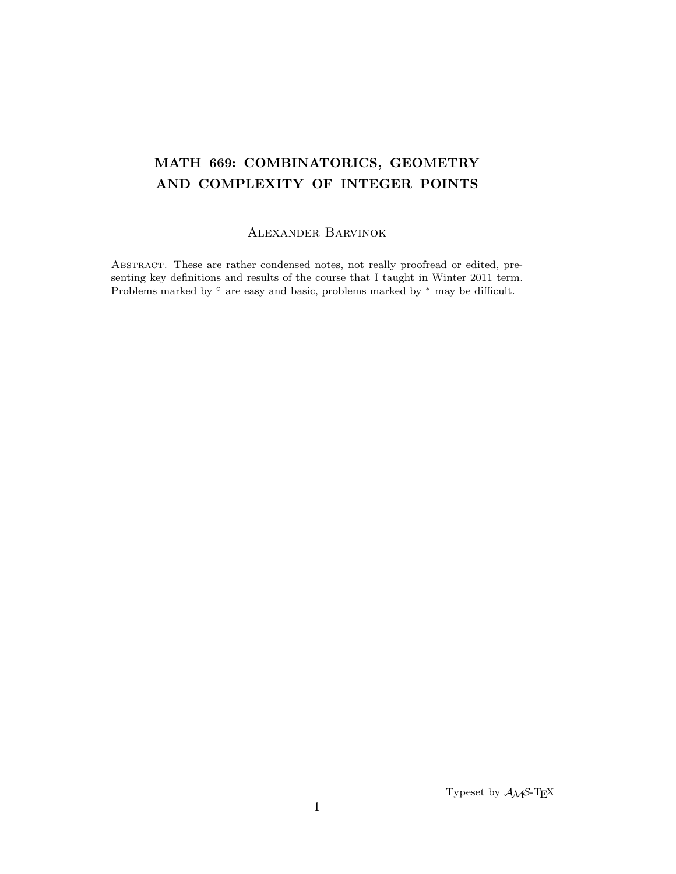# MATH 669: COMBINATORICS, GEOMETRY AND COMPLEXITY OF INTEGER POINTS

# Alexander Barvinok

Abstract. These are rather condensed notes, not really proofread or edited, presenting key definitions and results of the course that I taught in Winter 2011 term. Problems marked by ◦ are easy and basic, problems marked by <sup>∗</sup> may be difficult.

Typeset by  $A\mathcal{M}S$ -TEX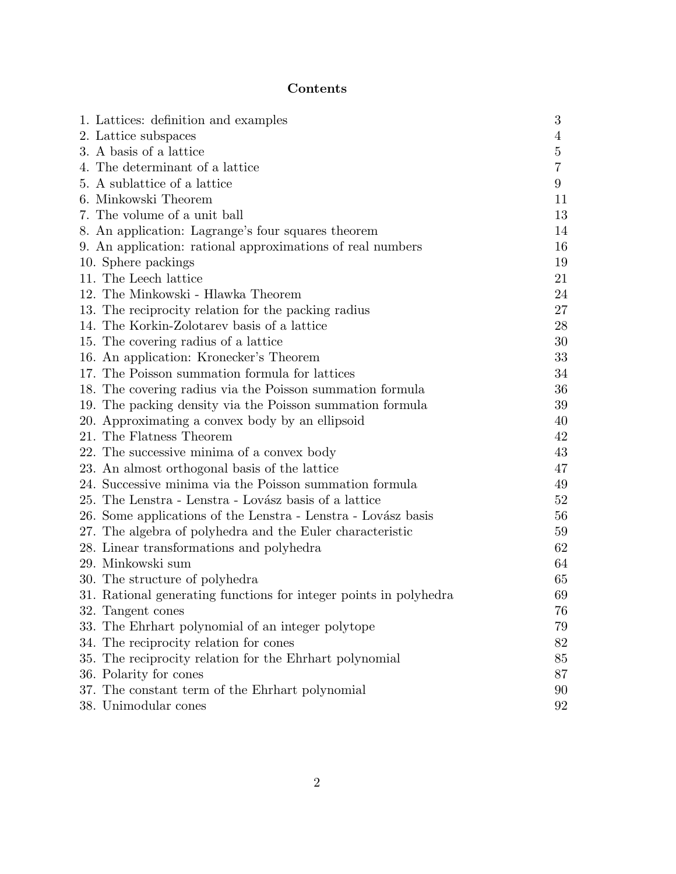# Contents

| 1. Lattices: definition and examples                              | 3              |
|-------------------------------------------------------------------|----------------|
| 2. Lattice subspaces                                              | 4              |
| 3. A basis of a lattice                                           | 5              |
| 4. The determinant of a lattice                                   | $\overline{7}$ |
| 5. A sublattice of a lattice                                      | 9              |
| 6. Minkowski Theorem                                              | 11             |
| 7. The volume of a unit ball                                      | 13             |
| 8. An application: Lagrange's four squares theorem                | 14             |
| 9. An application: rational approximations of real numbers        | 16             |
| 10. Sphere packings                                               | 19             |
| 11. The Leech lattice                                             | 21             |
| 12. The Minkowski - Hlawka Theorem                                | 24             |
| 13. The reciprocity relation for the packing radius               | 27             |
| 14. The Korkin-Zolotarev basis of a lattice                       | 28             |
| 15. The covering radius of a lattice                              | 30             |
| 16. An application: Kronecker's Theorem                           | 33             |
| 17. The Poisson summation formula for lattices                    | 34             |
| 18. The covering radius via the Poisson summation formula         | 36             |
| 19. The packing density via the Poisson summation formula         | 39             |
| 20. Approximating a convex body by an ellipsoid                   | 40             |
| 21. The Flatness Theorem                                          | 42             |
| 22. The successive minima of a convex body                        | 43             |
| 23. An almost orthogonal basis of the lattice                     | 47             |
| 24. Successive minima via the Poisson summation formula           | 49             |
| 25. The Lenstra - Lenstra - Lovász basis of a lattice             | 52             |
| 26. Some applications of the Lenstra - Lenstra - Lovász basis     | 56             |
| 27. The algebra of polyhedra and the Euler characteristic         | 59             |
| 28. Linear transformations and polyhedra                          | 62             |
| 29. Minkowski sum                                                 | 64             |
| 30. The structure of polyhedra                                    | 65             |
| 31. Rational generating functions for integer points in polyhedra | 69             |
| 32. Tangent cones                                                 | 76             |
| 33. The Ehrhart polynomial of an integer polytope                 | 79             |
| 34. The reciprocity relation for cones                            | 82             |
| 35. The reciprocity relation for the Ehrhart polynomial           | 85             |
| 36. Polarity for cones                                            | 87             |
| 37. The constant term of the Ehrhart polynomial                   | 90             |
| 38. Unimodular cones                                              | 92             |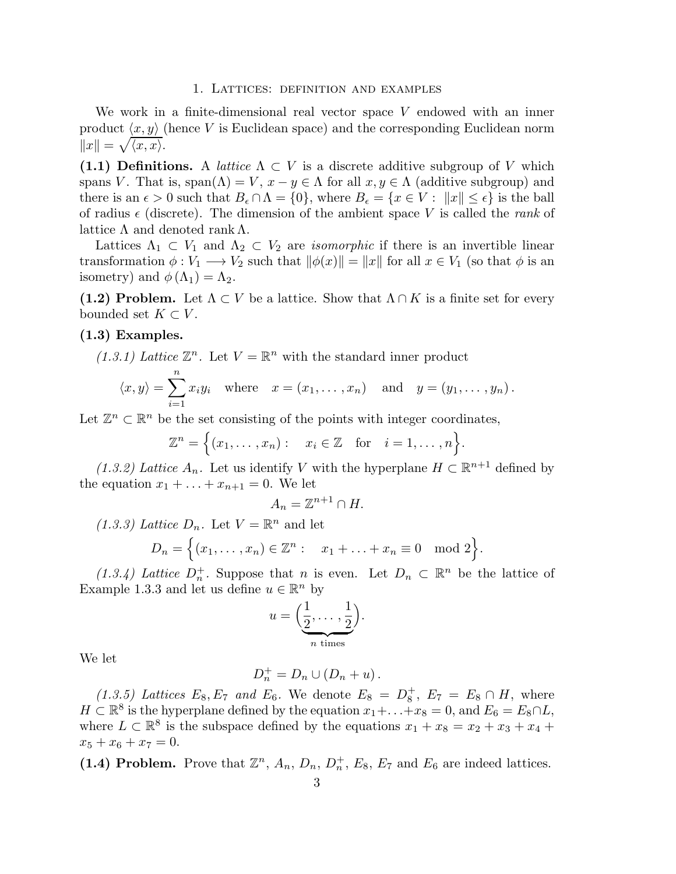#### 1. Lattices: definition and examples

We work in a finite-dimensional real vector space V endowed with an inner product  $\langle x, y \rangle$  (hence V is Euclidean space) and the corresponding Euclidean norm  $||x|| = \sqrt{\langle x, x \rangle}.$ 

**(1.1) Definitions.** A *lattice*  $\Lambda \subset V$  is a discrete additive subgroup of V which spans V. That is,  $\text{span}(\Lambda) = V$ ,  $x - y \in \Lambda$  for all  $x, y \in \Lambda$  (additive subgroup) and there is an  $\epsilon > 0$  such that  $B_{\epsilon} \cap \Lambda = \{0\}$ , where  $B_{\epsilon} = \{x \in V : ||x|| \leq \epsilon\}$  is the ball of radius  $\epsilon$  (discrete). The dimension of the ambient space V is called the *rank* of lattice  $\Lambda$  and denoted rank  $\Lambda$ .

Lattices  $\Lambda_1 \subset V_1$  and  $\Lambda_2 \subset V_2$  are *isomorphic* if there is an invertible linear transformation  $\phi: V_1 \longrightarrow V_2$  such that  $\|\phi(x)\| = \|x\|$  for all  $x \in V_1$  (so that  $\phi$  is an isometry) and  $\phi(\Lambda_1) = \Lambda_2$ .

(1.2) Problem. Let  $\Lambda \subset V$  be a lattice. Show that  $\Lambda \cap K$  is a finite set for every bounded set  $K \subset V$ .

### (1.3) Examples.

(1.3.1) Lattice  $\mathbb{Z}^n$ . Let  $V = \mathbb{R}^n$  with the standard inner product

$$
\langle x, y \rangle = \sum_{i=1}^{n} x_i y_i
$$
 where  $x = (x_1, \dots, x_n)$  and  $y = (y_1, \dots, y_n)$ .

Let  $\mathbb{Z}^n \subset \mathbb{R}^n$  be the set consisting of the points with integer coordinates,

$$
\mathbb{Z}^n = \Big\{ (x_1, \ldots, x_n) : \quad x_i \in \mathbb{Z} \quad \text{for} \quad i = 1, \ldots, n \Big\}.
$$

(1.3.2) Lattice  $A_n$ . Let us identify V with the hyperplane  $H \subset \mathbb{R}^{n+1}$  defined by the equation  $x_1 + \ldots + x_{n+1} = 0$ . We let

$$
A_n = \mathbb{Z}^{n+1} \cap H.
$$

(1.3.3) Lattice  $D_n$ . Let  $V = \mathbb{R}^n$  and let

$$
D_n = \Big\{ (x_1, \ldots, x_n) \in \mathbb{Z}^n : x_1 + \ldots + x_n \equiv 0 \mod 2 \Big\}.
$$

(1.3.4) Lattice  $D_n^+$ . Suppose that n is even. Let  $D_n \subset \mathbb{R}^n$  be the lattice of Example 1.3.3 and let us define  $u \in \mathbb{R}^n$  by

$$
u = \left(\underbrace{\frac{1}{2}, \dots, \frac{1}{2}}_{n \text{ times}}\right).
$$

We let

$$
D_n^+ = D_n \cup (D_n + u).
$$

(1.3.5) Lattices  $E_8, E_7$  and  $E_6$ . We denote  $E_8 = D_8^+$  $_8^+$ ,  $E_7 = E_8 \cap H$ , where  $H \subset \mathbb{R}^8$  is the hyperplane defined by the equation  $x_1 + \ldots + x_8 = 0$ , and  $E_6 = E_8 \cap L$ , where  $L \subset \mathbb{R}^8$  is the subspace defined by the equations  $x_1 + x_8 = x_2 + x_3 + x_4 +$  $x_5 + x_6 + x_7 = 0.$ 

(1.4) Problem. Prove that  $\mathbb{Z}^n$ ,  $A_n$ ,  $D_n$ ,  $D_n^+$ ,  $E_8$ ,  $E_7$  and  $E_6$  are indeed lattices.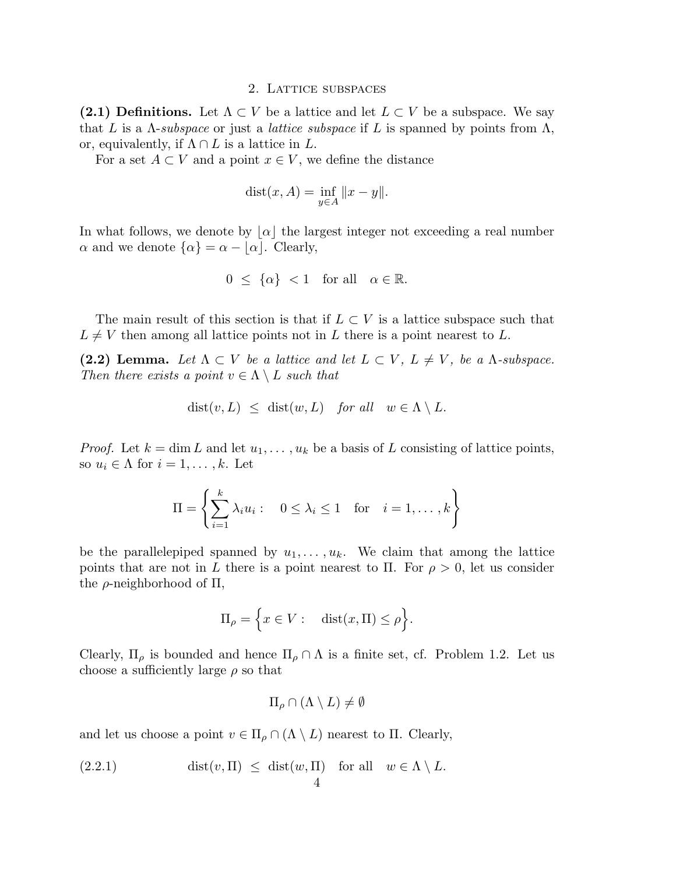### 2. Lattice subspaces

(2.1) Definitions. Let  $\Lambda \subset V$  be a lattice and let  $L \subset V$  be a subspace. We say that L is a  $\Lambda$ -subspace or just a *lattice subspace* if L is spanned by points from  $\Lambda$ , or, equivalently, if  $\Lambda \cap L$  is a lattice in L.

For a set  $A \subset V$  and a point  $x \in V$ , we define the distance

$$
dist(x, A) = \inf_{y \in A} ||x - y||.
$$

In what follows, we denote by  $|\alpha|$  the largest integer not exceeding a real number  $\alpha$  and we denote  $\{\alpha\} = \alpha - \lfloor \alpha \rfloor$ . Clearly,

$$
0 \leq \{\alpha\} < 1 \quad \text{for all} \quad \alpha \in \mathbb{R}.
$$

The main result of this section is that if  $L \subset V$  is a lattice subspace such that  $L \neq V$  then among all lattice points not in L there is a point nearest to L.

(2.2) Lemma. Let  $\Lambda \subset V$  *be a lattice and let*  $L \subset V$ ,  $L \neq V$ , *be a*  $\Lambda$ *-subspace. Then there exists a point*  $v \in \Lambda \setminus L$  *such that* 

$$
dist(v, L) \leq dist(w, L) \text{ for all } w \in \Lambda \setminus L.
$$

*Proof.* Let  $k = \dim L$  and let  $u_1, \ldots, u_k$  be a basis of L consisting of lattice points, so  $u_i \in \Lambda$  for  $i = 1, \ldots, k$ . Let

$$
\Pi = \left\{ \sum_{i=1}^{k} \lambda_i u_i : \quad 0 \leq \lambda_i \leq 1 \quad \text{for} \quad i = 1, \dots, k \right\}
$$

be the parallelepiped spanned by  $u_1, \ldots, u_k$ . We claim that among the lattice points that are not in L there is a point nearest to Π. For  $\rho > 0$ , let us consider the  $\rho$ -neighborhood of  $\Pi$ ,

$$
\Pi_{\rho} = \Big\{ x \in V : \quad \text{dist}(x, \Pi) \le \rho \Big\}.
$$

Clearly,  $\Pi_{\rho}$  is bounded and hence  $\Pi_{\rho} \cap \Lambda$  is a finite set, cf. Problem 1.2. Let us choose a sufficiently large  $\rho$  so that

$$
\Pi_{\rho} \cap (\Lambda \setminus L) \neq \emptyset
$$

and let us choose a point  $v \in \Pi_{\rho} \cap (\Lambda \setminus L)$  nearest to  $\Pi$ . Clearly,

(2.2.1) 
$$
\text{dist}(v, \Pi) \leq \text{dist}(w, \Pi) \text{ for all } w \in \Lambda \setminus L.
$$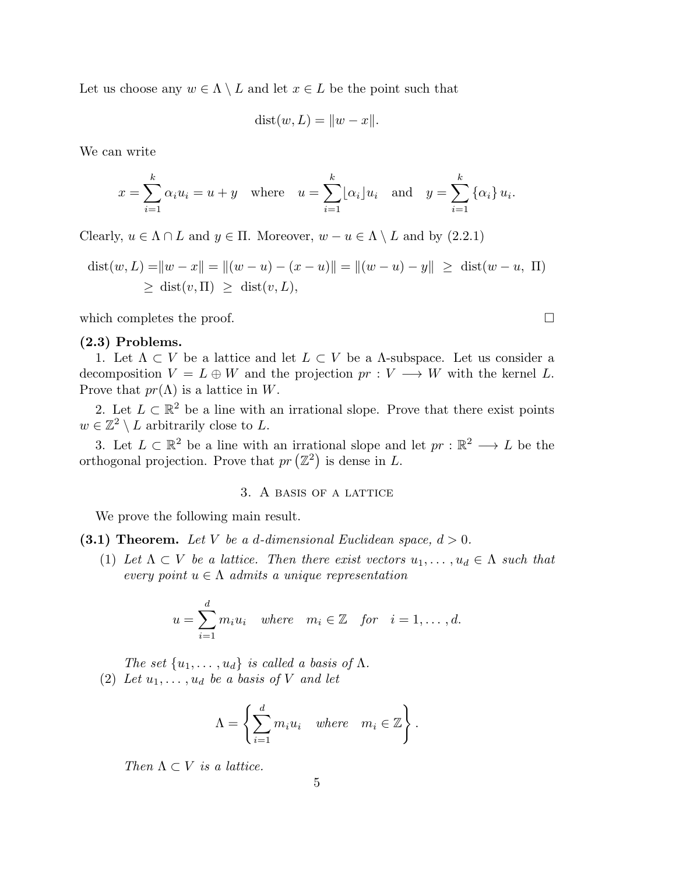Let us choose any  $w \in \Lambda \setminus L$  and let  $x \in L$  be the point such that

$$
dist(w, L) = ||w - x||.
$$

We can write

$$
x = \sum_{i=1}^{k} \alpha_i u_i = u + y \quad \text{where} \quad u = \sum_{i=1}^{k} \lfloor \alpha_i \rfloor u_i \quad \text{and} \quad y = \sum_{i=1}^{k} \{ \alpha_i \} u_i.
$$

Clearly,  $u \in \Lambda \cap L$  and  $y \in \Pi$ . Moreover,  $w - u \in \Lambda \setminus L$  and by (2.2.1)

$$
dist(w, L) = ||w - x|| = ||(w - u) - (x - u)|| = ||(w - u) - y|| \ge dist(w - u, \Pi)
$$
  
 
$$
\ge dist(v, \Pi) \ge dist(v, L),
$$

which completes the proof.  $\Box$ 

#### (2.3) Problems.

1. Let  $\Lambda \subset V$  be a lattice and let  $L \subset V$  be a  $\Lambda$ -subspace. Let us consider a decomposition  $V = L \oplus W$  and the projection  $pr : V \longrightarrow W$  with the kernel L. Prove that  $pr(\Lambda)$  is a lattice in W.

2. Let  $L \subset \mathbb{R}^2$  be a line with an irrational slope. Prove that there exist points  $w \in \mathbb{Z}^2 \setminus L$  arbitrarily close to L.

3. Let  $L \subset \mathbb{R}^2$  be a line with an irrational slope and let  $pr : \mathbb{R}^2 \longrightarrow L$  be the orthogonal projection. Prove that  $pr(\mathbb{Z}^2)$  is dense in L.

# 3. A basis of a lattice

We prove the following main result.

(3.1) Theorem. Let V be a d-dimensional Euclidean space,  $d > 0$ .

(1) Let  $\Lambda \subset V$  be a lattice. Then there exist vectors  $u_1, \ldots, u_d \in \Lambda$  such that *every point*  $u \in \Lambda$  *admits a unique representation* 

$$
u = \sum_{i=1}^{d} m_i u_i \quad where \quad m_i \in \mathbb{Z} \quad for \quad i = 1, \dots, d.
$$

*The set*  $\{u_1, \ldots, u_d\}$  *is called a basis of* Λ*.*  $(2)$  *Let*  $u_1, \ldots, u_d$  *be a basis of V and let* 

$$
\Lambda = \left\{ \sum_{i=1}^d m_i u_i \quad \text{where} \quad m_i \in \mathbb{Z} \right\}.
$$

*Then*  $\Lambda \subset V$  *is a lattice.*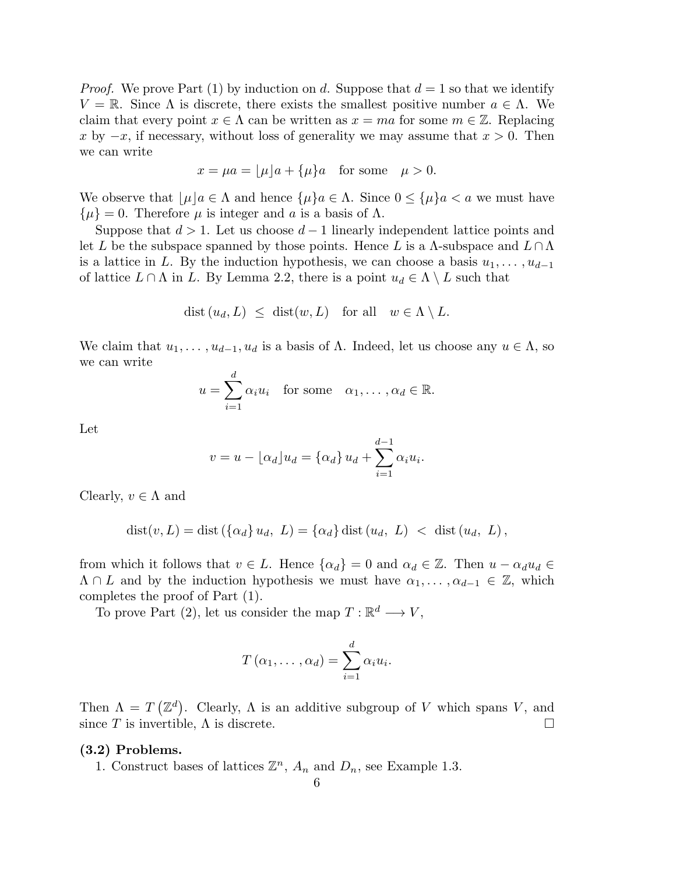*Proof.* We prove Part (1) by induction on d. Suppose that  $d = 1$  so that we identify  $V = \mathbb{R}$ . Since  $\Lambda$  is discrete, there exists the smallest positive number  $a \in \Lambda$ . We claim that every point  $x \in \Lambda$  can be written as  $x = ma$  for some  $m \in \mathbb{Z}$ . Replacing x by  $-x$ , if necessary, without loss of generality we may assume that  $x > 0$ . Then we can write

$$
x = \mu a = \lfloor \mu \rfloor a + \{\mu\} a \quad \text{for some} \quad \mu > 0.
$$

We observe that  $|\mu|a \in \Lambda$  and hence  $\{\mu\}a \in \Lambda$ . Since  $0 \leq {\{\mu\}}a < a$  we must have  $\{\mu\} = 0$ . Therefore  $\mu$  is integer and a is a basis of  $\Lambda$ .

Suppose that  $d > 1$ . Let us choose  $d - 1$  linearly independent lattice points and let L be the subspace spanned by those points. Hence L is a  $\Lambda$ -subspace and  $L \cap \Lambda$ is a lattice in L. By the induction hypothesis, we can choose a basis  $u_1, \ldots, u_{d-1}$ of lattice  $L \cap \Lambda$  in L. By Lemma 2.2, there is a point  $u_d \in \Lambda \setminus L$  such that

$$
\text{dist}\,(u_d, L) \ \leq \ \text{dist}(w, L) \quad \text{for all} \quad w \in \Lambda \setminus L.
$$

We claim that  $u_1, \ldots, u_{d-1}, u_d$  is a basis of  $\Lambda$ . Indeed, let us choose any  $u \in \Lambda$ , so we can write

$$
u = \sum_{i=1}^{d} \alpha_i u_i
$$
 for some  $\alpha_1, \dots, \alpha_d \in \mathbb{R}$ .

Let

$$
v = u - \lfloor \alpha_d \rfloor u_d = \{\alpha_d\} u_d + \sum_{i=1}^{d-1} \alpha_i u_i.
$$

Clearly,  $v \in \Lambda$  and

$$
dist(v, L) = dist (\{\alpha_d\} u_d, L) = {\alpha_d} dist (u_d, L) < dist (u_d, L),
$$

from which it follows that  $v \in L$ . Hence  $\{\alpha_d\} = 0$  and  $\alpha_d \in \mathbb{Z}$ . Then  $u - \alpha_d u_d \in$  $\Lambda \cap L$  and by the induction hypothesis we must have  $\alpha_1, \ldots, \alpha_{d-1} \in \mathbb{Z}$ , which completes the proof of Part (1).

To prove Part (2), let us consider the map  $T: \mathbb{R}^d \longrightarrow V$ ,

$$
T(\alpha_1,\ldots,\alpha_d)=\sum_{i=1}^d\alpha_iu_i.
$$

Then  $\Lambda = T(\mathbb{Z}^d)$ . Clearly,  $\Lambda$  is an additive subgroup of V which spans V, and since T is invertible,  $\Lambda$  is discrete.

# (3.2) Problems.

1. Construct bases of lattices  $\mathbb{Z}^n$ ,  $A_n$  and  $D_n$ , see Example 1.3.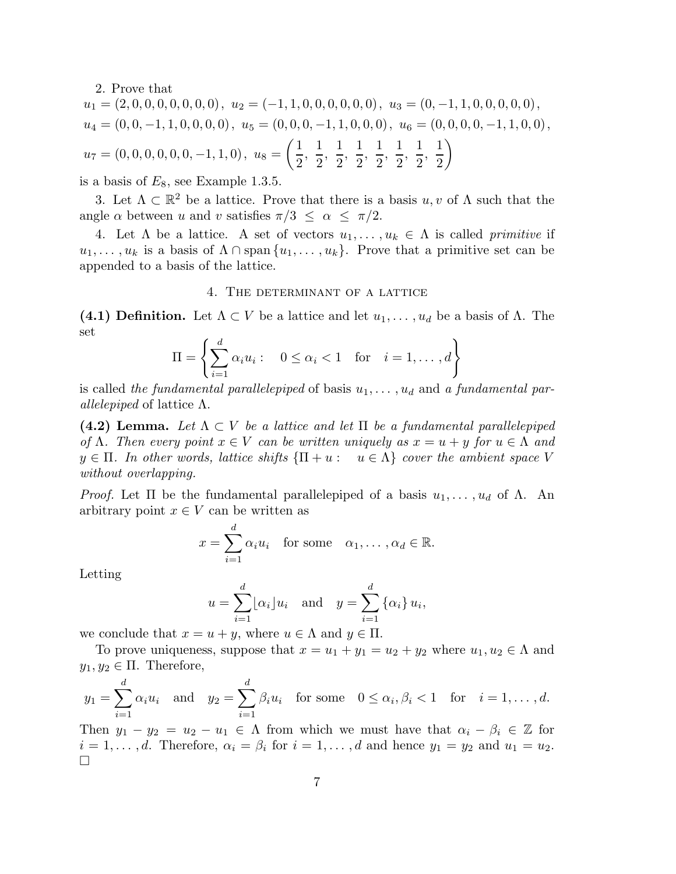2. Prove that

$$
u_1 = (2, 0, 0, 0, 0, 0, 0, 0), u_2 = (-1, 1, 0, 0, 0, 0, 0), u_3 = (0, -1, 1, 0, 0, 0, 0, 0),
$$
  
\n
$$
u_4 = (0, 0, -1, 1, 0, 0, 0, 0), u_5 = (0, 0, 0, -1, 1, 0, 0, 0), u_6 = (0, 0, 0, 0, -1, 1, 0, 0),
$$
  
\n
$$
u_7 = (0, 0, 0, 0, 0, 0, -1, 1, 0), u_8 = \left(\frac{1}{2}, \frac{1}{2}, \frac{1}{2}, \frac{1}{2}, \frac{1}{2}, \frac{1}{2}, \frac{1}{2}, \frac{1}{2}\right)
$$

is a basis of  $E_8$ , see Example 1.3.5.

3. Let  $\Lambda \subset \mathbb{R}^2$  be a lattice. Prove that there is a basis  $u, v$  of  $\Lambda$  such that the angle  $\alpha$  between u and v satisfies  $\pi/3 \leq \alpha \leq \pi/2$ .

4. Let  $\Lambda$  be a lattice. A set of vectors  $u_1, \ldots, u_k \in \Lambda$  is called *primitive* if  $u_1, \ldots, u_k$  is a basis of  $\Lambda \cap \text{span} \{u_1, \ldots, u_k\}.$  Prove that a primitive set can be appended to a basis of the lattice.

### 4. The determinant of a lattice

(4.1) Definition. Let  $\Lambda \subset V$  be a lattice and let  $u_1, \ldots, u_d$  be a basis of  $\Lambda$ . The set

$$
\Pi = \left\{ \sum_{i=1}^{d} \alpha_i u_i : \quad 0 \le \alpha_i < 1 \quad \text{for} \quad i = 1, \dots, d \right\}
$$

is called the fundamental parallelepiped of basis  $u_1, \ldots, u_d$  and a fundamental par*allelepiped* of lattice Λ.

(4.2) Lemma. Let  $\Lambda \subset V$  *be a lattice and let*  $\Pi$  *be a fundamental parallelepiped of*  $\Lambda$ *. Then every point*  $x \in V$  *can be written uniquely as*  $x = u + y$  *for*  $u \in \Lambda$  *and*  $y \in \Pi$ . In other words, lattice shifts  $\{\Pi + u : u \in \Lambda\}$  cover the ambient space V *without overlapping.*

*Proof.* Let  $\Pi$  be the fundamental parallelepiped of a basis  $u_1, \ldots, u_d$  of  $\Lambda$ . An arbitrary point  $x \in V$  can be written as

$$
x = \sum_{i=1}^{d} \alpha_i u_i \quad \text{for some} \quad \alpha_1, \dots, \alpha_d \in \mathbb{R}.
$$

Letting

$$
u = \sum_{i=1}^{d} \lfloor \alpha_i \rfloor u_i
$$
 and  $y = \sum_{i=1}^{d} \{ \alpha_i \} u_i$ ,

we conclude that  $x = u + y$ , where  $u \in \Lambda$  and  $y \in \Pi$ .

To prove uniqueness, suppose that  $x = u_1 + y_1 = u_2 + y_2$  where  $u_1, u_2 \in \Lambda$  and  $y_1, y_2 \in \Pi$ . Therefore,

$$
y_1 = \sum_{i=1}^d \alpha_i u_i
$$
 and  $y_2 = \sum_{i=1}^d \beta_i u_i$  for some  $0 \le \alpha_i, \beta_i < 1$  for  $i = 1, ..., d$ .

Then  $y_1 - y_2 = u_2 - u_1 \in \Lambda$  from which we must have that  $\alpha_i - \beta_i \in \mathbb{Z}$  for  $i = 1, \ldots, d$ . Therefore,  $\alpha_i = \beta_i$  for  $i = 1, \ldots, d$  and hence  $y_1 = y_2$  and  $u_1 = u_2$ .  $\Box$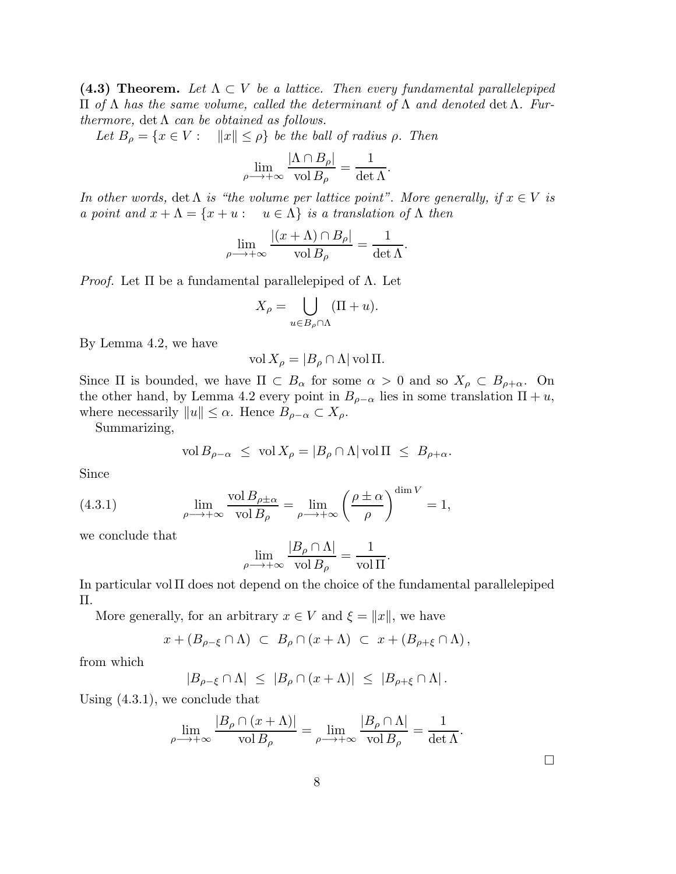(4.3) Theorem. Let  $\Lambda \subset V$  be a lattice. Then every fundamental parallelepiped Π *of* Λ *has the same volume, called the determinant of* Λ *and denoted* det Λ*. Furthermore,*  $\det \Lambda$  *can be obtained as follows.* 

*Let*  $B_\rho = \{x \in V : ||x|| \leq \rho\}$  *be the ball of radius*  $\rho$ *. Then* 

$$
\lim_{\rho \longrightarrow +\infty} \frac{|\Lambda \cap B_{\rho}|}{\text{vol } B_{\rho}} = \frac{1}{\det \Lambda}.
$$

*In other words,* det  $\Lambda$  *is "the volume per lattice point". More generally, if*  $x \in V$  *is a point and*  $x + \Lambda = \{x + u : u \in \Lambda\}$  *is a translation of*  $\Lambda$  *then* 

$$
\lim_{\rho \to +\infty} \frac{|(x+\Lambda) \cap B_{\rho}|}{\text{vol } B_{\rho}} = \frac{1}{\det \Lambda}.
$$

*Proof.* Let Π be a fundamental parallelepiped of Λ. Let

$$
X_{\rho} = \bigcup_{u \in B_{\rho} \cap \Lambda} (\Pi + u).
$$

By Lemma 4.2, we have

$$
\text{vol}\,X_{\rho} = |B_{\rho} \cap \Lambda| \,\text{vol}\,\Pi.
$$

Since  $\Pi$  is bounded, we have  $\Pi \subset B_\alpha$  for some  $\alpha > 0$  and so  $X_\rho \subset B_{\rho+\alpha}$ . On the other hand, by Lemma 4.2 every point in  $B_{\rho-\alpha}$  lies in some translation  $\Pi + u$ , where necessarily  $||u|| \leq \alpha$ . Hence  $B_{\rho-\alpha} \subset X_{\rho}$ .

Summarizing,

$$
\text{vol}\,B_{\rho-\alpha} \ \leq \ \text{vol}\,X_{\rho} = |B_{\rho} \cap \Lambda| \,\text{vol}\,\Pi \ \leq \ B_{\rho+\alpha}.
$$

Since

(4.3.1) 
$$
\lim_{\rho \to +\infty} \frac{\text{vol } B_{\rho \pm \alpha}}{\text{vol } B_{\rho}} = \lim_{\rho \to +\infty} \left( \frac{\rho \pm \alpha}{\rho} \right)^{\dim V} = 1,
$$

we conclude that

$$
\lim_{\rho \longrightarrow +\infty} \frac{|B_{\rho} \cap \Lambda|}{\text{vol } B_{\rho}} = \frac{1}{\text{vol } \Pi}.
$$

In particular vol Π does not depend on the choice of the fundamental parallelepiped Π.

More generally, for an arbitrary  $x \in V$  and  $\xi = ||x||$ , we have

$$
x + (B_{\rho - \xi} \cap \Lambda) \ \subset \ B_{\rho} \cap (x + \Lambda) \ \subset \ x + (B_{\rho + \xi} \cap \Lambda),
$$

from which

$$
|B_{\rho-\xi} \cap \Lambda| \leq |B_{\rho} \cap (x+\Lambda)| \leq |B_{\rho+\xi} \cap \Lambda|.
$$

Using (4.3.1), we conclude that

$$
\lim_{\rho \longrightarrow +\infty} \frac{|B_{\rho} \cap (x + \Lambda)|}{\text{vol } B_{\rho}} = \lim_{\rho \longrightarrow +\infty} \frac{|B_{\rho} \cap \Lambda|}{\text{vol } B_{\rho}} = \frac{1}{\det \Lambda}.
$$

 $\Box$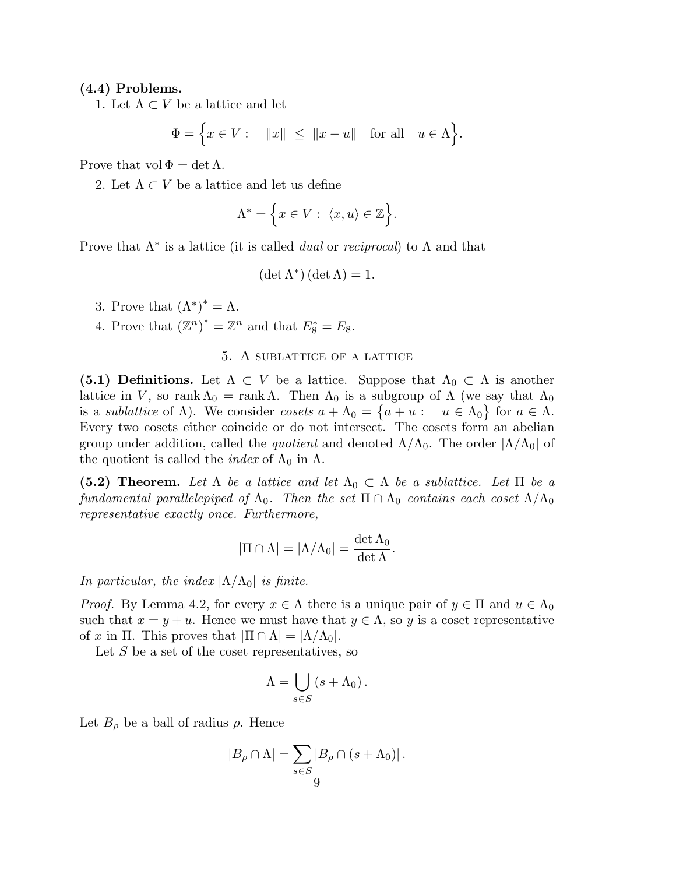### (4.4) Problems.

1. Let  $\Lambda \subset V$  be a lattice and let

$$
\Phi = \Big\{ x \in V : \quad ||x|| \le ||x - u|| \quad \text{for all} \quad u \in \Lambda \Big\}.
$$

Prove that  $vol \Phi = det \Lambda$ .

2. Let  $\Lambda \subset V$  be a lattice and let us define

$$
\Lambda^* = \Big\{ x \in V : \ \langle x, u \rangle \in \mathbb{Z} \Big\}.
$$

Prove that Λ∗ is a lattice (it is called *dual* or *reciprocal*) to Λ and that

$$
(\det \Lambda^*) (\det \Lambda) = 1
$$

- 3. Prove that  $(\Lambda^*)^* = \Lambda$ .
- 4. Prove that  $(\mathbb{Z}^n)^* = \mathbb{Z}^n$  and that  $E_8^* = E_8$ .

# 5. A sublattice of a lattice

(5.1) Definitions. Let  $\Lambda \subset V$  be a lattice. Suppose that  $\Lambda_0 \subset \Lambda$  is another lattice in V, so rank  $\Lambda_0$  = rank  $\Lambda$ . Then  $\Lambda_0$  is a subgroup of  $\Lambda$  (we say that  $\Lambda_0$ is a *sublattice* of  $\Lambda$ ). We consider *cosets*  $a + \Lambda_0 = \{a + u : u \in \Lambda_0\}$  for  $a \in \Lambda$ . Every two cosets either coincide or do not intersect. The cosets form an abelian group under addition, called the *quotient* and denoted  $\Lambda/\Lambda_0$ . The order  $|\Lambda/\Lambda_0|$  of the quotient is called the *index* of  $\Lambda_0$  in  $\Lambda$ .

(5.2) Theorem. Let  $\Lambda$  be a lattice and let  $\Lambda_0 \subset \Lambda$  be a sublattice. Let  $\Pi$  be a *fundamental parallelepiped of*  $\Lambda_0$ . Then the set  $\Pi \cap \Lambda_0$  *contains each coset*  $\Lambda/\Lambda_0$ *representative exactly once. Furthermore,*

$$
|\Pi \cap \Lambda| = |\Lambda/\Lambda_0| = \frac{\det \Lambda_0}{\det \Lambda}.
$$

*In particular, the index*  $|\Lambda/\Lambda_0|$  *is finite.* 

*Proof.* By Lemma 4.2, for every  $x \in \Lambda$  there is a unique pair of  $y \in \Pi$  and  $u \in \Lambda_0$ such that  $x = y + u$ . Hence we must have that  $y \in \Lambda$ , so y is a coset representative of x in  $\Pi$ . This proves that  $|\Pi \cap \Lambda| = |\Lambda/\Lambda_0|$ .

Let  $S$  be a set of the coset representatives, so

$$
\Lambda = \bigcup_{s \in S} (s + \Lambda_0).
$$

Let  $B_{\rho}$  be a ball of radius  $\rho$ . Hence

$$
|B_{\rho} \cap \Lambda| = \sum_{s \in S} |B_{\rho} \cap (s + \Lambda_0)|.
$$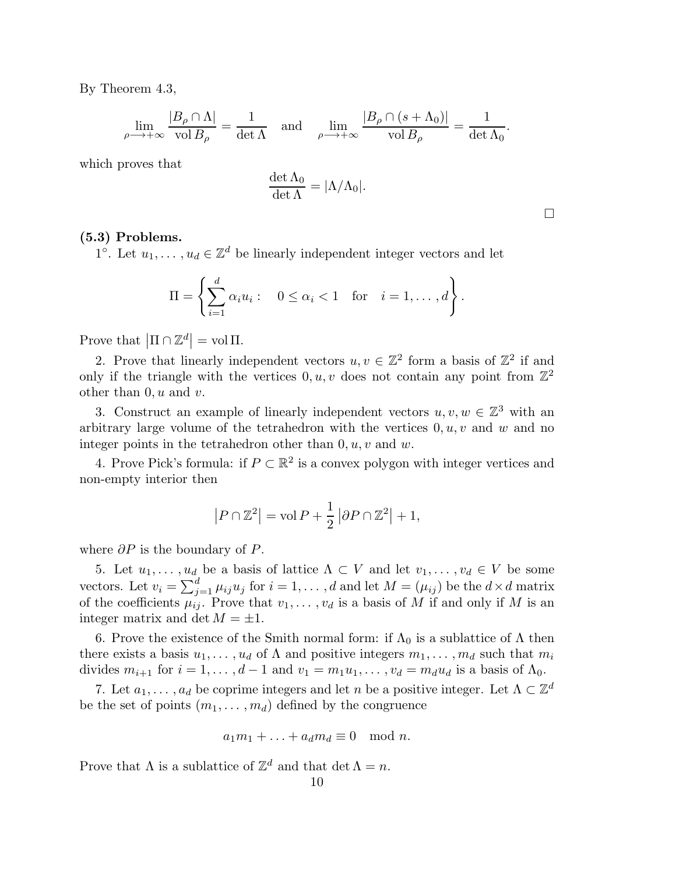By Theorem 4.3,

$$
\lim_{\rho \to +\infty} \frac{|B_{\rho} \cap \Lambda|}{\text{vol } B_{\rho}} = \frac{1}{\det \Lambda} \quad \text{and} \quad \lim_{\rho \to +\infty} \frac{|B_{\rho} \cap (s + \Lambda_0)|}{\text{vol } B_{\rho}} = \frac{1}{\det \Lambda_0}.
$$

which proves that

$$
\frac{\det \Lambda_0}{\det \Lambda}=|\Lambda/\Lambda_0|.
$$

 $\Box$ 

(5.3) Problems.

1°. Let  $u_1, \ldots, u_d \in \mathbb{Z}^d$  be linearly independent integer vectors and let

$$
\Pi = \left\{ \sum_{i=1}^d \alpha_i u_i : \quad 0 \le \alpha_i < 1 \quad \text{for} \quad i = 1, \dots, d \right\}.
$$

Prove that  $\left| \Pi \cap \mathbb{Z}^d \right| = \text{vol } \Pi$ .

2. Prove that linearly independent vectors  $u, v \in \mathbb{Z}^2$  form a basis of  $\mathbb{Z}^2$  if and only if the triangle with the vertices  $0, u, v$  does not contain any point from  $\mathbb{Z}^2$ other than  $0, u$  and  $v$ .

3. Construct an example of linearly independent vectors  $u, v, w \in \mathbb{Z}^3$  with an arbitrary large volume of the tetrahedron with the vertices  $0, u, v$  and w and no integer points in the tetrahedron other than  $0, u, v$  and  $w$ .

4. Prove Pick's formula: if  $P \subset \mathbb{R}^2$  is a convex polygon with integer vertices and non-empty interior then

$$
|P \cap \mathbb{Z}^2| = \text{vol}\,P + \frac{1}{2} |\partial P \cap \mathbb{Z}^2| + 1,
$$

where  $\partial P$  is the boundary of P.

5. Let  $u_1, \ldots, u_d$  be a basis of lattice  $\Lambda \subset V$  and let  $v_1, \ldots, v_d \in V$  be some vectors. Let  $v_i = \sum_{j=1}^d \mu_{ij} u_j$  for  $i = 1, ..., d$  and let  $M = (\mu_{ij})$  be the  $d \times d$  matrix of the coefficients  $\overline{\mu_{ij}}$ . Prove that  $v_1, \ldots, v_d$  is a basis of M if and only if M is an integer matrix and det  $M = \pm 1$ .

6. Prove the existence of the Smith normal form: if  $\Lambda_0$  is a sublattice of  $\Lambda$  then there exists a basis  $u_1, \ldots, u_d$  of  $\Lambda$  and positive integers  $m_1, \ldots, m_d$  such that  $m_i$ divides  $m_{i+1}$  for  $i = 1, \ldots, d-1$  and  $v_1 = m_1u_1, \ldots, v_d = m_du_d$  is a basis of  $\Lambda_0$ .

7. Let  $a_1, \ldots, a_d$  be coprime integers and let n be a positive integer. Let  $\Lambda \subset \mathbb{Z}^d$ be the set of points  $(m_1, \ldots, m_d)$  defined by the congruence

$$
a_1m_1 + \ldots + a_d m_d \equiv 0 \mod n.
$$

Prove that  $\Lambda$  is a sublattice of  $\mathbb{Z}^d$  and that  $\det \Lambda = n$ .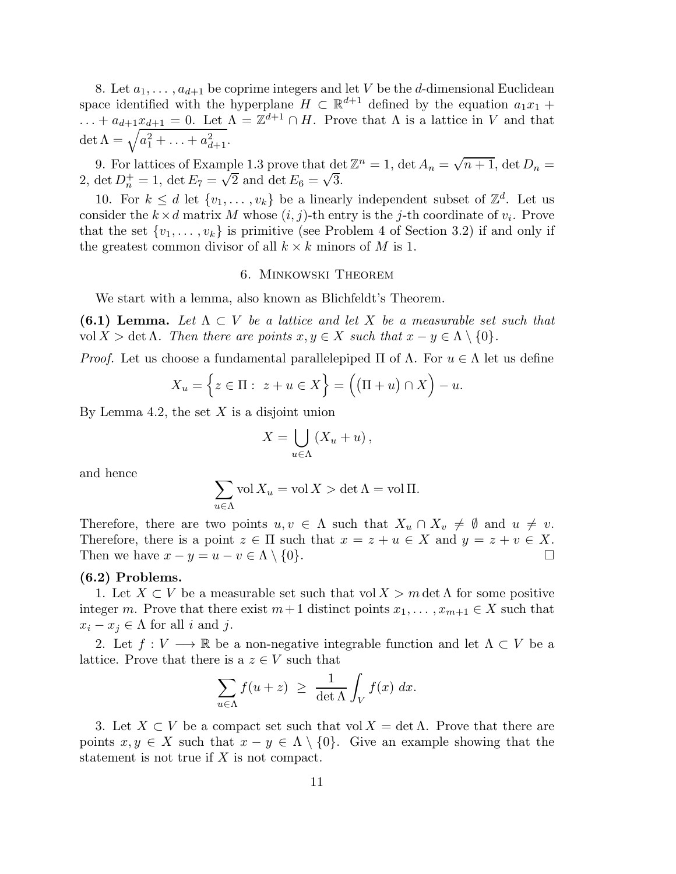8. Let  $a_1, \ldots, a_{d+1}$  be coprime integers and let V be the d-dimensional Euclidean space identified with the hyperplane  $H \subset \mathbb{R}^{d+1}$  defined by the equation  $a_1x_1 +$  $\ldots + a_{d+1}x_{d+1} = 0$ . Let  $\Lambda = \mathbb{Z}^{d+1} \cap H$ . Prove that  $\Lambda$  is a lattice in V and that det  $\Lambda = \sqrt{a_1^2 + \ldots + a_{d+1}^2}$ .

9. For lattices of Example 1.3 prove that  $\det \mathbb{Z}^n = 1$ ,  $\det A_n = \sqrt{n+1}$ ,  $\det D_n =$ 2, det  $D_n^+ = 1$ , det  $E_7 = \sqrt{2}$  and det  $E_6 = \sqrt{3}$ .

10. For  $k \leq d$  let  $\{v_1, \ldots, v_k\}$  be a linearly independent subset of  $\mathbb{Z}^d$ . Let us consider the  $k \times d$  matrix M whose  $(i, j)$ -th entry is the j-th coordinate of  $v_i$ . Prove that the set  $\{v_1, \ldots, v_k\}$  is primitive (see Problem 4 of Section 3.2) if and only if the greatest common divisor of all  $k \times k$  minors of M is 1.

### 6. Minkowski Theorem

We start with a lemma, also known as Blichfeldt's Theorem.

**(6.1) Lemma.** Let  $\Lambda \subset V$  be a lattice and let X be a measurable set such that vol  $X > \det \Lambda$ . Then there are points  $x, y \in X$  such that  $x - y \in \Lambda \setminus \{0\}$ .

*Proof.* Let us choose a fundamental parallelepiped  $\Pi$  of  $\Lambda$ . For  $u \in \Lambda$  let us define

$$
X_u = \left\{ z \in \Pi : z + u \in X \right\} = \left( (\Pi + u) \cap X \right) - u.
$$

By Lemma 4.2, the set  $X$  is a disjoint union

$$
X = \bigcup_{u \in \Lambda} (X_u + u),
$$

and hence

$$
\sum_{u \in \Lambda} \text{vol}\, X_u = \text{vol}\, X > \det \Lambda = \text{vol}\, \Pi.
$$

Therefore, there are two points  $u, v \in \Lambda$  such that  $X_u \cap X_v \neq \emptyset$  and  $u \neq v$ . Therefore, there is a point  $z \in \Pi$  such that  $x = z + u \in X$  and  $y = z + v \in X$ .<br>Then we have  $x - y = u - v \in \Lambda \setminus \{0\}$ . Then we have  $x - y = u - v \in \Lambda \setminus \{0\}.$ 

### (6.2) Problems.

1. Let  $X \subset V$  be a measurable set such that vol  $X > m$  det  $\Lambda$  for some positive integer m. Prove that there exist  $m+1$  distinct points  $x_1, \ldots, x_{m+1} \in X$  such that  $x_i - x_j \in \Lambda$  for all i and j.

2. Let  $f: V \longrightarrow \mathbb{R}$  be a non-negative integrable function and let  $\Lambda \subset V$  be a lattice. Prove that there is a  $z \in V$  such that

$$
\sum_{u \in \Lambda} f(u+z) \ \geq \ \frac{1}{\det \Lambda} \int_V f(x) \ dx.
$$

3. Let  $X \subset V$  be a compact set such that vol  $X = \det \Lambda$ . Prove that there are points  $x, y \in X$  such that  $x - y \in \Lambda \setminus \{0\}$ . Give an example showing that the statement is not true if  $X$  is not compact.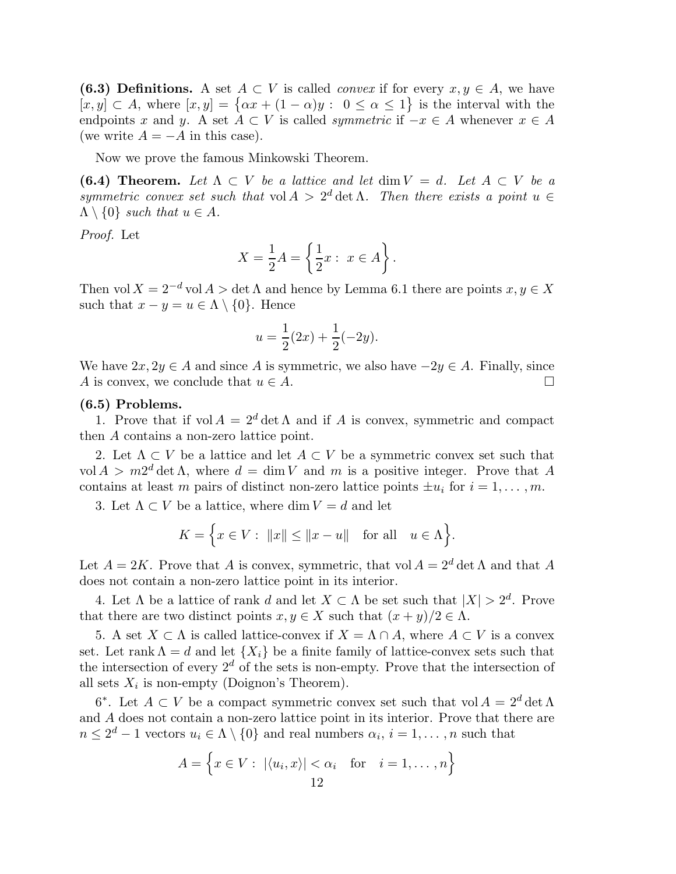(6.3) Definitions. A set  $A \subset V$  is called *convex* if for every  $x, y \in A$ , we have  $[x, y] \subset A$ , where  $[x, y] = \{ \alpha x + (1 - \alpha)y : 0 \le \alpha \le 1 \}$  is the interval with the endpoints x and y. A set  $A \subset V$  is called *symmetric* if  $-x \in A$  whenever  $x \in A$ (we write  $A = -A$  in this case).

Now we prove the famous Minkowski Theorem.

(6.4) Theorem. Let  $\Lambda \subset V$  be a lattice and let dim  $V = d$ . Let  $A \subset V$  be a *symmetric convex set such that*  $vol A > 2^d$  det  $\Lambda$ . Then there exists a point  $u \in$  $\Lambda \setminus \{0\}$  *such that*  $u \in A$ *.* 

*Proof.* Let

$$
X = \frac{1}{2}A = \left\{ \frac{1}{2}x : x \in A \right\}.
$$

Then vol  $X = 2^{-d}$  vol  $A > \det \Lambda$  and hence by Lemma 6.1 there are points  $x, y \in X$ such that  $x - y = u \in \Lambda \setminus \{0\}$ . Hence

$$
u = \frac{1}{2}(2x) + \frac{1}{2}(-2y).
$$

We have  $2x, 2y \in A$  and since A is symmetric, we also have  $-2y \in A$ . Finally, since A is convex, we conclude that  $u \in A$ . A is convex, we conclude that  $u \in A$ .

### (6.5) Problems.

1. Prove that if  $vol A = 2^d det \Lambda$  and if A is convex, symmetric and compact then A contains a non-zero lattice point.

2. Let  $\Lambda \subset V$  be a lattice and let  $A \subset V$  be a symmetric convex set such that  $\text{vol } A > m2^d \det \Lambda$ , where  $d = \dim V$  and m is a positive integer. Prove that A contains at least m pairs of distinct non-zero lattice points  $\pm u_i$  for  $i = 1, \ldots, m$ .

3. Let  $\Lambda \subset V$  be a lattice, where dim  $V = d$  and let

$$
K = \Big\{ x \in V : ||x|| \le ||x - u|| \text{ for all } u \in \Lambda \Big\}.
$$

Let  $A = 2K$ . Prove that A is convex, symmetric, that vol  $A = 2^d \det \Lambda$  and that A does not contain a non-zero lattice point in its interior.

4. Let  $\Lambda$  be a lattice of rank d and let  $X \subset \Lambda$  be set such that  $|X| > 2^d$ . Prove that there are two distinct points  $x, y \in X$  such that  $(x + y)/2 \in \Lambda$ .

5. A set  $X \subset \Lambda$  is called lattice-convex if  $X = \Lambda \cap A$ , where  $A \subset V$  is a convex set. Let rank  $\Lambda = d$  and let  $\{X_i\}$  be a finite family of lattice-convex sets such that the intersection of every  $2^d$  of the sets is non-empty. Prove that the intersection of all sets  $X_i$  is non-empty (Doignon's Theorem).

6<sup>\*</sup>. Let  $A \subset V$  be a compact symmetric convex set such that vol  $A = 2^d \det \Lambda$ and A does not contain a non-zero lattice point in its interior. Prove that there are  $n \leq 2^d - 1$  vectors  $u_i \in \Lambda \setminus \{0\}$  and real numbers  $\alpha_i$ ,  $i = 1, ..., n$  such that

$$
A = \left\{ x \in V : |\langle u_i, x \rangle| < \alpha_i \quad \text{for} \quad i = 1, \dots, n \right\}
$$
\n
$$
12
$$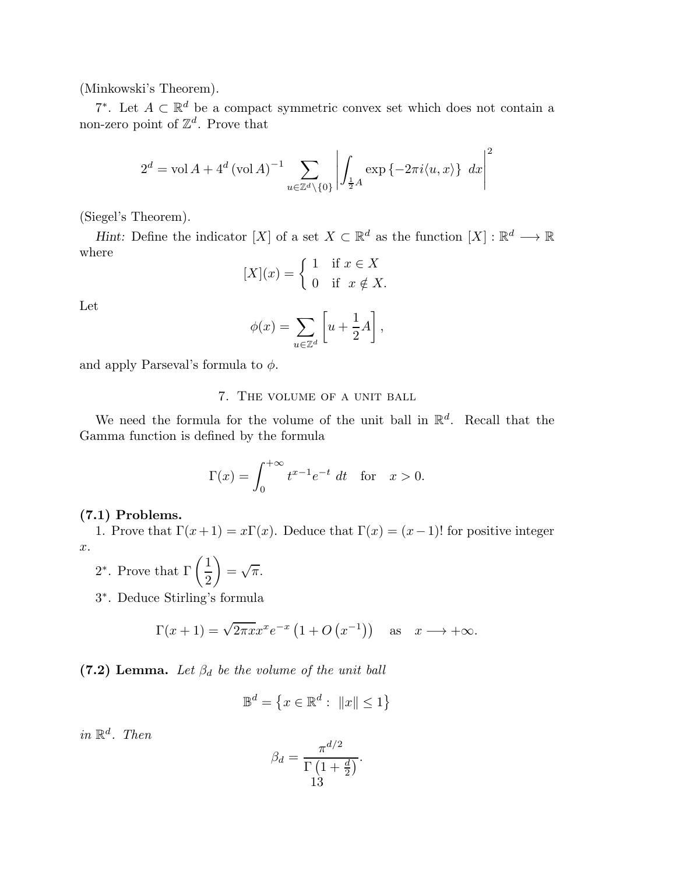(Minkowski's Theorem).

7<sup>\*</sup>. Let  $A \subset \mathbb{R}^d$  be a compact symmetric convex set which does not contain a non-zero point of  $\mathbb{Z}^d$ . Prove that

$$
2^d = \text{vol}\,A + 4^d \left(\text{vol}\,A\right)^{-1} \sum_{u \in \mathbb{Z}^d \backslash \{0\}} \left| \int_{\frac{1}{2}A} \exp\left\{-2\pi i \langle u, x \rangle\right\} \, dx \right|^2
$$

(Siegel's Theorem).

Hint: Define the indicator [X] of a set  $X \subset \mathbb{R}^d$  as the function  $[X] : \mathbb{R}^d \longrightarrow \mathbb{R}$ where

$$
[X](x) = \begin{cases} 1 & \text{if } x \in X \\ 0 & \text{if } x \notin X. \end{cases}
$$

Let

$$
\phi(x) = \sum_{u \in \mathbb{Z}^d} \left[ u + \frac{1}{2}A \right],
$$

and apply Parseval's formula to  $\phi$ .

7. The volume of a unit ball

We need the formula for the volume of the unit ball in  $\mathbb{R}^d$ . Recall that the Gamma function is defined by the formula

$$
\Gamma(x) = \int_0^{+\infty} t^{x-1} e^{-t} dt \quad \text{for} \quad x > 0.
$$

# (7.1) Problems.

1. Prove that  $\Gamma(x+1) = x\Gamma(x)$ . Deduce that  $\Gamma(x) = (x-1)!$  for positive integer x.

2<sup>\*</sup>. Prove that  $\Gamma\left(\frac{1}{2}\right)$ 2  $\setminus$  $=\sqrt{\pi}$ .

3 ∗ . Deduce Stirling's formula

$$
\Gamma(x+1) = \sqrt{2\pi x} x^x e^{-x} (1 + O(x^{-1}))
$$
 as  $x \to +\infty$ .

 $(7.2)$  Lemma. Let  $\beta_d$  be the volume of the unit ball

$$
\mathbb{B}^d = \left\{ x \in \mathbb{R}^d : \ \|x\| \le 1 \right\}
$$

 $in \mathbb{R}^d$ *. Then* 

$$
\beta_d = \frac{\pi^{d/2}}{\Gamma\left(1 + \frac{d}{2}\right)}.
$$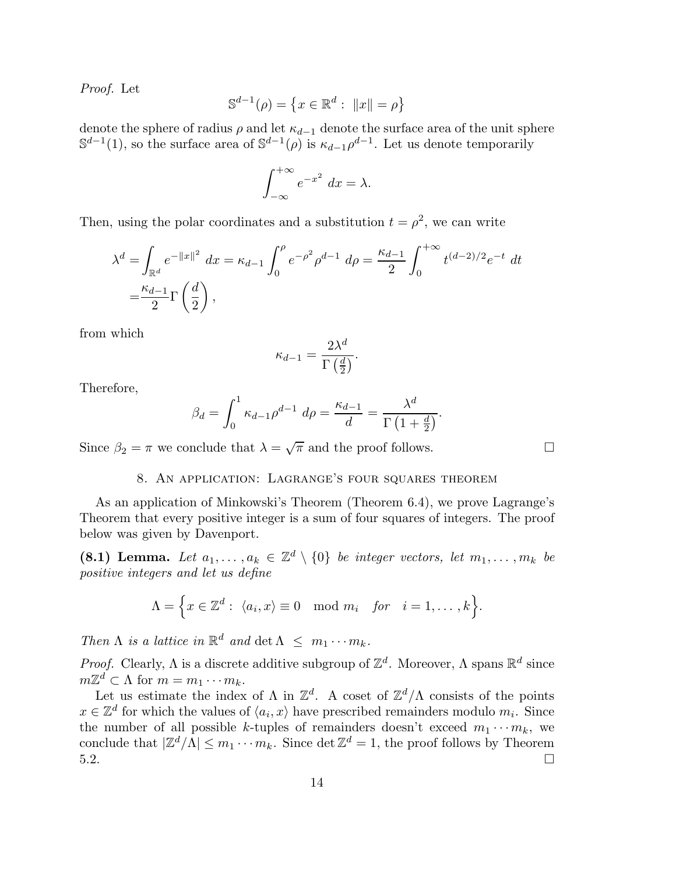*Proof.* Let

$$
\mathbb{S}^{d-1}(\rho) = \left\{ x \in \mathbb{R}^d : ||x|| = \rho \right\}
$$

denote the sphere of radius  $\rho$  and let  $\kappa_{d-1}$  denote the surface area of the unit sphere  $\mathbb{S}^{d-1}(1)$ , so the surface area of  $\mathbb{S}^{d-1}(\rho)$  is  $\kappa_{d-1}\rho^{d-1}$ . Let us denote temporarily

$$
\int_{-\infty}^{+\infty} e^{-x^2} \, dx = \lambda.
$$

Then, using the polar coordinates and a substitution  $t = \rho^2$ , we can write

$$
\lambda^{d} = \int_{\mathbb{R}^{d}} e^{-\|x\|^{2}} dx = \kappa_{d-1} \int_{0}^{\rho} e^{-\rho^{2}} \rho^{d-1} d\rho = \frac{\kappa_{d-1}}{2} \int_{0}^{+\infty} t^{(d-2)/2} e^{-t} dt
$$
  
=  $\frac{\kappa_{d-1}}{2} \Gamma\left(\frac{d}{2}\right)$ ,

from which

$$
\kappa_{d-1} = \frac{2\lambda^d}{\Gamma\left(\frac{d}{2}\right)}.
$$

Therefore,

$$
\beta_d = \int_0^1 \kappa_{d-1} \rho^{d-1} \ d\rho = \frac{\kappa_{d-1}}{d} = \frac{\lambda^d}{\Gamma\left(1 + \frac{d}{2}\right)}.
$$

Since  $\beta_2 = \pi$  we conclude that  $\lambda = \sqrt{\pi}$  and the proof follows.

# 8. An application: Lagrange's four squares theorem

As an application of Minkowski's Theorem (Theorem 6.4), we prove Lagrange's Theorem that every positive integer is a sum of four squares of integers. The proof below was given by Davenport.

(8.1) Lemma. Let  $a_1, \ldots, a_k \in \mathbb{Z}^d \setminus \{0\}$  *be integer vectors, let*  $m_1, \ldots, m_k$  *be positive integers and let us define*

$$
\Lambda = \Big\{ x \in \mathbb{Z}^d : \ \langle a_i, x \rangle \equiv 0 \mod m_i \quad \text{for} \quad i = 1, \dots, k \Big\}.
$$

*Then*  $\Lambda$  *is a lattice in*  $\mathbb{R}^d$  *and*  $\det \Lambda \leq m_1 \cdots m_k$ *.* 

*Proof.* Clearly,  $\Lambda$  is a discrete additive subgroup of  $\mathbb{Z}^d$ . Moreover,  $\Lambda$  spans  $\mathbb{R}^d$  since  $m\mathbb{Z}^d \subset \Lambda$  for  $m = m_1 \cdots m_k$ .

Let us estimate the index of  $\Lambda$  in  $\mathbb{Z}^d$ . A coset of  $\mathbb{Z}^d/\Lambda$  consists of the points  $x \in \mathbb{Z}^d$  for which the values of  $\langle a_i, x \rangle$  have prescribed remainders modulo  $m_i$ . Since the number of all possible k-tuples of remainders doesn't exceed  $m_1 \cdots m_k$ , we conclude that  $|\mathbb{Z}^d/\Lambda| \leq m_1 \cdots m_k$ . Since  $\det \mathbb{Z}^d = 1$ , the proof follows by Theorem  $5.2.$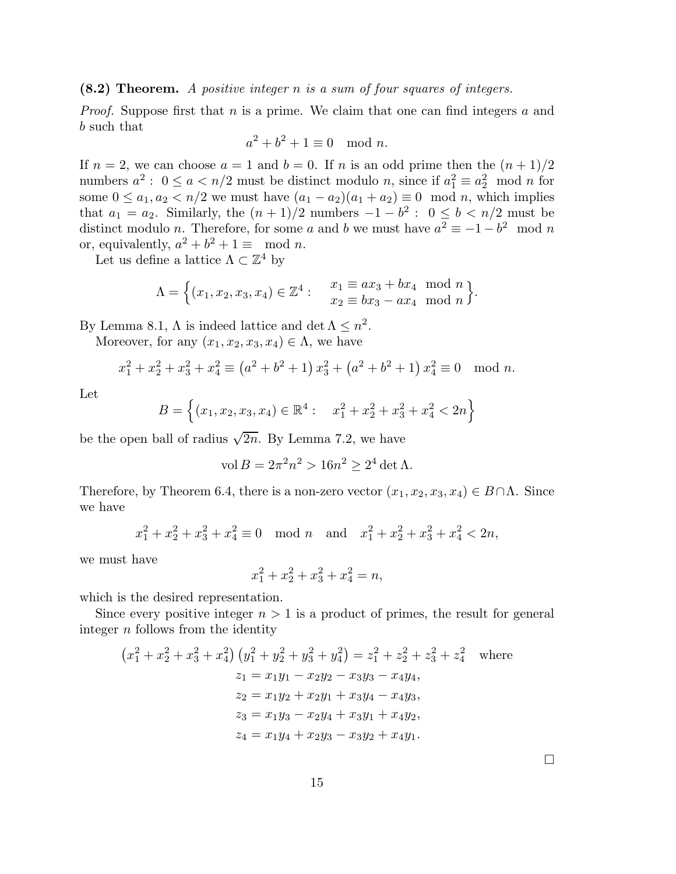(8.2) Theorem. *A positive integer* n *is a sum of four squares of integers.*

*Proof.* Suppose first that n is a prime. We claim that one can find integers a and b such that

$$
a^2 + b^2 + 1 \equiv 0 \mod n.
$$

If  $n = 2$ , we can choose  $a = 1$  and  $b = 0$ . If n is an odd prime then the  $(n + 1)/2$ numbers  $a^2: 0 \le a \le n/2$  must be distinct modulo n, since if  $a_1^2 \equiv a_2^2 \mod n$  for some  $0 \le a_1, a_2 < n/2$  we must have  $(a_1 - a_2)(a_1 + a_2) \equiv 0 \mod n$ , which implies that  $a_1 = a_2$ . Similarly, the  $(n+1)/2$  numbers  $-1 - b^2$ :  $0 \leq b < n/2$  must be distinct modulo *n*. Therefore, for some a and b we must have  $a^2 \equiv -1 - b^2 \mod n$ or, equivalently,  $a^2 + b^2 + 1 \equiv \text{mod } n$ .

Let us define a lattice  $\Lambda \subset \mathbb{Z}^4$  by

$$
\Lambda = \Big\{ (x_1, x_2, x_3, x_4) \in \mathbb{Z}^4 : \quad \begin{array}{l} x_1 \equiv ax_3 + bx_4 \mod n \\ x_2 \equiv bx_3 - ax_4 \mod n \end{array} \Big\}.
$$

By Lemma 8.1,  $\Lambda$  is indeed lattice and det  $\Lambda \leq n^2$ .

Moreover, for any  $(x_1, x_2, x_3, x_4) \in \Lambda$ , we have

$$
x_1^2 + x_2^2 + x_3^2 + x_4^2 \equiv (a^2 + b^2 + 1) x_3^2 + (a^2 + b^2 + 1) x_4^2 \equiv 0 \mod n.
$$

Let

$$
B = \left\{ (x_1, x_2, x_3, x_4) \in \mathbb{R}^4 : \quad x_1^2 + x_2^2 + x_3^2 + x_4^2 < 2n \right\}
$$

be the open ball of radius  $\sqrt{2n}$ . By Lemma 7.2, we have

$$
\text{vol}\,B = 2\pi^2 n^2 > 16n^2 \ge 2^4 \det \Lambda.
$$

Therefore, by Theorem 6.4, there is a non-zero vector  $(x_1, x_2, x_3, x_4) \in B \cap \Lambda$ . Since we have

$$
x_1^2 + x_2^2 + x_3^2 + x_4^2 \equiv 0 \mod n
$$
 and  $x_1^2 + x_2^2 + x_3^2 + x_4^2 < 2n$ ,

we must have

$$
x_1^2 + x_2^2 + x_3^2 + x_4^2 = n,
$$

which is the desired representation.

Since every positive integer  $n > 1$  is a product of primes, the result for general integer  $n$  follows from the identity

$$
(x_1^2 + x_2^2 + x_3^2 + x_4^2) (y_1^2 + y_2^2 + y_3^2 + y_4^2) = z_1^2 + z_2^2 + z_3^2 + z_4^2 \text{ where}
$$
  
\n
$$
z_1 = x_1y_1 - x_2y_2 - x_3y_3 - x_4y_4,
$$
  
\n
$$
z_2 = x_1y_2 + x_2y_1 + x_3y_4 - x_4y_3,
$$
  
\n
$$
z_3 = x_1y_3 - x_2y_4 + x_3y_1 + x_4y_2,
$$
  
\n
$$
z_4 = x_1y_4 + x_2y_3 - x_3y_2 + x_4y_1.
$$

 $\Box$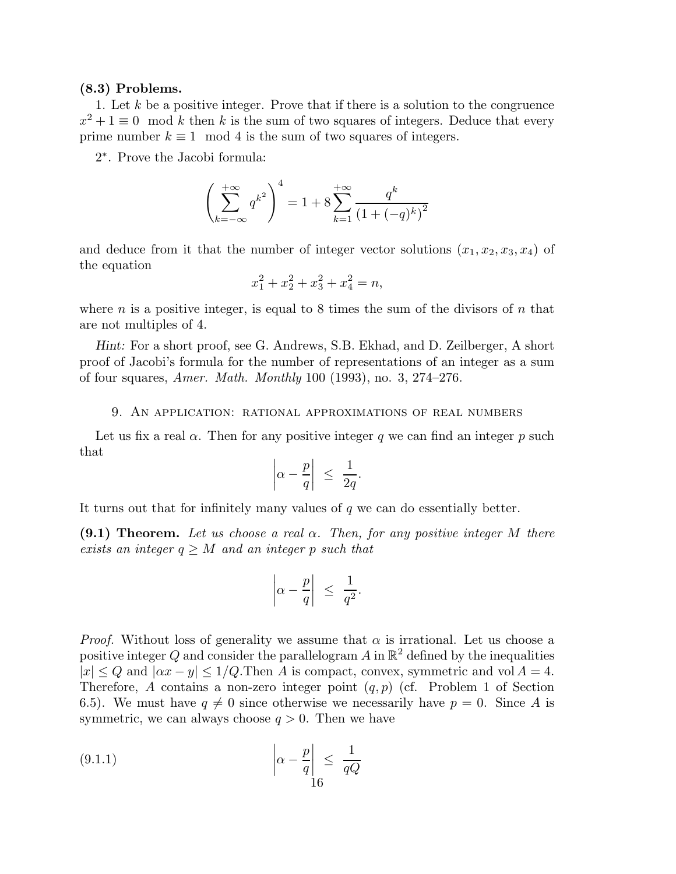# (8.3) Problems.

1. Let k be a positive integer. Prove that if there is a solution to the congruence  $x^2 + 1 \equiv 0 \mod k$  then k is the sum of two squares of integers. Deduce that every prime number  $k \equiv 1 \mod 4$  is the sum of two squares of integers.

2 ∗ . Prove the Jacobi formula:

$$
\left(\sum_{k=-\infty}^{+\infty} q^{k^2}\right)^4 = 1 + 8\sum_{k=1}^{+\infty} \frac{q^k}{\left(1 + (-q)^k\right)^2}
$$

and deduce from it that the number of integer vector solutions  $(x_1, x_2, x_3, x_4)$  of the equation

$$
x_1^2 + x_2^2 + x_3^2 + x_4^2 = n,
$$

where n is a positive integer, is equal to 8 times the sum of the divisors of n that are not multiples of 4.

Hint: For a short proof, see G. Andrews, S.B. Ekhad, and D. Zeilberger, A short proof of Jacobi's formula for the number of representations of an integer as a sum of four squares, *Amer. Math. Monthly* 100 (1993), no. 3, 274–276.

### 9. An application: rational approximations of real numbers

Let us fix a real  $\alpha$ . Then for any positive integer q we can find an integer p such that

$$
\left|\alpha - \frac{p}{q}\right| \ \leq \ \frac{1}{2q}.
$$

It turns out that for infinitely many values of  $q$  we can do essentially better.

(9.1) Theorem. *Let us choose a real* α*. Then, for any positive integer* M *there exists an integer*  $q \geq M$  *and an integer* p *such that* 

$$
\left|\alpha - \frac{p}{q}\right| \le \frac{1}{q^2}.
$$

*Proof.* Without loss of generality we assume that  $\alpha$  is irrational. Let us choose a positive integer Q and consider the parallelogram A in  $\mathbb{R}^2$  defined by the inequalities  $|x| \le Q$  and  $|\alpha x - y| \le 1/Q$ . Then A is compact, convex, symmetric and vol  $A = 4$ . Therefore, A contains a non-zero integer point  $(q, p)$  (cf. Problem 1 of Section 6.5). We must have  $q \neq 0$  since otherwise we necessarily have  $p = 0$ . Since A is symmetric, we can always choose  $q > 0$ . Then we have

$$
(9.1.1) \qquad \qquad \left| \alpha - \frac{p}{q} \right| \le \frac{1}{qQ}
$$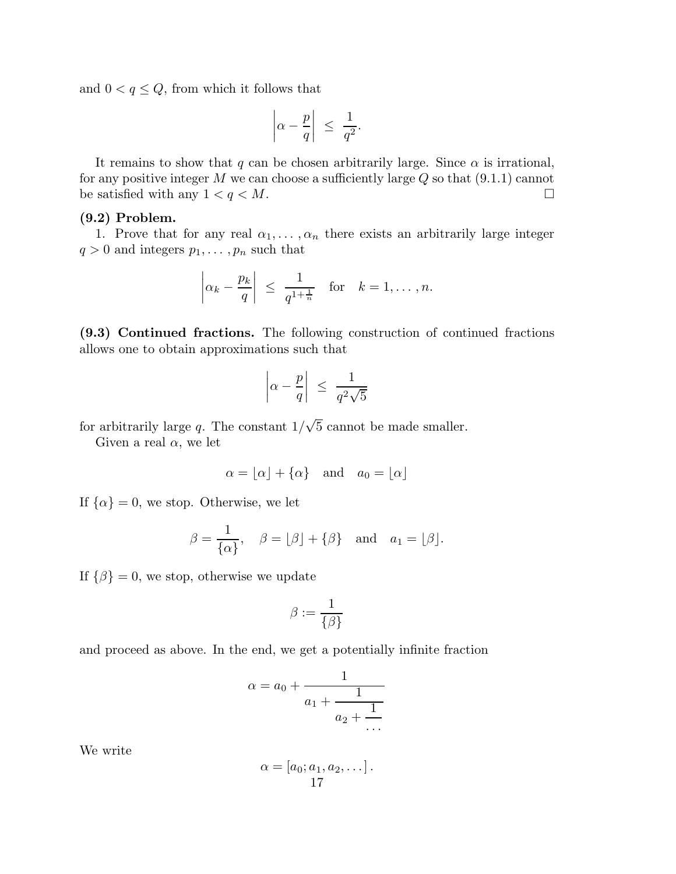and  $0 < q \leq Q$ , from which it follows that

$$
\left|\alpha - \frac{p}{q}\right| \le \frac{1}{q^2}.
$$

It remains to show that q can be chosen arbitrarily large. Since  $\alpha$  is irrational, for any positive integer  $M$  we can choose a sufficiently large  $Q$  so that  $(9.1.1)$  cannot be satisfied with any  $1 < q < M$ .

# (9.2) Problem.

1. Prove that for any real  $\alpha_1, \ldots, \alpha_n$  there exists an arbitrarily large integer  $q > 0$  and integers  $p_1, \ldots, p_n$  such that

$$
\left|\alpha_k - \frac{p_k}{q}\right| \le \frac{1}{q^{1+\frac{1}{n}}}
$$
 for  $k = 1, ..., n$ .

(9.3) Continued fractions. The following construction of continued fractions allows one to obtain approximations such that

$$
\left|\alpha - \frac{p}{q}\right| \ \leq \ \frac{1}{q^2\sqrt{5}}
$$

for arbitrarily large q. The constant  $1/\sqrt{5}$  cannot be made smaller.

Given a real  $\alpha$ , we let

$$
\alpha = \lfloor \alpha \rfloor + \{ \alpha \}
$$
 and  $a_0 = \lfloor \alpha \rfloor$ 

If  $\{\alpha\} = 0$ , we stop. Otherwise, we let

$$
\beta = \frac{1}{\{\alpha\}}, \quad \beta = \lfloor \beta \rfloor + \{\beta\} \text{ and } a_1 = \lfloor \beta \rfloor.
$$

If  $\{\beta\} = 0$ , we stop, otherwise we update

$$
\beta:=\frac{1}{\{\beta\}}
$$

and proceed as above. In the end, we get a potentially infinite fraction

$$
\alpha = a_0 + \cfrac{1}{a_1 + \cfrac{1}{a_2 + \cfrac{1}{\cdots}}}
$$

We write

$$
\alpha = [a_0; a_1, a_2, \dots].
$$
  
17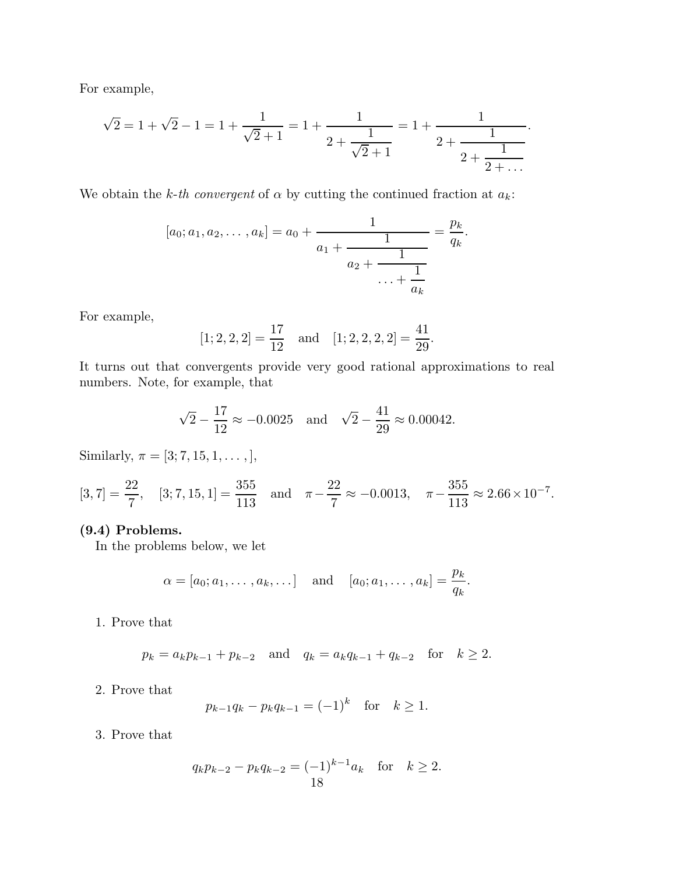For example,

$$
\sqrt{2} = 1 + \sqrt{2} - 1 = 1 + \frac{1}{\sqrt{2} + 1} = 1 + \frac{1}{2 + \frac{1}{\sqrt{2} + 1}} = 1 + \frac{1}{2 + \frac{1}{2 + \frac{1}{2 + \dots}}}.
$$

We obtain the *k-th convergent* of  $\alpha$  by cutting the continued fraction at  $a_k$ :

$$
[a_0; a_1, a_2, \dots, a_k] = a_0 + \cfrac{1}{a_1 + \cfrac{1}{a_2 + \cfrac{1}{\cdots + \cfrac{1}{a_k}}}} = \cfrac{p_k}{q_k}.
$$

For example,

$$
[1; 2, 2, 2] = \frac{17}{12}
$$
 and  $[1; 2, 2, 2, 2] = \frac{41}{29}$ .

It turns out that convergents provide very good rational approximations to real numbers. Note, for example, that

$$
\sqrt{2} - \frac{17}{12} \approx -0.0025
$$
 and  $\sqrt{2} - \frac{41}{29} \approx 0.00042$ .

Similarly,  $\pi = [3; 7, 15, 1, \dots, ],$ 

$$
[3, 7] = \frac{22}{7}
$$
,  $[3; 7, 15, 1] = \frac{355}{113}$  and  $\pi - \frac{22}{7} \approx -0.0013$ ,  $\pi - \frac{355}{113} \approx 2.66 \times 10^{-7}$ .

# (9.4) Problems.

In the problems below, we let

$$
\alpha = [a_0; a_1, \dots, a_k, \dots]
$$
 and  $[a_0; a_1, \dots, a_k] = \frac{p_k}{q_k}$ .

1. Prove that

$$
p_k = a_k p_{k-1} + p_{k-2}
$$
 and  $q_k = a_k q_{k-1} + q_{k-2}$  for  $k \ge 2$ .

2. Prove that

$$
p_{k-1}q_k - p_kq_{k-1} = (-1)^k \text{ for } k \ge 1.
$$

3. Prove that

$$
q_k p_{k-2} - p_k q_{k-2} = (-1)^{k-1} a_k \text{ for } k \ge 2.
$$
  
18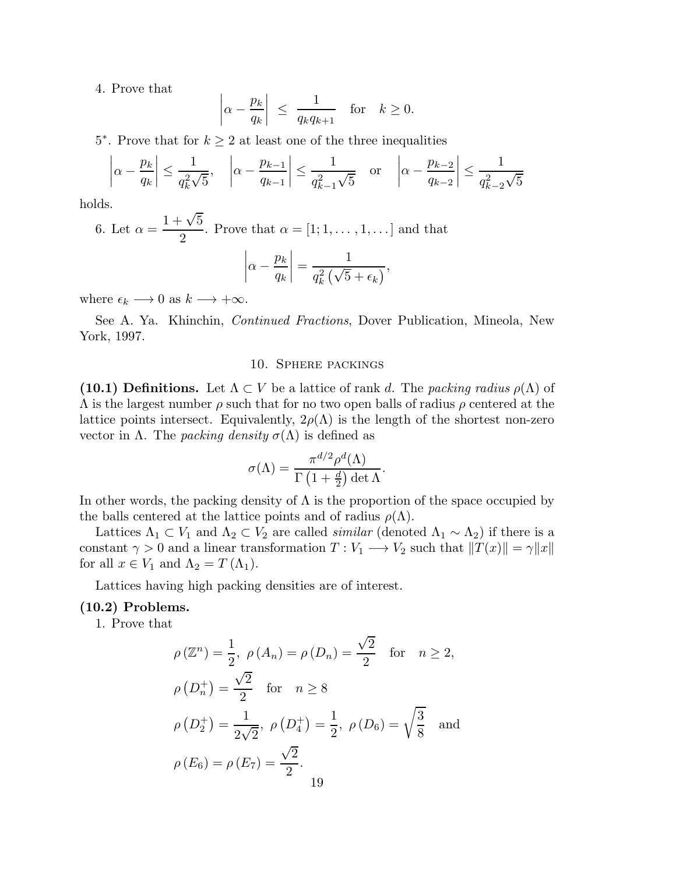4. Prove that

$$
\left|\alpha - \frac{p_k}{q_k}\right| \le \frac{1}{q_k q_{k+1}} \quad \text{for} \quad k \ge 0.
$$

5<sup>\*</sup>. Prove that for  $k \geq 2$  at least one of the three inequalities

$$
\left|\alpha - \frac{p_k}{q_k}\right| \le \frac{1}{q_k^2 \sqrt{5}}, \quad \left|\alpha - \frac{p_{k-1}}{q_{k-1}}\right| \le \frac{1}{q_{k-1}^2 \sqrt{5}} \quad \text{or} \quad \left|\alpha - \frac{p_{k-2}}{q_{k-2}}\right| \le \frac{1}{q_{k-2}^2 \sqrt{5}}
$$

holds.

6. Let  $\alpha =$  $1 + \sqrt{5}$ 2 . Prove that  $\alpha = [1; 1, \ldots, 1, \ldots]$  and that  $\Big| \alpha -$ 1

$$
\left|\alpha - \frac{p_k}{q_k}\right| = \frac{1}{q_k^2\left(\sqrt{5} + \epsilon_k\right)},
$$

where  $\epsilon_k \longrightarrow 0$  as  $k \longrightarrow +\infty$ .

See A. Ya. Khinchin, *Continued Fractions*, Dover Publication, Mineola, New York, 1997.

# 10. Sphere packings

(10.1) Definitions. Let  $\Lambda \subset V$  be a lattice of rank d. The *packing radius*  $\rho(\Lambda)$  of  $\Lambda$  is the largest number  $\rho$  such that for no two open balls of radius  $\rho$  centered at the lattice points intersect. Equivalently,  $2\rho(\Lambda)$  is the length of the shortest non-zero vector in Λ. The *packing density*  $\sigma$ (Λ) is defined as

$$
\sigma(\Lambda) = \frac{\pi^{d/2} \rho^d(\Lambda)}{\Gamma(1 + \frac{d}{2}) \det \Lambda}.
$$

In other words, the packing density of  $\Lambda$  is the proportion of the space occupied by the balls centered at the lattice points and of radius  $\rho(\Lambda)$ .

Lattices  $\Lambda_1 \subset V_1$  and  $\Lambda_2 \subset V_2$  are called *similar* (denoted  $\Lambda_1 \sim \Lambda_2$ ) if there is a constant  $\gamma > 0$  and a linear transformation  $T : V_1 \longrightarrow V_2$  such that  $||T(x)|| = \gamma ||x||$ for all  $x \in V_1$  and  $\Lambda_2 = T(\Lambda_1)$ .

Lattices having high packing densities are of interest.

# (10.2) Problems.

1. Prove that

$$
\rho(\mathbb{Z}^n) = \frac{1}{2}, \ \rho(A_n) = \rho(D_n) = \frac{\sqrt{2}}{2} \quad \text{for} \quad n \ge 2,
$$
  

$$
\rho(D_n^+) = \frac{\sqrt{2}}{2} \quad \text{for} \quad n \ge 8
$$
  

$$
\rho(D_2^+) = \frac{1}{2\sqrt{2}}, \ \rho(D_4^+) = \frac{1}{2}, \ \rho(D_6) = \sqrt{\frac{3}{8}} \quad \text{and}
$$
  

$$
\rho(E_6) = \rho(E_7) = \frac{\sqrt{2}}{2}.
$$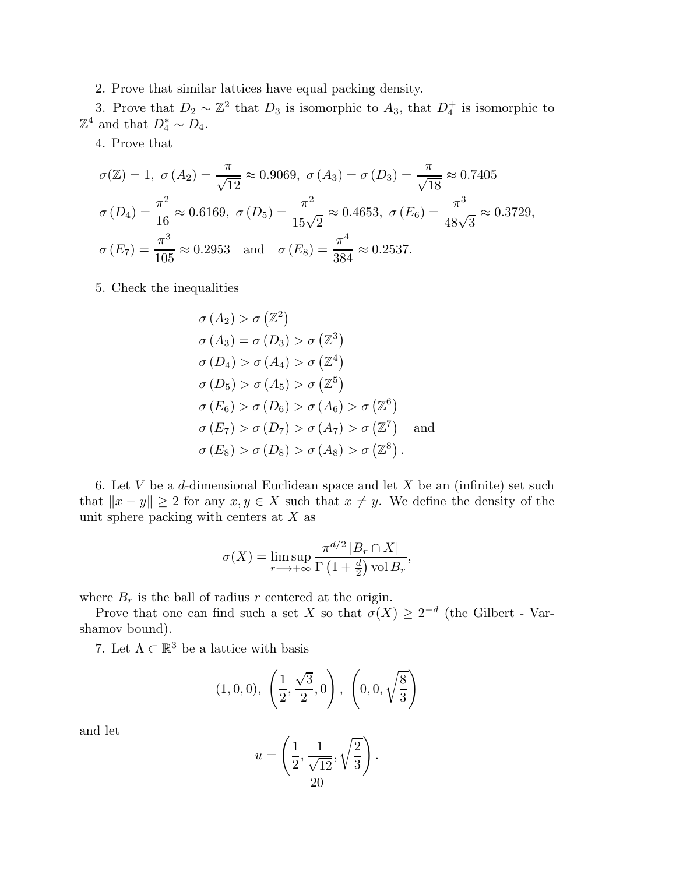2. Prove that similar lattices have equal packing density.

3. Prove that  $D_2 \sim \mathbb{Z}^2$  that  $D_3$  is isomorphic to  $A_3$ , that  $D_4^+$ 4 is isomorphic to  $\mathbb{Z}^4$  and that  $D_4^* \sim D_4$ .

4. Prove that

$$
\sigma(\mathbb{Z}) = 1, \ \sigma(A_2) = \frac{\pi}{\sqrt{12}} \approx 0.9069, \ \sigma(A_3) = \sigma(D_3) = \frac{\pi}{\sqrt{18}} \approx 0.7405
$$

$$
\sigma(D_4) = \frac{\pi^2}{16} \approx 0.6169, \ \sigma(D_5) = \frac{\pi^2}{15\sqrt{2}} \approx 0.4653, \ \sigma(E_6) = \frac{\pi^3}{48\sqrt{3}} \approx 0.3729,
$$

$$
\sigma(E_7) = \frac{\pi^3}{105} \approx 0.2953 \quad \text{and} \quad \sigma(E_8) = \frac{\pi^4}{384} \approx 0.2537.
$$

5. Check the inequalities

$$
\sigma(A_2) > \sigma(\mathbb{Z}^2)
$$
  
\n
$$
\sigma(A_3) = \sigma(D_3) > \sigma(\mathbb{Z}^3)
$$
  
\n
$$
\sigma(D_4) > \sigma(A_4) > \sigma(\mathbb{Z}^4)
$$
  
\n
$$
\sigma(D_5) > \sigma(A_5) > \sigma(\mathbb{Z}^5)
$$
  
\n
$$
\sigma(E_6) > \sigma(D_6) > \sigma(A_6) > \sigma(\mathbb{Z}^6)
$$
  
\n
$$
\sigma(E_7) > \sigma(D_7) > \sigma(A_7) > \sigma(\mathbb{Z}^7)
$$
 and  
\n
$$
\sigma(E_8) > \sigma(D_8) > \sigma(A_8) > \sigma(\mathbb{Z}^8).
$$

6. Let  $V$  be a d-dimensional Euclidean space and let  $X$  be an (infinite) set such that  $||x - y|| \ge 2$  for any  $x, y \in X$  such that  $x \ne y$ . We define the density of the unit sphere packing with centers at  $X$  as

$$
\sigma(X) = \limsup_{r \to +\infty} \frac{\pi^{d/2} |B_r \cap X|}{\Gamma(1 + \frac{d}{2}) \operatorname{vol} B_r},
$$

where  $B_r$  is the ball of radius r centered at the origin.

Prove that one can find such a set X so that  $\sigma(X) \geq 2^{-d}$  (the Gilbert - Varshamov bound).

7. Let  $\Lambda \subset \mathbb{R}^3$  be a lattice with basis

$$
(1,0,0), \ \left(\frac{1}{2},\frac{\sqrt{3}}{2},0\right), \ \left(0,0,\sqrt{\frac{8}{3}}\right)
$$

and let

$$
u = \left(\frac{1}{2}, \frac{1}{\sqrt{12}}, \sqrt{\frac{2}{3}}\right).
$$
  
20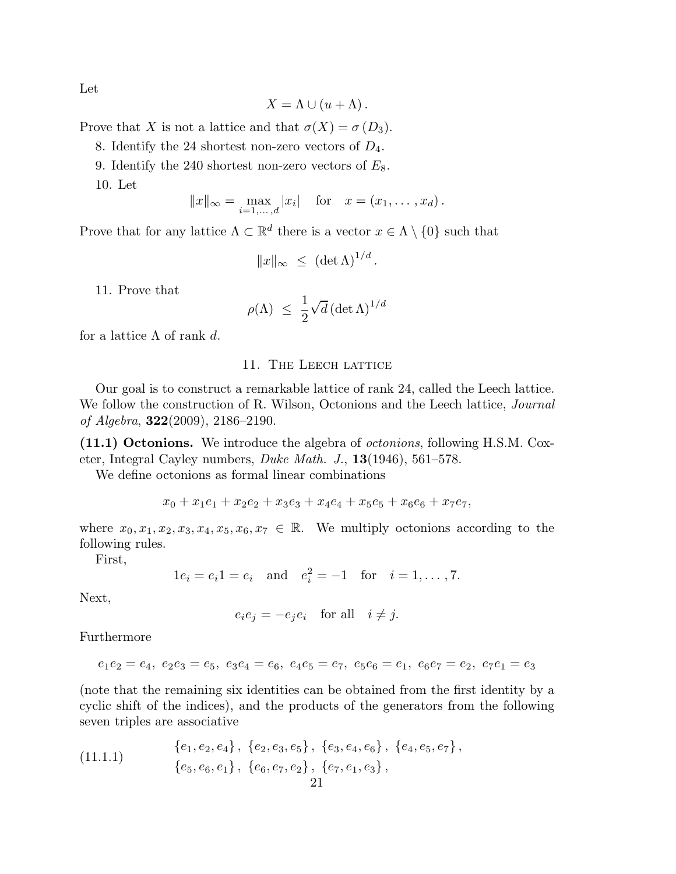Let

$$
X = \Lambda \cup (u + \Lambda).
$$

Prove that X is not a lattice and that  $\sigma(X) = \sigma(D_3)$ .

8. Identify the 24 shortest non-zero vectors of  $D_4$ .

9. Identify the 240 shortest non-zero vectors of  $E_8$ .

10. Let

$$
||x||_{\infty} = \max_{i=1,...,d} |x_i|
$$
 for  $x = (x_1,...,x_d)$ .

Prove that for any lattice  $\Lambda \subset \mathbb{R}^d$  there is a vector  $x \in \Lambda \setminus \{0\}$  such that

$$
||x||_{\infty} \leq (\det \Lambda)^{1/d}.
$$

11. Prove that

$$
\rho(\Lambda) \ \leq \ \frac{1}{2} \sqrt{d} \left( \det \Lambda \right)^{1/d}
$$

for a lattice  $\Lambda$  of rank d.

# 11. THE LEECH LATTICE

Our goal is to construct a remarkable lattice of rank 24, called the Leech lattice. We follow the construction of R. Wilson, Octonions and the Leech lattice, *Journal of Algebra*, 322(2009), 2186–2190.

(11.1) Octonions. We introduce the algebra of *octonions*, following H.S.M. Coxeter, Integral Cayley numbers, *Duke Math. J.*, 13(1946), 561–578.

We define octonions as formal linear combinations

$$
x_0 + x_1e_1 + x_2e_2 + x_3e_3 + x_4e_4 + x_5e_5 + x_6e_6 + x_7e_7,
$$

where  $x_0, x_1, x_2, x_3, x_4, x_5, x_6, x_7 \in \mathbb{R}$ . We multiply octonions according to the following rules.

First,

 $1e_i = e_i 1 = e_i$  and  $e_i^2 = -1$  for  $i = 1, ..., 7$ .

Next,

$$
e_i e_j = -e_j e_i \quad \text{for all} \quad i \neq j.
$$

Furthermore

$$
e_1e_2=e_4,\ e_2e_3=e_5,\ e_3e_4=e_6,\ e_4e_5=e_7,\ e_5e_6=e_1,\ e_6e_7=e_2,\ e_7e_1=e_3
$$

(note that the remaining six identities can be obtained from the first identity by a cyclic shift of the indices), and the products of the generators from the following seven triples are associative

(11.1.1) 
$$
\begin{aligned} \{e_1, e_2, e_4\}, \{e_2, e_3, e_5\}, \{e_3, e_4, e_6\}, \{e_4, e_5, e_7\}, \\ \{e_5, e_6, e_1\}, \{e_6, e_7, e_2\}, \{e_7, e_1, e_3\}, \\ 21 \end{aligned}
$$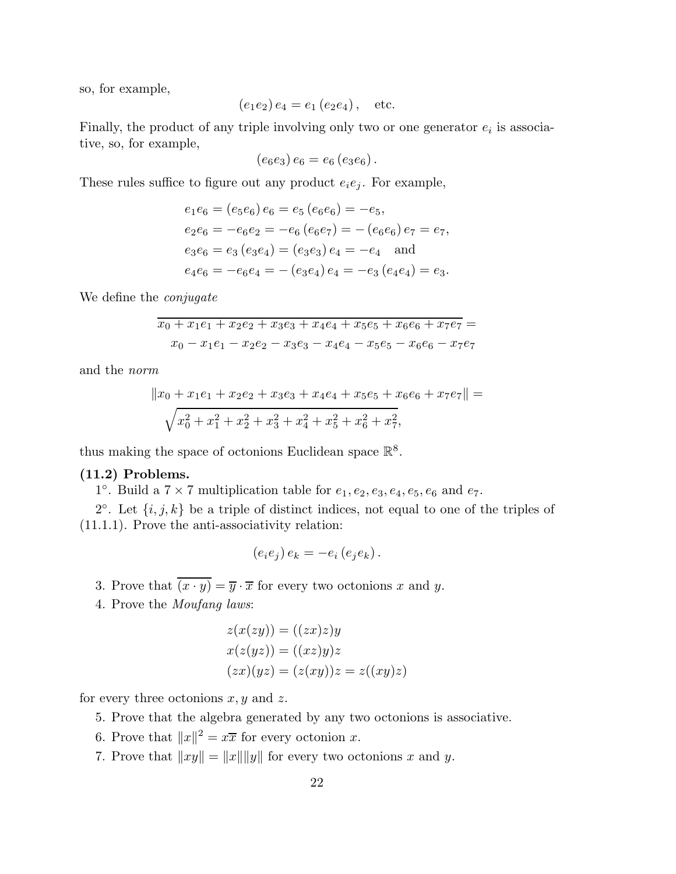so, for example,

$$
(e_1e_2)e_4 = e_1(e_2e_4),
$$
 etc.

Finally, the product of any triple involving only two or one generator  $e_i$  is associative, so, for example,

$$
(e_6e_3)e_6=e_6(e_3e_6).
$$

These rules suffice to figure out any product  $e_i e_j$ . For example,

$$
e_1e_6 = (e_5e_6)e_6 = e_5(e_6e_6) = -e_5,
$$
  
\n
$$
e_2e_6 = -e_6e_2 = -e_6(e_6e_7) = -(e_6e_6)e_7 = e_7,
$$
  
\n
$$
e_3e_6 = e_3(e_3e_4) = (e_3e_3)e_4 = -e_4
$$
 and  
\n
$$
e_4e_6 = -e_6e_4 = -(e_3e_4)e_4 = -e_3(e_4e_4) = e_3.
$$

We define the *conjugate*

$$
x_0 + x_1e_1 + x_2e_2 + x_3e_3 + x_4e_4 + x_5e_5 + x_6e_6 + x_7e_7 =
$$
  

$$
x_0 - x_1e_1 - x_2e_2 - x_3e_3 - x_4e_4 - x_5e_5 - x_6e_6 - x_7e_7
$$

and the *norm*

$$
||x_0 + x_1e_1 + x_2e_2 + x_3e_3 + x_4e_4 + x_5e_5 + x_6e_6 + x_7e_7|| =
$$
  

$$
\sqrt{x_0^2 + x_1^2 + x_2^2 + x_3^2 + x_4^2 + x_5^2 + x_6^2 + x_7^2},
$$

thus making the space of octonions Euclidean space  $\mathbb{R}^8$ .

### (11.2) Problems.

1°. Build a  $7 \times 7$  multiplication table for  $e_1, e_2, e_3, e_4, e_5, e_6$  and  $e_7$ .

2°. Let  $\{i, j, k\}$  be a triple of distinct indices, not equal to one of the triples of (11.1.1). Prove the anti-associativity relation:

$$
(e_i e_j) e_k = -e_i (e_j e_k).
$$

- 3. Prove that  $\overline{(x \cdot y)} = \overline{y} \cdot \overline{x}$  for every two octonions x and y.
- 4. Prove the *Moufang laws*:

$$
z(x(zy)) = ((zx)z)y
$$
  
\n
$$
x(z(yz)) = ((xz)y)z
$$
  
\n
$$
(zx)(yz) = (z(xy))z = z((xy)z)
$$

for every three octonions  $x, y$  and  $z$ .

- 5. Prove that the algebra generated by any two octonions is associative.
- 6. Prove that  $||x||^2 = x\overline{x}$  for every octonion x.
- 7. Prove that  $||xy|| = ||x|| ||y||$  for every two octonions x and y.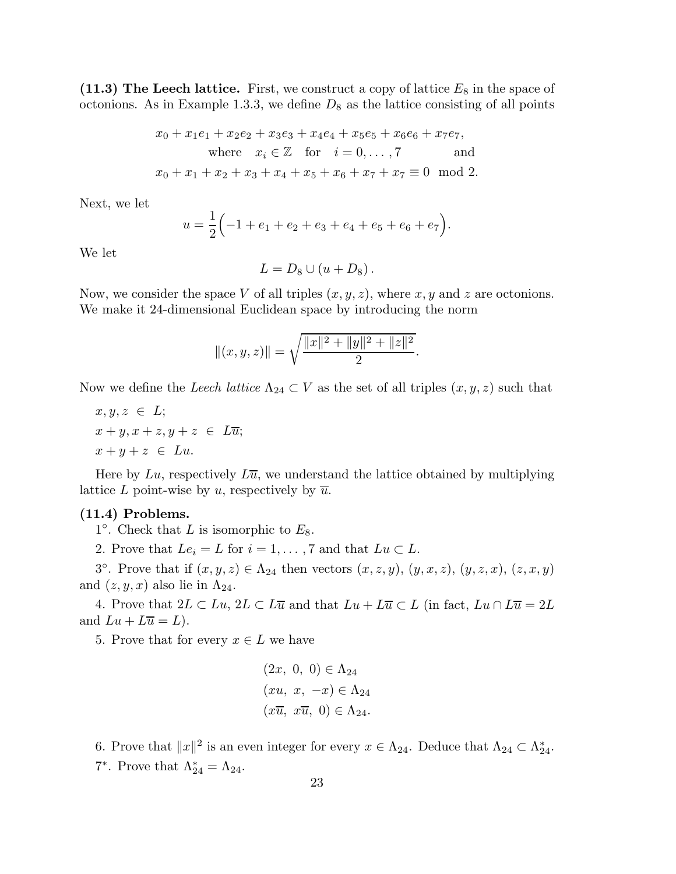(11.3) The Leech lattice. First, we construct a copy of lattice  $E_8$  in the space of octonions. As in Example 1.3.3, we define  $D_8$  as the lattice consisting of all points

$$
x_0 + x_1e_1 + x_2e_2 + x_3e_3 + x_4e_4 + x_5e_5 + x_6e_6 + x_7e_7,
$$
  
where  $x_i \in \mathbb{Z}$  for  $i = 0, ..., 7$  and  
 $x_0 + x_1 + x_2 + x_3 + x_4 + x_5 + x_6 + x_7 + x_7 \equiv 0 \mod 2.$ 

Next, we let

$$
u = \frac{1}{2} \left( -1 + e_1 + e_2 + e_3 + e_4 + e_5 + e_6 + e_7 \right).
$$

We let

$$
L=D_8\cup (u+D_8).
$$

Now, we consider the space V of all triples  $(x, y, z)$ , where x, y and z are octonions. We make it 24-dimensional Euclidean space by introducing the norm

$$
||(x, y, z)|| = \sqrt{\frac{||x||^2 + ||y||^2 + ||z||^2}{2}}.
$$

Now we define the *Leech lattice*  $\Lambda_{24} \subset V$  as the set of all triples  $(x, y, z)$  such that

 $x, y, z \in L;$  $x + y, x + z, y + z \in L\overline{u};$  $x + y + z \in Lu$ .

Here by Lu, respectively  $L\bar{u}$ , we understand the lattice obtained by multiplying lattice L point-wise by u, respectively by  $\overline{u}$ .

### (11.4) Problems.

 $1^{\circ}$ . Check that L is isomorphic to  $E_8$ .

2. Prove that  $Le_i = L$  for  $i = 1, ..., 7$  and that  $Lu \subset L$ .

3°. Prove that if  $(x, y, z) \in \Lambda_{24}$  then vectors  $(x, z, y), (y, x, z), (y, z, x), (z, x, y)$ and  $(z, y, x)$  also lie in  $\Lambda_{24}$ .

4. Prove that  $2L \subset Lu$ ,  $2L \subset L\overline{u}$  and that  $Lu + L\overline{u} \subset L$  (in fact,  $Lu \cap L\overline{u} = 2L$ and  $Lu + L\overline{u} = L$ .

5. Prove that for every  $x \in L$  we have

$$
(2x, 0, 0) \in \Lambda_{24}
$$

$$
(xu, x, -x) \in \Lambda_{24}
$$

$$
(x\overline{u}, x\overline{u}, 0) \in \Lambda_{24}.
$$

6. Prove that  $||x||^2$  is an even integer for every  $x \in \Lambda_{24}$ . Deduce that  $\Lambda_{24} \subset \Lambda_{24}^*$ . 7<sup>\*</sup>. Prove that  $\Lambda_{24}^* = \Lambda_{24}$ .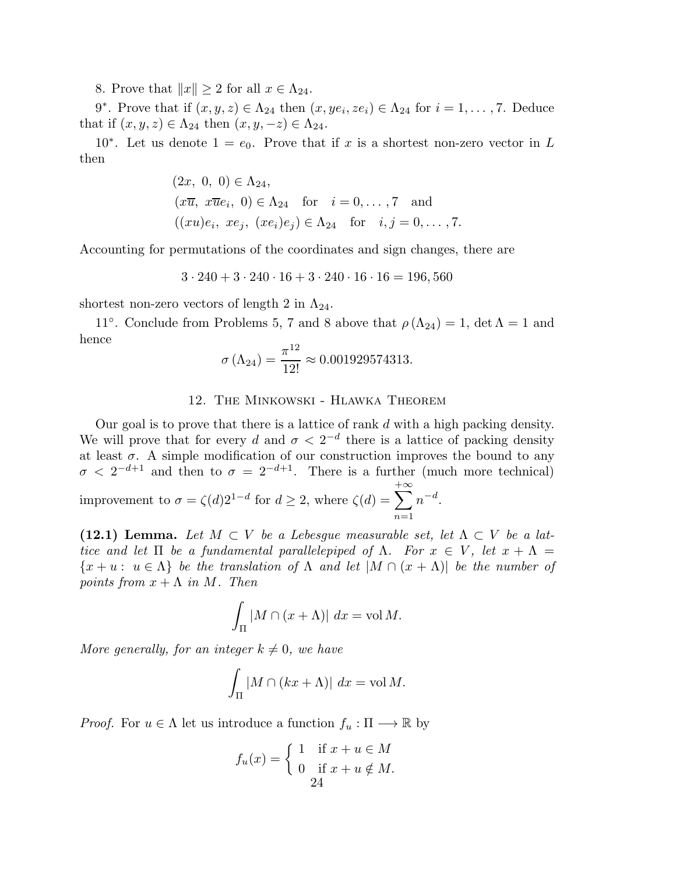8. Prove that  $||x|| \geq 2$  for all  $x \in \Lambda_{24}$ .

9<sup>\*</sup>. Prove that if  $(x, y, z) \in \Lambda_{24}$  then  $(x, ye_i, ze_i) \in \Lambda_{24}$  for  $i = 1, ..., 7$ . Deduce that if  $(x, y, z) \in \Lambda_{24}$  then  $(x, y, -z) \in \Lambda_{24}$ .

10<sup>\*</sup>. Let us denote  $1 = e_0$ . Prove that if x is a shortest non-zero vector in L then

$$
(2x, 0, 0) \in \Lambda_{24}
$$
,  
\n $(x\overline{u}, x\overline{u}e_i, 0) \in \Lambda_{24}$  for  $i = 0, ..., 7$  and  
\n $((xu)e_i, xe_j, (xe_i)e_j) \in \Lambda_{24}$  for  $i, j = 0, ..., 7$ .

Accounting for permutations of the coordinates and sign changes, there are

$$
3 \cdot 240 + 3 \cdot 240 \cdot 16 + 3 \cdot 240 \cdot 16 \cdot 16 = 196,560
$$

shortest non-zero vectors of length 2 in  $\Lambda_{24}$ .

11<sup>°</sup>. Conclude from Problems 5, 7 and 8 above that  $\rho(\Lambda_{24}) = 1$ , det  $\Lambda = 1$  and hence

$$
\sigma\left(\Lambda_{24}\right) = \frac{\pi^{12}}{12!} \approx 0.001929574313.
$$

# 12. The Minkowski - Hlawka Theorem

Our goal is to prove that there is a lattice of rank d with a high packing density. We will prove that for every d and  $\sigma < 2^{-d}$  there is a lattice of packing density at least  $\sigma$ . A simple modification of our construction improves the bound to any  $\sigma < 2^{-d+1}$  and then to  $\sigma = 2^{-d+1}$ . There is a further (much more technical) improvement to  $\sigma = \zeta(d)2^{1-d}$  for  $d \geq 2$ , where  $\zeta(d) = \sum$  $+ \infty$  $n=1$  $n^{-d}$ .

(12.1) Lemma. Let  $M \subset V$  be a Lebesque measurable set, let  $\Lambda \subset V$  be a lat*tice and let*  $\Pi$  *be a fundamental parallelepiped of*  $\Lambda$ *. For*  $x \in V$ *, let*  $x + \Lambda$  ${x + u : u \in \Lambda}$  *be the translation of*  $\Lambda$  *and let*  $|M \cap (x + \Lambda)|$  *be the number of points from*  $x + \Lambda$  *in*  $M$ *. Then* 

$$
\int_{\Pi} |M \cap (x + \Lambda)| \, dx = \text{vol } M.
$$

*More generally, for an integer*  $k \neq 0$ *, we have* 

$$
\int_{\Pi} |M \cap (kx + \Lambda)| \ dx = \text{vol } M.
$$

*Proof.* For  $u \in \Lambda$  let us introduce a function  $f_u : \Pi \longrightarrow \mathbb{R}$  by

$$
f_u(x) = \begin{cases} 1 & \text{if } x + u \in M \\ 0 & \text{if } x + u \notin M. \\ 24 & \end{cases}
$$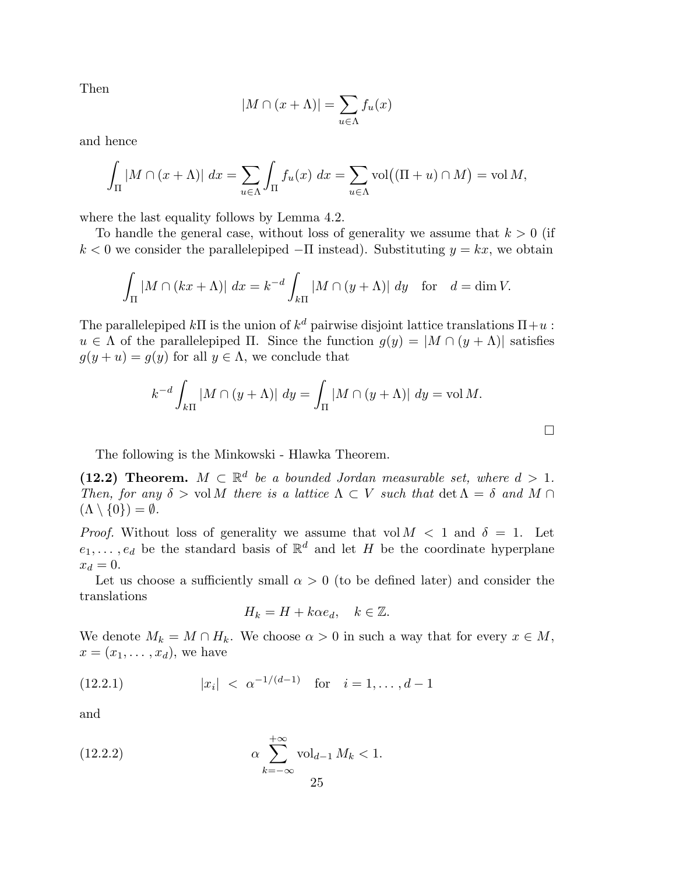Then

$$
|M \cap (x + \Lambda)| = \sum_{u \in \Lambda} f_u(x)
$$

and hence

$$
\int_{\Pi} |M \cap (x + \Lambda)| \, dx = \sum_{u \in \Lambda} \int_{\Pi} f_u(x) \, dx = \sum_{u \in \Lambda} \text{vol}((\Pi + u) \cap M) = \text{vol } M,
$$

where the last equality follows by Lemma 4.2.

To handle the general case, without loss of generality we assume that  $k > 0$  (if  $k < 0$  we consider the parallelepiped  $-\Pi$  instead). Substituting  $y = kx$ , we obtain

$$
\int_{\Pi} |M \cap (kx + \Lambda)| \, dx = k^{-d} \int_{k\Pi} |M \cap (y + \Lambda)| \, dy \quad \text{for} \quad d = \dim V.
$$

The parallelepiped  $k\Pi$  is the union of  $k^d$  pairwise disjoint lattice translations  $\Pi + u$ :  $u \in \Lambda$  of the parallelepiped  $\Pi$ . Since the function  $q(y) = |M \cap (y + \Lambda)|$  satisfies  $g(y + u) = g(y)$  for all  $y \in \Lambda$ , we conclude that

$$
k^{-d} \int_{k\Pi} |M \cap (y + \Lambda)| dy = \int_{\Pi} |M \cap (y + \Lambda)| dy = \text{vol } M.
$$

 $\Box$ 

The following is the Minkowski - Hlawka Theorem.

(12.2) Theorem.  $M \subset \mathbb{R}^d$  be a bounded Jordan measurable set, where  $d > 1$ . *Then, for any*  $\delta > \text{vol } M$  *there is a lattice*  $\Lambda \subset V$  *such that* det  $\Lambda = \delta$  *and*  $M \cap I$  $(\Lambda \setminus \{0\}) = \emptyset$ .

*Proof.* Without loss of generality we assume that vol  $M < 1$  and  $\delta = 1$ . Let  $e_1, \ldots, e_d$  be the standard basis of  $\mathbb{R}^d$  and let H be the coordinate hyperplane  $x_d = 0.$ 

Let us choose a sufficiently small  $\alpha > 0$  (to be defined later) and consider the translations

$$
H_k = H + k\alpha e_d, \quad k \in \mathbb{Z}.
$$

We denote  $M_k = M \cap H_k$ . We choose  $\alpha > 0$  in such a way that for every  $x \in M$ ,  $x = (x_1, \ldots, x_d)$ , we have

(12.2.1) 
$$
|x_i| < \alpha^{-1/(d-1)} \quad \text{for} \quad i = 1, ..., d-1
$$

and

(12.2.2) 
$$
\alpha \sum_{k=-\infty}^{+\infty} \text{vol}_{d-1} M_k < 1.
$$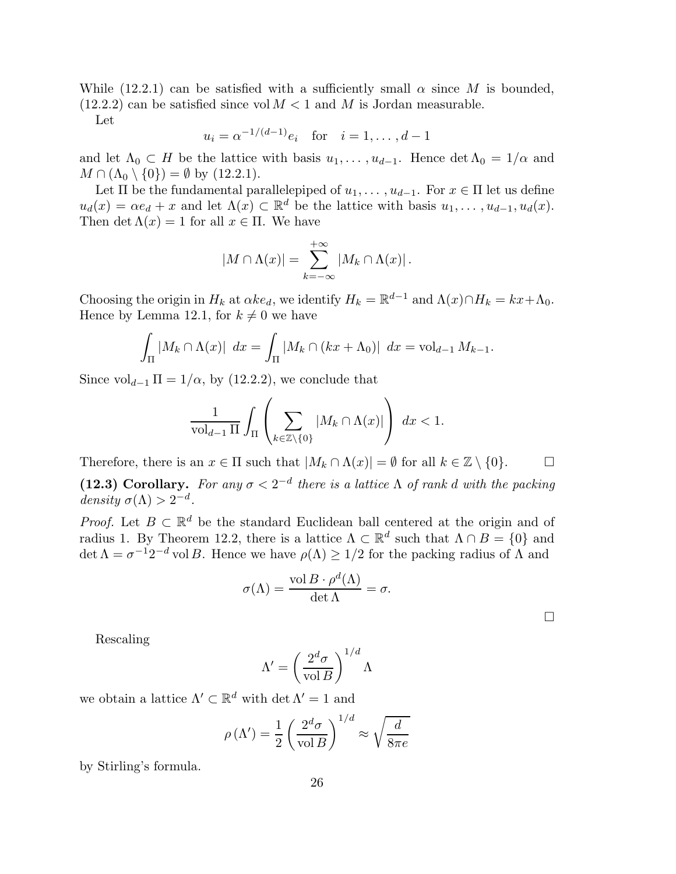While (12.2.1) can be satisfied with a sufficiently small  $\alpha$  since M is bounded,  $(12.2.2)$  can be satisfied since vol  $M < 1$  and M is Jordan measurable.

Let

$$
u_i = \alpha^{-1/(d-1)} e_i
$$
 for  $i = 1, ..., d-1$ 

and let  $\Lambda_0 \subset H$  be the lattice with basis  $u_1, \ldots, u_{d-1}$ . Hence  $\det \Lambda_0 = 1/\alpha$  and  $M \cap (\Lambda_0 \setminus \{0\}) = \emptyset$  by  $(12.2.1)$ .

Let  $\Pi$  be the fundamental parallelepiped of  $u_1, \ldots, u_{d-1}$ . For  $x \in \Pi$  let us define  $u_d(x) = \alpha e_d + x$  and let  $\Lambda(x) \subset \mathbb{R}^d$  be the lattice with basis  $u_1, \ldots, u_{d-1}, u_d(x)$ . Then det  $\Lambda(x) = 1$  for all  $x \in \Pi$ . We have

$$
|M \cap \Lambda(x)| = \sum_{k=-\infty}^{+\infty} |M_k \cap \Lambda(x)|.
$$

Choosing the origin in  $H_k$  at  $\alpha k e_d$ , we identify  $H_k = \mathbb{R}^{d-1}$  and  $\Lambda(x) \cap H_k = kx + \Lambda_0$ . Hence by Lemma 12.1, for  $k \neq 0$  we have

$$
\int_{\Pi} |M_k \cap \Lambda(x)| \, dx = \int_{\Pi} |M_k \cap (kx + \Lambda_0)| \, dx = \text{vol}_{d-1} \, M_{k-1}.
$$

Since  $\mathrm{vol}_{d-1} \Pi = 1/\alpha$ , by (12.2.2), we conclude that

$$
\frac{1}{\mathrm{vol}_{d-1}\,\Pi}\int_{\Pi}\left(\sum_{k\in\mathbb{Z}\backslash\{0\}}|M_k\cap\Lambda(x)|\right)\;dx<1.
$$

Therefore, there is an  $x \in \Pi$  such that  $|M_k \cap \Lambda(x)| = \emptyset$  for all  $k \in \mathbb{Z} \setminus \{0\}.$ 

(12.3) Corollary. For any  $\sigma < 2^{-d}$  there is a lattice  $\Lambda$  of rank d with the packing  $density \space \sigma(\Lambda) > 2^{-d}.$ 

*Proof.* Let  $B \subset \mathbb{R}^d$  be the standard Euclidean ball centered at the origin and of radius 1. By Theorem 12.2, there is a lattice  $\Lambda \subset \mathbb{R}^d$  such that  $\Lambda \cap B = \{0\}$  and  $\det \Lambda = \sigma^{-1} 2^{-d}$  vol B. Hence we have  $\rho(\Lambda) \geq 1/2$  for the packing radius of  $\Lambda$  and

$$
\sigma(\Lambda) = \frac{\text{vol}\,B \cdot \rho^d(\Lambda)}{\det \Lambda} = \sigma.
$$

 $\Box$ 

Rescaling

$$
\Lambda' = \left(\frac{2^d \sigma}{\text{vol } B}\right)^{1/d} \Lambda
$$

we obtain a lattice  $\Lambda' \subset \mathbb{R}^d$  with  $\det \Lambda' = 1$  and

$$
\rho(\Lambda') = \frac{1}{2} \left( \frac{2^d \sigma}{\text{vol } B} \right)^{1/d} \approx \sqrt{\frac{d}{8\pi e}}
$$

by Stirling's formula.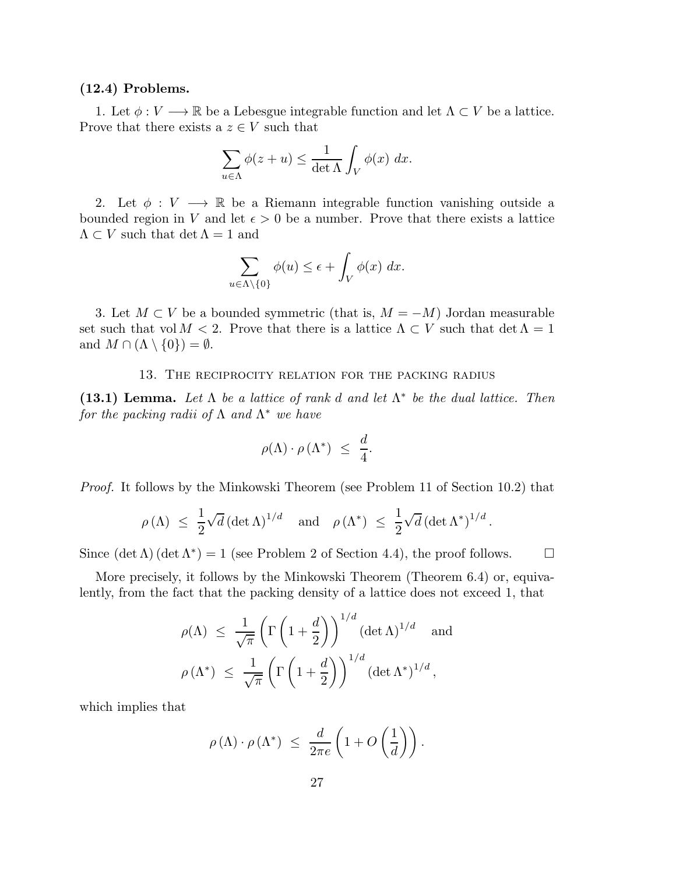## (12.4) Problems.

1. Let  $\phi: V \longrightarrow \mathbb{R}$  be a Lebesgue integrable function and let  $\Lambda \subset V$  be a lattice. Prove that there exists a  $z \in V$  such that

$$
\sum_{u \in \Lambda} \phi(z+u) \le \frac{1}{\det \Lambda} \int_V \phi(x) \ dx.
$$

2. Let  $\phi: V \longrightarrow \mathbb{R}$  be a Riemann integrable function vanishing outside a bounded region in V and let  $\epsilon > 0$  be a number. Prove that there exists a lattice  $\Lambda \subset V$  such that  $\det \Lambda = 1$  and

$$
\sum_{u \in \Lambda \setminus \{0\}} \phi(u) \le \epsilon + \int_V \phi(x) \ dx.
$$

3. Let  $M \subset V$  be a bounded symmetric (that is,  $M = -M$ ) Jordan measurable set such that vol  $M < 2$ . Prove that there is a lattice  $\Lambda \subset V$  such that  $\det \Lambda = 1$ and  $M \cap (\Lambda \setminus \{0\}) = \emptyset$ .

#### 13. The reciprocity relation for the packing radius

(13.1) Lemma. *Let* Λ *be a lattice of rank* d *and let* Λ ∗ *be the dual lattice. Then for the packing radii of* Λ *and* Λ <sup>∗</sup> *we have*

$$
\rho(\Lambda) \cdot \rho(\Lambda^*) \ \leq \ \frac{d}{4}.
$$

*Proof.* It follows by the Minkowski Theorem (see Problem 11 of Section 10.2) that

$$
\rho(\Lambda) \leq \frac{1}{2} \sqrt{d} (\det \Lambda)^{1/d}
$$
 and  $\rho(\Lambda^*) \leq \frac{1}{2} \sqrt{d} (\det \Lambda^*)^{1/d}$ .

Since  $(\det \Lambda)(\det \Lambda^*) = 1$  (see Problem 2 of Section 4.4), the proof follows.  $\square$ 

More precisely, it follows by the Minkowski Theorem (Theorem 6.4) or, equivalently, from the fact that the packing density of a lattice does not exceed 1, that

$$
\rho(\Lambda) \le \frac{1}{\sqrt{\pi}} \left( \Gamma\left(1 + \frac{d}{2}\right) \right)^{1/d} (\det \Lambda)^{1/d} \quad \text{and}
$$

$$
\rho(\Lambda^*) \le \frac{1}{\sqrt{\pi}} \left( \Gamma\left(1 + \frac{d}{2}\right) \right)^{1/d} (\det \Lambda^*)^{1/d},
$$

which implies that

$$
\rho(\Lambda) \cdot \rho(\Lambda^*) \ \leq \ \frac{d}{2\pi e} \left( 1 + O\left(\frac{1}{d}\right) \right).
$$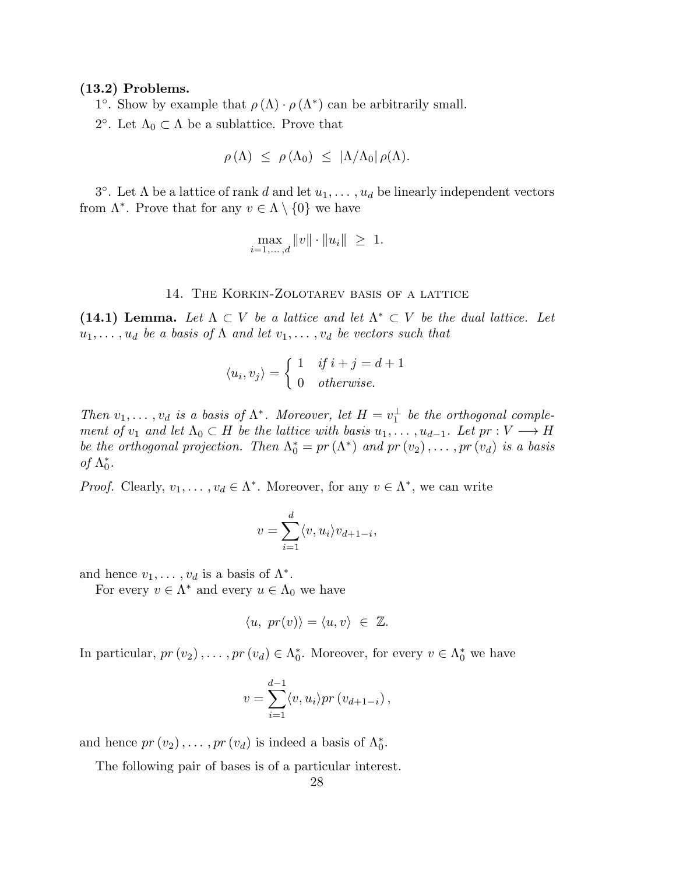### (13.2) Problems.

1°. Show by example that  $\rho(\Lambda) \cdot \rho(\Lambda^*)$  can be arbitrarily small.

2<sup>o</sup>. Let  $\Lambda_0 \subset \Lambda$  be a sublattice. Prove that

$$
\rho(\Lambda) \leq \rho(\Lambda_0) \leq |\Lambda/\Lambda_0| \rho(\Lambda).
$$

3°. Let  $\Lambda$  be a lattice of rank d and let  $u_1, \ldots, u_d$  be linearly independent vectors from  $\Lambda^*$ . Prove that for any  $v \in \Lambda \setminus \{0\}$  we have

$$
\max_{i=1,\ldots,d} \|v\| \cdot \|u_i\| \ \geq \ 1.
$$

# 14. The Korkin-Zolotarev basis of a lattice

(14.1) Lemma. Let  $\Lambda \subset V$  *be a lattice and let*  $\Lambda^* \subset V$  *be the dual lattice. Let*  $u_1, \ldots, u_d$  *be a basis of*  $\Lambda$  *and let*  $v_1, \ldots, v_d$  *be vectors such that* 

$$
\langle u_i, v_j \rangle = \begin{cases} 1 & \text{if } i + j = d + 1 \\ 0 & \text{otherwise.} \end{cases}
$$

*Then*  $v_1, \ldots, v_d$  *is a basis of*  $\Lambda^*$ . *Moreover, let*  $H = v_1^{\perp}$  *be the orthogonal complement of*  $v_1$  *and let*  $\Lambda_0 \subset H$  *be the lattice with basis*  $u_1, \ldots, u_{d-1}$ *. Let*  $pr : V \longrightarrow H$ *be the orthogonal projection. Then*  $\Lambda_0^* = pr(\Lambda^*)$  *and*  $pr(v_2), \ldots, pr(v_d)$  *is a basis of*  $\Lambda_0^*$ .

*Proof.* Clearly,  $v_1, \ldots, v_d \in \Lambda^*$ . Moreover, for any  $v \in \Lambda^*$ , we can write

$$
v = \sum_{i=1}^{d} \langle v, u_i \rangle v_{d+1-i},
$$

and hence  $v_1, \ldots, v_d$  is a basis of  $\Lambda^*$ .

For every  $v \in \Lambda^*$  and every  $u \in \Lambda_0$  we have

$$
\langle u, pr(v) \rangle = \langle u, v \rangle \in \mathbb{Z}.
$$

In particular,  $pr(v_2), \ldots, pr(v_d) \in \Lambda_0^*$ . Moreover, for every  $v \in \Lambda_0^*$  we have

$$
v = \sum_{i=1}^{d-1} \langle v, u_i \rangle pr(v_{d+1-i}),
$$

and hence  $pr(v_2), \ldots, pr(v_d)$  is indeed a basis of  $\Lambda_0^*$ .

The following pair of bases is of a particular interest.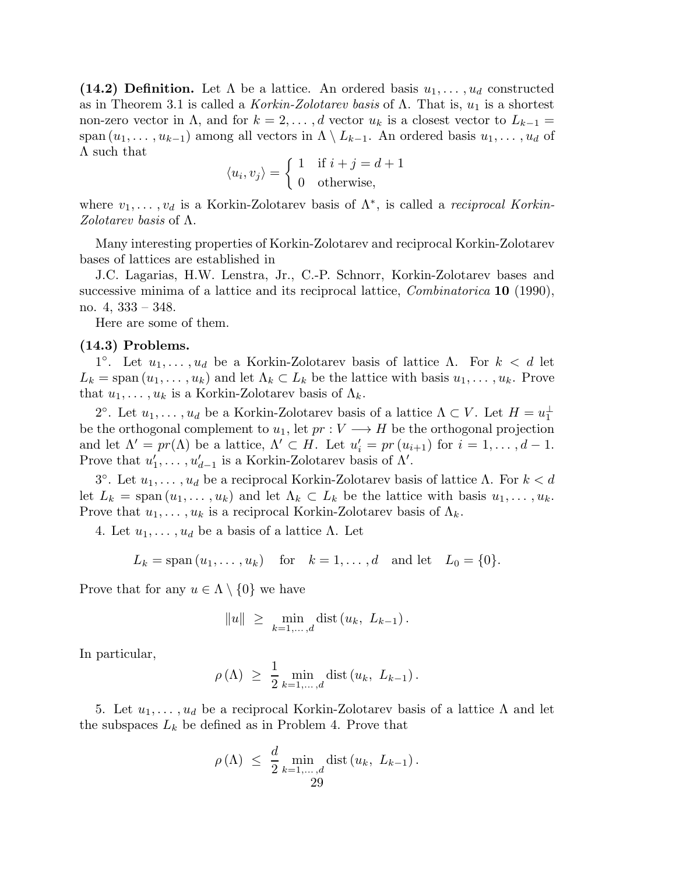(14.2) Definition. Let  $\Lambda$  be a lattice. An ordered basis  $u_1, \ldots, u_d$  constructed as in Theorem 3.1 is called a *Korkin-Zolotarev basis* of  $\Lambda$ . That is,  $u_1$  is a shortest non-zero vector in  $\Lambda$ , and for  $k = 2, \ldots, d$  vector  $u_k$  is a closest vector to  $L_{k-1} =$ span  $(u_1, \ldots, u_{k-1})$  among all vectors in  $\Lambda \setminus L_{k-1}$ . An ordered basis  $u_1, \ldots, u_d$  of  $\Lambda$  such that

$$
\langle u_i, v_j \rangle = \begin{cases} 1 & \text{if } i + j = d + 1 \\ 0 & \text{otherwise,} \end{cases}
$$

where  $v_1, \ldots, v_d$  is a Korkin-Zolotarev basis of  $\Lambda^*$ , is called a *reciprocal Korkin*-*Zolotarev basis* of Λ.

Many interesting properties of Korkin-Zolotarev and reciprocal Korkin-Zolotarev bases of lattices are established in

J.C. Lagarias, H.W. Lenstra, Jr., C.-P. Schnorr, Korkin-Zolotarev bases and successive minima of a lattice and its reciprocal lattice, *Combinatorica* 10 (1990), no.  $4, 333 - 348$ .

Here are some of them.

# (14.3) Problems.

1°. Let  $u_1, \ldots, u_d$  be a Korkin-Zolotarev basis of lattice  $\Lambda$ . For  $k < d$  let  $L_k = \text{span}(u_1, \ldots, u_k)$  and let  $\Lambda_k \subset L_k$  be the lattice with basis  $u_1, \ldots, u_k$ . Prove that  $u_1, \ldots, u_k$  is a Korkin-Zolotarev basis of  $\Lambda_k$ .

2<sup>o</sup>. Let  $u_1, \ldots, u_d$  be a Korkin-Zolotarev basis of a lattice  $\Lambda \subset V$ . Let  $H = u_1^{\perp}$ be the orthogonal complement to  $u_1$ , let  $pr: V \longrightarrow H$  be the orthogonal projection and let  $\Lambda' = pr(\Lambda)$  be a lattice,  $\Lambda' \subset H$ . Let  $u'_i = pr(u_{i+1})$  for  $i = 1, ..., d-1$ . Prove that  $u'_1, \ldots, u'_{d-1}$  is a Korkin-Zolotarev basis of  $\Lambda'$ .

3<sup>o</sup>. Let  $u_1, \ldots, u_d$  be a reciprocal Korkin-Zolotarev basis of lattice Λ. For  $k < d$ let  $L_k = \text{span}(u_1, \ldots, u_k)$  and let  $\Lambda_k \subset L_k$  be the lattice with basis  $u_1, \ldots, u_k$ . Prove that  $u_1, \ldots, u_k$  is a reciprocal Korkin-Zolotarev basis of  $\Lambda_k$ .

4. Let  $u_1, \ldots, u_d$  be a basis of a lattice Λ. Let

$$
L_k = \text{span}(u_1, ..., u_k)
$$
 for  $k = 1, ..., d$  and let  $L_0 = \{0\}.$ 

Prove that for any  $u \in \Lambda \setminus \{0\}$  we have

$$
||u||
$$
  $\geq \min_{k=1,...,d} \text{dist}(u_k, L_{k-1}).$ 

In particular,

$$
\rho(\Lambda) \geq \frac{1}{2} \min_{k=1,\ldots,d} \text{dist}\left(u_k, L_{k-1}\right).
$$

5. Let  $u_1, \ldots, u_d$  be a reciprocal Korkin-Zolotarev basis of a lattice  $\Lambda$  and let the subspaces  $L_k$  be defined as in Problem 4. Prove that

$$
\rho(\Lambda) \leq \frac{d}{2} \min_{k=1,\dots,d} \text{dist}\left(u_k, L_{k-1}\right).
$$
  
29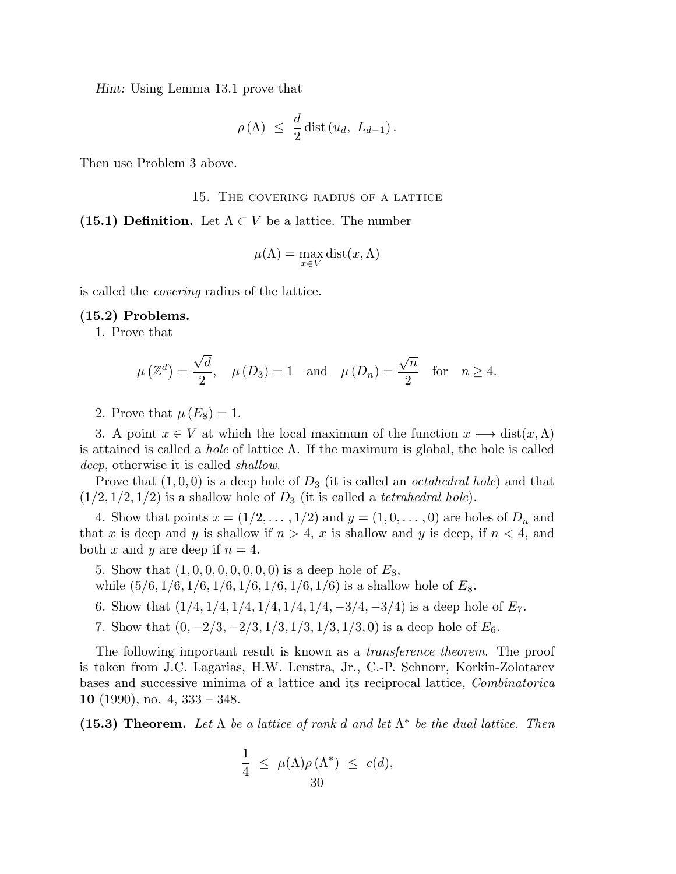Hint: Using Lemma 13.1 prove that

$$
\rho(\Lambda) \ \leq \ \frac{d}{2} \operatorname{dist}\left(u_d, \ L_{d-1}\right).
$$

Then use Problem 3 above.

#### 15. The covering radius of a lattice

(15.1) Definition. Let  $\Lambda \subset V$  be a lattice. The number

$$
\mu(\Lambda) = \max_{x \in V} \text{dist}(x, \Lambda)
$$

is called the *covering* radius of the lattice.

### (15.2) Problems.

1. Prove that

$$
\mu\left(\mathbb{Z}^d\right) = \frac{\sqrt{d}}{2}, \quad \mu\left(D_3\right) = 1 \quad \text{and} \quad \mu\left(D_n\right) = \frac{\sqrt{n}}{2} \quad \text{for} \quad n \ge 4.
$$

2. Prove that  $\mu(E_8)=1$ .

3. A point  $x \in V$  at which the local maximum of the function  $x \mapsto dist(x, \Lambda)$ is attained is called a *hole* of lattice Λ. If the maximum is global, the hole is called *deep*, otherwise it is called *shallow*.

Prove that  $(1, 0, 0)$  is a deep hole of  $D_3$  (it is called an *octahedral hole*) and that  $(1/2, 1/2, 1/2)$  is a shallow hole of  $D_3$  (it is called a *tetrahedral hole*).

4. Show that points  $x = (1/2, \ldots, 1/2)$  and  $y = (1, 0, \ldots, 0)$  are holes of  $D_n$  and that x is deep and y is shallow if  $n > 4$ , x is shallow and y is deep, if  $n < 4$ , and both x and y are deep if  $n = 4$ .

5. Show that  $(1, 0, 0, 0, 0, 0, 0, 0)$  is a deep hole of  $E_8$ ,

while  $(5/6, 1/6, 1/6, 1/6, 1/6, 1/6, 1/6, 1/6)$  is a shallow hole of  $E_8$ .

- 6. Show that  $(1/4, 1/4, 1/4, 1/4, 1/4, 1/4, -3/4, -3/4)$  is a deep hole of  $E_7$ .
- 7. Show that  $(0, -2/3, -2/3, 1/3, 1/3, 1/3, 1/3, 0)$  is a deep hole of  $E_6$ .

The following important result is known as a *transference theorem*. The proof is taken from J.C. Lagarias, H.W. Lenstra, Jr., C.-P. Schnorr, Korkin-Zolotarev bases and successive minima of a lattice and its reciprocal lattice, *Combinatorica* 10 (1990), no. 4,  $333 - 348$ .

(15.3) Theorem. *Let* Λ *be a lattice of rank* d *and let* Λ ∗ *be the dual lattice. Then*

$$
\frac{1}{4} \leq \mu(\Lambda) \rho(\Lambda^*) \leq c(d),
$$
  
30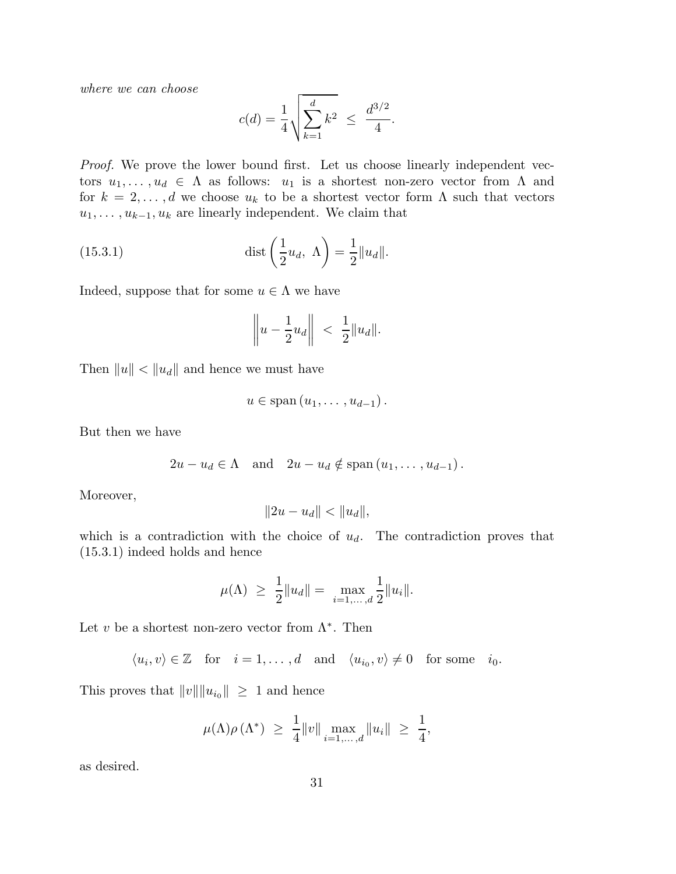*where we can choose*

$$
c(d) = \frac{1}{4} \sqrt{\sum_{k=1}^{d} k^2} \le \frac{d^{3/2}}{4}.
$$

*Proof.* We prove the lower bound first. Let us choose linearly independent vectors  $u_1, \ldots, u_d \in \Lambda$  as follows:  $u_1$  is a shortest non-zero vector from  $\Lambda$  and for  $k = 2, ..., d$  we choose  $u_k$  to be a shortest vector form  $\Lambda$  such that vectors  $u_1, \ldots, u_{k-1}, u_k$  are linearly independent. We claim that

(15.3.1) 
$$
\operatorname{dist}\left(\frac{1}{2}u_d, \Lambda\right) = \frac{1}{2}||u_d||.
$$

Indeed, suppose that for some  $u \in \Lambda$  we have

$$
\left\|u-\frac{1}{2}u_d\right\| ~<~ \frac{1}{2}\|u_d\|.
$$

Then  $||u|| < ||u_d||$  and hence we must have

$$
u\in \mathrm{span}\left(u_1,\ldots,u_{d-1}\right).
$$

But then we have

$$
2u - u_d \in \Lambda
$$
 and  $2u - u_d \notin \text{span}(u_1, \ldots, u_{d-1}).$ 

Moreover,

$$
||2u - u_d|| < ||u_d||,
$$

which is a contradiction with the choice of  $u_d$ . The contradiction proves that (15.3.1) indeed holds and hence

$$
\mu(\Lambda) \ge \frac{1}{2} ||u_d|| = \max_{i=1,\dots,d} \frac{1}{2} ||u_i||.
$$

Let v be a shortest non-zero vector from  $\Lambda^*$ . Then

$$
\langle u_i, v \rangle \in \mathbb{Z}
$$
 for  $i = 1, ..., d$  and  $\langle u_{i_0}, v \rangle \neq 0$  for some  $i_0$ .

This proves that  $||v|| ||u_{i_0}|| \geq 1$  and hence

$$
\mu(\Lambda)\rho(\Lambda^*) \ \geq \ \frac{1}{4} ||v|| \max_{i=1,\dots,d} ||u_i|| \ \geq \ \frac{1}{4},
$$

as desired.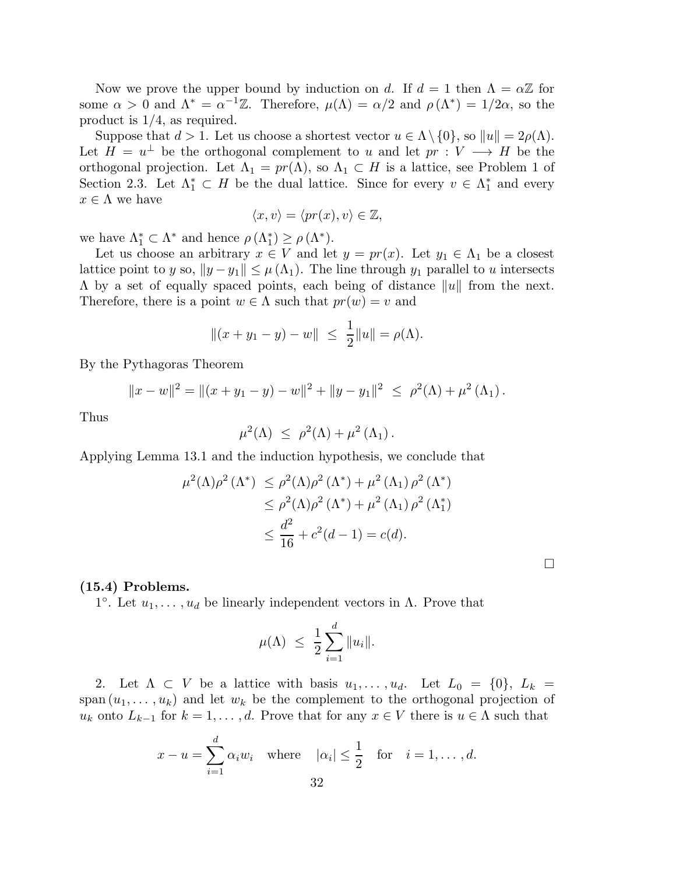Now we prove the upper bound by induction on d. If  $d = 1$  then  $\Lambda = \alpha \mathbb{Z}$  for some  $\alpha > 0$  and  $\Lambda^* = \alpha^{-1}\mathbb{Z}$ . Therefore,  $\mu(\Lambda) = \alpha/2$  and  $\rho(\Lambda^*) = 1/2\alpha$ , so the product is 1/4, as required.

Suppose that  $d > 1$ . Let us choose a shortest vector  $u \in \Lambda \setminus \{0\}$ , so  $||u|| = 2\rho(\Lambda)$ . Let  $H = u^{\perp}$  be the orthogonal complement to u and let  $pr : V \longrightarrow H$  be the orthogonal projection. Let  $\Lambda_1 = pr(\Lambda)$ , so  $\Lambda_1 \subset H$  is a lattice, see Problem 1 of Section 2.3. Let  $\Lambda_1^* \subset H$  be the dual lattice. Since for every  $v \in \Lambda_1^*$  and every  $x \in \Lambda$  we have

$$
\langle x, v \rangle = \langle pr(x), v \rangle \in \mathbb{Z},
$$

we have  $\Lambda_1^* \subset \Lambda^*$  and hence  $\rho(\Lambda_1^*) \geq \rho(\Lambda^*)$ .

Let us choose an arbitrary  $x \in V$  and let  $y = pr(x)$ . Let  $y_1 \in \Lambda_1$  be a closest lattice point to y so,  $||y - y_1|| \leq \mu(\Lambda_1)$ . The line through  $y_1$  parallel to u intersects  $\Lambda$  by a set of equally spaced points, each being of distance  $||u||$  from the next. Therefore, there is a point  $w \in \Lambda$  such that  $pr(w) = v$  and

$$
||(x + y_1 - y) - w|| \le \frac{1}{2} ||u|| = \rho(\Lambda).
$$

By the Pythagoras Theorem

$$
||x-w||2 = ||(x+y1 - y) - w||2 + ||y-y1||2 \le \rho2(\Lambda) + \mu2(\Lambda1).
$$

Thus

$$
\mu^2(\Lambda) \ \leq \ \rho^2(\Lambda) + \mu^2(\Lambda_1) \, .
$$

Applying Lemma 13.1 and the induction hypothesis, we conclude that

$$
\mu^{2}(\Lambda)\rho^{2}(\Lambda^{*}) \leq \rho^{2}(\Lambda)\rho^{2}(\Lambda^{*}) + \mu^{2}(\Lambda_{1})\rho^{2}(\Lambda^{*})
$$
  

$$
\leq \rho^{2}(\Lambda)\rho^{2}(\Lambda^{*}) + \mu^{2}(\Lambda_{1})\rho^{2}(\Lambda_{1}^{*})
$$
  

$$
\leq \frac{d^{2}}{16} + c^{2}(d - 1) = c(d).
$$

### (15.4) Problems.

<sup>1°</sup>. Let  $u_1, \ldots, u_d$  be linearly independent vectors in Λ. Prove that

$$
\mu(\Lambda) \ \leq \ \frac{1}{2} \sum_{i=1}^d \|u_i\|.
$$

2. Let  $\Lambda \subset V$  be a lattice with basis  $u_1, \ldots, u_d$ . Let  $L_0 = \{0\}, L_k =$ span  $(u_1, \ldots, u_k)$  and let  $w_k$  be the complement to the orthogonal projection of  $u_k$  onto  $L_{k-1}$  for  $k = 1, \ldots, d$ . Prove that for any  $x \in V$  there is  $u \in \Lambda$  such that

$$
x - u = \sum_{i=1}^{d} \alpha_i w_i \quad \text{where} \quad |\alpha_i| \le \frac{1}{2} \quad \text{for} \quad i = 1, \dots, d.
$$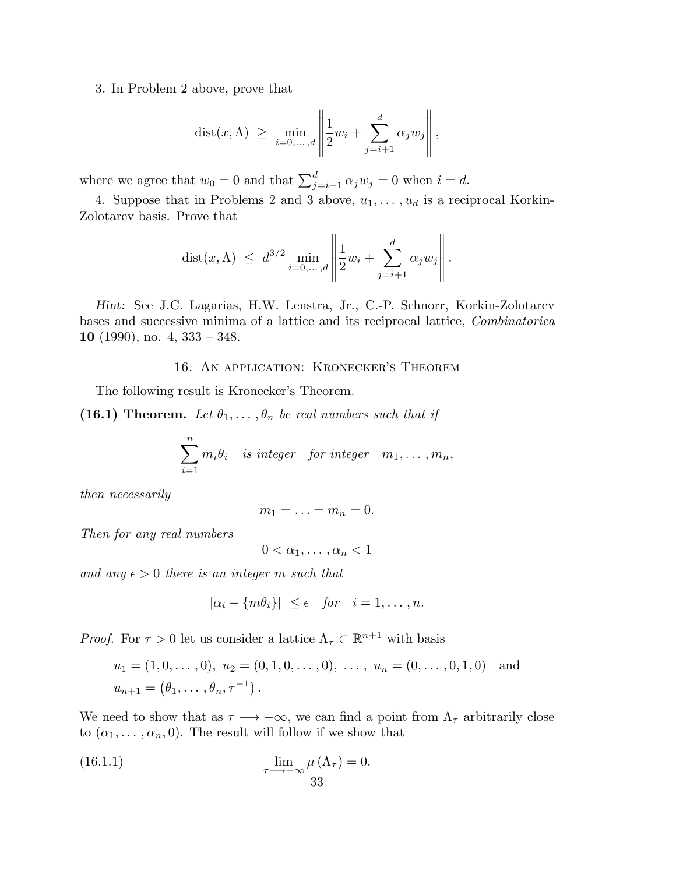3. In Problem 2 above, prove that

$$
dist(x, \Lambda) \ge \min_{i=0,\ldots,d} \left\| \frac{1}{2} w_i + \sum_{j=i+1}^d \alpha_j w_j \right\|,
$$

where we agree that  $w_0 = 0$  and that  $\sum_{j=i+1}^{d} \alpha_j w_j = 0$  when  $i = d$ .

4. Suppose that in Problems 2 and 3 above,  $u_1, \ldots, u_d$  is a reciprocal Korkin-Zolotarev basis. Prove that

dist
$$
(x, \Lambda)
$$
  $\leq d^{3/2} \min_{i=0,\dots,d} \left\| \frac{1}{2} w_i + \sum_{j=i+1}^d \alpha_j w_j \right\|.$ 

Hint: See J.C. Lagarias, H.W. Lenstra, Jr., C.-P. Schnorr, Korkin-Zolotarev bases and successive minima of a lattice and its reciprocal lattice, *Combinatorica* 10 (1990), no. 4,  $333 - 348$ .

16. An application: Kronecker's Theorem

The following result is Kronecker's Theorem.

(16.1) Theorem. Let  $\theta_1, \ldots, \theta_n$  be real numbers such that if

$$
\sum_{i=1}^{n} m_i \theta_i
$$
 is integer for integer  $m_1, \ldots, m_n$ ,

*then necessarily*

$$
m_1=\ldots=m_n=0.
$$

*Then for any real numbers*

 $0 < \alpha_1, \ldots, \alpha_n < 1$ 

*and any*  $\epsilon > 0$  *there is an integer* m *such that* 

$$
|\alpha_i - \{m\theta_i\}| \le \epsilon \quad \text{for} \quad i = 1, \dots, n.
$$

*Proof.* For  $\tau > 0$  let us consider a lattice  $\Lambda_{\tau} \subset \mathbb{R}^{n+1}$  with basis

$$
u_1 = (1, 0, ..., 0), u_2 = (0, 1, 0, ..., 0), ..., u_n = (0, ..., 0, 1, 0)
$$
 and  
 $u_{n+1} = (\theta_1, ..., \theta_n, \tau^{-1}).$ 

We need to show that as  $\tau \longrightarrow +\infty$ , we can find a point from  $\Lambda_{\tau}$  arbitrarily close to  $(\alpha_1, \ldots, \alpha_n, 0)$ . The result will follow if we show that

(16.1.1) 
$$
\lim_{\tau \to +\infty} \mu(\Lambda_{\tau}) = 0.
$$
33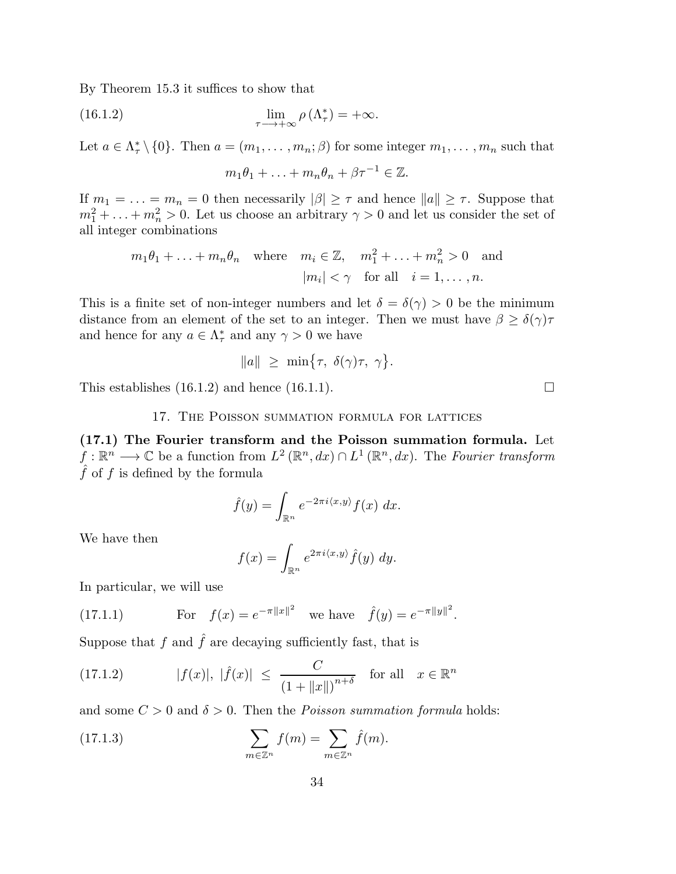By Theorem 15.3 it suffices to show that

(16.1.2) 
$$
\lim_{\tau \to +\infty} \rho(\Lambda_{\tau}^*) = +\infty.
$$

Let  $a \in \Lambda^*_{\tau} \setminus \{0\}$ . Then  $a = (m_1, \ldots, m_n; \beta)$  for some integer  $m_1, \ldots, m_n$  such that

$$
m_1\theta_1 + \ldots + m_n\theta_n + \beta\tau^{-1} \in \mathbb{Z}.
$$

If  $m_1 = \ldots = m_n = 0$  then necessarily  $|\beta| \geq \tau$  and hence  $||a|| \geq \tau$ . Suppose that  $m_1^2 + \ldots + m_n^2 > 0$ . Let us choose an arbitrary  $\gamma > 0$  and let us consider the set of all integer combinations

$$
m_1\theta_1 + \ldots + m_n\theta_n
$$
 where  $m_i \in \mathbb{Z}$ ,  $m_1^2 + \ldots + m_n^2 > 0$  and  
 $|m_i| < \gamma$  for all  $i = 1, \ldots, n$ .

This is a finite set of non-integer numbers and let  $\delta = \delta(\gamma) > 0$  be the minimum distance from an element of the set to an integer. Then we must have  $\beta \geq \delta(\gamma)\tau$ and hence for any  $a \in \Lambda^*_{\tau}$  and any  $\gamma > 0$  we have

$$
||a|| \geq \min{\lbrace \tau, \delta(\gamma)\tau, \gamma \rbrace}.
$$

This establishes  $(16.1.2)$  and hence  $(16.1.1)$ .

# 17. The Poisson summation formula for lattices

(17.1) The Fourier transform and the Poisson summation formula. Let  $f: \mathbb{R}^n \longrightarrow \mathbb{C}$  be a function from  $L^2(\mathbb{R}^n, dx) \cap L^1(\mathbb{R}^n, dx)$ . The *Fourier transform*  $\hat{f}$  of f is defined by the formula

$$
\hat{f}(y) = \int_{\mathbb{R}^n} e^{-2\pi i \langle x, y \rangle} f(x) \, dx.
$$

We have then

$$
f(x) = \int_{\mathbb{R}^n} e^{2\pi i \langle x, y \rangle} \hat{f}(y) \ dy.
$$

In particular, we will use

(17.1.1) For 
$$
f(x) = e^{-\pi ||x||^2}
$$
 we have  $\hat{f}(y) = e^{-\pi ||y||^2}$ .

Suppose that f and  $\hat{f}$  are decaying sufficiently fast, that is

(17.1.2) 
$$
|f(x)|, |\hat{f}(x)| \le \frac{C}{(1 + ||x||)^{n+\delta}}
$$
 for all  $x \in \mathbb{R}^n$ 

and some  $C > 0$  and  $\delta > 0$ . Then the *Poisson summation formula* holds:

(17.1.3) 
$$
\sum_{m \in \mathbb{Z}^n} f(m) = \sum_{m \in \mathbb{Z}^n} \hat{f}(m).
$$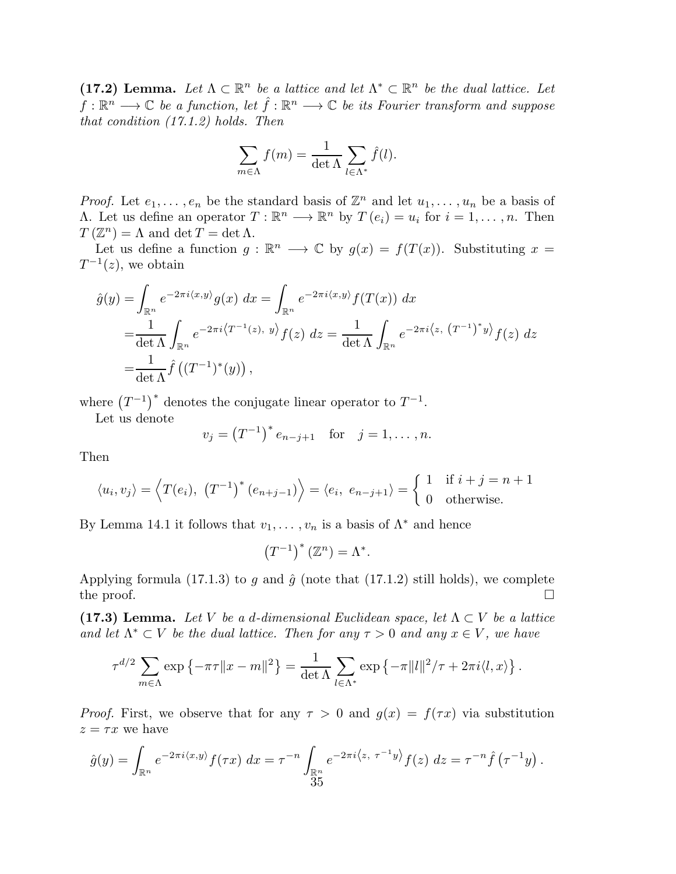(17.2) Lemma. Let  $\Lambda \subset \mathbb{R}^n$  be a lattice and let  $\Lambda^* \subset \mathbb{R}^n$  be the dual lattice. Let  $f: \mathbb{R}^n \longrightarrow \mathbb{C}$  *be a function, let*  $\hat{f}: \mathbb{R}^n \longrightarrow \mathbb{C}$  *be its Fourier transform and suppose that condition (17.1.2) holds. Then*

$$
\sum_{m \in \Lambda} f(m) = \frac{1}{\det \Lambda} \sum_{l \in \Lambda^*} \hat{f}(l).
$$

*Proof.* Let  $e_1, \ldots, e_n$  be the standard basis of  $\mathbb{Z}^n$  and let  $u_1, \ldots, u_n$  be a basis of  $\Lambda$ . Let us define an operator  $T : \mathbb{R}^n \longrightarrow \mathbb{R}^n$  by  $T(e_i) = u_i$  for  $i = 1, \ldots, n$ . Then  $T(\mathbb{Z}^n) = \Lambda$  and  $\det T = \det \Lambda$ .

Let us define a function  $g : \mathbb{R}^n \longrightarrow \mathbb{C}$  by  $g(x) = f(T(x))$ . Substituting  $x =$  $T^{-1}(z)$ , we obtain

$$
\hat{g}(y) = \int_{\mathbb{R}^n} e^{-2\pi i \langle x, y \rangle} g(x) dx = \int_{\mathbb{R}^n} e^{-2\pi i \langle x, y \rangle} f(T(x)) dx
$$
  
\n
$$
= \frac{1}{\det \Lambda} \int_{\mathbb{R}^n} e^{-2\pi i \langle T^{-1}(z), y \rangle} f(z) dz = \frac{1}{\det \Lambda} \int_{\mathbb{R}^n} e^{-2\pi i \langle z, (T^{-1})^* y \rangle} f(z) dz
$$
  
\n
$$
= \frac{1}{\det \Lambda} \hat{f}((T^{-1})^*(y)),
$$

where  $(T^{-1})^*$  denotes the conjugate linear operator to  $T^{-1}$ .

Let us denote

$$
v_j = (T^{-1})^* e_{n-j+1}
$$
 for  $j = 1, ..., n$ .

Then

$$
\langle u_i, v_j \rangle = \langle T(e_i), (T^{-1})^* (e_{n+j-1}) \rangle = \langle e_i, e_{n-j+1} \rangle = \begin{cases} 1 & \text{if } i+j = n+1 \\ 0 & \text{otherwise.} \end{cases}
$$

By Lemma 14.1 it follows that  $v_1, \ldots, v_n$  is a basis of  $\Lambda^*$  and hence

$$
\left(T^{-1}\right)^{*}\left(\mathbb{Z}^{n}\right)=\Lambda^{*}.
$$

Applying formula (17.1.3) to g and  $\hat{g}$  (note that (17.1.2) still holds), we complete the proof.  $\Box$ 

(17.3) Lemma. Let V be a d-dimensional Euclidean space, let  $\Lambda \subset V$  be a lattice *and let*  $\Lambda^* \subset V$  *be the dual lattice. Then for any*  $\tau > 0$  *and any*  $x \in V$ *, we have* 

$$
\tau^{d/2} \sum_{m \in \Lambda} \exp \left\{-\pi \tau ||x - m||^2\right\} = \frac{1}{\det \Lambda} \sum_{l \in \Lambda^*} \exp \left\{-\pi ||l||^2 / \tau + 2\pi i \langle l, x \rangle \right\}.
$$

*Proof.* First, we observe that for any  $\tau > 0$  and  $g(x) = f(\tau x)$  via substitution  $z = \tau x$  we have

$$
\hat{g}(y) = \int_{\mathbb{R}^n} e^{-2\pi i \langle x, y \rangle} f(\tau x) dx = \tau^{-n} \int_{\mathbb{R}^n} e^{-2\pi i \langle z, \tau^{-1} y \rangle} f(z) dz = \tau^{-n} \hat{f}(\tau^{-1} y).
$$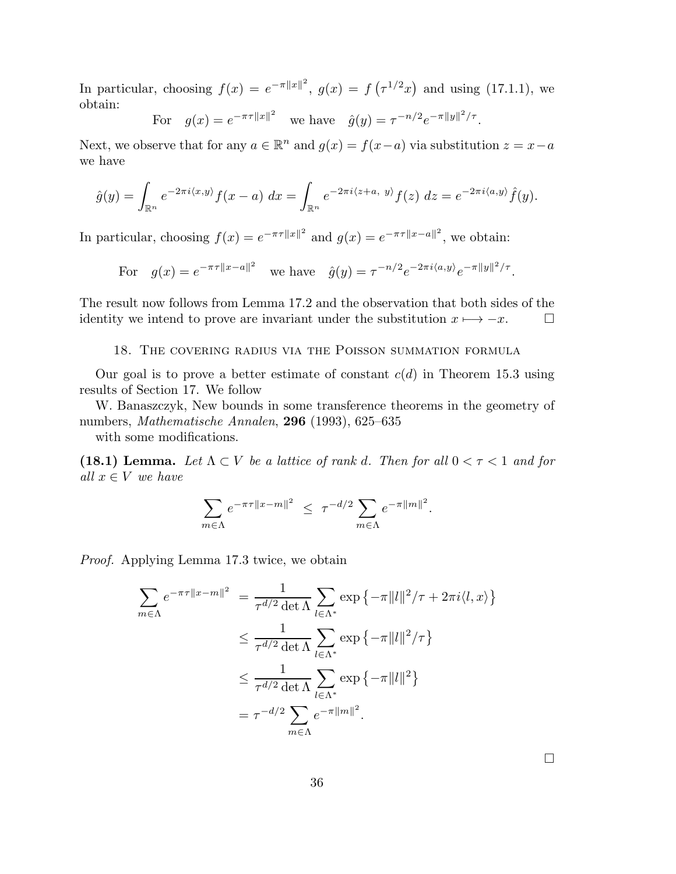In particular, choosing  $f(x) = e^{-\pi ||x||^2}$ ,  $g(x) = f(\tau^{1/2}x)$  and using (17.1.1), we obtain:

For 
$$
g(x) = e^{-\pi \tau ||x||^2}
$$
 we have  $\hat{g}(y) = \tau^{-n/2} e^{-\pi ||y||^2 / \tau}$ .

Next, we observe that for any  $a \in \mathbb{R}^n$  and  $g(x) = f(x-a)$  via substitution  $z = x-a$ we have

$$
\hat{g}(y) = \int_{\mathbb{R}^n} e^{-2\pi i \langle x, y \rangle} f(x-a) \, dx = \int_{\mathbb{R}^n} e^{-2\pi i \langle z+a, y \rangle} f(z) \, dz = e^{-2\pi i \langle a, y \rangle} \hat{f}(y).
$$

In particular, choosing  $f(x) = e^{-\pi \tau ||x||^2}$  and  $g(x) = e^{-\pi \tau ||x-a||^2}$ , we obtain:

For 
$$
g(x) = e^{-\pi \tau ||x-a||^2}
$$
 we have  $\hat{g}(y) = \tau^{-n/2} e^{-2\pi i \langle a, y \rangle} e^{-\pi ||y||^2 / \tau}$ .

The result now follows from Lemma 17.2 and the observation that both sides of the identity we intend to prove are invariant under the substitution  $x \mapsto -x$ .  $\Box$ 

18. The covering radius via the Poisson summation formula

Our goal is to prove a better estimate of constant  $c(d)$  in Theorem 15.3 using results of Section 17. We follow

W. Banaszczyk, New bounds in some transference theorems in the geometry of numbers, *Mathematische Annalen*, 296 (1993), 625–635

with some modifications.

(18.1) Lemma. Let  $\Lambda \subset V$  be a lattice of rank d. Then for all  $0 < \tau < 1$  and for *all*  $x \in V$  *we have* 

$$
\sum_{m\in\Lambda}e^{-\pi\tau\|x-m\|^2} \leq \tau^{-d/2}\sum_{m\in\Lambda}e^{-\pi\|m\|^2}.
$$

*Proof.* Applying Lemma 17.3 twice, we obtain

$$
\sum_{m \in \Lambda} e^{-\pi \tau ||x-m||^2} = \frac{1}{\tau^{d/2} \det \Lambda} \sum_{l \in \Lambda^*} \exp \{-\pi ||l||^2 / \tau + 2\pi i \langle l, x \rangle \}
$$
  

$$
\leq \frac{1}{\tau^{d/2} \det \Lambda} \sum_{l \in \Lambda^*} \exp \{-\pi ||l||^2 / \tau \}
$$
  

$$
\leq \frac{1}{\tau^{d/2} \det \Lambda} \sum_{l \in \Lambda^*} \exp \{-\pi ||l||^2 \}
$$
  

$$
= \tau^{-d/2} \sum_{m \in \Lambda} e^{-\pi ||m||^2}.
$$

 $\Box$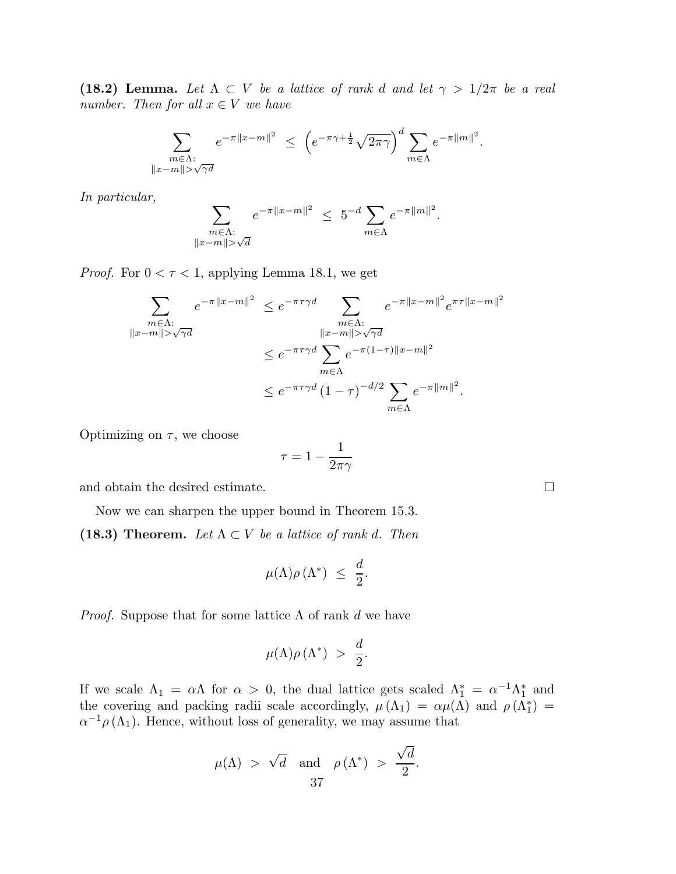(18.2) Lemma. Let  $\Lambda \subset V$  *be a lattice of rank d and let*  $\gamma > 1/2\pi$  *be a real number. Then for all*  $x \in V$  *we have* 

$$
\sum_{\substack{m\in\Lambda:\\\|x-m\|>\sqrt{\gamma d}}}e^{-\pi\|x-m\|^2} \ \leq \ \left(e^{-\pi\gamma+\frac{1}{2}}\sqrt{2\pi\gamma}\right)^d\sum_{m\in\Lambda}e^{-\pi\|m\|^2}.
$$

*In particular,*

$$
\sum_{\substack{m\in\Lambda:\\\|x-m\|>\sqrt{d}}}e^{-\pi\|x-m\|^2}\ \le\ 5^{-d}\sum_{m\in\Lambda}e^{-\pi\|m\|^2}.
$$

*Proof.* For  $0 < \tau < 1$ , applying Lemma 18.1, we get

$$
\sum_{\substack{m\in\Lambda:\\\|x-m\|>\sqrt{\gamma d}}}e^{-\pi\|x-m\|^2} \leq e^{-\pi\tau\gamma d} \sum_{\substack{m\in\Lambda:\\\|x-m\|>\sqrt{\gamma d}\\m\in\Lambda}}e^{-\pi\|x-m\|^2}e^{\pi\tau\|x-m\|^2}
$$

$$
\leq e^{-\pi\tau\gamma d} \sum_{m\in\Lambda}e^{-\pi(1-\tau)\|x-m\|^2}
$$

$$
\leq e^{-\pi\tau\gamma d} (1-\tau)^{-d/2} \sum_{m\in\Lambda}e^{-\pi\|m\|^2}.
$$

Optimizing on  $\tau$ , we choose

$$
\tau=1-\frac{1}{2\pi\gamma}
$$

and obtain the desired estimate.

Now we can sharpen the upper bound in Theorem 15.3.

(18.3) Theorem. Let  $\Lambda \subset V$  be a lattice of rank d. Then

$$
\mu(\Lambda)\rho(\Lambda^*) \ \leq \ \frac{d}{2}.
$$

*Proof.* Suppose that for some lattice  $\Lambda$  of rank d we have

$$
\mu(\Lambda)\rho\left(\Lambda^*\right) \,\,>\,\, \frac{d}{2}.
$$

If we scale  $\Lambda_1 = \alpha \Lambda$  for  $\alpha > 0$ , the dual lattice gets scaled  $\Lambda_1^* = \alpha^{-1} \Lambda_1^*$  and the covering and packing radii scale accordingly,  $\mu(\Lambda_1) = \alpha \mu(\Lambda)$  and  $\rho(\Lambda_1^*) =$  $\alpha^{-1}\rho(\Lambda_1)$ . Hence, without loss of generality, we may assume that

$$
\mu(\Lambda) > \sqrt{d}
$$
 and  $\rho(\Lambda^*) > \frac{\sqrt{d}}{2}$ .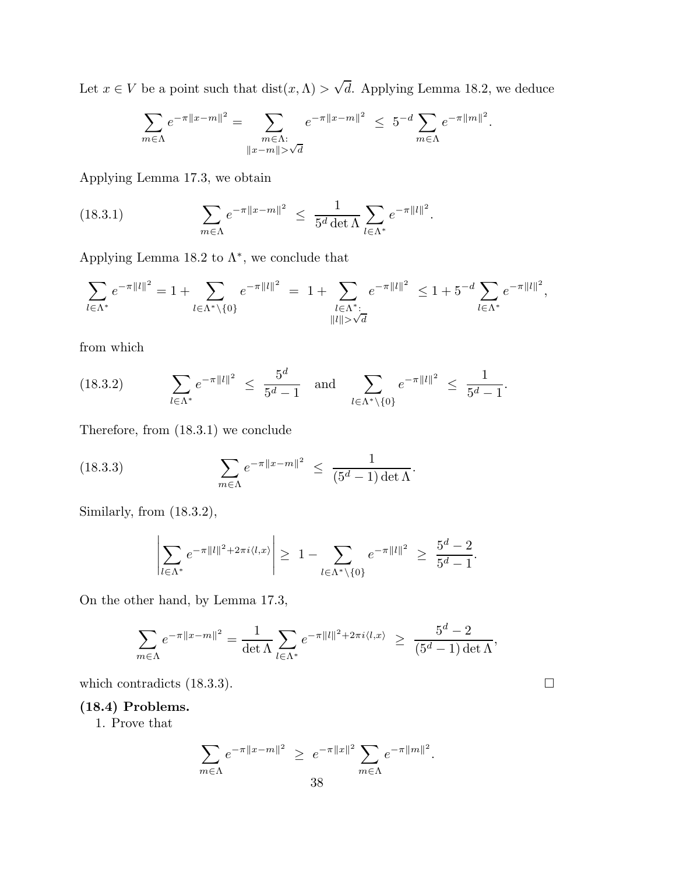Let  $x \in V$  be a point such that  $dist(x, \Lambda) > \sqrt{d}$ . Applying Lemma 18.2, we deduce

$$
\sum_{m \in \Lambda} e^{-\pi ||x-m||^2} = \sum_{\substack{m \in \Lambda:\\||x-m|| > \sqrt{d}}} e^{-\pi ||x-m||^2} \leq 5^{-d} \sum_{m \in \Lambda} e^{-\pi ||m||^2}.
$$

Applying Lemma 17.3, we obtain

(18.3.1) 
$$
\sum_{m \in \Lambda} e^{-\pi ||x-m||^2} \leq \frac{1}{5^d \det \Lambda} \sum_{l \in \Lambda^*} e^{-\pi ||l||^2}.
$$

Applying Lemma 18.2 to  $\Lambda^*$ , we conclude that

$$
\sum_{l \in \Lambda^*} e^{-\pi ||l||^2} = 1 + \sum_{l \in \Lambda^* \backslash \{0\}} e^{-\pi ||l||^2} = 1 + \sum_{\substack{l \in \Lambda^*:\\||l|| > \sqrt{d}}} e^{-\pi ||l||^2} \le 1 + 5^{-d} \sum_{l \in \Lambda^*} e^{-\pi ||l||^2},
$$

from which

(18.3.2) 
$$
\sum_{l \in \Lambda^*} e^{-\pi ||l||^2} \leq \frac{5^d}{5^d - 1} \text{ and } \sum_{l \in \Lambda^* \setminus \{0\}} e^{-\pi ||l||^2} \leq \frac{1}{5^d - 1}.
$$

Therefore, from (18.3.1) we conclude

(18.3.3) 
$$
\sum_{m \in \Lambda} e^{-\pi ||x-m||^2} \leq \frac{1}{(5^d - 1) \det \Lambda}.
$$

Similarly, from (18.3.2),

$$
\left| \sum_{l \in \Lambda^*} e^{-\pi ||l||^2 + 2\pi i \langle l, x \rangle} \right| \geq 1 - \sum_{l \in \Lambda^* \setminus \{0\}} e^{-\pi ||l||^2} \geq \frac{5^d - 2}{5^d - 1}.
$$

On the other hand, by Lemma 17.3,

$$
\sum_{m \in \Lambda} e^{-\pi ||x-m||^2} = \frac{1}{\det \Lambda} \sum_{l \in \Lambda^*} e^{-\pi ||l||^2 + 2\pi i \langle l, x \rangle} \ge \frac{5^d - 2}{(5^d - 1) \det \Lambda},
$$

which contradicts (18.3.3).  $\Box$ 

# (18.4) Problems.

1. Prove that

$$
\sum_{m\in\Lambda}e^{-\pi\|x-m\|^2} \geq e^{-\pi\|x\|^2}\sum_{m\in\Lambda}e^{-\pi\|m\|^2}.
$$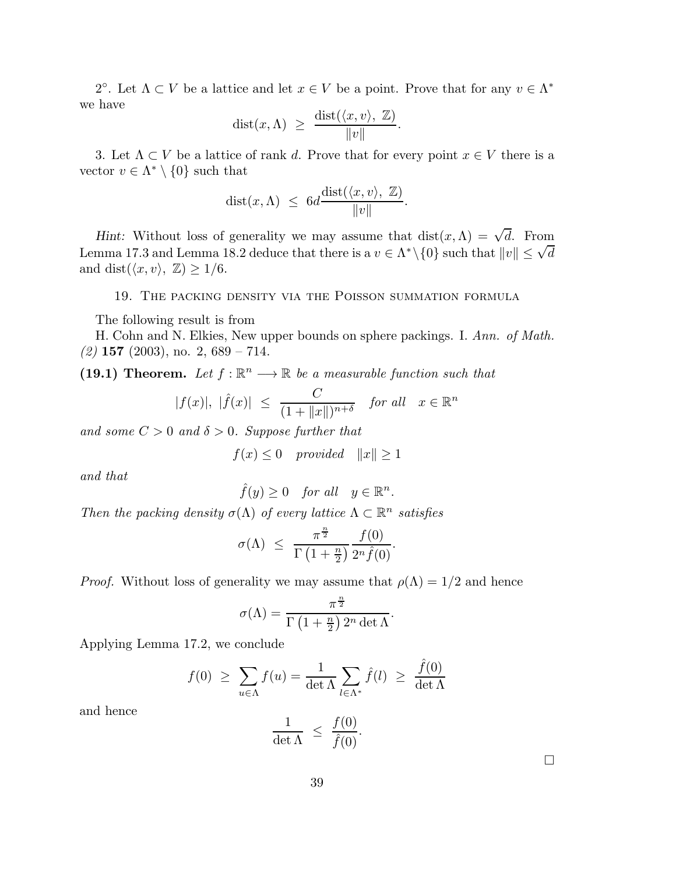2<sup>o</sup>. Let  $\Lambda \subset V$  be a lattice and let  $x \in V$  be a point. Prove that for any  $v \in \Lambda^*$ we have

$$
dist(x, \Lambda) \geq \frac{dist(\langle x, v \rangle, \mathbb{Z})}{\|v\|}.
$$

3. Let  $\Lambda \subset V$  be a lattice of rank d. Prove that for every point  $x \in V$  there is a vector  $v \in \Lambda^* \setminus \{0\}$  such that

$$
dist(x, \Lambda) \leq 6d \frac{\text{dist}(\langle x, v \rangle, \mathbb{Z})}{\|v\|}.
$$

Hint: Without loss of generality we may assume that  $dist(x, \Lambda) = \sqrt{d}$ . From Lemma 17.3 and Lemma 18.2 deduce that there is a  $v \in \Lambda^* \setminus \{0\}$  such that  $||v|| \leq \sqrt{d}$ and dist( $\langle x, v \rangle$ ,  $\mathbb{Z}$ )  $\geq$  1/6.

#### 19. The packing density via the Poisson summation formula

The following result is from

H. Cohn and N. Elkies, New upper bounds on sphere packings. I. *Ann. of Math. (2)* 157 (2003), no. 2, 689 – 714.

(19.1) Theorem. Let  $f : \mathbb{R}^n \longrightarrow \mathbb{R}$  be a measurable function such that

$$
|f(x)|, \ |\hat{f}(x)| \ \leq \ \frac{C}{(1+\|x\|)^{n+\delta}} \quad \text{for all} \quad x \in \mathbb{R}^n
$$

*and some*  $C > 0$  *and*  $\delta > 0$ *. Suppose further that* 

$$
f(x) \le 0 \quad provided \quad ||x|| \ge 1
$$

*and that*

$$
\hat{f}(y) \ge 0 \quad \text{for all} \quad y \in \mathbb{R}^n
$$

.

*Then the packing density*  $\sigma(\Lambda)$  *of every lattice*  $\Lambda \subset \mathbb{R}^n$  *satisfies* 

$$
\sigma(\Lambda) \ \leq \ \frac{\pi^{\frac{n}{2}}}{\Gamma\left(1+\frac{n}{2}\right)} \frac{f(0)}{2^n \hat{f}(0)}.
$$

*Proof.* Without loss of generality we may assume that  $\rho(\Lambda) = 1/2$  and hence

$$
\sigma(\Lambda) = \frac{\pi^{\frac{n}{2}}}{\Gamma(\left(1 + \frac{n}{2}\right)2^n \det \Lambda)}.
$$

Applying Lemma 17.2, we conclude

$$
f(0) \geq \sum_{u \in \Lambda} f(u) = \frac{1}{\det \Lambda} \sum_{l \in \Lambda^*} \hat{f}(l) \geq \frac{\hat{f}(0)}{\det \Lambda}
$$

and hence

$$
\frac{1}{\det \Lambda} \ \leq \ \frac{f(0)}{\hat{f}(0)}.
$$

 $\Box$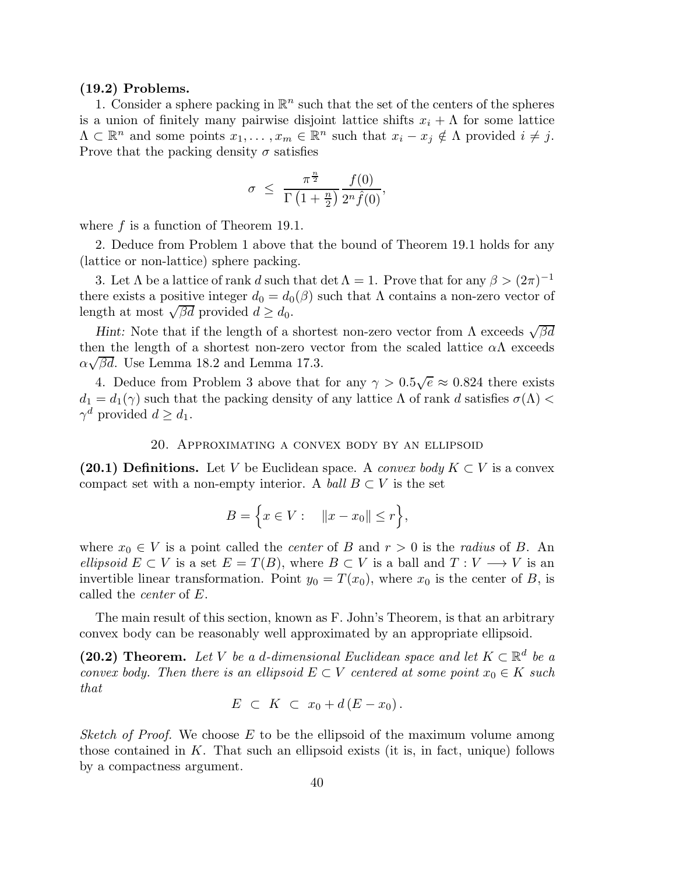## (19.2) Problems.

1. Consider a sphere packing in  $\mathbb{R}^n$  such that the set of the centers of the spheres is a union of finitely many pairwise disjoint lattice shifts  $x_i + \Lambda$  for some lattice  $\Lambda \subset \mathbb{R}^n$  and some points  $x_1, \ldots, x_m \in \mathbb{R}^n$  such that  $x_i - x_j \notin \Lambda$  provided  $i \neq j$ . Prove that the packing density  $\sigma$  satisfies

$$
\sigma \ \leq \ \frac{\pi^{\frac{n}{2}}}{\Gamma\left(1+\frac{n}{2}\right)} \frac{f(0)}{2^n \hat{f}(0)},
$$

where  $f$  is a function of Theorem 19.1.

2. Deduce from Problem 1 above that the bound of Theorem 19.1 holds for any (lattice or non-lattice) sphere packing.

3. Let  $\Lambda$  be a lattice of rank d such that det  $\Lambda = 1$ . Prove that for any  $\beta > (2\pi)^{-1}$ there exists a positive integer  $d_0 = d_0(\beta)$  such that  $\Lambda$  contains a non-zero vector of length at most  $\sqrt{\beta d}$  provided  $d \geq d_0$ .

Hint: Note that if the length of a shortest non-zero vector from  $\Lambda$  exceeds  $\sqrt{\beta d}$ then the length of a shortest non-zero vector from the scaled lattice  $\alpha\Lambda$  exceeds  $\alpha\sqrt{\beta d}$ . Use Lemma 18.2 and Lemma 17.3.

4. Deduce from Problem 3 above that for any  $\gamma > 0.5\sqrt{e} \approx 0.824$  there exists  $d_1 = d_1(\gamma)$  such that the packing density of any lattice  $\Lambda$  of rank d satisfies  $\sigma(\Lambda)$  $\gamma^d$  provided  $d \geq d_1$ .

#### 20. Approximating a convex body by an ellipsoid

(20.1) Definitions. Let V be Euclidean space. A *convex body*  $K \subset V$  is a convex compact set with a non-empty interior. A *ball*  $B \subset V$  is the set

$$
B = \Big\{ x \in V : \quad ||x - x_0|| \le r \Big\},\
$$

where  $x_0 \in V$  is a point called the *center* of B and  $r > 0$  is the *radius* of B. An *ellipsoid*  $E \subset V$  is a set  $E = T(B)$ , where  $B \subset V$  is a ball and  $T : V \longrightarrow V$  is an invertible linear transformation. Point  $y_0 = T(x_0)$ , where  $x_0$  is the center of B, is called the *center* of E.

The main result of this section, known as F. John's Theorem, is that an arbitrary convex body can be reasonably well approximated by an appropriate ellipsoid.

(20.2) Theorem. Let *V* be a d-dimensional Euclidean space and let  $K \subset \mathbb{R}^d$  be a *convex body. Then there is an ellipsoid*  $E \subset V$  *centered at some point*  $x_0 \in K$  *such that*

$$
E \ \subset \ K \ \subset \ x_0 + d \left( E - x_0 \right).
$$

*Sketch of Proof.* We choose E to be the ellipsoid of the maximum volume among those contained in  $K$ . That such an ellipsoid exists (it is, in fact, unique) follows by a compactness argument.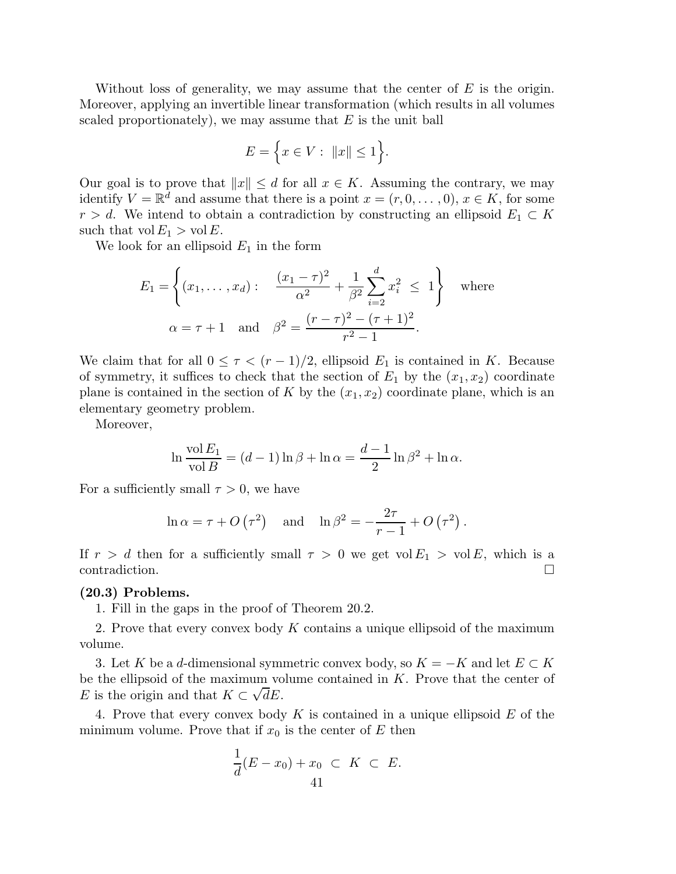Without loss of generality, we may assume that the center of  $E$  is the origin. Moreover, applying an invertible linear transformation (which results in all volumes scaled proportionately), we may assume that  $E$  is the unit ball

$$
E = \Big\{ x \in V : ||x|| \le 1 \Big\}.
$$

Our goal is to prove that  $||x|| \leq d$  for all  $x \in K$ . Assuming the contrary, we may identify  $V = \mathbb{R}^d$  and assume that there is a point  $x = (r, 0, \ldots, 0), x \in K$ , for some  $r > d$ . We intend to obtain a contradiction by constructing an ellipsoid  $E_1 \subset K$ such that  $vol E_1 > vol E$ .

We look for an ellipsoid  $E_1$  in the form

$$
E_1 = \left\{ (x_1, \dots, x_d) : \frac{(x_1 - \tau)^2}{\alpha^2} + \frac{1}{\beta^2} \sum_{i=2}^d x_i^2 \le 1 \right\} \text{ where}
$$
  
 
$$
\alpha = \tau + 1 \text{ and } \beta^2 = \frac{(r - \tau)^2 - (\tau + 1)^2}{r^2 - 1}.
$$

We claim that for all  $0 \leq \tau < (r-1)/2$ , ellipsoid  $E_1$  is contained in K. Because of symmetry, it suffices to check that the section of  $E_1$  by the  $(x_1, x_2)$  coordinate plane is contained in the section of K by the  $(x_1, x_2)$  coordinate plane, which is an elementary geometry problem.

Moreover,

$$
\ln \frac{\text{vol } E_1}{\text{vol } B} = (d-1)\ln \beta + \ln \alpha = \frac{d-1}{2}\ln \beta^2 + \ln \alpha.
$$

For a sufficiently small  $\tau > 0$ , we have

$$
\ln \alpha = \tau + O(\tau^2)
$$
 and  $\ln \beta^2 = -\frac{2\tau}{r-1} + O(\tau^2)$ .

If  $r > d$  then for a sufficiently small  $\tau > 0$  we get vol  $E_1 > \text{vol } E$ , which is a contradiction.

#### (20.3) Problems.

1. Fill in the gaps in the proof of Theorem 20.2.

2. Prove that every convex body  $K$  contains a unique ellipsoid of the maximum volume.

3. Let K be a d-dimensional symmetric convex body, so  $K = -K$  and let  $E \subset K$ be the ellipsoid of the maximum volume contained in  $K$ . Prove that the center of E is the origin and that  $K \subset \sqrt{dE}$ .

4. Prove that every convex body  $K$  is contained in a unique ellipsoid  $E$  of the minimum volume. Prove that if  $x_0$  is the center of E then

$$
\frac{1}{d}(E-x_0)+x_0 \subset K \subset E.
$$
41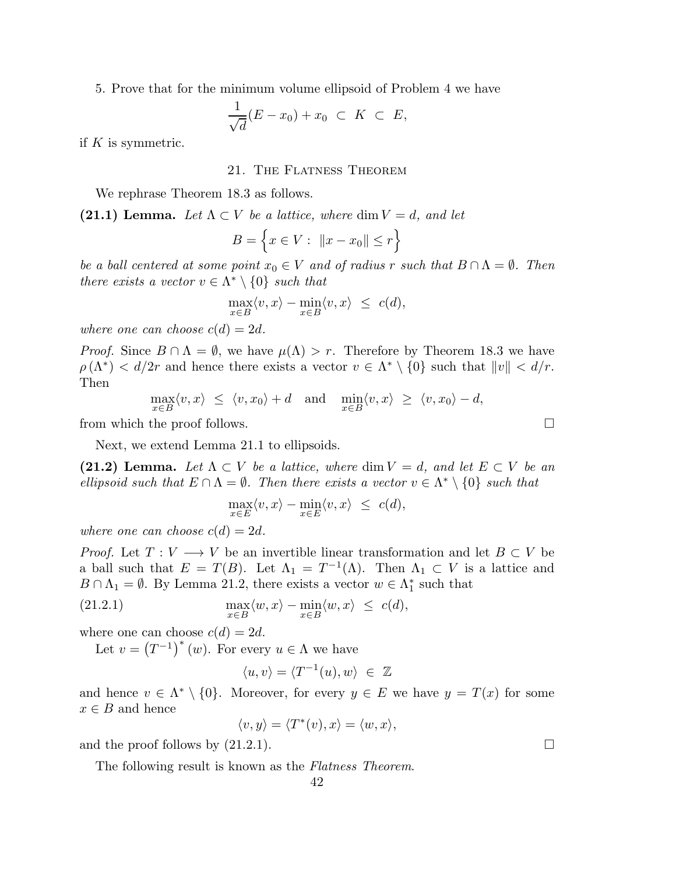5. Prove that for the minimum volume ellipsoid of Problem 4 we have

$$
\frac{1}{\sqrt{d}}(E-x_0)+x_0 \ \subset \ K \ \subset \ E,
$$

if  $K$  is symmetric.

## 21. The Flatness Theorem

We rephrase Theorem 18.3 as follows.

(21.1) Lemma. Let  $\Lambda \subset V$  be a lattice, where dim  $V = d$ , and let

$$
B = \left\{ x \in V : ||x - x_0|| \le r \right\}
$$

*be a ball centered at some point*  $x_0 \in V$  *and of radius* r *such that*  $B \cap \Lambda = \emptyset$ *. Then there exists a vector*  $v \in \Lambda^* \setminus \{0\}$  *such that* 

$$
\max_{x \in B} \langle v, x \rangle - \min_{x \in B} \langle v, x \rangle \leq c(d),
$$

*where one can choose*  $c(d) = 2d$ *.* 

*Proof.* Since  $B \cap \Lambda = \emptyset$ , we have  $\mu(\Lambda) > r$ . Therefore by Theorem 18.3 we have  $\rho(\Lambda^*) < d/2r$  and hence there exists a vector  $v \in \Lambda^* \setminus \{0\}$  such that  $||v|| < d/r$ . Then

$$
\max_{x \in B} \langle v, x \rangle \le \langle v, x_0 \rangle + d \quad \text{and} \quad \min_{x \in B} \langle v, x \rangle \ge \langle v, x_0 \rangle - d,
$$

from which the proof follows.

Next, we extend Lemma 21.1 to ellipsoids.

(21.2) Lemma. Let  $\Lambda \subset V$  be a lattice, where dim  $V = d$ , and let  $E \subset V$  be an *ellipsoid such that*  $E \cap \Lambda = \emptyset$ . Then there exists a vector  $v \in \Lambda^* \setminus \{0\}$  such that

$$
\max_{x \in E} \langle v, x \rangle - \min_{x \in E} \langle v, x \rangle \leq c(d),
$$

*where one can choose*  $c(d) = 2d$ *.* 

*Proof.* Let  $T: V \longrightarrow V$  be an invertible linear transformation and let  $B \subset V$  be a ball such that  $E = T(B)$ . Let  $\Lambda_1 = T^{-1}(\Lambda)$ . Then  $\Lambda_1 \subset V$  is a lattice and  $B \cap \Lambda_1 = \emptyset$ . By Lemma 21.2, there exists a vector  $w \in \Lambda_1^*$  such that

(21.2.1) 
$$
\max_{x \in B} \langle w, x \rangle - \min_{x \in B} \langle w, x \rangle \leq c(d),
$$

where one can choose  $c(d) = 2d$ .

Let  $v = (T^{-1})^*(w)$ . For every  $u \in \Lambda$  we have

$$
\langle u, v \rangle = \langle T^{-1}(u), w \rangle \in \mathbb{Z}
$$

and hence  $v \in \Lambda^* \setminus \{0\}$ . Moreover, for every  $y \in E$  we have  $y = T(x)$  for some  $x \in B$  and hence

 $\langle v, y \rangle = \langle T^*(v), x \rangle = \langle w, x \rangle,$ 

and the proof follows by  $(21.2.1)$ .

The following result is known as the *Flatness Theorem*.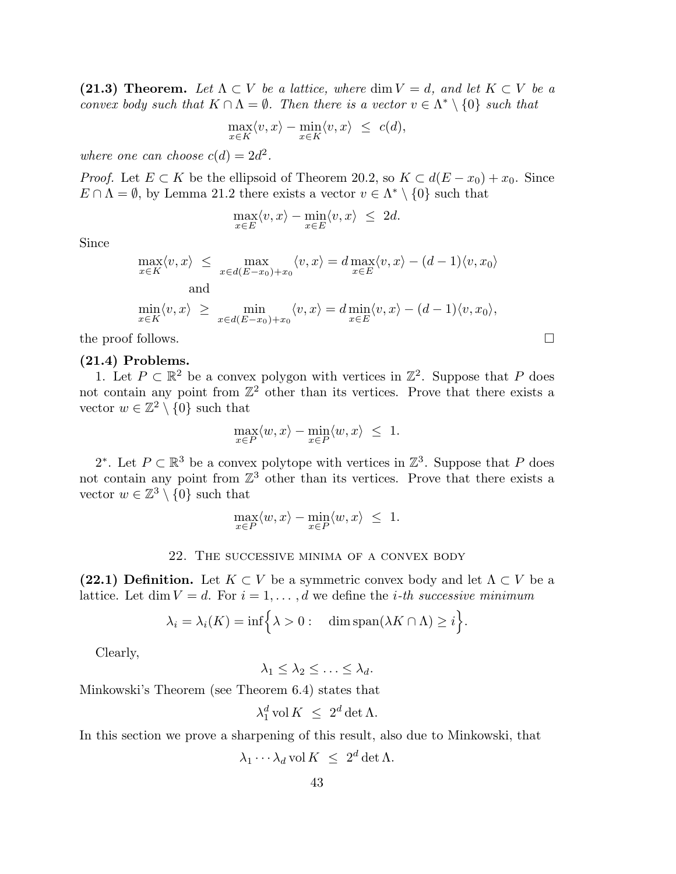(21.3) Theorem. Let  $\Lambda \subset V$  be a lattice, where dim  $V = d$ , and let  $K \subset V$  be a *convex body such that*  $K \cap \Lambda = \emptyset$ . Then there is a vector  $v \in \Lambda^* \setminus \{0\}$  such that

$$
\max_{x \in K} \langle v, x \rangle - \min_{x \in K} \langle v, x \rangle \leq c(d),
$$

where one can choose  $c(d) = 2d^2$ .

*Proof.* Let  $E \subset K$  be the ellipsoid of Theorem 20.2, so  $K \subset d(E - x_0) + x_0$ . Since  $E \cap \Lambda = \emptyset$ , by Lemma 21.2 there exists a vector  $v \in \Lambda^* \setminus \{0\}$  such that

$$
\max_{x \in E} \langle v, x \rangle - \min_{x \in E} \langle v, x \rangle \le 2d.
$$

Since

$$
\max_{x \in K} \langle v, x \rangle \leq \max_{x \in d(E - x_0) + x_0} \langle v, x \rangle = d \max_{x \in E} \langle v, x \rangle - (d - 1) \langle v, x_0 \rangle
$$
  
and  

$$
\min_{x \in K} \langle v, x \rangle \geq \min_{x \in d(E - x_0) + x_0} \langle v, x \rangle = d \min_{x \in E} \langle v, x \rangle - (d - 1) \langle v, x_0 \rangle,
$$

the proof follows.  $\Box$ 

## (21.4) Problems.

1. Let  $P \subset \mathbb{R}^2$  be a convex polygon with vertices in  $\mathbb{Z}^2$ . Suppose that P does not contain any point from  $\mathbb{Z}^2$  other than its vertices. Prove that there exists a vector  $w \in \mathbb{Z}^2 \setminus \{0\}$  such that

$$
\max_{x \in P} \langle w, x \rangle - \min_{x \in P} \langle w, x \rangle \leq 1.
$$

2<sup>\*</sup>. Let  $P \subset \mathbb{R}^3$  be a convex polytope with vertices in  $\mathbb{Z}^3$ . Suppose that P does not contain any point from  $\mathbb{Z}^3$  other than its vertices. Prove that there exists a vector  $w \in \mathbb{Z}^3 \setminus \{0\}$  such that

$$
\max_{x \in P} \langle w, x \rangle - \min_{x \in P} \langle w, x \rangle \leq 1.
$$

#### 22. The successive minima of a convex body

(22.1) Definition. Let  $K \subset V$  be a symmetric convex body and let  $\Lambda \subset V$  be a lattice. Let  $\dim V = d$ . For  $i = 1, \ldots, d$  we define the *i*-th successive minimum

$$
\lambda_i = \lambda_i(K) = \inf \Big\{ \lambda > 0 : \dim \text{span}(\lambda K \cap \Lambda) \geq i \Big\}.
$$

Clearly,

 $\lambda_1 \leq \lambda_2 \leq \ldots \leq \lambda_d.$ 

Minkowski's Theorem (see Theorem 6.4) states that

$$
\lambda_1^d \operatorname{vol} K \ \leq \ 2^d \det \Lambda.
$$

In this section we prove a sharpening of this result, also due to Minkowski, that

$$
\lambda_1 \cdots \lambda_d \operatorname{vol} K \ \leq \ 2^d \det \Lambda.
$$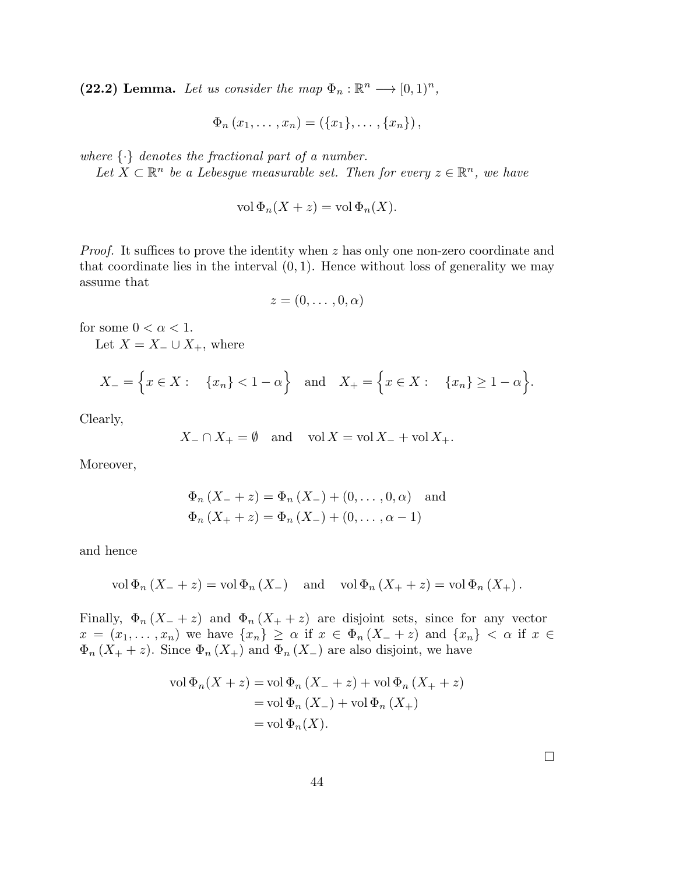(22.2) Lemma. Let us consider the map  $\Phi_n : \mathbb{R}^n \longrightarrow [0,1)^n$ ,

$$
\Phi_n(x_1,\ldots,x_n) = (\{x_1\},\ldots,\{x_n\}),
$$

*where* {·} *denotes the fractional part of a number.*

Let  $X \subset \mathbb{R}^n$  be a Lebesgue measurable set. Then for every  $z \in \mathbb{R}^n$ , we have

$$
\text{vol}\,\Phi_n(X+z) = \text{vol}\,\Phi_n(X).
$$

*Proof.* It suffices to prove the identity when z has only one non-zero coordinate and that coordinate lies in the interval  $(0, 1)$ . Hence without loss of generality we may assume that

$$
z=(0,\ldots,0,\alpha)
$$

for some  $0 < \alpha < 1$ .

Let  $X = X_-\cup X_+$ , where

$$
X_{-} = \{x \in X : \{x_n\} < 1 - \alpha\}
$$
 and  $X_{+} = \{x \in X : \{x_n\} \ge 1 - \alpha\}.$ 

Clearly,

$$
X_{-} \cap X_{+} = \emptyset \quad \text{and} \quad \text{vol } X = \text{vol } X_{-} + \text{vol } X_{+}.
$$

Moreover,

$$
\Phi_n (X_- + z) = \Phi_n (X_-) + (0, ..., 0, \alpha) \text{ and}
$$
  

$$
\Phi_n (X_+ + z) = \Phi_n (X_-) + (0, ..., \alpha - 1)
$$

and hence

$$
\text{vol}\,\Phi_n\left(X_-\,\right) = \text{vol}\,\Phi_n\left(X_-\right) \quad \text{and} \quad \text{vol}\,\Phi_n\left(X_+\,\right) = \text{vol}\,\Phi_n\left(X_+\right).
$$

Finally,  $\Phi_n(X_- + z)$  and  $\Phi_n(X_+ + z)$  are disjoint sets, since for any vector  $x = (x_1, \ldots, x_n)$  we have  $\{x_n\} \geq \alpha$  if  $x \in \Phi_n(X_+ + z)$  and  $\{x_n\} < \alpha$  if  $x \in$  $\Phi_n(X_+ + z)$ . Since  $\Phi_n(X_+)$  and  $\Phi_n(X_-)$  are also disjoint, we have

$$
\text{vol}\,\Phi_n(X+z) = \text{vol}\,\Phi_n\left(X_+ + z\right) + \text{vol}\,\Phi_n\left(X_+ + z\right)
$$
\n
$$
= \text{vol}\,\Phi_n\left(X_-\right) + \text{vol}\,\Phi_n\left(X_+\right)
$$
\n
$$
= \text{vol}\,\Phi_n(X).
$$

 $\Box$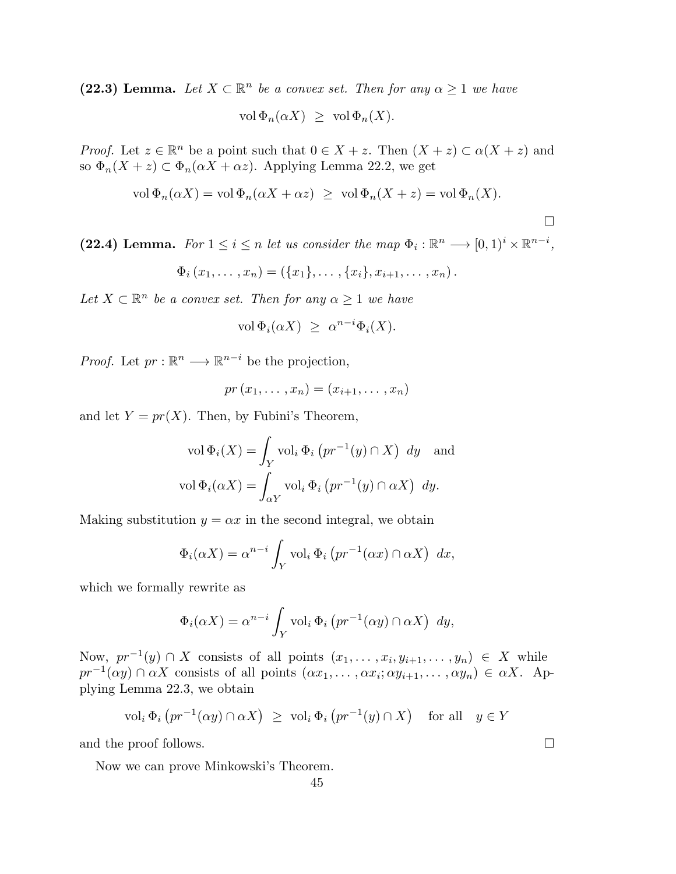(22.3) Lemma. Let  $X \subset \mathbb{R}^n$  be a convex set. Then for any  $\alpha \geq 1$  we have

vol  $\Phi_n(\alpha X) \geq \text{vol } \Phi_n(X)$ .

*Proof.* Let  $z \in \mathbb{R}^n$  be a point such that  $0 \in X + z$ . Then  $(X + z) \subset \alpha(X + z)$  and so  $\Phi_n(X+z) \subset \Phi_n(\alpha X + \alpha z)$ . Applying Lemma 22.2, we get

$$
\text{vol}\,\Phi_n(\alpha X) = \text{vol}\,\Phi_n(\alpha X + \alpha z) \geq \text{vol}\,\Phi_n(X + z) = \text{vol}\,\Phi_n(X).
$$

 $\Box$ 

(22.4) Lemma. *For*  $1 \leq i \leq n$  *let us consider the map*  $\Phi_i : \mathbb{R}^n \longrightarrow [0,1)^i \times \mathbb{R}^{n-i}$ *,* 

$$
\Phi_i(x_1,\ldots,x_n)=(\{x_1\},\ldots,\{x_i\},x_{i+1},\ldots,x_n).
$$

Let  $X \subset \mathbb{R}^n$  be a convex set. Then for any  $\alpha \geq 1$  we have

$$
\text{vol}\,\Phi_i(\alpha X) \ \geq \ \alpha^{n-i}\Phi_i(X).
$$

*Proof.* Let  $pr : \mathbb{R}^n \longrightarrow \mathbb{R}^{n-i}$  be the projection,

$$
pr(x_1,\ldots,x_n)=(x_{i+1},\ldots,x_n)
$$

and let  $Y = pr(X)$ . Then, by Fubini's Theorem,

$$
\text{vol}\,\Phi_i(X) = \int_Y \text{vol}_i\,\Phi_i\left(pr^{-1}(y)\cap X\right) \,dy \quad \text{and}
$$

$$
\text{vol}\,\Phi_i(\alpha X) = \int_{\alpha Y} \text{vol}_i\,\Phi_i\left(pr^{-1}(y)\cap \alpha X\right) \,dy.
$$

Making substitution  $y = \alpha x$  in the second integral, we obtain

$$
\Phi_i(\alpha X) = \alpha^{n-i} \int_Y \text{vol}_i \, \Phi_i \left( pr^{-1}(\alpha x) \cap \alpha X \right) \, dx,
$$

which we formally rewrite as

$$
\Phi_i(\alpha X) = \alpha^{n-i} \int_Y \text{vol}_i \, \Phi_i \left( pr^{-1}(\alpha y) \cap \alpha X \right) dy,
$$

Now,  $pr^{-1}(y) \cap X$  consists of all points  $(x_1, \ldots, x_i, y_{i+1}, \ldots, y_n) \in X$  while  $pr^{-1}(\alpha y) \cap \alpha X$  consists of all points  $(\alpha x_1, \ldots, \alpha x_i; \alpha y_{i+1}, \ldots, \alpha y_n) \in \alpha X$ . Applying Lemma 22.3, we obtain

$$
\text{vol}_i \, \Phi_i \left( pr^{-1}(\alpha y) \cap \alpha X \right) \ \ge \ \text{vol}_i \, \Phi_i \left( pr^{-1}(y) \cap X \right) \quad \text{for all} \quad y \in Y
$$

and the proof follows.  $\Box$ 

Now we can prove Minkowski's Theorem.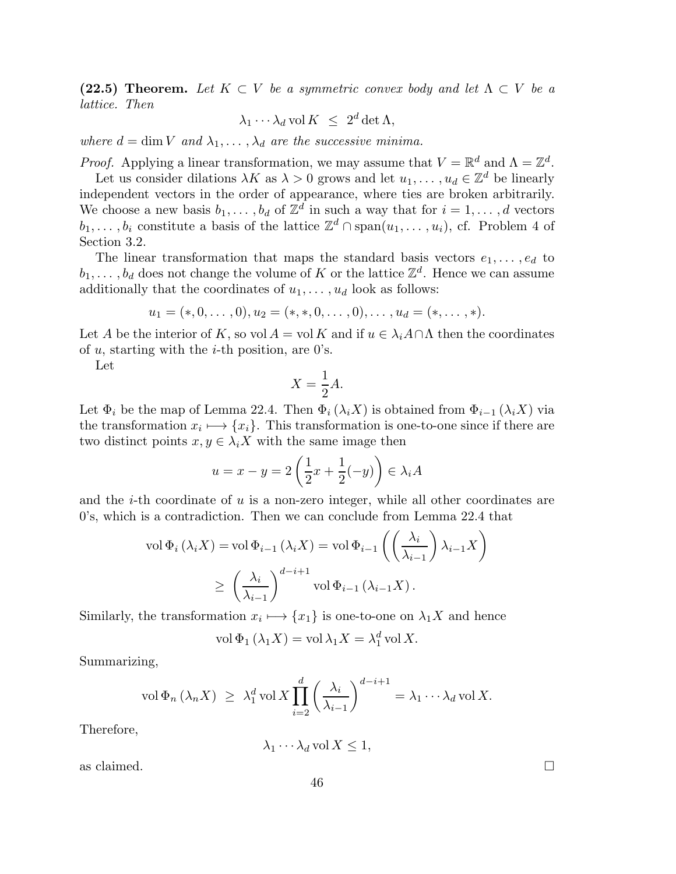(22.5) Theorem. Let  $K \subset V$  be a symmetric convex body and let  $\Lambda \subset V$  be a *lattice. Then*

$$
\lambda_1 \cdots \lambda_d \operatorname{vol} K \ \leq \ 2^d \det \Lambda,
$$

*where*  $d = \dim V$  *and*  $\lambda_1, \ldots, \lambda_d$  *are the successive minima.* 

*Proof.* Applying a linear transformation, we may assume that  $V = \mathbb{R}^d$  and  $\Lambda = \mathbb{Z}^d$ .

Let us consider dilations  $\lambda K$  as  $\lambda > 0$  grows and let  $u_1, \ldots, u_d \in \mathbb{Z}^d$  be linearly independent vectors in the order of appearance, where ties are broken arbitrarily. We choose a new basis  $b_1, \ldots, b_d$  of  $\mathbb{Z}^d$  in such a way that for  $i = 1, \ldots, d$  vectors  $b_1, \ldots, b_i$  constitute a basis of the lattice  $\mathbb{Z}^d \cap \text{span}(u_1, \ldots, u_i)$ , cf. Problem 4 of Section 3.2.

The linear transformation that maps the standard basis vectors  $e_1, \ldots, e_d$  to  $b_1, \ldots, b_d$  does not change the volume of K or the lattice  $\mathbb{Z}^d$ . Hence we can assume additionally that the coordinates of  $u_1, \ldots, u_d$  look as follows:

$$
u_1 = (*, 0, \ldots, 0), u_2 = (*, *, 0, \ldots, 0), \ldots, u_d = (*, \ldots, *)
$$
.

Let A be the interior of K, so vol  $A = vol K$  and if  $u \in \lambda_i A \cap \Lambda$  then the coordinates of  $u$ , starting with the *i*-th position, are 0's.

Let

$$
X = \frac{1}{2}A.
$$

Let  $\Phi_i$  be the map of Lemma 22.4. Then  $\Phi_i(\lambda_i X)$  is obtained from  $\Phi_{i-1}(\lambda_i X)$  via the transformation  $x_i \mapsto \{x_i\}$ . This transformation is one-to-one since if there are two distinct points  $x, y \in \lambda_i X$  with the same image then

$$
u = x - y = 2\left(\frac{1}{2}x + \frac{1}{2}(-y)\right) \in \lambda_i A
$$

and the  $i$ -th coordinate of  $u$  is a non-zero integer, while all other coordinates are 0's, which is a contradiction. Then we can conclude from Lemma 22.4 that

$$
\text{vol}\,\Phi_i\left(\lambda_i X\right) = \text{vol}\,\Phi_{i-1}\left(\lambda_i X\right) = \text{vol}\,\Phi_{i-1}\left(\left(\frac{\lambda_i}{\lambda_{i-1}}\right)\lambda_{i-1} X\right)
$$
\n
$$
\geq \left(\frac{\lambda_i}{\lambda_{i-1}}\right)^{d-i+1} \text{vol}\,\Phi_{i-1}\left(\lambda_{i-1} X\right).
$$

Similarly, the transformation  $x_i \mapsto \{x_1\}$  is one-to-one on  $\lambda_1 X$  and hence

$$
\text{vol}\,\Phi_1\left(\lambda_1 X\right) = \text{vol}\,\lambda_1 X = \lambda_1^d \,\text{vol}\, X.
$$

Summarizing,

$$
\text{vol}\,\Phi_n\left(\lambda_n X\right) \ \geq \ \lambda_1^d \,\text{vol}\, X \prod_{i=2}^d \left(\frac{\lambda_i}{\lambda_{i-1}}\right)^{d-i+1} = \lambda_1 \cdots \lambda_d \,\text{vol}\, X.
$$

Therefore,

 $\lambda_1 \cdots \lambda_d$  vol  $X \leq 1$ ,

as claimed.  $\Box$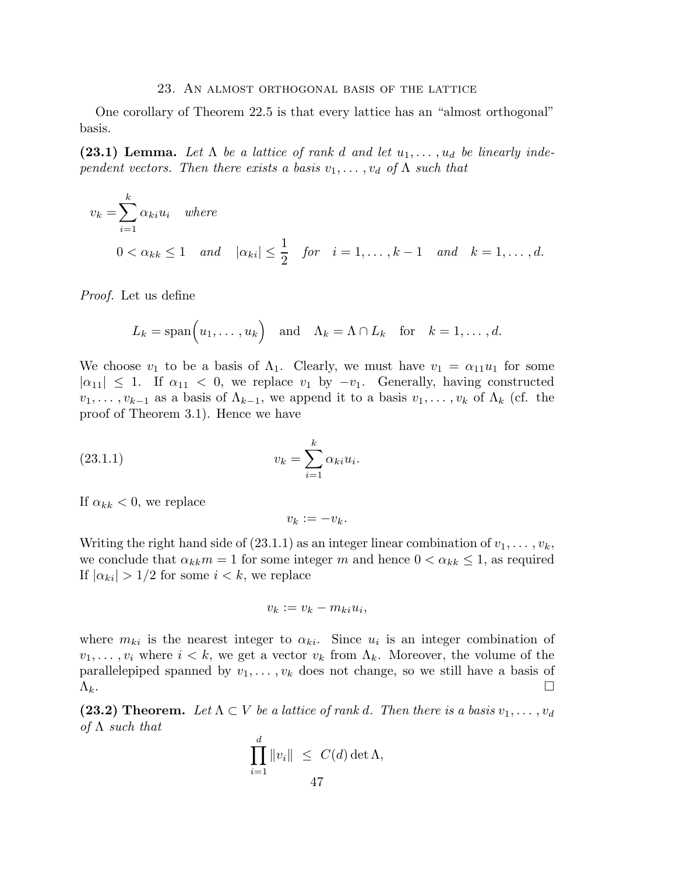#### 23. An almost orthogonal basis of the lattice

One corollary of Theorem 22.5 is that every lattice has an "almost orthogonal" basis.

(23.1) Lemma. Let  $\Lambda$  be a lattice of rank d and let  $u_1, \ldots, u_d$  be linearly inde*pendent vectors. Then there exists a basis*  $v_1, \ldots, v_d$  *of*  $\Lambda$  *such that* 

$$
v_k = \sum_{i=1}^k \alpha_{ki} u_i \quad \text{where}
$$
  
 
$$
0 < \alpha_{kk} \le 1 \quad \text{and} \quad |\alpha_{ki}| \le \frac{1}{2} \quad \text{for} \quad i = 1, \dots, k-1 \quad \text{and} \quad k = 1, \dots, d.
$$

*Proof.* Let us define

$$
L_k = \text{span}(u_1, \ldots, u_k) \text{ and } \Lambda_k = \Lambda \cap L_k \text{ for } k = 1, \ldots, d.
$$

We choose  $v_1$  to be a basis of  $\Lambda_1$ . Clearly, we must have  $v_1 = \alpha_{11}u_1$  for some  $|\alpha_{11}| \leq 1$ . If  $\alpha_{11} < 0$ , we replace  $v_1$  by  $-v_1$ . Generally, having constructed  $v_1, \ldots, v_{k-1}$  as a basis of  $\Lambda_{k-1}$ , we append it to a basis  $v_1, \ldots, v_k$  of  $\Lambda_k$  (cf. the proof of Theorem 3.1). Hence we have

(23.1.1) 
$$
v_k = \sum_{i=1}^k \alpha_{ki} u_i.
$$

If  $\alpha_{kk} < 0$ , we replace

$$
v_k := -v_k.
$$

Writing the right hand side of (23.1.1) as an integer linear combination of  $v_1, \ldots, v_k$ , we conclude that  $\alpha_{kk}m = 1$  for some integer m and hence  $0 < \alpha_{kk} \leq 1$ , as required If  $|\alpha_{ki}| > 1/2$  for some  $i < k$ , we replace

$$
v_k := v_k - m_{ki}u_i,
$$

where  $m_{ki}$  is the nearest integer to  $\alpha_{ki}$ . Since  $u_i$  is an integer combination of  $v_1, \ldots, v_i$  where  $i < k$ , we get a vector  $v_k$  from  $\Lambda_k$ . Moreover, the volume of the parallelepiped spanned by  $v_1, \ldots, v_k$  does not change, so we still have a basis of  $\Lambda_k$ .

(23.2) Theorem. Let  $\Lambda \subset V$  be a lattice of rank d. Then there is a basis  $v_1, \ldots, v_d$ *of* Λ *such that*

$$
\prod_{i=1}^d \|v_i\| \leq C(d) \det \Lambda,
$$
  
47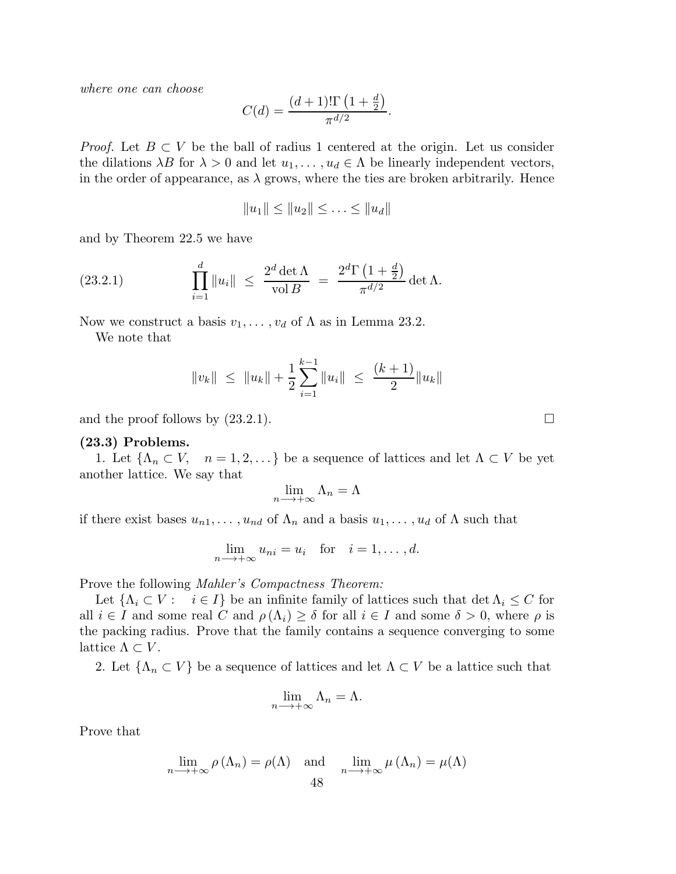*where one can choose*

$$
C(d) = \frac{(d+1)! \Gamma(1 + \frac{d}{2})}{\pi^{d/2}}.
$$

*Proof.* Let  $B \subset V$  be the ball of radius 1 centered at the origin. Let us consider the dilations  $\lambda B$  for  $\lambda > 0$  and let  $u_1, \ldots, u_d \in \Lambda$  be linearly independent vectors, in the order of appearance, as  $\lambda$  grows, where the ties are broken arbitrarily. Hence

$$
||u_1|| \leq ||u_2|| \leq \ldots \leq ||u_d||
$$

and by Theorem 22.5 we have

(23.2.1) 
$$
\prod_{i=1}^{d} \|u_i\| \leq \frac{2^d \det \Lambda}{\text{vol } B} = \frac{2^d \Gamma \left(1 + \frac{d}{2}\right)}{\pi^{d/2}} \det \Lambda.
$$

Now we construct a basis  $v_1, \ldots, v_d$  of  $\Lambda$  as in Lemma 23.2.

We note that

$$
||v_k|| \leq ||u_k|| + \frac{1}{2} \sum_{i=1}^{k-1} ||u_i|| \leq \frac{(k+1)}{2} ||u_k||
$$

and the proof follows by  $(23.2.1)$ .

## (23.3) Problems.

1. Let  $\{\Lambda_n \subset V, \quad n = 1, 2, \ldots\}$  be a sequence of lattices and let  $\Lambda \subset V$  be yet another lattice. We say that

$$
\lim_{n \longrightarrow +\infty} \Lambda_n = \Lambda
$$

if there exist bases  $u_{n1}, \ldots, u_{nd}$  of  $\Lambda_n$  and a basis  $u_1, \ldots, u_d$  of  $\Lambda$  such that

$$
\lim_{n \to +\infty} u_{ni} = u_i \quad \text{for} \quad i = 1, \dots, d.
$$

Prove the following *Mahler's Compactness Theorem:*

Let  $\{\Lambda_i \subset V : i \in I\}$  be an infinite family of lattices such that  $\det \Lambda_i \leq C$  for all  $i \in I$  and some real C and  $\rho(\Lambda_i) \geq \delta$  for all  $i \in I$  and some  $\delta > 0$ , where  $\rho$  is the packing radius. Prove that the family contains a sequence converging to some lattice  $\Lambda \subset V$ .

2. Let  $\{\Lambda_n \subset V\}$  be a sequence of lattices and let  $\Lambda \subset V$  be a lattice such that

$$
\lim_{n \longrightarrow +\infty} \Lambda_n = \Lambda.
$$

Prove that

$$
\lim_{n \to +\infty} \rho(\Lambda_n) = \rho(\Lambda) \quad \text{and} \quad \lim_{n \to +\infty} \mu(\Lambda_n) = \mu(\Lambda)
$$
48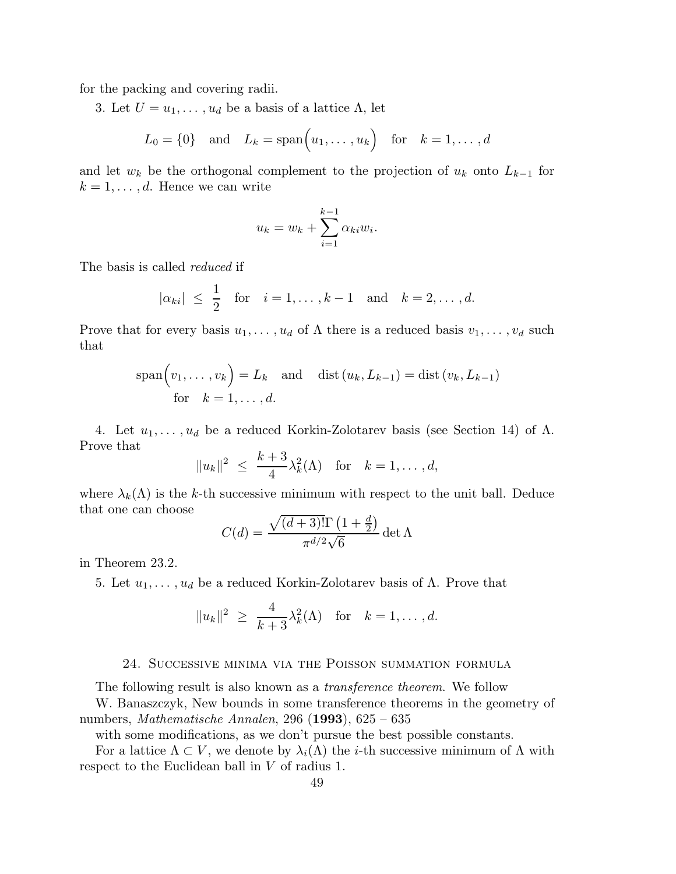for the packing and covering radii.

3. Let  $U = u_1, \ldots, u_d$  be a basis of a lattice  $\Lambda$ , let

$$
L_0 = \{0\} \quad \text{and} \quad L_k = \text{span}\Big(u_1, \dots, u_k\Big) \quad \text{for} \quad k = 1, \dots, d
$$

and let  $w_k$  be the orthogonal complement to the projection of  $u_k$  onto  $L_{k-1}$  for  $k = 1, \ldots, d$ . Hence we can write

$$
u_k = w_k + \sum_{i=1}^{k-1} \alpha_{ki} w_i.
$$

The basis is called *reduced* if

$$
|\alpha_{ki}| \leq \frac{1}{2}
$$
 for  $i = 1, ..., k - 1$  and  $k = 2, ..., d$ .

Prove that for every basis  $u_1, \ldots, u_d$  of  $\Lambda$  there is a reduced basis  $v_1, \ldots, v_d$  such that

$$
\operatorname{span}(v_1, \dots, v_k) = L_k \quad \text{and} \quad \operatorname{dist}(u_k, L_{k-1}) = \operatorname{dist}(v_k, L_{k-1})
$$
\n
$$
\text{for} \quad k = 1, \dots, d.
$$

4. Let  $u_1, \ldots, u_d$  be a reduced Korkin-Zolotarev basis (see Section 14) of  $\Lambda$ . Prove that

$$
||u_k||^2 \le \frac{k+3}{4}\lambda_k^2(\Lambda) \text{ for } k=1,\ldots,d,
$$

where  $\lambda_k(\Lambda)$  is the k-th successive minimum with respect to the unit ball. Deduce that one can choose

$$
C(d) = \frac{\sqrt{(d+3)!}\Gamma(1+\frac{d}{2})}{\pi^{d/2}\sqrt{6}}\det\Lambda
$$

in Theorem 23.2.

5. Let  $u_1, \ldots, u_d$  be a reduced Korkin-Zolotarev basis of Λ. Prove that

$$
||u_k||^2 \ge \frac{4}{k+3}\lambda_k^2(\Lambda) \text{ for } k=1,\ldots,d.
$$

## 24. Successive minima via the Poisson summation formula

The following result is also known as a *transference theorem*. We follow

W. Banaszczyk, New bounds in some transference theorems in the geometry of numbers, *Mathematische Annalen*, 296 (1993), 625 – 635

with some modifications, as we don't pursue the best possible constants.

For a lattice  $\Lambda \subset V$ , we denote by  $\lambda_i(\Lambda)$  the *i*-th successive minimum of  $\Lambda$  with respect to the Euclidean ball in V of radius 1.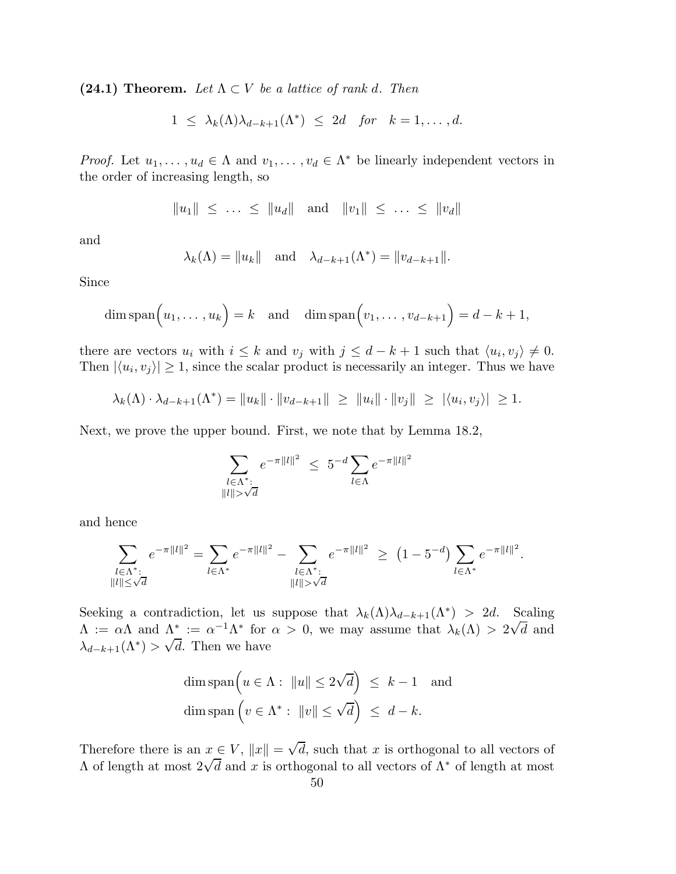(24.1) Theorem. Let  $\Lambda \subset V$  be a lattice of rank d. Then

$$
1 \leq \lambda_k(\Lambda) \lambda_{d-k+1}(\Lambda^*) \leq 2d \quad \text{for} \quad k=1,\ldots,d.
$$

*Proof.* Let  $u_1, \ldots, u_d \in \Lambda$  and  $v_1, \ldots, v_d \in \Lambda^*$  be linearly independent vectors in the order of increasing length, so

$$
||u_1|| \leq \ldots \leq ||u_d|| \text{ and } ||v_1|| \leq \ldots \leq ||v_d||
$$

and

$$
\lambda_k(\Lambda) = ||u_k||
$$
 and  $\lambda_{d-k+1}(\Lambda^*) = ||v_{d-k+1}||$ .

Since

$$
\dim \operatorname{span}\Bigl(u_1,\ldots,u_k\Bigr)=k \quad \text{and} \quad \dim \operatorname{span}\Bigl(v_1,\ldots,v_{d-k+1}\Bigr)=d-k+1,
$$

there are vectors  $u_i$  with  $i \leq k$  and  $v_j$  with  $j \leq d - k + 1$  such that  $\langle u_i, v_j \rangle \neq 0$ . Then  $|\langle u_i, v_j \rangle| \geq 1$ , since the scalar product is necessarily an integer. Thus we have

$$
\lambda_k(\Lambda) \cdot \lambda_{d-k+1}(\Lambda^*) = \|u_k\| \cdot \|v_{d-k+1}\| \ge \|u_i\| \cdot \|v_j\| \ge |\langle u_i, v_j \rangle| \ge 1.
$$

Next, we prove the upper bound. First, we note that by Lemma 18.2,

$$
\sum_{\substack{l \in \Lambda^*:\\||l|| > \sqrt{d}}} e^{-\pi ||l||^2} \le 5^{-d} \sum_{l \in \Lambda} e^{-\pi ||l||^2}
$$

and hence

$$
\sum_{\substack{l \in \Lambda^*:\\||l|| \le \sqrt{d}}} e^{-\pi ||l||^2} = \sum_{l \in \Lambda^*} e^{-\pi ||l||^2} - \sum_{\substack{l \in \Lambda^*:\\||l|| > \sqrt{d}}} e^{-\pi ||l||^2} \ge (1 - 5^{-d}) \sum_{l \in \Lambda^*} e^{-\pi ||l||^2}.
$$

Seeking a contradiction, let us suppose that  $\lambda_k(\Lambda)\lambda_{d-k+1}(\Lambda^*) > 2d$ . Scaling  $\Lambda := \alpha \Lambda$  and  $\Lambda^* := \alpha^{-1} \Lambda^*$  for  $\alpha > 0$ , we may assume that  $\lambda_k(\Lambda) > 2\sqrt{d}$  and  $\lambda_{d-k+1}(\Lambda^*) > \sqrt{d}$ . Then we have

$$
\dim \operatorname{span} \left( u \in \Lambda : \|u\| \le 2\sqrt{d} \right) \le k - 1 \text{ and}
$$
  

$$
\dim \operatorname{span} \left( v \in \Lambda^* : \|v\| \le \sqrt{d} \right) \le d - k.
$$

Therefore there is an  $x \in V$ ,  $||x|| = \sqrt{d}$ , such that x is orthogonal to all vectors of A of length at most  $2\sqrt{d}$  and x is orthogonal to all vectors of  $Λ^*$  of length at most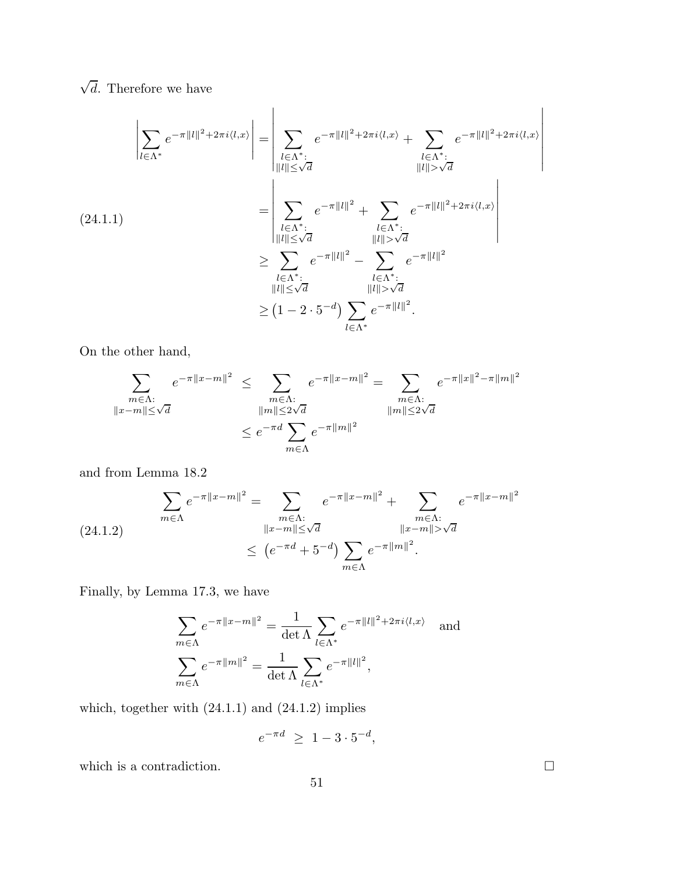$\sqrt{d}$ . Therefore we have

$$
(24.1.1)
$$
\n
$$
\left| \sum_{l \in \Lambda^*} e^{-\pi ||l||^2 + 2\pi i \langle l, x \rangle} \right| = \left| \sum_{\substack{l \in \Lambda^* : \\ ||l|| \leq \sqrt{d}}} e^{-\pi ||l||^2 + 2\pi i \langle l, x \rangle} + \sum_{\substack{l \in \Lambda^* : \\ ||l|| > \sqrt{d}}} e^{-\pi ||l||^2 + 2\pi i \langle l, x \rangle} \right|
$$
\n
$$
= \left| \sum_{\substack{l \in \Lambda^* : \\ ||l|| \leq \sqrt{d}}} e^{-\pi ||l||^2} + \sum_{\substack{l \in \Lambda^* : \\ ||l|| > \sqrt{d}}} e^{-\pi ||l||^2 + 2\pi i \langle l, x \rangle} \right|
$$
\n
$$
\geq \sum_{\substack{l \in \Lambda^* : \\ ||l|| \leq \sqrt{d}}} e^{-\pi ||l||^2} - \sum_{\substack{l \in \Lambda^* : \\ ||l|| > \sqrt{d}}} e^{-\pi ||l||^2}
$$
\n
$$
\geq (1 - 2 \cdot 5^{-d}) \sum_{l \in \Lambda^*} e^{-\pi ||l||^2}.
$$

On the other hand,

$$
\sum_{\substack{m \in \Lambda:\\ \|x-m\| \le \sqrt{d}}} e^{-\pi \|x-m\|^2} \le \sum_{\substack{m \in \Lambda:\\ \|m\| \le 2\sqrt{d}}} e^{-\pi \|x-m\|^2} = \sum_{\substack{m \in \Lambda:\\ \|m\| \le 2\sqrt{d}}} e^{-\pi \|x\|^2 - \pi \|m\|^2}
$$
  

$$
\le e^{-\pi d} \sum_{m \in \Lambda} e^{-\pi \|m\|^2}
$$

and from Lemma 18.2

$$
\sum_{m \in \Lambda} e^{-\pi ||x-m||^2} = \sum_{\substack{m \in \Lambda:\\ ||x-m|| \le \sqrt{d} \\ \le (e^{-\pi d} + 5^{-d})}} e^{-\pi ||x-m||^2} + \sum_{\substack{m \in \Lambda:\\ ||x-m|| > \sqrt{d} \\ m \in \Lambda}} e^{-\pi ||x-m||^2}
$$

Finally, by Lemma 17.3, we have

$$
\sum_{m \in \Lambda} e^{-\pi ||x - m||^2} = \frac{1}{\det \Lambda} \sum_{l \in \Lambda^*} e^{-\pi ||l||^2 + 2\pi i \langle l, x \rangle} \text{ and}
$$

$$
\sum_{m \in \Lambda} e^{-\pi ||m||^2} = \frac{1}{\det \Lambda} \sum_{l \in \Lambda^*} e^{-\pi ||l||^2},
$$

which, together with  $(24.1.1)$  and  $(24.1.2)$  implies

$$
e^{-\pi d} \ge 1 - 3 \cdot 5^{-d},
$$

which is a contradiction.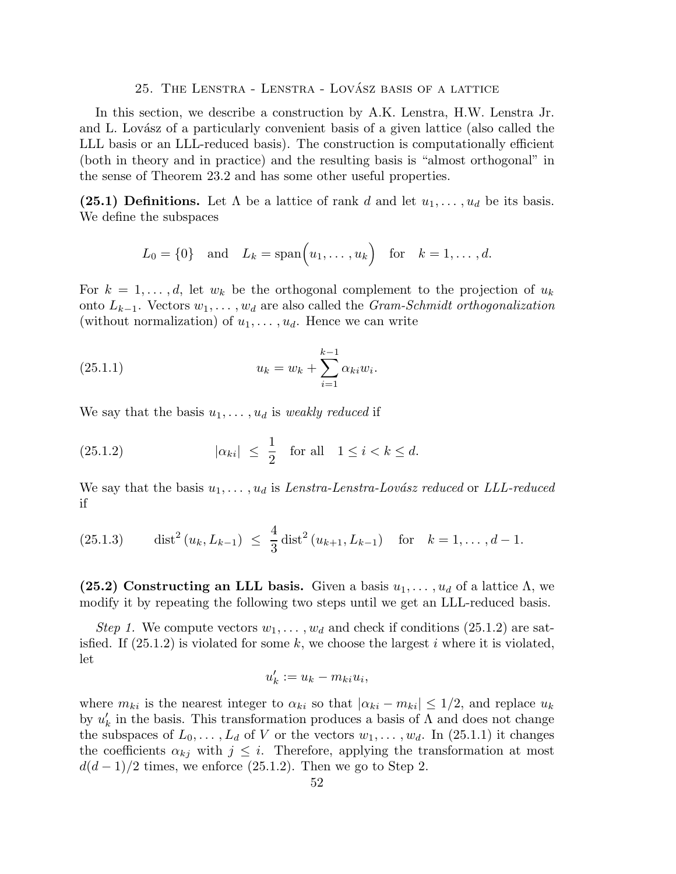25. THE LENSTRA - LENSTRA - LOVÁSZ BASIS OF A LATTICE

In this section, we describe a construction by A.K. Lenstra, H.W. Lenstra Jr. and L. Lovász of a particularly convenient basis of a given lattice (also called the LLL basis or an LLL-reduced basis). The construction is computationally efficient (both in theory and in practice) and the resulting basis is "almost orthogonal" in the sense of Theorem 23.2 and has some other useful properties.

(25.1) Definitions. Let  $\Lambda$  be a lattice of rank d and let  $u_1, \ldots, u_d$  be its basis. We define the subspaces

$$
L_0 = \{0\} \quad \text{and} \quad L_k = \text{span}\Big(u_1, \dots, u_k\Big) \quad \text{for} \quad k = 1, \dots, d.
$$

For  $k = 1, \ldots, d$ , let  $w_k$  be the orthogonal complement to the projection of  $u_k$ onto Lk−1. Vectors w1, . . . , w<sup>d</sup> are also called the *Gram-Schmidt orthogonalization* (without normalization) of  $u_1, \ldots, u_d$ . Hence we can write

(25.1.1) 
$$
u_k = w_k + \sum_{i=1}^{k-1} \alpha_{ki} w_i.
$$

We say that the basis  $u_1, \ldots, u_d$  is *weakly reduced* if

(25.1.2) 
$$
|\alpha_{ki}| \leq \frac{1}{2}
$$
 for all  $1 \leq i < k \leq d$ .

We say that the basis  $u_1, \ldots, u_d$  is *Lenstra-Lenstra-Lovász reduced* or *LLL-reduced* if

(25.1.3) dist<sup>2</sup> 
$$
(u_k, L_{k-1}) \leq \frac{4}{3} \text{dist}^2(u_{k+1}, L_{k-1})
$$
 for  $k = 1, ..., d-1$ .

(25.2) Constructing an LLL basis. Given a basis  $u_1, \ldots, u_d$  of a lattice  $\Lambda$ , we modify it by repeating the following two steps until we get an LLL-reduced basis.

*Step 1.* We compute vectors  $w_1, \ldots, w_d$  and check if conditions (25.1.2) are satisfied. If  $(25.1.2)$  is violated for some k, we choose the largest i where it is violated, let

$$
u'_{k} := u_{k} - m_{ki}u_{i},
$$

where  $m_{ki}$  is the nearest integer to  $\alpha_{ki}$  so that  $|\alpha_{ki} - m_{ki}| \leq 1/2$ , and replace  $u_k$ by  $u'_{k}$  in the basis. This transformation produces a basis of  $\Lambda$  and does not change the subspaces of  $L_0, \ldots, L_d$  of V or the vectors  $w_1, \ldots, w_d$ . In (25.1.1) it changes the coefficients  $\alpha_{kj}$  with  $j \leq i$ . Therefore, applying the transformation at most  $d(d-1)/2$  times, we enforce (25.1.2). Then we go to Step 2.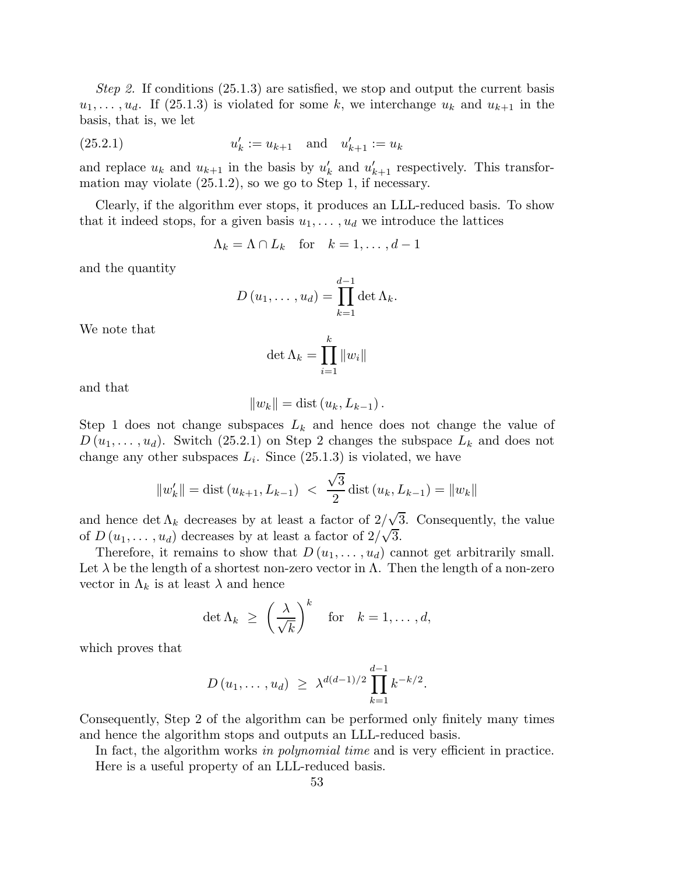*Step 2.* If conditions (25.1.3) are satisfied, we stop and output the current basis  $u_1, \ldots, u_d$ . If (25.1.3) is violated for some k, we interchange  $u_k$  and  $u_{k+1}$  in the basis, that is, we let

(25.2.1) 
$$
u'_{k} := u_{k+1} \text{ and } u'_{k+1} := u_{k}
$$

and replace  $u_k$  and  $u_{k+1}$  in the basis by  $u'_k$  and  $u'_{k+1}$  respectively. This transformation may violate (25.1.2), so we go to Step 1, if necessary.

Clearly, if the algorithm ever stops, it produces an LLL-reduced basis. To show that it indeed stops, for a given basis  $u_1, \ldots, u_d$  we introduce the lattices

$$
\Lambda_k = \Lambda \cap L_k \quad \text{for} \quad k = 1, \dots, d - 1
$$

and the quantity

$$
D(u_1,\ldots,u_d)=\prod_{k=1}^{d-1}\det\Lambda_k.
$$

We note that

$$
\det \Lambda_k = \prod_{i=1}^k \|w_i\|
$$

and that

$$
||w_k|| = \text{dist}\left(u_k, L_{k-1}\right).
$$

Step 1 does not change subspaces  $L_k$  and hence does not change the value of  $D(u_1, \ldots, u_d)$ . Switch (25.2.1) on Step 2 changes the subspace  $L_k$  and does not change any other subspaces  $L_i$ . Since  $(25.1.3)$  is violated, we have

$$
||w'_{k}|| = \text{dist}(u_{k+1}, L_{k-1}) < \frac{\sqrt{3}}{2} \text{dist}(u_k, L_{k-1}) = ||w_k||
$$

and hence  $\det \Lambda_k$  decreases by at least a factor of  $2/\sqrt{3}$ . Consequently, the value of  $D(u_1, \ldots, u_d)$  decreases by at least a factor of  $2/\sqrt{3}$ .

Therefore, it remains to show that  $D(u_1, \ldots, u_d)$  cannot get arbitrarily small. Let  $\lambda$  be the length of a shortest non-zero vector in  $\Lambda$ . Then the length of a non-zero vector in  $\Lambda_k$  is at least  $\lambda$  and hence

$$
\det \Lambda_k \ \geq \ \left(\frac{\lambda}{\sqrt{k}}\right)^k \quad \text{for} \quad k=1,\ldots,d,
$$

which proves that

$$
D(u_1,\ldots,u_d) \geq \lambda^{d(d-1)/2} \prod_{k=1}^{d-1} k^{-k/2}.
$$

Consequently, Step 2 of the algorithm can be performed only finitely many times and hence the algorithm stops and outputs an LLL-reduced basis.

In fact, the algorithm works *in polynomial time* and is very efficient in practice. Here is a useful property of an LLL-reduced basis.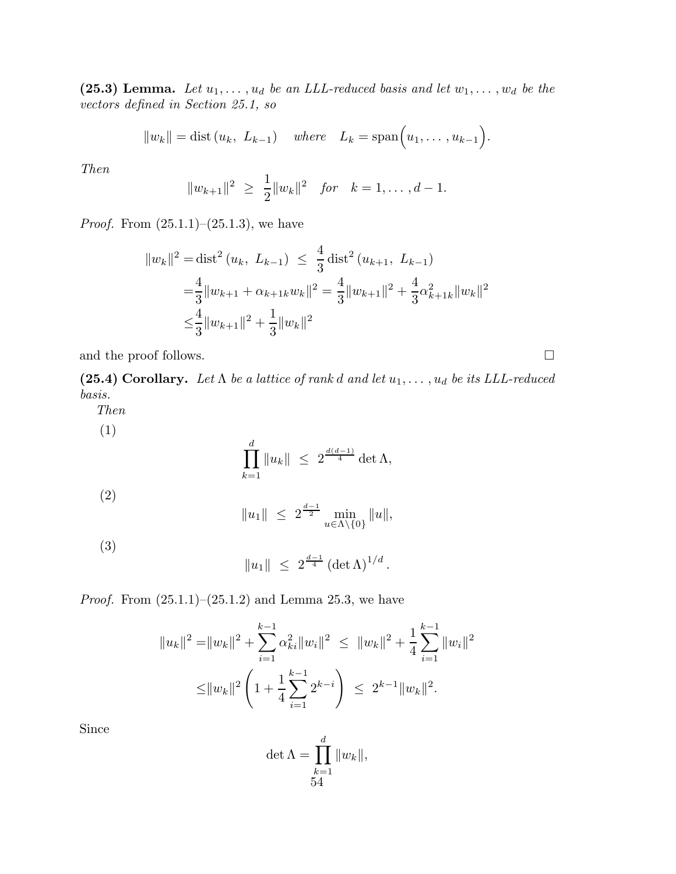(25.3) Lemma. Let  $u_1, \ldots, u_d$  be an LLL-reduced basis and let  $w_1, \ldots, w_d$  be the *vectors defined in Section 25.1, so*

$$
||w_k|| = \text{dist}(u_k, L_{k-1})
$$
 where  $L_k = \text{span}(u_1, \ldots, u_{k-1}).$ 

*Then*

$$
||w_{k+1}||^2 \ge \frac{1}{2}||w_k||^2 \quad \text{for} \quad k = 1, \dots, d-1.
$$

*Proof.* From  $(25.1.1)$ – $(25.1.3)$ , we have

$$
||w_k||^2 = \text{dist}^2 (u_k, L_{k-1}) \le \frac{4}{3} \text{dist}^2 (u_{k+1}, L_{k-1})
$$
  
=  $\frac{4}{3} ||w_{k+1} + \alpha_{k+1k} w_k||^2 = \frac{4}{3} ||w_{k+1}||^2 + \frac{4}{3} \alpha_{k+1k}^2 ||w_k||^2$   
 $\le \frac{4}{3} ||w_{k+1}||^2 + \frac{1}{3} ||w_k||^2$ 

and the proof follows.  $\Box$ 

(25.4) Corollary. Let  $\Lambda$  *be a lattice of rank d and let*  $u_1, \ldots, u_d$  *be its LLL-reduced basis.*

*Then*

(1)  
\n
$$
\prod_{k=1}^{d} \|u_k\| \le 2^{\frac{d(d-1)}{4}} \det \Lambda,
$$
\n(2)  
\n
$$
\|u_1\| \le 2^{\frac{d-1}{2}} \min_{u \in \Lambda \setminus \{0\}} \|u\|,
$$

(3)

$$
||u_1|| \leq 2^{\frac{d-1}{4}} (\det \Lambda)^{1/d}.
$$

*Proof.* From  $(25.1.1)$ – $(25.1.2)$  and Lemma 25.3, we have

$$
||u_k||^2 = ||w_k||^2 + \sum_{i=1}^{k-1} \alpha_{ki}^2 ||w_i||^2 \le ||w_k||^2 + \frac{1}{4} \sum_{i=1}^{k-1} ||w_i||^2
$$
  

$$
\le ||w_k||^2 \left(1 + \frac{1}{4} \sum_{i=1}^{k-1} 2^{k-i}\right) \le 2^{k-1} ||w_k||^2.
$$

Since

$$
\det \Lambda = \prod_{\substack{k=1\\54}}^d \|w_k\|,
$$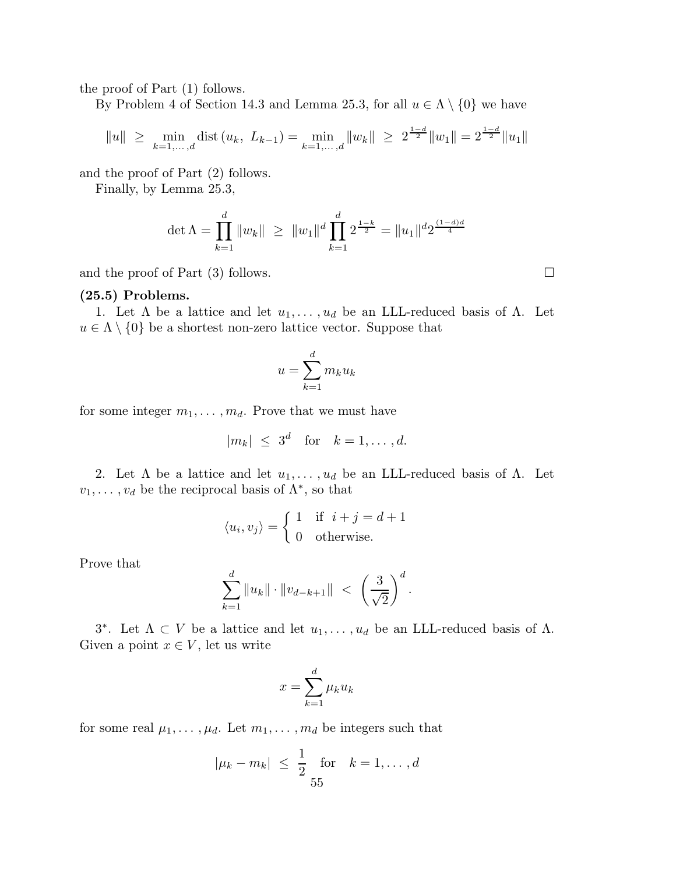the proof of Part (1) follows.

By Problem 4 of Section 14.3 and Lemma 25.3, for all  $u \in \Lambda \setminus \{0\}$  we have

$$
||u|| \ge \min_{k=1,\dots,d} \text{dist}\left(u_k, \ L_{k-1}\right) = \min_{k=1,\dots,d} ||w_k|| \ge 2^{\frac{1-d}{2}} ||w_1|| = 2^{\frac{1-d}{2}} ||u_1||
$$

and the proof of Part (2) follows.

Finally, by Lemma 25.3,

$$
\det \Lambda = \prod_{k=1}^d \|w_k\| \ge \|w_1\|^d \prod_{k=1}^d 2^{\frac{1-k}{2}} = \|u_1\|^{d} 2^{\frac{(1-d)d}{4}}
$$

and the proof of Part  $(3)$  follows.

## (25.5) Problems.

1. Let  $\Lambda$  be a lattice and let  $u_1, \ldots, u_d$  be an LLL-reduced basis of  $\Lambda$ . Let  $u \in \Lambda \setminus \{0\}$  be a shortest non-zero lattice vector. Suppose that

$$
u = \sum_{k=1}^{d} m_k u_k
$$

for some integer  $m_1, \ldots, m_d$ . Prove that we must have

$$
|m_k| \leq 3^d \quad \text{for} \quad k = 1, \dots, d.
$$

2. Let  $\Lambda$  be a lattice and let  $u_1, \ldots, u_d$  be an LLL-reduced basis of  $\Lambda$ . Let  $v_1, \ldots, v_d$  be the reciprocal basis of  $\Lambda^*$ , so that

$$
\langle u_i, v_j \rangle = \begin{cases} 1 & \text{if } i + j = d + 1 \\ 0 & \text{otherwise.} \end{cases}
$$

Prove that

$$
\sum_{k=1}^d \|u_k\| \cdot \|v_{d-k+1}\| \ < \ \left(\frac{3}{\sqrt{2}}\right)^d.
$$

3<sup>\*</sup>. Let  $Λ ⊂ V$  be a lattice and let  $u_1, \ldots, u_d$  be an LLL-reduced basis of Λ. Given a point  $x \in V$ , let us write

$$
x = \sum_{k=1}^{d} \mu_k u_k
$$

for some real  $\mu_1, \ldots, \mu_d$ . Let  $m_1, \ldots, m_d$  be integers such that

$$
|\mu_k - m_k| \leq \frac{1}{2}
$$
 for  $k = 1, ..., d$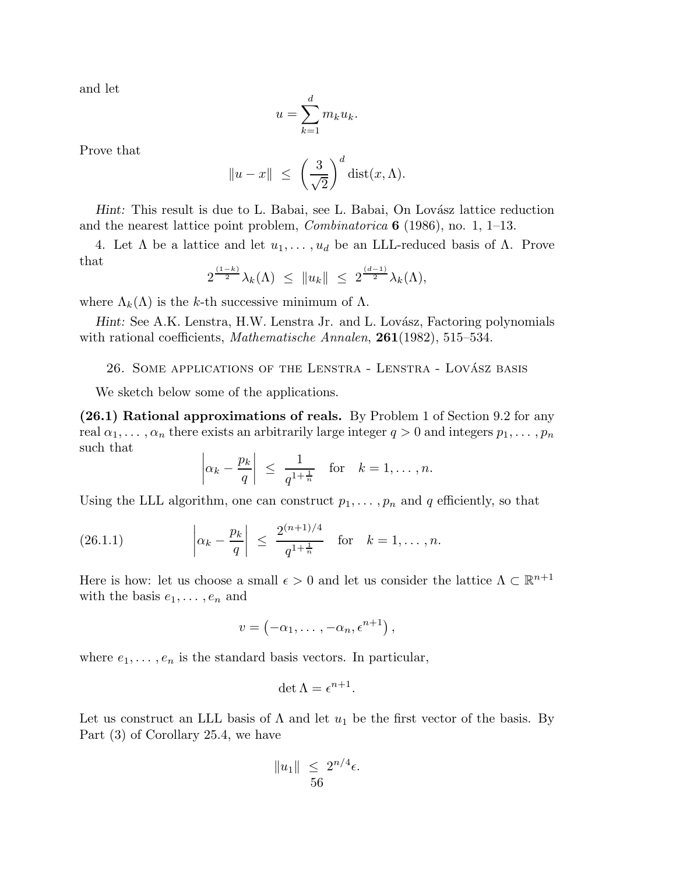and let

$$
u = \sum_{k=1}^{d} m_k u_k.
$$

Prove that

$$
||u - x|| \le \left(\frac{3}{\sqrt{2}}\right)^d \text{dist}(x, \Lambda).
$$

Hint: This result is due to L. Babai, see L. Babai, On Lovász lattice reduction and the nearest lattice point problem, *Combinatorica* 6 (1986), no. 1, 1–13.

4. Let  $\Lambda$  be a lattice and let  $u_1, \ldots, u_d$  be an LLL-reduced basis of  $\Lambda$ . Prove that

$$
2^{\frac{(1-k)}{2}}\lambda_k(\Lambda) \leq \|u_k\| \leq 2^{\frac{(d-1)}{2}}\lambda_k(\Lambda),
$$

where  $\Lambda_k(\Lambda)$  is the k-th successive minimum of  $\Lambda$ .

Hint: See A.K. Lenstra, H.W. Lenstra Jr. and L. Lovász, Factoring polynomials with rational coefficients, *Mathematische Annalen*, 261(1982), 515–534.

26. SOME APPLICATIONS OF THE LENSTRA - LENSTRA - LOVÁSZ BASIS

We sketch below some of the applications.

(26.1) Rational approximations of reals. By Problem 1 of Section 9.2 for any real  $\alpha_1, \ldots, \alpha_n$  there exists an arbitrarily large integer  $q > 0$  and integers  $p_1, \ldots, p_n$ such that

$$
\left|\alpha_k - \frac{p_k}{q}\right| \le \frac{1}{q^{1 + \frac{1}{n}}}
$$
 for  $k = 1, ..., n$ .

Using the LLL algorithm, one can construct  $p_1, \ldots, p_n$  and q efficiently, so that

(26.1.1) 
$$
\left| \alpha_k - \frac{p_k}{q} \right| \leq \frac{2^{(n+1)/4}}{q^{1+\frac{1}{n}}} \text{ for } k = 1, ..., n.
$$

Here is how: let us choose a small  $\epsilon > 0$  and let us consider the lattice  $\Lambda \subset \mathbb{R}^{n+1}$ with the basis  $e_1, \ldots, e_n$  and

$$
v = \left(-\alpha_1, \ldots, -\alpha_n, \epsilon^{n+1}\right),
$$

where  $e_1, \ldots, e_n$  is the standard basis vectors. In particular,

$$
\det \Lambda = \epsilon^{n+1}.
$$

Let us construct an LLL basis of  $\Lambda$  and let  $u_1$  be the first vector of the basis. By Part (3) of Corollary 25.4, we have

$$
||u_1|| \leq 2^{n/4} \epsilon.
$$
  
56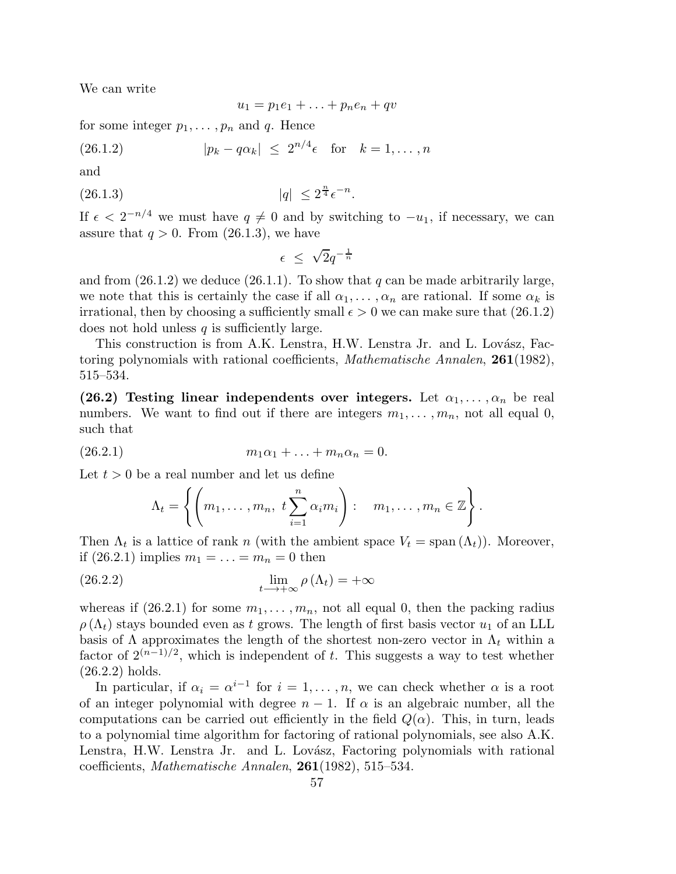We can write

$$
u_1 = p_1e_1 + \ldots + p_ne_n + qv
$$

for some integer  $p_1, \ldots, p_n$  and q. Hence

(26.1.2) 
$$
|p_k - q\alpha_k| \leq 2^{n/4} \epsilon \text{ for } k = 1, ..., n
$$

and

(26.1.3) 
$$
|q| \leq 2^{\frac{n}{4}} \epsilon^{-n}.
$$

If  $\epsilon < 2^{-n/4}$  we must have  $q \neq 0$  and by switching to  $-u_1$ , if necessary, we can assure that  $q > 0$ . From  $(26.1.3)$ , we have

$$
\epsilon \leq \sqrt{2}q^{-\frac{1}{n}}
$$

and from  $(26.1.2)$  we deduce  $(26.1.1)$ . To show that q can be made arbitrarily large, we note that this is certainly the case if all  $\alpha_1, \ldots, \alpha_n$  are rational. If some  $\alpha_k$  is irrational, then by choosing a sufficiently small  $\epsilon > 0$  we can make sure that (26.1.2) does not hold unless  $q$  is sufficiently large.

This construction is from A.K. Lenstra, H.W. Lenstra Jr. and L. Lovász, Factoring polynomials with rational coefficients, *Mathematische Annalen*, 261(1982), 515–534.

(26.2) Testing linear independents over integers. Let  $\alpha_1, \ldots, \alpha_n$  be real numbers. We want to find out if there are integers  $m_1, \ldots, m_n$ , not all equal 0, such that

(26.2.1) 
$$
m_1 \alpha_1 + \ldots + m_n \alpha_n = 0.
$$

Let  $t > 0$  be a real number and let us define

$$
\Lambda_t = \left\{ \left( m_1, \ldots, m_n, t \sum_{i=1}^n \alpha_i m_i \right) : m_1, \ldots, m_n \in \mathbb{Z} \right\}.
$$

Then  $\Lambda_t$  is a lattice of rank n (with the ambient space  $V_t = \text{span}(\Lambda_t)$ ). Moreover, if  $(26.2.1)$  implies  $m_1 = ... = m_n = 0$  then

(26.2.2) 
$$
\lim_{t \to +\infty} \rho(\Lambda_t) = +\infty
$$

whereas if  $(26.2.1)$  for some  $m_1, \ldots, m_n$ , not all equal 0, then the packing radius  $\rho(\Lambda_t)$  stays bounded even as t grows. The length of first basis vector  $u_1$  of an LLL basis of  $\Lambda$  approximates the length of the shortest non-zero vector in  $\Lambda_t$  within a factor of  $2^{(n-1)/2}$ , which is independent of t. This suggests a way to test whether (26.2.2) holds.

In particular, if  $\alpha_i = \alpha^{i-1}$  for  $i = 1, \ldots, n$ , we can check whether  $\alpha$  is a root of an integer polynomial with degree  $n-1$ . If  $\alpha$  is an algebraic number, all the computations can be carried out efficiently in the field  $Q(\alpha)$ . This, in turn, leads to a polynomial time algorithm for factoring of rational polynomials, see also A.K. Lenstra, H.W. Lenstra Jr. and L. Lovász, Factoring polynomials with rational coefficients, *Mathematische Annalen*, 261(1982), 515–534.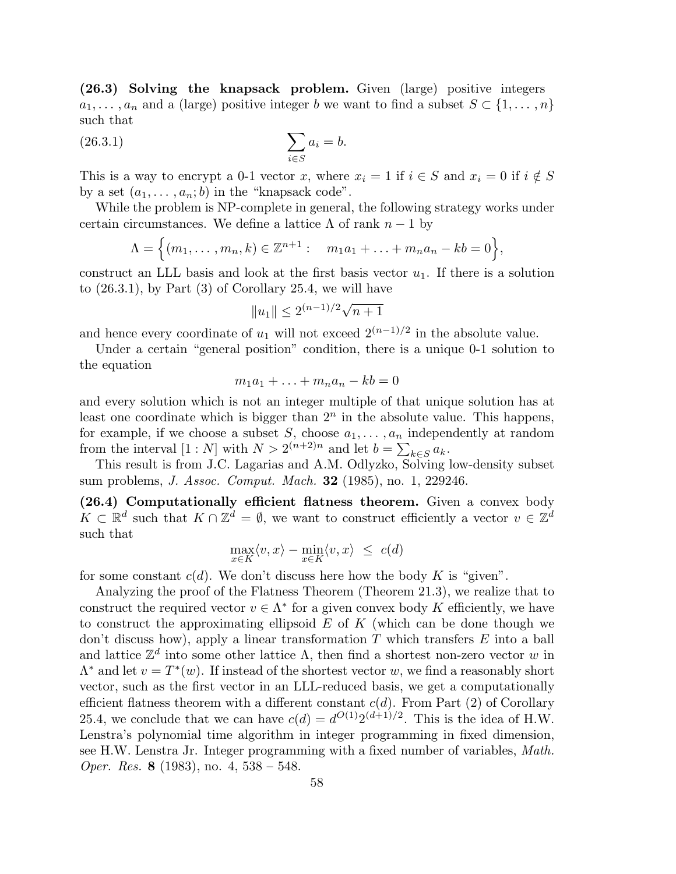(26.3) Solving the knapsack problem. Given (large) positive integers  $a_1, \ldots, a_n$  and a (large) positive integer b we want to find a subset  $S \subset \{1, \ldots, n\}$ such that

$$
\sum_{i \in S} a_i = b.
$$

This is a way to encrypt a 0-1 vector x, where  $x_i = 1$  if  $i \in S$  and  $x_i = 0$  if  $i \notin S$ by a set  $(a_1, \ldots, a_n; b)$  in the "knapsack code".

While the problem is NP-complete in general, the following strategy works under certain circumstances. We define a lattice  $\Lambda$  of rank  $n-1$  by

$$
\Lambda = \Big\{ (m_1, \ldots, m_n, k) \in \mathbb{Z}^{n+1} : m_1 a_1 + \ldots + m_n a_n - k b = 0 \Big\},\
$$

construct an LLL basis and look at the first basis vector  $u_1$ . If there is a solution to (26.3.1), by Part (3) of Corollary 25.4, we will have

$$
||u_1|| \leq 2^{(n-1)/2}\sqrt{n+1}
$$

and hence every coordinate of  $u_1$  will not exceed  $2^{(n-1)/2}$  in the absolute value.

Under a certain "general position" condition, there is a unique 0-1 solution to the equation

$$
m_1a_1 + \ldots + m_na_n - kb = 0
$$

and every solution which is not an integer multiple of that unique solution has at least one coordinate which is bigger than  $2<sup>n</sup>$  in the absolute value. This happens, for example, if we choose a subset S, choose  $a_1, \ldots, a_n$  independently at random from the interval  $[1:N]$  with  $N > 2^{(n+2)n}$  and let  $b = \sum_{k \in S} a_k$ .

This result is from J.C. Lagarias and A.M. Odlyzko, Solving low-density subset sum problems, *J. Assoc. Comput. Mach.* 32 (1985), no. 1, 229246.

(26.4) Computationally efficient flatness theorem. Given a convex body  $K \subset \mathbb{R}^d$  such that  $K \cap \mathbb{Z}^d = \emptyset$ , we want to construct efficiently a vector  $v \in \mathbb{Z}^d$ such that

$$
\max_{x \in K} \langle v, x \rangle - \min_{x \in K} \langle v, x \rangle \leq c(d)
$$

for some constant  $c(d)$ . We don't discuss here how the body K is "given".

Analyzing the proof of the Flatness Theorem (Theorem 21.3), we realize that to construct the required vector  $v \in \Lambda^*$  for a given convex body K efficiently, we have to construct the approximating ellipsoid  $E$  of  $K$  (which can be done though we don't discuss how), apply a linear transformation  $T$  which transfers  $E$  into a ball and lattice  $\mathbb{Z}^d$  into some other lattice  $\Lambda$ , then find a shortest non-zero vector w in  $\Lambda^*$  and let  $v = T^*(w)$ . If instead of the shortest vector w, we find a reasonably short vector, such as the first vector in an LLL-reduced basis, we get a computationally efficient flatness theorem with a different constant  $c(d)$ . From Part (2) of Corollary 25.4, we conclude that we can have  $c(d) = d^{O(1)} 2^{(d+1)/2}$ . This is the idea of H.W. Lenstra's polynomial time algorithm in integer programming in fixed dimension, see H.W. Lenstra Jr. Integer programming with a fixed number of variables, *Math. Oper. Res.* 8 (1983), no. 4, 538 – 548.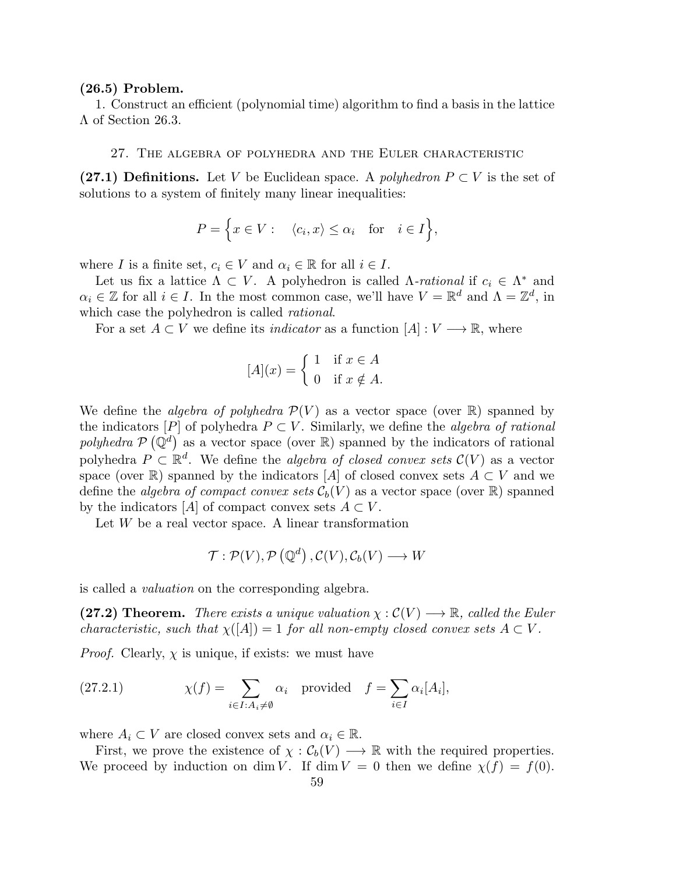#### (26.5) Problem.

1. Construct an efficient (polynomial time) algorithm to find a basis in the lattice Λ of Section 26.3.

#### 27. The algebra of polyhedra and the Euler characteristic

(27.1) Definitions. Let V be Euclidean space. A *polyhedron*  $P \subset V$  is the set of solutions to a system of finitely many linear inequalities:

$$
P = \Big\{ x \in V : \langle c_i, x \rangle \le \alpha_i \text{ for } i \in I \Big\},\
$$

where I is a finite set,  $c_i \in V$  and  $\alpha_i \in \mathbb{R}$  for all  $i \in I$ .

Let us fix a lattice  $\Lambda \subset V$ . A polyhedron is called  $\Lambda$ -*rational* if  $c_i \in \Lambda^*$  and  $\alpha_i \in \mathbb{Z}$  for all  $i \in I$ . In the most common case, we'll have  $V = \mathbb{R}^d$  and  $\Lambda = \mathbb{Z}^d$ , in which case the polyhedron is called *rational*.

For a set  $A \subset V$  we define its *indicator* as a function  $[A]: V \longrightarrow \mathbb{R}$ , where

$$
[A](x) = \begin{cases} 1 & \text{if } x \in A \\ 0 & \text{if } x \notin A. \end{cases}
$$

We define the *algebra of polyhedra*  $\mathcal{P}(V)$  as a vector space (over  $\mathbb{R}$ ) spanned by the indicators  $[P]$  of polyhedra  $P \subset V$ . Similarly, we define the *algebra of rational* polyhedra  $P(Q^d)$  as a vector space (over R) spanned by the indicators of rational polyhedra  $P \subset \mathbb{R}^d$ . We define the *algebra of closed convex sets*  $\mathcal{C}(V)$  as a vector space (over R) spanned by the indicators [A] of closed convex sets  $A \subset V$  and we define the *algebra of compact convex sets*  $\mathcal{C}_b(V)$  as a vector space (over  $\mathbb{R}$ ) spanned by the indicators [A] of compact convex sets  $A \subset V$ .

Let  $W$  be a real vector space. A linear transformation

$$
\mathcal{T}: \mathcal{P}(V), \mathcal{P}(\mathbb{Q}^d), \mathcal{C}(V), \mathcal{C}_b(V) \longrightarrow W
$$

is called a *valuation* on the corresponding algebra.

(27.2) Theorem. *There exists a unique valuation*  $\chi : \mathcal{C}(V) \longrightarrow \mathbb{R}$ , called the Euler *characteristic, such that*  $\chi([A]) = 1$  *for all non-empty closed convex sets*  $A \subset V$ *.* 

*Proof.* Clearly,  $\chi$  is unique, if exists: we must have

(27.2.1) 
$$
\chi(f) = \sum_{i \in I : A_i \neq \emptyset} \alpha_i \text{ provided } f = \sum_{i \in I} \alpha_i [A_i],
$$

where  $A_i \subset V$  are closed convex sets and  $\alpha_i \in \mathbb{R}$ .

First, we prove the existence of  $\chi : C_b(V) \longrightarrow \mathbb{R}$  with the required properties. We proceed by induction on dim V. If dim  $V = 0$  then we define  $\chi(f) = f(0)$ .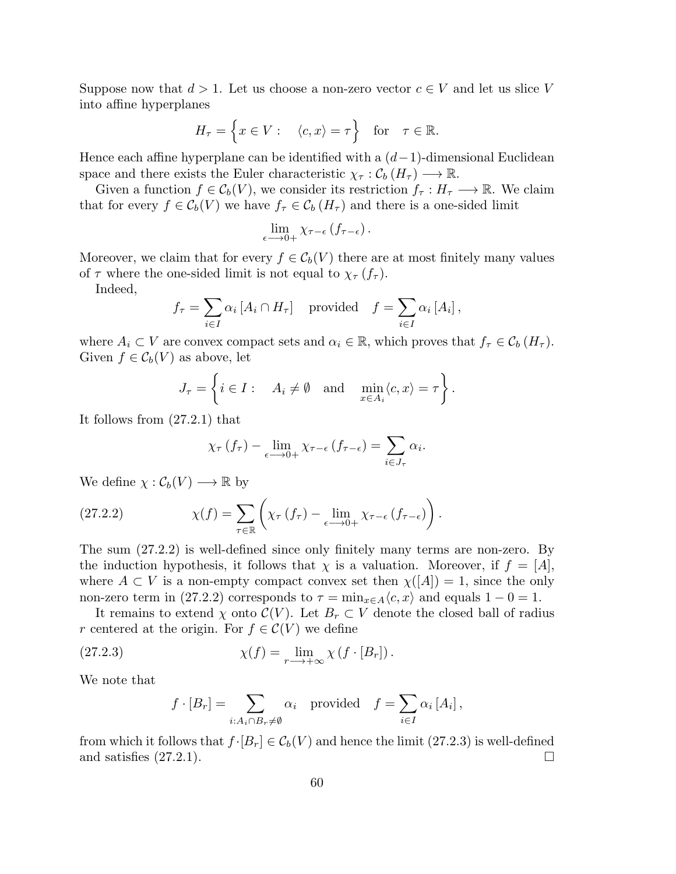Suppose now that  $d > 1$ . Let us choose a non-zero vector  $c \in V$  and let us slice V into affine hyperplanes

$$
H_{\tau} = \left\{ x \in V : \quad \langle c, x \rangle = \tau \right\} \quad \text{for} \quad \tau \in \mathbb{R}.
$$

Hence each affine hyperplane can be identified with a  $(d-1)$ -dimensional Euclidean space and there exists the Euler characteristic  $\chi_{\tau} : \mathcal{C}_b(H_{\tau}) \longrightarrow \mathbb{R}$ .

Given a function  $f \in \mathcal{C}_b(V)$ , we consider its restriction  $f_\tau : H_\tau \longrightarrow \mathbb{R}$ . We claim that for every  $f \in \mathcal{C}_b(V)$  we have  $f_\tau \in \mathcal{C}_b(H_\tau)$  and there is a one-sided limit

$$
\lim_{\epsilon \longrightarrow 0+} \chi_{\tau-\epsilon} \left( f_{\tau-\epsilon} \right).
$$

Moreover, we claim that for every  $f \in C_b(V)$  there are at most finitely many values of  $\tau$  where the one-sided limit is not equal to  $\chi_{\tau}(f_{\tau}).$ 

Indeed,

$$
f_{\tau} = \sum_{i \in I} \alpha_i [A_i \cap H_{\tau}] \text{ provided } f = \sum_{i \in I} \alpha_i [A_i],
$$

where  $A_i \subset V$  are convex compact sets and  $\alpha_i \in \mathbb{R}$ , which proves that  $f_{\tau} \in C_b(H_{\tau}).$ Given  $f \in C_b(V)$  as above, let

$$
J_{\tau} = \left\{ i \in I : \quad A_i \neq \emptyset \quad \text{and} \quad \min_{x \in A_i} \langle c, x \rangle = \tau \right\}.
$$

It follows from (27.2.1) that

$$
\chi_{\tau}\left(f_{\tau}\right)-\lim_{\epsilon \longrightarrow 0+} \chi_{\tau-\epsilon}\left(f_{\tau-\epsilon}\right)=\sum_{i \in J_{\tau}} \alpha_{i}.
$$

We define  $\chi: \mathcal{C}_b(V) \longrightarrow \mathbb{R}$  by

(27.2.2) 
$$
\chi(f) = \sum_{\tau \in \mathbb{R}} \left( \chi_{\tau} (f_{\tau}) - \lim_{\epsilon \to 0+} \chi_{\tau - \epsilon} (f_{\tau - \epsilon}) \right).
$$

The sum (27.2.2) is well-defined since only finitely many terms are non-zero. By the induction hypothesis, it follows that  $\chi$  is a valuation. Moreover, if  $f = [A]$ , where  $A \subset V$  is a non-empty compact convex set then  $\chi([A]) = 1$ , since the only non-zero term in (27.2.2) corresponds to  $\tau = \min_{x \in A} \langle c, x \rangle$  and equals  $1 - 0 = 1$ .

It remains to extend  $\chi$  onto  $\mathcal{C}(V)$ . Let  $B_r \subset V$  denote the closed ball of radius r centered at the origin. For  $f \in \mathcal{C}(V)$  we define

(27.2.3) 
$$
\chi(f) = \lim_{r \to +\infty} \chi(f \cdot [B_r]).
$$

We note that

$$
f \cdot [B_r] = \sum_{i:A_i \cap B_r \neq \emptyset} \alpha_i
$$
 provided  $f = \sum_{i \in I} \alpha_i [A_i],$ 

from which it follows that  $f \cdot [B_r] \in C_b(V)$  and hence the limit (27.2.3) is well-defined and satisfies (27.2.1). and satisfies (27.2.1).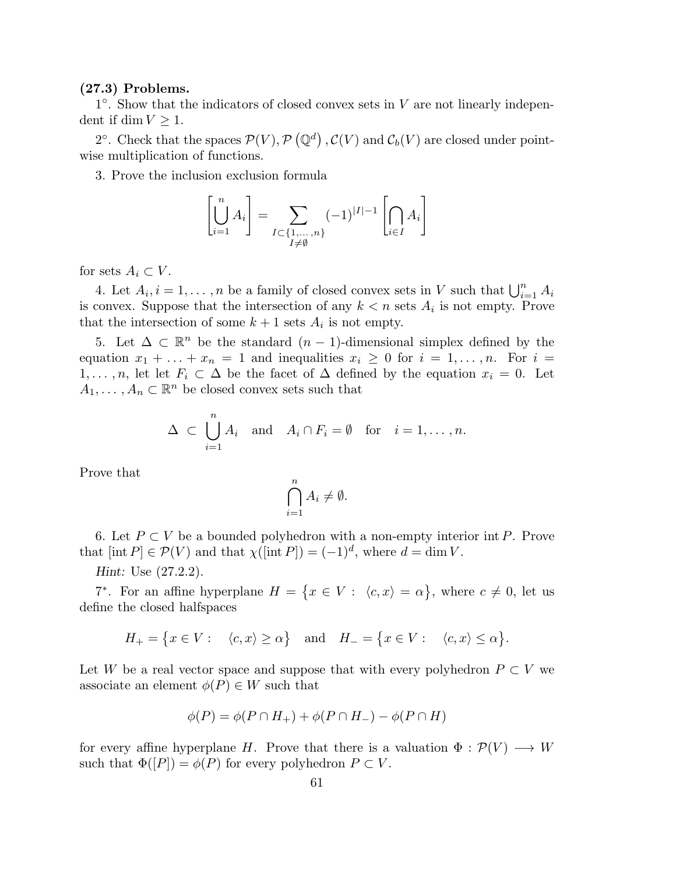### (27.3) Problems.

 $1^{\circ}$ . Show that the indicators of closed convex sets in V are not linearly independent if dim  $V \geq 1$ .

2°. Check that the spaces  $\mathcal{P}(V)$ ,  $\mathcal{P}(\mathbb{Q}^d)$ ,  $\mathcal{C}(V)$  and  $\mathcal{C}_b(V)$  are closed under pointwise multiplication of functions.

3. Prove the inclusion exclusion formula

$$
\left[\bigcup_{i=1}^{n} A_i\right] = \sum_{\substack{I \subset \{1, \ldots, n\} \\ I \neq \emptyset}} (-1)^{|I|-1} \left[\bigcap_{i \in I} A_i\right]
$$

for sets  $A_i \subset V$ .

4. Let  $A_i$ ,  $i = 1, ..., n$  be a family of closed convex sets in V such that  $\bigcup_{i=1}^n A_i$ is convex. Suppose that the intersection of any  $k < n$  sets  $A_i$  is not empty. Prove that the intersection of some  $k+1$  sets  $A_i$  is not empty.

5. Let  $\Delta \subset \mathbb{R}^n$  be the standard  $(n-1)$ -dimensional simplex defined by the equation  $x_1 + \ldots + x_n = 1$  and inequalities  $x_i \geq 0$  for  $i = 1, \ldots, n$ . For  $i =$  $1, \ldots, n$ , let let  $F_i \subset \Delta$  be the facet of  $\Delta$  defined by the equation  $x_i = 0$ . Let  $A_1, \ldots, A_n \subset \mathbb{R}^n$  be closed convex sets such that

$$
\Delta \subset \bigcup_{i=1}^n A_i \text{ and } A_i \cap F_i = \emptyset \text{ for } i = 1, \dots, n.
$$

Prove that

$$
\bigcap_{i=1}^n A_i \neq \emptyset.
$$

6. Let  $P \subset V$  be a bounded polyhedron with a non-empty interior int P. Prove that  $[\text{int } P] \in \mathcal{P}(V)$  and that  $\chi([\text{int } P]) = (-1)^d$ , where  $d = \dim V$ .

Hint: Use (27.2.2).

7<sup>\*</sup>. For an affine hyperplane  $H = \{x \in V : \langle c, x \rangle = \alpha\}$ , where  $c \neq 0$ , let us define the closed halfspaces

$$
H_+ = \{ x \in V : \langle c, x \rangle \ge \alpha \} \text{ and } H_- = \{ x \in V : \langle c, x \rangle \le \alpha \}.
$$

Let W be a real vector space and suppose that with every polyhedron  $P \subset V$  we associate an element  $\phi(P) \in W$  such that

$$
\phi(P) = \phi(P \cap H_+) + \phi(P \cap H_-) - \phi(P \cap H)
$$

for every affine hyperplane H. Prove that there is a valuation  $\Phi : \mathcal{P}(V) \longrightarrow W$ such that  $\Phi([P]) = \phi(P)$  for every polyhedron  $P \subset V$ .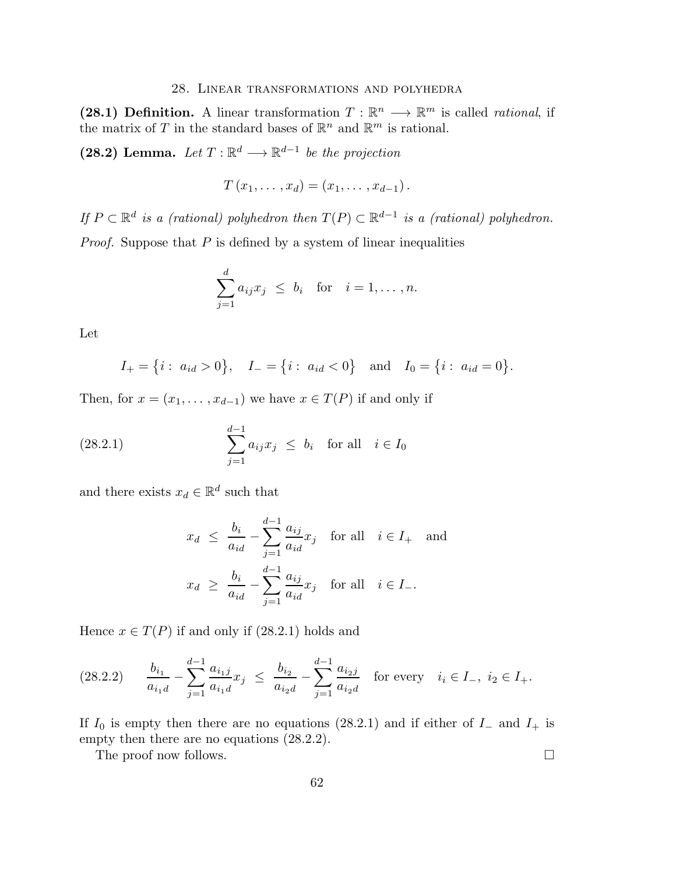#### 28. Linear transformations and polyhedra

(28.1) Definition. A linear transformation  $T : \mathbb{R}^n \longrightarrow \mathbb{R}^m$  is called *rational*, if the matrix of T in the standard bases of  $\mathbb{R}^n$  and  $\mathbb{R}^m$  is rational.

(28.2) Lemma. Let  $T: \mathbb{R}^d \longrightarrow \mathbb{R}^{d-1}$  be the projection

$$
T(x_1,\ldots,x_d)=(x_1,\ldots,x_{d-1}).
$$

*If*  $P \subset \mathbb{R}^d$  *is a (rational) polyhedron then*  $T(P) \subset \mathbb{R}^{d-1}$  *is a (rational) polyhedron. Proof.* Suppose that  $P$  is defined by a system of linear inequalities

$$
\sum_{j=1}^d a_{ij}x_j \leq b_i \text{ for } i=1,\ldots,n.
$$

Let

$$
I_{+} = \{i : a_{id} > 0\}, \quad I_{-} = \{i : a_{id} < 0\} \text{ and } I_{0} = \{i : a_{id} = 0\}.
$$

Then, for  $x = (x_1, \ldots, x_{d-1})$  we have  $x \in T(P)$  if and only if

(28.2.1) 
$$
\sum_{j=1}^{d-1} a_{ij} x_j \leq b_i \text{ for all } i \in I_0
$$

and there exists  $x_d \in \mathbb{R}^d$  such that

$$
x_d \le \frac{b_i}{a_{id}} - \sum_{j=1}^{d-1} \frac{a_{ij}}{a_{id}} x_j \quad \text{for all} \quad i \in I_+ \quad \text{and}
$$

$$
x_d \ge \frac{b_i}{a_{id}} - \sum_{j=1}^{d-1} \frac{a_{ij}}{a_{id}} x_j \quad \text{for all} \quad i \in I_-.
$$

Hence  $x \in T(P)$  if and only if (28.2.1) holds and

$$
(28.2.2) \qquad \frac{b_{i_1}}{a_{i_1d}} - \sum_{j=1}^{d-1} \frac{a_{i_1j}}{a_{i_1d}} x_j \ \leq \ \frac{b_{i_2}}{a_{i_2d}} - \sum_{j=1}^{d-1} \frac{a_{i_2j}}{a_{i_2d}} \quad \text{for every} \quad i_i \in I_-, \ i_2 \in I_+.
$$

If  $I_0$  is empty then there are no equations (28.2.1) and if either of  $I_-\$  and  $I_+$  is empty then there are no equations (28.2.2).

The proof now follows.

62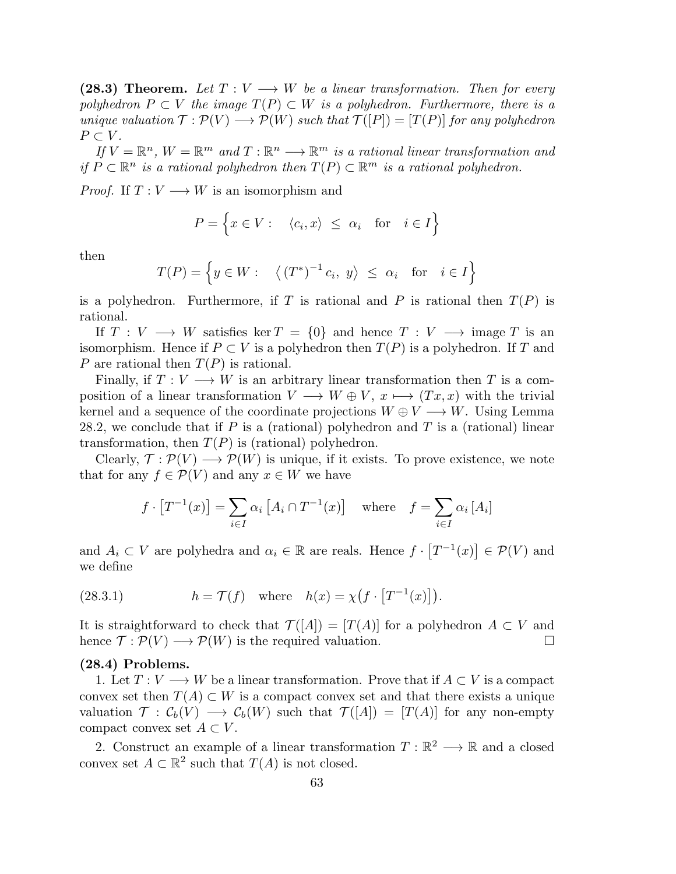(28.3) Theorem. Let  $T: V \longrightarrow W$  be a linear transformation. Then for every *polyhedron*  $P \subset V$  *the image*  $T(P) \subset W$  *is a polyhedron. Furthermore, there is a unique valuation*  $\mathcal{T}: \mathcal{P}(V) \longrightarrow \mathcal{P}(W)$  *such that*  $\mathcal{T}([P]) = [T(P)]$  *for any polyhedron*  $P \subset V$ .

 $If V = \mathbb{R}^n$ ,  $W = \mathbb{R}^m$  and  $T : \mathbb{R}^n \longrightarrow \mathbb{R}^m$  *is a rational linear transformation and if*  $P \subset \mathbb{R}^n$  *is a rational polyhedron then*  $T(P) \subset \mathbb{R}^m$  *is a rational polyhedron.* 

*Proof.* If  $T: V \longrightarrow W$  is an isomorphism and

$$
P = \left\{ x \in V : \langle c_i, x \rangle \le \alpha_i \text{ for } i \in I \right\}
$$

then

$$
T(P) = \left\{ y \in W : \langle (T^*)^{-1} c_i, y \rangle \le \alpha_i \text{ for } i \in I \right\}
$$

is a polyhedron. Furthermore, if T is rational and P is rational then  $T(P)$  is rational.

If  $T: V \longrightarrow W$  satisfies ker  $T = \{0\}$  and hence  $T: V \longrightarrow \emptyset$  image T is an isomorphism. Hence if  $P \subset V$  is a polyhedron then  $T(P)$  is a polyhedron. If T and P are rational then  $T(P)$  is rational.

Finally, if  $T: V \longrightarrow W$  is an arbitrary linear transformation then T is a composition of a linear transformation  $V \longrightarrow W \oplus V$ ,  $x \longmapsto (Tx, x)$  with the trivial kernel and a sequence of the coordinate projections  $W \oplus V \longrightarrow W$ . Using Lemma 28.2, we conclude that if P is a (rational) polyhedron and T is a (rational) linear transformation, then  $T(P)$  is (rational) polyhedron.

Clearly,  $\mathcal{T} : \mathcal{P}(V) \longrightarrow \mathcal{P}(W)$  is unique, if it exists. To prove existence, we note that for any  $f \in \mathcal{P}(V)$  and any  $x \in W$  we have

$$
f \cdot [T^{-1}(x)] = \sum_{i \in I} \alpha_i [A_i \cap T^{-1}(x)] \quad \text{where} \quad f = \sum_{i \in I} \alpha_i [A_i]
$$

and  $A_i \subset V$  are polyhedra and  $\alpha_i \in \mathbb{R}$  are reals. Hence  $f \cdot [T^{-1}(x)] \in \mathcal{P}(V)$  and we define

(28.3.1) 
$$
h = \mathcal{T}(f) \quad \text{where} \quad h(x) = \chi\big(f \cdot \big[T^{-1}(x)\big]\big).
$$

It is straightforward to check that  $\mathcal{T}([A]) = [T(A)]$  for a polyhedron  $A \subset V$  and hence  $\mathcal{T} : \mathcal{P}(V) \longrightarrow \mathcal{P}(W)$  is the required valuation. hence  $\mathcal{T} : \mathcal{P}(V) \longrightarrow \mathcal{P}(W)$  is the required valuation.

## (28.4) Problems.

1. Let  $T: V \longrightarrow W$  be a linear transformation. Prove that if  $A \subset V$  is a compact convex set then  $T(A) \subset W$  is a compact convex set and that there exists a unique valuation  $\mathcal{T}: \mathcal{C}_b(V) \longrightarrow \mathcal{C}_b(W)$  such that  $\mathcal{T}([A]) = [T(A)]$  for any non-empty compact convex set  $A \subset V$ .

2. Construct an example of a linear transformation  $T : \mathbb{R}^2 \longrightarrow \mathbb{R}$  and a closed convex set  $A \subset \mathbb{R}^2$  such that  $T(A)$  is not closed.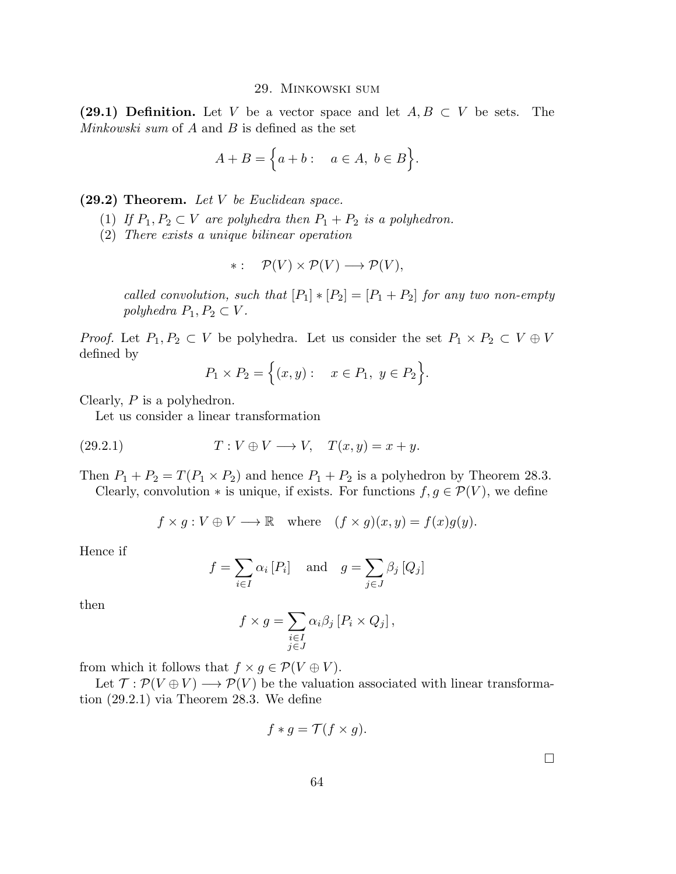#### 29. Minkowski sum

(29.1) Definition. Let V be a vector space and let  $A, B \subset V$  be sets. The *Minkowski sum* of A and B is defined as the set

$$
A + B = \Big\{ a + b : \quad a \in A, \ b \in B \Big\}.
$$

(29.2) Theorem. *Let* V *be Euclidean space.*

- (1) *If*  $P_1, P_2 \subset V$  *are polyhedra then*  $P_1 + P_2$  *is a polyhedron.*
- (2) *There exists a unique bilinear operation*

$$
*:\quad \mathcal{P}(V)\times\mathcal{P}(V)\longrightarrow\mathcal{P}(V),
$$

*called convolution, such that*  $[P_1] * [P_2] = [P_1 + P_2]$  *for any two non-empty polyhedra*  $P_1, P_2 \subset V$ *.* 

*Proof.* Let  $P_1, P_2 \subset V$  be polyhedra. Let us consider the set  $P_1 \times P_2 \subset V \oplus V$ defined by

$$
P_1 \times P_2 = \{(x, y) : x \in P_1, y \in P_2\}.
$$

Clearly, P is a polyhedron.

Let us consider a linear transformation

(29.2.1) 
$$
T: V \oplus V \longrightarrow V, \quad T(x,y) = x + y.
$$

Then  $P_1 + P_2 = T(P_1 \times P_2)$  and hence  $P_1 + P_2$  is a polyhedron by Theorem 28.3.

Clearly, convolution  $*$  is unique, if exists. For functions  $f, g \in \mathcal{P}(V)$ , we define

$$
f \times g : V \oplus V \longrightarrow \mathbb{R}
$$
 where  $(f \times g)(x, y) = f(x)g(y)$ .

Hence if

$$
f = \sum_{i \in I} \alpha_i [P_i]
$$
 and  $g = \sum_{j \in J} \beta_j [Q_j]$ 

then

$$
f \times g = \sum_{\substack{i \in I \\ j \in J}} \alpha_i \beta_j [P_i \times Q_j],
$$

from which it follows that  $f \times g \in \mathcal{P}(V \oplus V)$ .

Let  $\mathcal{T} : \mathcal{P}(V \oplus V) \longrightarrow \mathcal{P}(V)$  be the valuation associated with linear transformation (29.2.1) via Theorem 28.3. We define

$$
f * g = \mathcal{T}(f \times g).
$$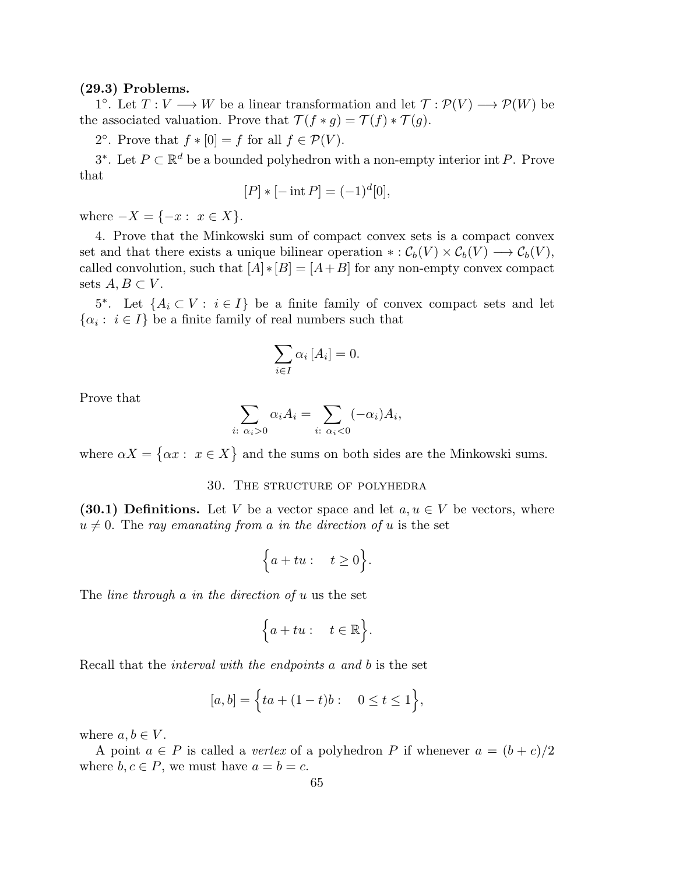#### (29.3) Problems.

1°. Let  $T: V \longrightarrow W$  be a linear transformation and let  $\mathcal{T}: \mathcal{P}(V) \longrightarrow \mathcal{P}(W)$  be the associated valuation. Prove that  $\mathcal{T}(f * g) = \mathcal{T}(f) * \mathcal{T}(g)$ .

2°. Prove that  $f * [0] = f$  for all  $f \in \mathcal{P}(V)$ .

3<sup>∗</sup>. Let  $P \subset \mathbb{R}^d$  be a bounded polyhedron with a non-empty interior int P. Prove that

$$
[P] * [-\operatorname{int} P] = (-1)^d [0],
$$

where  $-X = \{-x : x \in X\}.$ 

4. Prove that the Minkowski sum of compact convex sets is a compact convex set and that there exists a unique bilinear operation  $\ast : \mathcal{C}_b(V) \times \mathcal{C}_b(V) \longrightarrow \mathcal{C}_b(V)$ , called convolution, such that  $[A] * [B] = [A + B]$  for any non-empty convex compact sets  $A, B \subset V$ .

5<sup>\*</sup>. Let  $\{A_i \subset V : i \in I\}$  be a finite family of convex compact sets and let  $\{\alpha_i : i \in I\}$  be a finite family of real numbers such that

$$
\sum_{i \in I} \alpha_i [A_i] = 0.
$$

Prove that

$$
\sum_{i:\ \alpha_i>0} \alpha_i A_i = \sum_{i:\ \alpha_i<0} (-\alpha_i) A_i,
$$

where  $\alpha X = \{\alpha x : x \in X\}$  and the sums on both sides are the Minkowski sums.

## 30. The structure of polyhedra

(30.1) Definitions. Let V be a vector space and let  $a, u \in V$  be vectors, where  $u \neq 0$ . The *ray emanating from* a *in the direction of* u is the set

$$
\Big\{a+tu: \quad t \ge 0\Big\}.
$$

The *line through* a *in the direction of* u us the set

$$
\Big\{a+tu: \quad t\in\mathbb{R}\Big\}.
$$

Recall that the *interval with the endpoints* a *and* b is the set

$$
[a, b] = \Big\{ ta + (1 - t)b : 0 \le t \le 1 \Big\},\
$$

where  $a, b \in V$ .

A point  $a \in P$  is called a *vertex* of a polyhedron P if whenever  $a = (b + c)/2$ where  $b, c \in P$ , we must have  $a = b = c$ .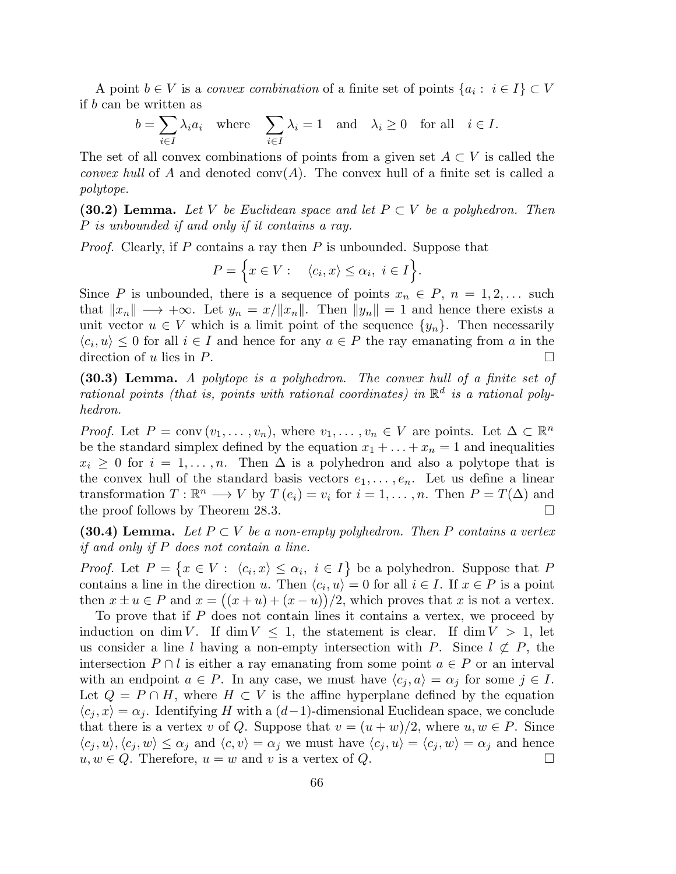A point  $b \in V$  is a *convex combination* of a finite set of points  $\{a_i : i \in I\} \subset V$ if b can be written as

$$
b = \sum_{i \in I} \lambda_i a_i \quad \text{where} \quad \sum_{i \in I} \lambda_i = 1 \quad \text{and} \quad \lambda_i \ge 0 \quad \text{for all} \quad i \in I.
$$

The set of all convex combinations of points from a given set  $A \subset V$  is called the *convex hull* of A and denoted  $conv(A)$ . The convex hull of a finite set is called a *polytope*.

(30.2) Lemma. *Let* V *be Euclidean space and let* P ⊂ V *be a polyhedron. Then* P *is unbounded if and only if it contains a ray.*

*Proof.* Clearly, if P contains a ray then P is unbounded. Suppose that

$$
P = \Big\{ x \in V : \langle c_i, x \rangle \le \alpha_i, \ i \in I \Big\}.
$$

Since P is unbounded, there is a sequence of points  $x_n \in P$ ,  $n = 1, 2, \ldots$  such that  $||x_n|| \rightarrow +\infty$ . Let  $y_n = x/||x_n||$ . Then  $||y_n|| = 1$  and hence there exists a unit vector  $u \in V$  which is a limit point of the sequence  $\{y_n\}$ . Then necessarily  $\langle c_i, u \rangle \leq 0$  for all  $i \in I$  and hence for any  $a \in P$  the ray emanating from a in the direction of u lies in  $P$ .

(30.3) Lemma. *A polytope is a polyhedron. The convex hull of a finite set of* rational points (that is, points with rational coordinates) in  $\mathbb{R}^d$  is a rational poly*hedron.*

*Proof.* Let  $P = \text{conv}(v_1, \ldots, v_n)$ , where  $v_1, \ldots, v_n \in V$  are points. Let  $\Delta \subset \mathbb{R}^n$ be the standard simplex defined by the equation  $x_1 + \ldots + x_n = 1$  and inequalities  $x_i \geq 0$  for  $i = 1, ..., n$ . Then  $\Delta$  is a polyhedron and also a polytope that is the convex hull of the standard basis vectors  $e_1, \ldots, e_n$ . Let us define a linear transformation  $T : \mathbb{R}^n \longrightarrow V$  by  $T(e_i) = v_i$  for  $i = 1, ..., n$ . Then  $P = T(\Delta)$  and the proof follows by Theorem 28.3.

(30.4) Lemma. Let  $P \subset V$  be a non-empty polyhedron. Then P contains a vertex *if and only if* P *does not contain a line.*

*Proof.* Let  $P = \{x \in V : \langle c_i, x \rangle \leq \alpha_i, i \in I\}$  be a polyhedron. Suppose that P contains a line in the direction u. Then  $\langle c_i, u \rangle = 0$  for all  $i \in I$ . If  $x \in P$  is a point then  $x \pm u \in P$  and  $x = ((x + u) + (x - u))/2$ , which proves that x is not a vertex.

To prove that if P does not contain lines it contains a vertex, we proceed by induction on dim V. If dim  $V \leq 1$ , the statement is clear. If dim  $V > 1$ , let us consider a line l having a non-empty intersection with P. Since  $l \not\subset P$ , the intersection  $P \cap l$  is either a ray emanating from some point  $a \in P$  or an interval with an endpoint  $a \in P$ . In any case, we must have  $\langle c_i, a \rangle = \alpha_i$  for some  $j \in I$ . Let  $Q = P \cap H$ , where  $H \subset V$  is the affine hyperplane defined by the equation  $\langle c_i, x \rangle = \alpha_i$ . Identifying H with a (d−1)-dimensional Euclidean space, we conclude that there is a vertex v of Q. Suppose that  $v = (u + w)/2$ , where  $u, w \in P$ . Since  $\langle c_j, u \rangle, \langle c_j, w \rangle \leq \alpha_j$  and  $\langle c, v \rangle = \alpha_j$  we must have  $\langle c_j, u \rangle = \langle c_j, w \rangle = \alpha_j$  and hence  $u, w \in Q$ . Therefore,  $u = w$  and v is a vertex of  $Q$ .  $u, w \in Q$ . Therefore,  $u = w$  and v is a vertex of  $Q$ .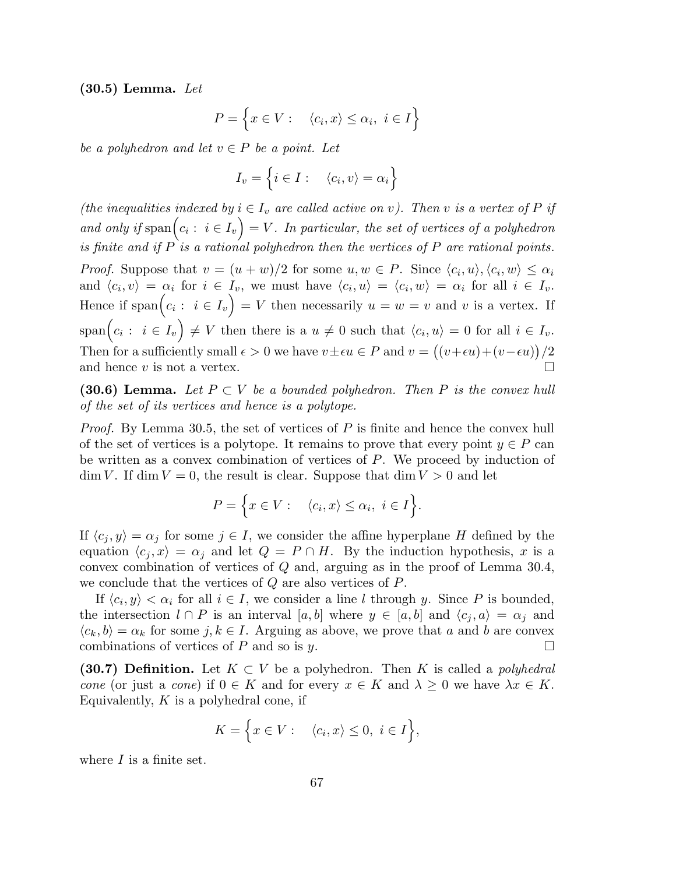(30.5) Lemma. *Let*

$$
P = \left\{ x \in V : \quad \langle c_i, x \rangle \le \alpha_i, \ i \in I \right\}
$$

*be a polyhedron and let*  $v \in P$  *be a point. Let* 

$$
I_v = \left\{ i \in I : \quad \langle c_i, v \rangle = \alpha_i \right\}
$$

*(the inequalities indexed by*  $i \in I_v$  *are called active on v*). Then *v is a vertex of* P *if* and only if  $\text{span}(c_i: i \in I_v) = V$ . In particular, the set of vertices of a polyhedron *is finite and if* P *is a rational polyhedron then the vertices of* P *are rational points. Proof.* Suppose that  $v = (u + w)/2$  for some  $u, w \in P$ . Since  $\langle c_i, u \rangle, \langle c_i, w \rangle \leq \alpha_i$ and  $\langle c_i, v \rangle = \alpha_i$  for  $i \in I_v$ , we must have  $\langle c_i, u \rangle = \langle c_i, w \rangle = \alpha_i$  for all  $i \in I_v$ . Hence if  $\text{span}(c_i: i \in I_v) = V$  then necessarily  $u = w = v$  and v is a vertex. If  $\text{span}\Big(c_i: i \in I_v\Big) \neq V \text{ then there is a } u \neq 0 \text{ such that } \langle c_i, u \rangle = 0 \text{ for all } i \in I_v.$ Then for a sufficiently small  $\epsilon > 0$  we have  $v \pm \epsilon u \in P$  and  $v = ((v + \epsilon u) + (v - \epsilon u)) / 2$ and hence  $v$  is not a vertex.  $\Box$ 

(30.6) Lemma. Let  $P \subset V$  be a bounded polyhedron. Then P is the convex hull *of the set of its vertices and hence is a polytope.*

*Proof.* By Lemma 30.5, the set of vertices of P is finite and hence the convex hull of the set of vertices is a polytope. It remains to prove that every point  $y \in P$  can be written as a convex combination of vertices of P. We proceed by induction of  $\dim V$ . If  $\dim V = 0$ , the result is clear. Suppose that  $\dim V > 0$  and let

$$
P = \Big\{ x \in V : \langle c_i, x \rangle \le \alpha_i, \ i \in I \Big\}.
$$

If  $\langle c_j, y \rangle = \alpha_j$  for some  $j \in I$ , we consider the affine hyperplane H defined by the equation  $\langle c_i, x \rangle = \alpha_i$  and let  $Q = P \cap H$ . By the induction hypothesis, x is a convex combination of vertices of Q and, arguing as in the proof of Lemma 30.4, we conclude that the vertices of Q are also vertices of P.

If  $\langle c_i, y \rangle < \alpha_i$  for all  $i \in I$ , we consider a line l through y. Since P is bounded, the intersection  $l \cap P$  is an interval  $[a, b]$  where  $y \in [a, b]$  and  $\langle c_i, a \rangle = \alpha_j$  and  $\langle c_k, b \rangle = \alpha_k$  for some  $j, k \in I$ . Arguing as above, we prove that a and b are convex combinations of vertices of P and so is  $u$ . combinations of vertices of  $P$  and so is  $y$ .

(30.7) Definition. Let  $K \subset V$  be a polyhedron. Then K is called a *polyhedral cone* (or just a *cone*) if  $0 \in K$  and for every  $x \in K$  and  $\lambda \geq 0$  we have  $\lambda x \in K$ . Equivalently,  $K$  is a polyhedral cone, if

$$
K = \Big\{ x \in V : \langle c_i, x \rangle \le 0, \ i \in I \Big\},\
$$

where  $I$  is a finite set.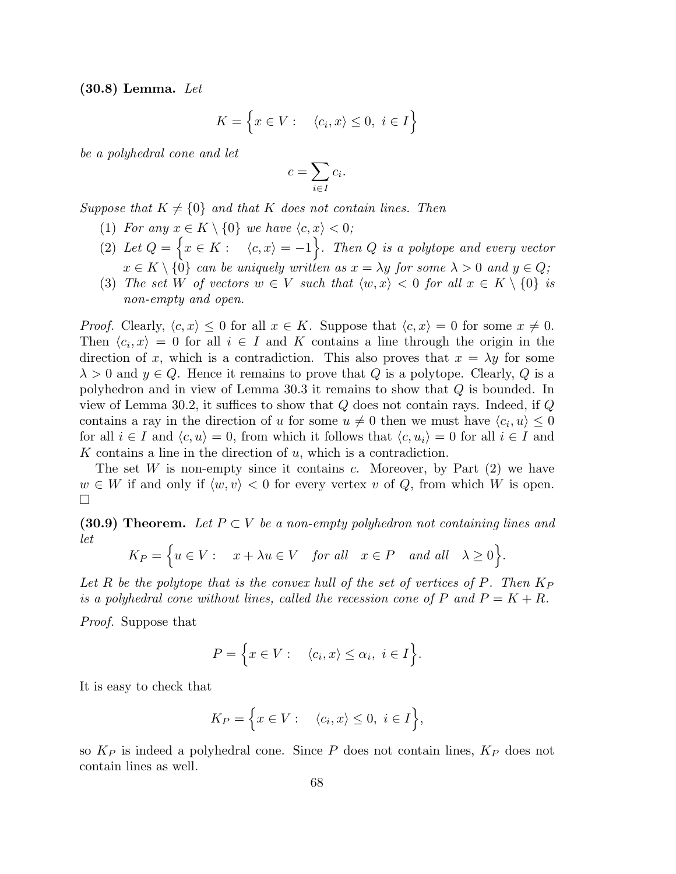(30.8) Lemma. *Let*

$$
K = \left\{ x \in V : \quad \langle c_i, x \rangle \le 0, \ i \in I \right\}
$$

*be a polyhedral cone and let*

$$
c = \sum_{i \in I} c_i.
$$

*Suppose that*  $K \neq \{0\}$  *and that* K *does not contain lines. Then* 

- (1) *For any*  $x \in K \setminus \{0\}$  *we have*  $\langle c, x \rangle < 0$ ;
- (2) Let  $Q = \Big\{ x \in K : \langle c, x \rangle = -1 \Big\}$ . Then Q is a polytope and every vector  $x \in K \setminus \{0\}$  can be uniquely written as  $x = \lambda y$  for some  $\lambda > 0$  and  $y \in Q$ ;
- (3) *The set* W *of vectors*  $w \in V$  *such that*  $\langle w, x \rangle < 0$  *for all*  $x \in K \setminus \{0\}$  *is non-empty and open.*

*Proof.* Clearly,  $\langle c, x \rangle \leq 0$  for all  $x \in K$ . Suppose that  $\langle c, x \rangle = 0$  for some  $x \neq 0$ . Then  $\langle c_i, x \rangle = 0$  for all  $i \in I$  and K contains a line through the origin in the direction of x, which is a contradiction. This also proves that  $x = \lambda y$  for some  $\lambda > 0$  and  $y \in Q$ . Hence it remains to prove that Q is a polytope. Clearly, Q is a polyhedron and in view of Lemma 30.3 it remains to show that Q is bounded. In view of Lemma 30.2, it suffices to show that  $Q$  does not contain rays. Indeed, if  $Q$ contains a ray in the direction of u for some  $u \neq 0$  then we must have  $\langle c_i, u \rangle \leq 0$ for all  $i \in I$  and  $\langle c, u \rangle = 0$ , from which it follows that  $\langle c, u_i \rangle = 0$  for all  $i \in I$  and K contains a line in the direction of  $u$ , which is a contradiction.

The set W is non-empty since it contains c. Moreover, by Part  $(2)$  we have  $w \in W$  if and only if  $\langle w, v \rangle < 0$  for every vertex v of Q, from which W is open.  $\Box$ 

(30.9) Theorem. Let  $P \subset V$  be a non-empty polyhedron not containing lines and *let*

$$
K_P = \Big\{ u \in V : \quad x + \lambda u \in V \quad \text{for all} \quad x \in P \quad \text{and all} \quad \lambda \ge 0 \Big\}.
$$

Let  $R$  be the polytope that is the convex hull of the set of vertices of  $P$ . Then  $K_P$ *is a polyhedral cone without lines, called the recession cone of* P and  $P = K + R$ .

*Proof.* Suppose that

$$
P = \Big\{ x \in V : \langle c_i, x \rangle \le \alpha_i, \ i \in I \Big\}.
$$

It is easy to check that

$$
K_P = \Big\{ x \in V : \quad \langle c_i, x \rangle \le 0, \ i \in I \Big\},\
$$

so  $K_P$  is indeed a polyhedral cone. Since P does not contain lines,  $K_P$  does not contain lines as well.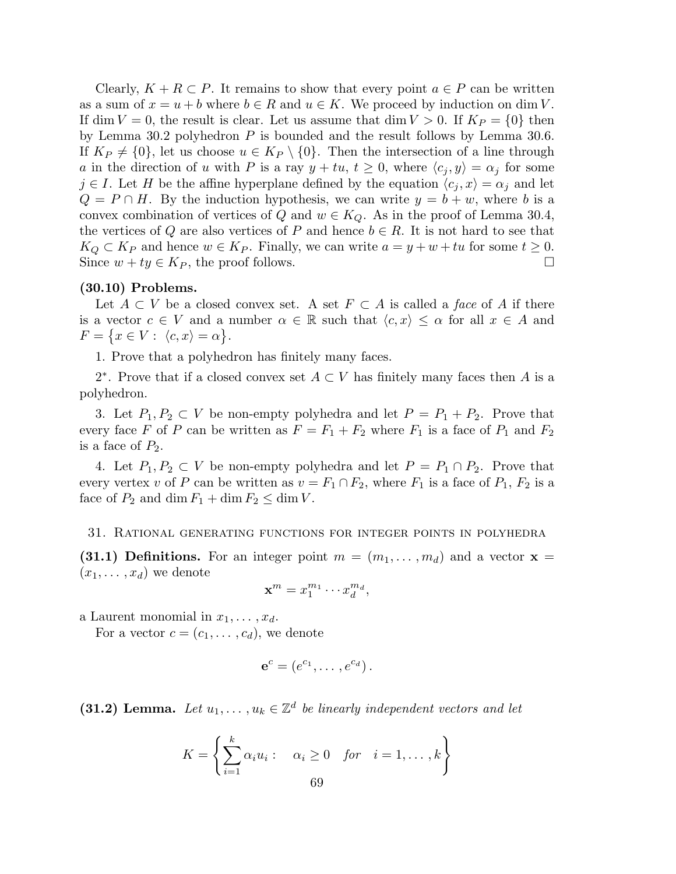Clearly,  $K + R \subset P$ . It remains to show that every point  $a \in P$  can be written as a sum of  $x = u + b$  where  $b \in R$  and  $u \in K$ . We proceed by induction on dim V. If dim  $V = 0$ , the result is clear. Let us assume that dim  $V > 0$ . If  $K_P = \{0\}$  then by Lemma 30.2 polyhedron  $P$  is bounded and the result follows by Lemma 30.6. If  $K_P \neq \{0\}$ , let us choose  $u \in K_P \setminus \{0\}$ . Then the intersection of a line through a in the direction of u with P is a ray  $y + tu, t \geq 0$ , where  $\langle c_j, y \rangle = \alpha_j$  for some  $j \in I$ . Let H be the affine hyperplane defined by the equation  $\langle c_j, x \rangle = \alpha_j$  and let  $Q = P \cap H$ . By the induction hypothesis, we can write  $y = b + w$ , where b is a convex combination of vertices of Q and  $w \in K_Q$ . As in the proof of Lemma 30.4, the vertices of Q are also vertices of P and hence  $b \in R$ . It is not hard to see that  $K_Q \subset K_P$  and hence  $w \in K_P$ . Finally, we can write  $a = y + w + tu$  for some  $t \ge 0$ .<br>Since  $w + tu \in K_P$ , the proof follows. Since  $w + ty \in K_P$ , the proof follows.

## (30.10) Problems.

Let  $A \subset V$  be a closed convex set. A set  $F \subset A$  is called a *face* of A if there is a vector  $c \in V$  and a number  $\alpha \in \mathbb{R}$  such that  $\langle c, x \rangle \leq \alpha$  for all  $x \in A$  and  $F = \{x \in V : \langle c, x \rangle = \alpha\}.$ 

1. Prove that a polyhedron has finitely many faces.

2<sup>\*</sup>. Prove that if a closed convex set  $A \subset V$  has finitely many faces then A is a polyhedron.

3. Let  $P_1, P_2 \subset V$  be non-empty polyhedra and let  $P = P_1 + P_2$ . Prove that every face F of P can be written as  $F = F_1 + F_2$  where  $F_1$  is a face of  $P_1$  and  $F_2$ is a face of  $P_2$ .

4. Let  $P_1, P_2 \subset V$  be non-empty polyhedra and let  $P = P_1 \cap P_2$ . Prove that every vertex v of P can be written as  $v = F_1 \cap F_2$ , where  $F_1$  is a face of  $P_1$ ,  $F_2$  is a face of  $P_2$  and dim  $F_1 + \dim F_2 \leq \dim V$ .

#### 31. Rational generating functions for integer points in polyhedra

(31.1) Definitions. For an integer point  $m = (m_1, \ldots, m_d)$  and a vector  $\mathbf{x} =$  $(x_1, \ldots, x_d)$  we denote

$$
\mathbf{x}^m = x_1^{m_1} \cdots x_d^{m_d},
$$

a Laurent monomial in  $x_1, \ldots, x_d$ .

For a vector  $c = (c_1, \ldots, c_d)$ , we denote

$$
\mathbf{e}^c = (e^{c_1}, \dots, e^{c_d}).
$$

(31.2) Lemma. Let  $u_1, \ldots, u_k \in \mathbb{Z}^d$  be linearly independent vectors and let

$$
K = \left\{ \sum_{i=1}^{k} \alpha_i u_i : \alpha_i \ge 0 \quad \text{for} \quad i = 1, \dots, k \right\}
$$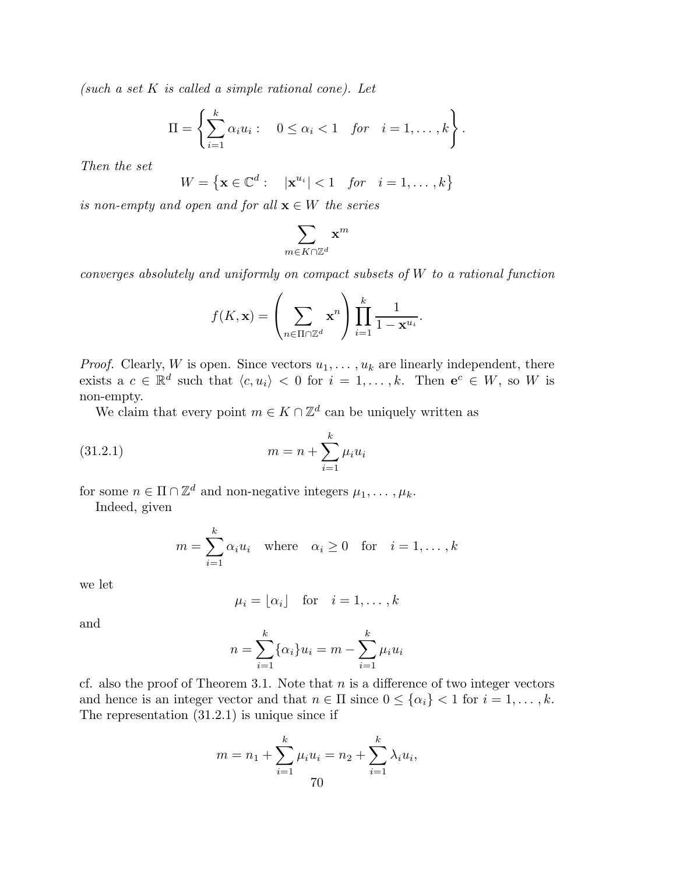*(such a set* K *is called a simple rational cone). Let*

$$
\Pi = \left\{ \sum_{i=1}^k \alpha_i u_i : \quad 0 \le \alpha_i < 1 \quad \text{for} \quad i = 1, \dots, k \right\}.
$$

*Then the set*

$$
W = \left\{ \mathbf{x} \in \mathbb{C}^d : \quad |\mathbf{x}^{u_i}| < 1 \quad \text{for} \quad i = 1, \dots, k \right\}
$$

*is non-empty and open and for all*  $\mathbf{x} \in W$  *the series* 

$$
\sum_{m\in K\cap\Z^d}\mathbf{x}^m
$$

*converges absolutely and uniformly on compact subsets of* W *to a rational function*

$$
f(K, \mathbf{x}) = \left(\sum_{n \in \Pi \cap \mathbb{Z}^d} \mathbf{x}^n\right) \prod_{i=1}^k \frac{1}{1 - \mathbf{x}^{u_i}}.
$$

*Proof.* Clearly, W is open. Since vectors  $u_1, \ldots, u_k$  are linearly independent, there exists a  $c \in \mathbb{R}^d$  such that  $\langle c, u_i \rangle < 0$  for  $i = 1, ..., k$ . Then  $e^c \in W$ , so W is non-empty.

We claim that every point  $m \in K \cap \mathbb{Z}^d$  can be uniquely written as

(31.2.1) 
$$
m = n + \sum_{i=1}^{k} \mu_i u_i
$$

for some  $n \in \Pi \cap \mathbb{Z}^d$  and non-negative integers  $\mu_1, \ldots, \mu_k$ .

Indeed, given

$$
m = \sum_{i=1}^{k} \alpha_i u_i \quad \text{where} \quad \alpha_i \ge 0 \quad \text{for} \quad i = 1, \dots, k
$$

we let

$$
\mu_i = \lfloor \alpha_i \rfloor \quad \text{for} \quad i = 1, \dots, k
$$

and

$$
n = \sum_{i=1}^{k} {\alpha_i} u_i = m - \sum_{i=1}^{k} \mu_i u_i
$$

cf. also the proof of Theorem 3.1. Note that  $n$  is a difference of two integer vectors and hence is an integer vector and that  $n \in \Pi$  since  $0 \leq {\{\alpha_i\}} < 1$  for  $i = 1, \ldots, k$ . The representation (31.2.1) is unique since if

$$
m = n_1 + \sum_{i=1}^{k} \mu_i u_i = n_2 + \sum_{i=1}^{k} \lambda_i u_i,
$$
  
70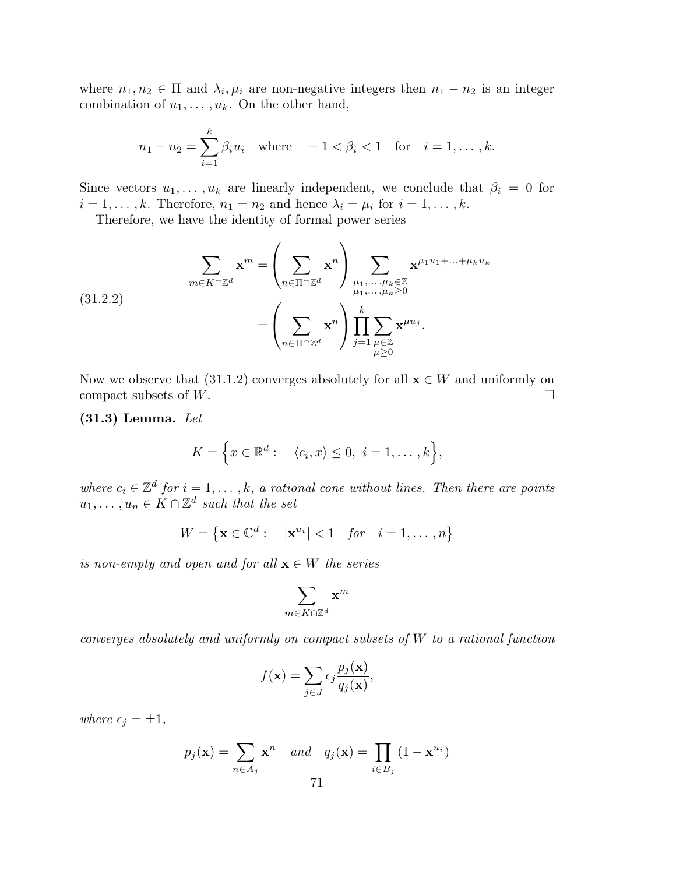where  $n_1, n_2 \in \Pi$  and  $\lambda_i, \mu_i$  are non-negative integers then  $n_1 - n_2$  is an integer combination of  $u_1, \ldots, u_k$ . On the other hand,

$$
n_1 - n_2 = \sum_{i=1}^{k} \beta_i u_i
$$
 where  $-1 < \beta_i < 1$  for  $i = 1, ..., k$ .

Since vectors  $u_1, \ldots, u_k$  are linearly independent, we conclude that  $\beta_i = 0$  for  $i = 1, \ldots, k$ . Therefore,  $n_1 = n_2$  and hence  $\lambda_i = \mu_i$  for  $i = 1, \ldots, k$ .

Therefore, we have the identity of formal power series

(31.2.2)  

$$
\sum_{m \in K \cap \mathbb{Z}^d} \mathbf{x}^m = \left(\sum_{n \in \Pi \cap \mathbb{Z}^d} \mathbf{x}^n\right) \sum_{\substack{\mu_1, \dots, \mu_k \in \mathbb{Z} \\ \mu_1, \dots, \mu_k \ge 0}} \mathbf{x}^{\mu_1 u_1 + \dots + \mu_k u_k} = \left(\sum_{n \in \Pi \cap \mathbb{Z}^d} \mathbf{x}^n\right) \prod_{j=1}^k \sum_{\substack{\mu \in \mathbb{Z} \\ \mu \ge 0}} \mathbf{x}^{\mu u_j}.
$$

Now we observe that (31.1.2) converges absolutely for all  $\mathbf{x} \in W$  and uniformly on compact subsets of W. compact subsets of W.

(31.3) Lemma. *Let*

$$
K = \Big\{ x \in \mathbb{R}^d : \langle c_i, x \rangle \leq 0, \ i = 1, \dots, k \Big\},\
$$

where  $c_i \in \mathbb{Z}^d$  for  $i = 1, \ldots, k$ , a rational cone without lines. Then there are points  $u_1, \ldots, u_n \in K \cap \mathbb{Z}^d$  such that the set

 $W = \{ \mathbf{x} \in \mathbb{C}^d : | \mathbf{x}^{u_i} | < 1 \text{ for } i = 1, ..., n \}$ 

*is non-empty and open and for all*  $\mathbf{x} \in W$  *the series* 

$$
\sum_{m\in K\cap\Z^d}\mathbf{x}^m
$$

*converges absolutely and uniformly on compact subsets of* W *to a rational function*

$$
f(\mathbf{x}) = \sum_{j \in J} \epsilon_j \frac{p_j(\mathbf{x})}{q_j(\mathbf{x})},
$$

*where*  $\epsilon_j = \pm 1$ *,* 

$$
p_j(\mathbf{x}) = \sum_{n \in A_j} \mathbf{x}^n \quad and \quad q_j(\mathbf{x}) = \prod_{i \in B_j} (1 - \mathbf{x}^{u_i})
$$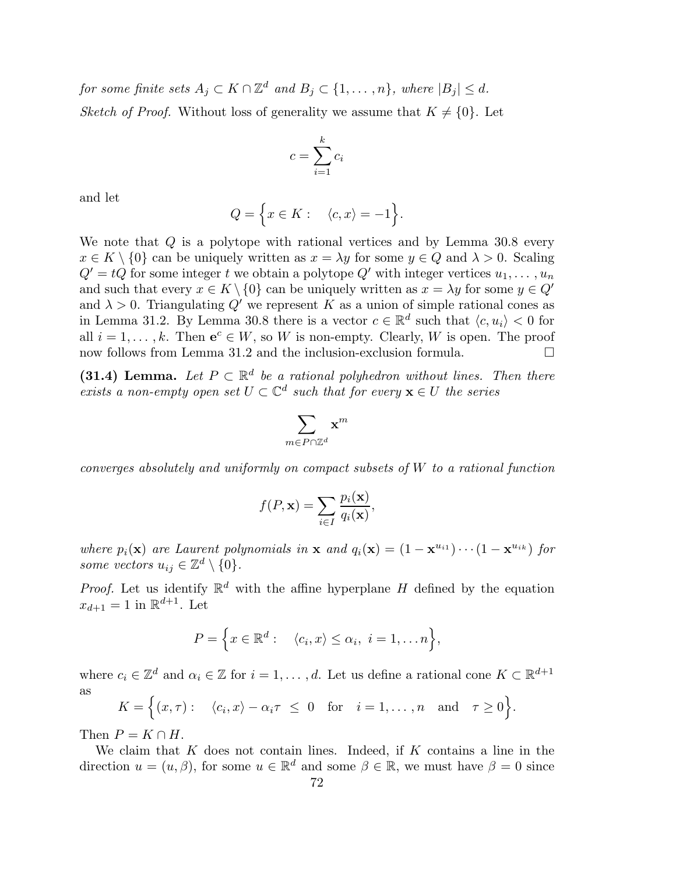$for \; some \; finite \; sets \; A_j \subset K \cap \mathbb{Z}^d \; and \; B_j \subset \{1,\ldots,n\}, \; where \; |B_j| \leq d.$ *Sketch of Proof.* Without loss of generality we assume that  $K \neq \{0\}$ . Let

$$
c = \sum_{i=1}^{k} c_i
$$

and let

$$
Q = \Big\{ x \in K : \quad \langle c, x \rangle = -1 \Big\}.
$$

We note that Q is a polytope with rational vertices and by Lemma 30.8 every  $x \in K \setminus \{0\}$  can be uniquely written as  $x = \lambda y$  for some  $y \in Q$  and  $\lambda > 0$ . Scaling  $Q' = tQ$  for some integer t we obtain a polytope Q' with integer vertices  $u_1, \ldots, u_n$ and such that every  $x \in K \setminus \{0\}$  can be uniquely written as  $x = \lambda y$  for some  $y \in Q'$ and  $\lambda > 0$ . Triangulating Q' we represent K as a union of simple rational cones as in Lemma 31.2. By Lemma 30.8 there is a vector  $c \in \mathbb{R}^d$  such that  $\langle c, u_i \rangle < 0$  for all  $i = 1, \ldots, k$ . Then  $e^c \in W$ , so W is non-empty. Clearly, W is open. The proof now follows from Lemma 31.2 and the inclusion-exclusion formula.  $\Box$ 

(31.4) Lemma. Let  $P \subset \mathbb{R}^d$  be a rational polyhedron without lines. Then there *exists a non-empty open set*  $U \subset \mathbb{C}^d$  *such that for every*  $\mathbf{x} \in U$  *the series* 

$$
\sum_{m\in P\cap\mathbb{Z}^d}\mathbf{x}^m
$$

*converges absolutely and uniformly on compact subsets of* W *to a rational function*

$$
f(P, \mathbf{x}) = \sum_{i \in I} \frac{p_i(\mathbf{x})}{q_i(\mathbf{x})},
$$

*where*  $p_i(\mathbf{x})$  *are Laurent polynomials in*  $\mathbf{x}$  *and*  $q_i(\mathbf{x}) = (1 - \mathbf{x}^{u_{i1}}) \cdots (1 - \mathbf{x}^{u_{ik}})$  *for some vectors*  $u_{ij} \in \mathbb{Z}^d \setminus \{0\}.$ 

*Proof.* Let us identify  $\mathbb{R}^d$  with the affine hyperplane H defined by the equation  $x_{d+1} = 1$  in  $\mathbb{R}^{d+1}$ . Let

$$
P = \Big\{ x \in \mathbb{R}^d : \langle c_i, x \rangle \leq \alpha_i, \ i = 1, \dots n \Big\},\
$$

where  $c_i \in \mathbb{Z}^d$  and  $\alpha_i \in \mathbb{Z}$  for  $i = 1, \ldots, d$ . Let us define a rational cone  $K \subset \mathbb{R}^{d+1}$ as

$$
K = \Big\{ (x, \tau) : \langle c_i, x \rangle - \alpha_i \tau \leq 0 \text{ for } i = 1, ..., n \text{ and } \tau \geq 0 \Big\}.
$$

Then  $P = K \cap H$ .

We claim that  $K$  does not contain lines. Indeed, if  $K$  contains a line in the direction  $u = (u, \beta)$ , for some  $u \in \mathbb{R}^d$  and some  $\beta \in \mathbb{R}$ , we must have  $\beta = 0$  since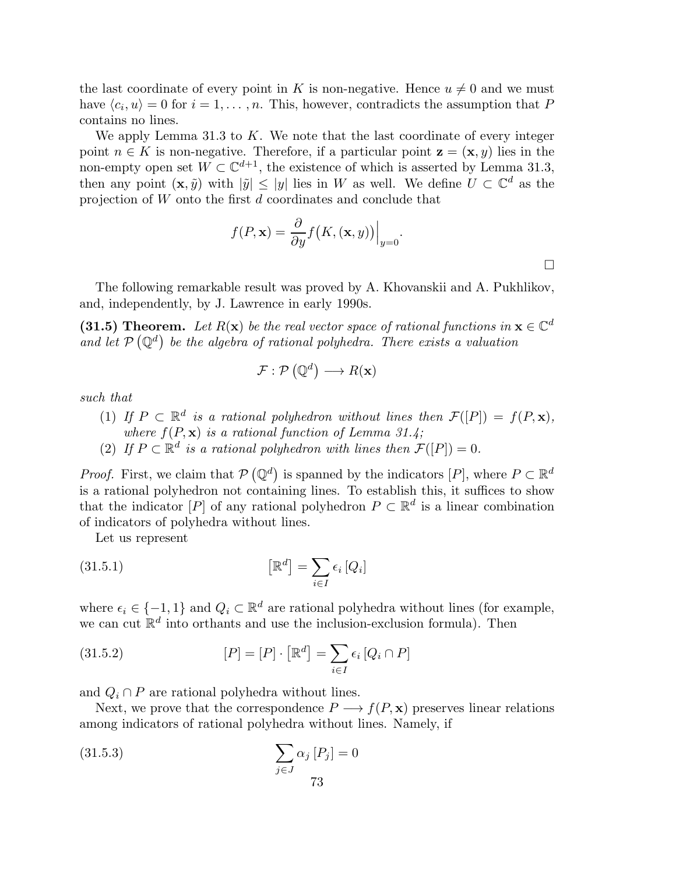the last coordinate of every point in K is non-negative. Hence  $u \neq 0$  and we must have  $\langle c_i, u \rangle = 0$  for  $i = 1, ..., n$ . This, however, contradicts the assumption that P contains no lines.

We apply Lemma 31.3 to  $K$ . We note that the last coordinate of every integer point  $n \in K$  is non-negative. Therefore, if a particular point  $z = (x, y)$  lies in the non-empty open set  $W \subset \mathbb{C}^{d+1}$ , the existence of which is asserted by Lemma 31.3, then any point  $(\mathbf{x}, \tilde{y})$  with  $|\tilde{y}| \leq |y|$  lies in W as well. We define  $U \subset \mathbb{C}^d$  as the projection of W onto the first d coordinates and conclude that

$$
f(P, \mathbf{x}) = \frac{\partial}{\partial y} f(K, (\mathbf{x}, y)) \Big|_{y=0}.
$$

 $\Box$ 

The following remarkable result was proved by A. Khovanskii and A. Pukhlikov, and, independently, by J. Lawrence in early 1990s.

(31.5) Theorem. Let  $R(\mathbf{x})$  be the real vector space of rational functions in  $\mathbf{x} \in \mathbb{C}^d$ and let  $\mathcal{P}(\mathbb{Q}^d)$  be the algebra of rational polyhedra. There exists a valuation

$$
\mathcal{F}:\mathcal{P}\left(\mathbb{Q}^{d}\right)\longrightarrow R(\mathbf{x})
$$

*such that*

- (1) *If*  $P \subset \mathbb{R}^d$  is a rational polyhedron without lines then  $\mathcal{F}([P]) = f(P, \mathbf{x}),$ *where*  $f(P, x)$  *is a rational function of Lemma 31.4;*
- (2) If  $P \subset \mathbb{R}^d$  is a rational polyhedron with lines then  $\mathcal{F}([P]) = 0$ .

*Proof.* First, we claim that  $P(Q^d)$  is spanned by the indicators  $[P]$ , where  $P \subset \mathbb{R}^d$ is a rational polyhedron not containing lines. To establish this, it suffices to show that the indicator  $[P]$  of any rational polyhedron  $P \subset \mathbb{R}^d$  is a linear combination of indicators of polyhedra without lines.

Let us represent

(31.5.1) 
$$
\left[\mathbb{R}^d\right] = \sum_{i \in I} \epsilon_i \left[Q_i\right]
$$

where  $\epsilon_i \in \{-1, 1\}$  and  $Q_i \subset \mathbb{R}^d$  are rational polyhedra without lines (for example, we can cut  $\mathbb{R}^d$  into orthants and use the inclusion-exclusion formula). Then

(31.5.2) 
$$
[P] = [P] \cdot [\mathbb{R}^d] = \sum_{i \in I} \epsilon_i [Q_i \cap P]
$$

and  $Q_i \cap P$  are rational polyhedra without lines.

Next, we prove that the correspondence  $P \longrightarrow f(P, \mathbf{x})$  preserves linear relations among indicators of rational polyhedra without lines. Namely, if

$$
\sum_{j \in J} \alpha_j [P_j] = 0
$$
\n
$$
\sum_{j \in J} \alpha_j [P_j] = 0
$$
\n
$$
73
$$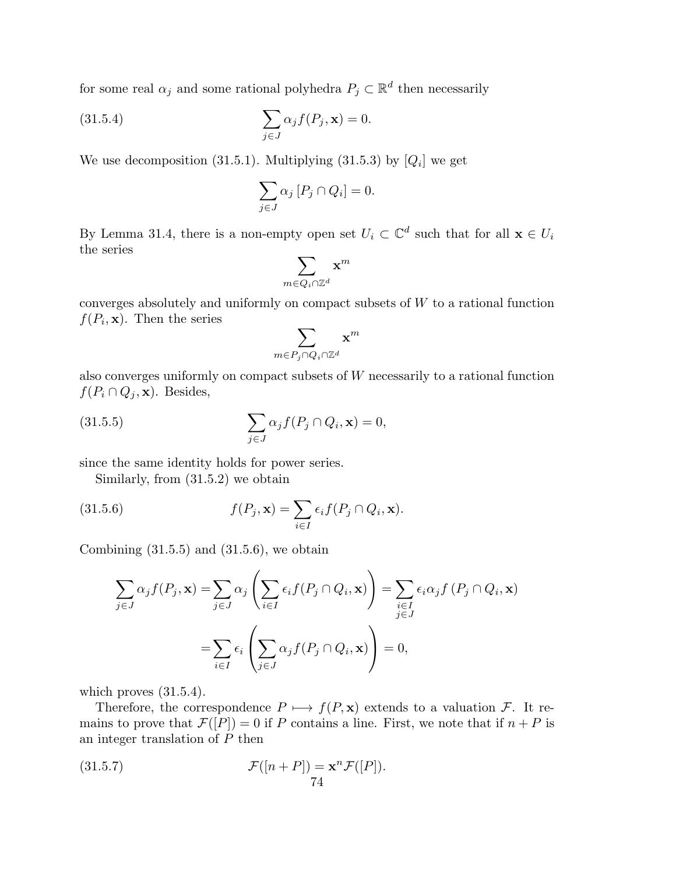for some real  $\alpha_j$  and some rational polyhedra  $P_j \subset \mathbb{R}^d$  then necessarily

(31.5.4) 
$$
\sum_{j\in J} \alpha_j f(P_j, \mathbf{x}) = 0.
$$

We use decomposition (31.5.1). Multiplying (31.5.3) by  $[Q_i]$  we get

$$
\sum_{j \in J} \alpha_j [P_j \cap Q_i] = 0.
$$

By Lemma 31.4, there is a non-empty open set  $U_i \subset \mathbb{C}^d$  such that for all  $\mathbf{x} \in U_i$ the series

$$
\sum_{m\in Q_i\cap\Z^d}\mathbf{x}^m
$$

converges absolutely and uniformly on compact subsets of  $W$  to a rational function  $f(P_i, \mathbf{x})$ . Then the series

$$
\sum_{m\in P_j\cap Q_i\cap\Z^d}\mathbf{x}^m
$$

also converges uniformly on compact subsets of W necessarily to a rational function  $f(P_i \cap Q_j, \mathbf{x})$ . Besides,

(31.5.5) 
$$
\sum_{j\in J} \alpha_j f(P_j \cap Q_i, \mathbf{x}) = 0,
$$

since the same identity holds for power series.

Similarly, from (31.5.2) we obtain

(31.5.6) 
$$
f(P_j, \mathbf{x}) = \sum_{i \in I} \epsilon_i f(P_j \cap Q_i, \mathbf{x}).
$$

Combining  $(31.5.5)$  and  $(31.5.6)$ , we obtain

$$
\sum_{j \in J} \alpha_j f(P_j, \mathbf{x}) = \sum_{j \in J} \alpha_j \left( \sum_{i \in I} \epsilon_i f(P_j \cap Q_i, \mathbf{x}) \right) = \sum_{\substack{i \in I \\ j \in J}} \epsilon_i \alpha_j f(P_j \cap Q_i, \mathbf{x})
$$

$$
= \sum_{i \in I} \epsilon_i \left( \sum_{j \in J} \alpha_j f(P_j \cap Q_i, \mathbf{x}) \right) = 0,
$$

which proves  $(31.5.4)$ .

Therefore, the correspondence  $P \mapsto f(P, x)$  extends to a valuation F. It remains to prove that  $\mathcal{F}([P]) = 0$  if P contains a line. First, we note that if  $n + P$  is an integer translation of P then

(31.5.7) 
$$
\mathcal{F}([n+P]) = \mathbf{x}^n \mathcal{F}([P]).
$$
74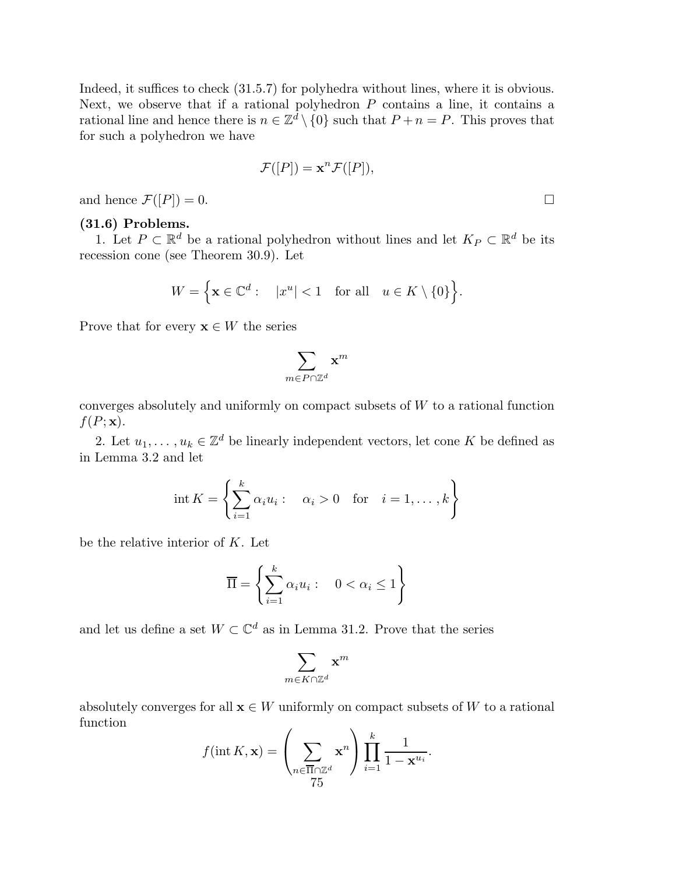Indeed, it suffices to check (31.5.7) for polyhedra without lines, where it is obvious. Next, we observe that if a rational polyhedron  $P$  contains a line, it contains a rational line and hence there is  $n \in \mathbb{Z}^d \setminus \{0\}$  such that  $P + n = P$ . This proves that for such a polyhedron we have

$$
\mathcal{F}([P]) = \mathbf{x}^n \mathcal{F}([P]),
$$

and hence  $\mathcal{F}([P]) = 0$ .

# (31.6) Problems.

1. Let  $P \subset \mathbb{R}^d$  be a rational polyhedron without lines and let  $K_P \subset \mathbb{R}^d$  be its recession cone (see Theorem 30.9). Let

$$
W = \Big\{ \mathbf{x} \in \mathbb{C}^d : \quad |x^u| < 1 \quad \text{for all} \quad u \in K \setminus \{0\} \Big\}.
$$

Prove that for every  $\mathbf{x} \in W$  the series

$$
\sum_{m\in P\cap\mathbb{Z}^d}\mathbf{x}^m
$$

converges absolutely and uniformly on compact subsets of  $W$  to a rational function  $f(P; \mathbf{x}).$ 

2. Let  $u_1, \ldots, u_k \in \mathbb{Z}^d$  be linearly independent vectors, let cone K be defined as in Lemma 3.2 and let

$$
int K = \left\{ \sum_{i=1}^{k} \alpha_i u_i : \alpha_i > 0 \text{ for } i = 1, ..., k \right\}
$$

be the relative interior of K. Let

$$
\overline{\Pi} = \left\{ \sum_{i=1}^{k} \alpha_i u_i : \quad 0 < \alpha_i \le 1 \right\}
$$

and let us define a set  $W \subset \mathbb{C}^d$  as in Lemma 31.2. Prove that the series

$$
\sum_{m\in K\cap\Z^d}\mathbf{x}^m
$$

absolutely converges for all  $\mathbf{x} \in W$  uniformly on compact subsets of W to a rational function

$$
f(\text{int } K, \mathbf{x}) = \left(\sum_{n \in \overline{\Pi} \cap \mathbb{Z}^d} \mathbf{x}^n\right) \prod_{i=1}^k \frac{1}{1 - \mathbf{x}^{u_i}}.
$$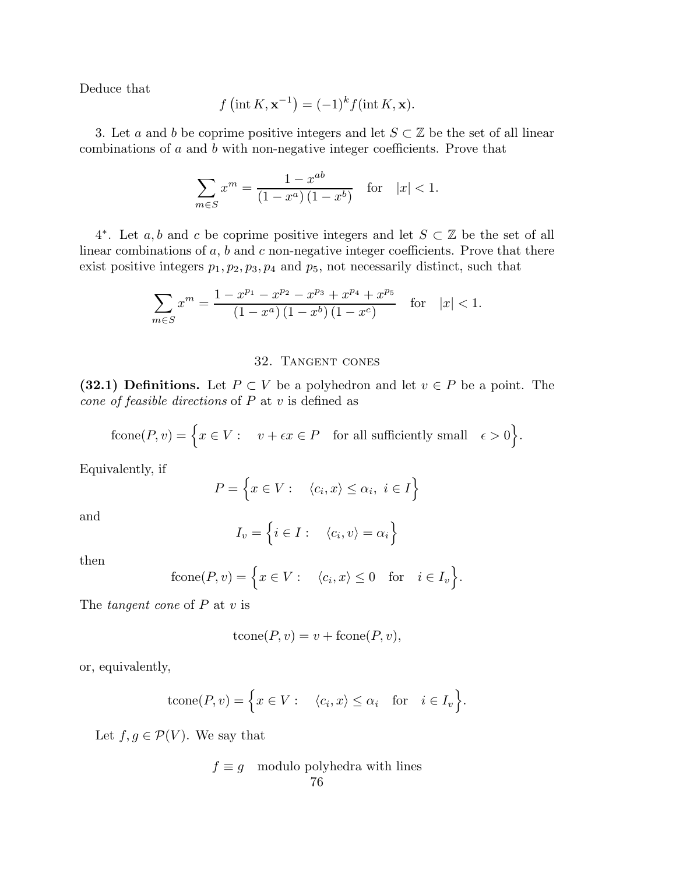Deduce that

$$
f\left(\operatorname{int} K, \mathbf{x}^{-1}\right) = (-1)^k f(\operatorname{int} K, \mathbf{x}).
$$

3. Let a and b be coprime positive integers and let  $S \subset \mathbb{Z}$  be the set of all linear combinations of a and b with non-negative integer coefficients. Prove that

$$
\sum_{m \in S} x^m = \frac{1 - x^{ab}}{(1 - x^a)(1 - x^b)} \quad \text{for} \quad |x| < 1.
$$

4<sup>\*</sup>. Let a, b and c be coprime positive integers and let  $S \subset \mathbb{Z}$  be the set of all linear combinations of  $a, b$  and  $c$  non-negative integer coefficients. Prove that there exist positive integers  $p_1, p_2, p_3, p_4$  and  $p_5$ , not necessarily distinct, such that

$$
\sum_{m \in S} x^m = \frac{1 - x^{p_1} - x^{p_2} - x^{p_3} + x^{p_4} + x^{p_5}}{\left(1 - x^a\right)\left(1 - x^b\right)\left(1 - x^c\right)} \quad \text{for} \quad |x| < 1.
$$

### 32. Tangent cones

(32.1) Definitions. Let  $P \subset V$  be a polyhedron and let  $v \in P$  be a point. The *cone of feasible directions* of P at v is defined as

$$
\text{fcone}(P, v) = \Big\{ x \in V : \quad v + \epsilon x \in P \quad \text{for all sufficiently small} \quad \epsilon > 0 \Big\}.
$$

Equivalently, if

$$
P = \left\{ x \in V : \quad \langle c_i, x \rangle \le \alpha_i, \ i \in I \right\}
$$

and

$$
I_v = \left\{ i \in I : \quad \langle c_i, v \rangle = \alpha_i \right\}
$$

then

$$
fcone(P, v) = \Big\{ x \in V : \langle c_i, x \rangle \le 0 \text{ for } i \in I_v \Big\}.
$$

The *tangent cone* of P at v is

$$
tcone(P, v) = v + fcone(P, v),
$$

or, equivalently,

$$
tcone(P, v) = \Big\{ x \in V : \langle c_i, x \rangle \le \alpha_i \text{ for } i \in I_v \Big\}.
$$

Let  $f, g \in \mathcal{P}(V)$ . We say that

$$
f \equiv g \mod 10
$$
 polyhedra with lines 76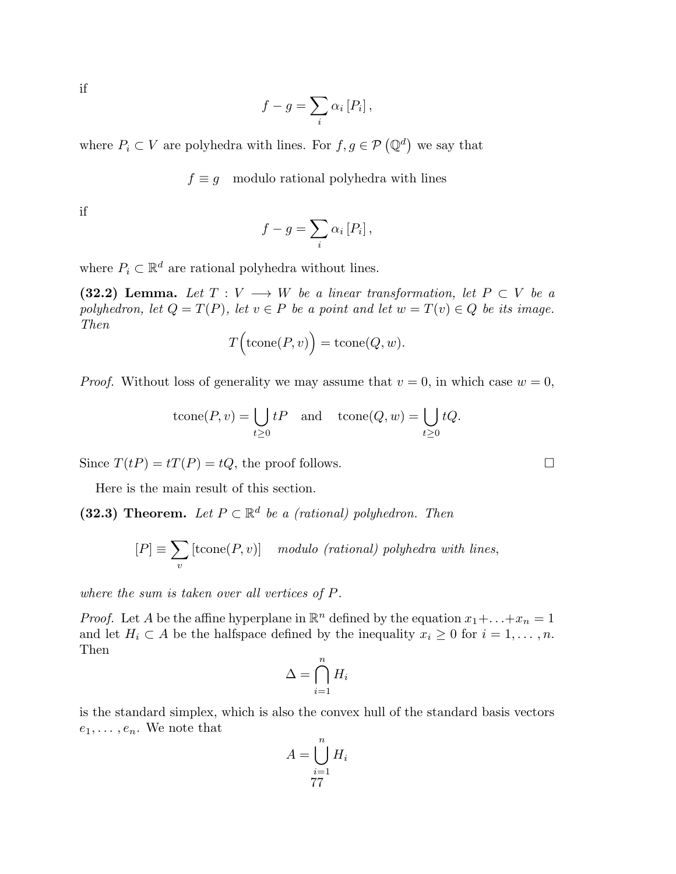if

$$
f-g=\sum_{i}\alpha_{i}\left[P_{i}\right],
$$

where  $P_i \subset V$  are polyhedra with lines. For  $f, g \in \mathcal{P}(\mathbb{Q}^d)$  we say that

 $f \equiv g$  modulo rational polyhedra with lines

if

$$
f-g=\sum_{i}\alpha_{i}\left[P_{i}\right],
$$

where  $P_i \subset \mathbb{R}^d$  are rational polyhedra without lines.

(32.2) Lemma. Let  $T: V \longrightarrow W$  be a linear transformation, let  $P \subset V$  be a *polyhedron, let*  $Q = T(P)$ *, let*  $v \in P$  *be a point and let*  $w = T(v) \in Q$  *be its image. Then*

$$
T(\text{tcone}(P,v)) = \text{tcone}(Q, w).
$$

*Proof.* Without loss of generality we may assume that  $v = 0$ , in which case  $w = 0$ ,

$$
tcone(P, v) = \bigcup_{t \ge 0} tP \quad \text{and} \quad tcone(Q, w) = \bigcup_{t \ge 0} tQ.
$$

Since  $T(tP) = tT(P) = tQ$ , the proof follows.

Here is the main result of this section.

(32.3) Theorem. Let  $P \subset \mathbb{R}^d$  be a (rational) polyhedron. Then

$$
[P] \equiv \sum_{v} [\text{tcone}(P, v)] \quad \text{modulo } (\text{rational}) \text{ polyhedra with lines,}
$$

*where the sum is taken over all vertices of* P*.*

*Proof.* Let A be the affine hyperplane in  $\mathbb{R}^n$  defined by the equation  $x_1 + \ldots + x_n = 1$ and let  $H_i \subset A$  be the halfspace defined by the inequality  $x_i \geq 0$  for  $i = 1, \ldots, n$ . Then

$$
\Delta = \bigcap_{i=1}^{n} H_i
$$

is the standard simplex, which is also the convex hull of the standard basis vectors  $e_1, \ldots, e_n$ . We note that

$$
A = \bigcup_{i=1}^{n} H_i
$$
  
77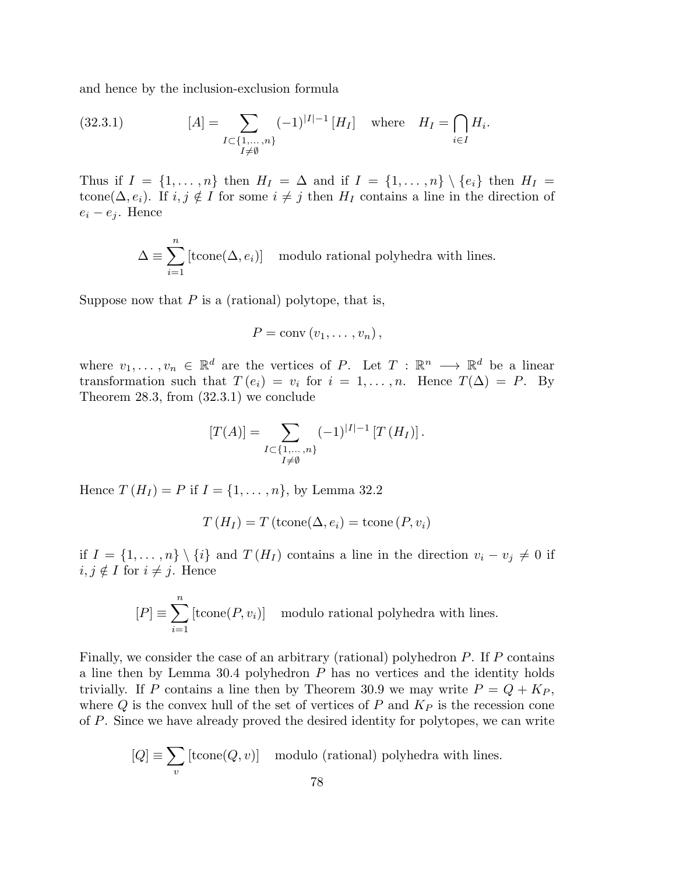and hence by the inclusion-exclusion formula

(32.3.1) 
$$
[A] = \sum_{\substack{I \subset \{1, ..., n\} \\ I \neq \emptyset}} (-1)^{|I|-1} [H_I] \text{ where } H_I = \bigcap_{i \in I} H_i.
$$

Thus if  $I = \{1, \ldots, n\}$  then  $H_I = \Delta$  and if  $I = \{1, \ldots, n\} \setminus \{e_i\}$  then  $H_I =$ tcone( $\Delta, e_i$ ). If  $i, j \notin I$  for some  $i \neq j$  then  $H_I$  contains a line in the direction of  $e_i - e_j$ . Hence

$$
\Delta \equiv \sum_{i=1}^{n} [\text{tcone}(\Delta, e_i)] \mod 1
$$
 modulo rational polyhedra with lines.

Suppose now that  $P$  is a (rational) polytope, that is,

$$
P = \text{conv}(v_1, \ldots, v_n),
$$

where  $v_1, \ldots, v_n \in \mathbb{R}^d$  are the vertices of P. Let  $T : \mathbb{R}^n \longrightarrow \mathbb{R}^d$  be a linear transformation such that  $T (e_i) = v_i$  for  $i = 1, ..., n$ . Hence  $T(\Delta) = P$ . By Theorem 28.3, from (32.3.1) we conclude

$$
[T(A)] = \sum_{\substack{I \subset \{1,\ldots,n\} \\ I \neq \emptyset}} (-1)^{|I|-1} [T(H_I)].
$$

Hence  $T(H_I) = P$  if  $I = \{1, ..., n\}$ , by Lemma 32.2

$$
T(H_I) = T(\text{tcone}(\Delta, e_i) = \text{tcone}(P, v_i)
$$

if  $I = \{1, \ldots, n\} \setminus \{i\}$  and  $T(H_I)$  contains a line in the direction  $v_i - v_j \neq 0$  if  $i, j \notin I$  for  $i \neq j$ . Hence

$$
[P] \equiv \sum_{i=1}^{n} [\text{tcone}(P, v_i)] \text{ modulo rational polyhedra with lines.}
$$

Finally, we consider the case of an arbitrary (rational) polyhedron P. If P contains a line then by Lemma 30.4 polyhedron P has no vertices and the identity holds trivially. If P contains a line then by Theorem 30.9 we may write  $P = Q + K_P$ , where  $Q$  is the convex hull of the set of vertices of P and  $K_P$  is the recession cone of P. Since we have already proved the desired identity for polytopes, we can write

$$
[Q] \equiv \sum_{v} [\text{tcone}(Q, v)] \mod \text{mod } ( \text{rational}) \text{ polyhedra with lines.}
$$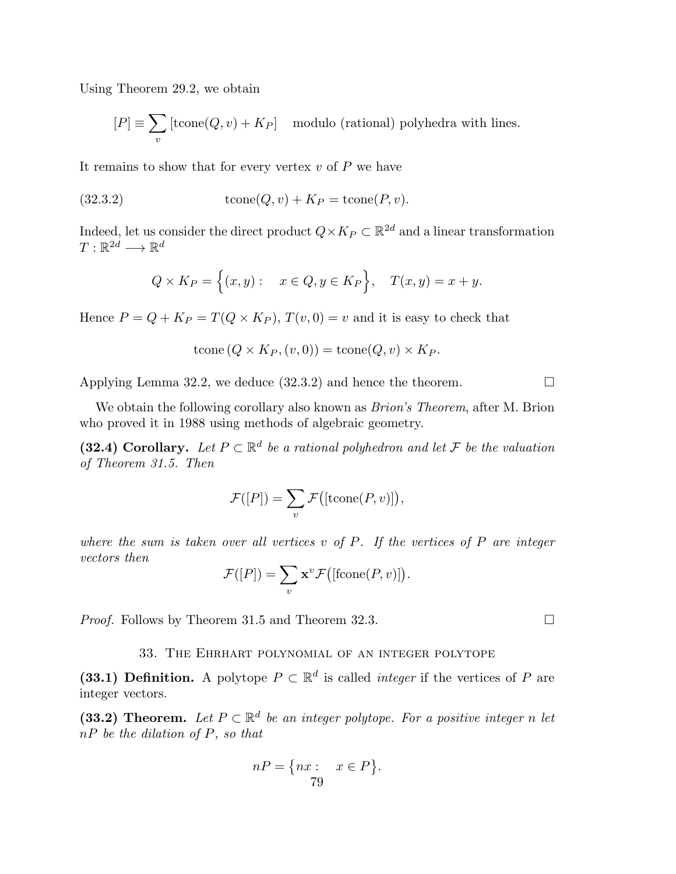Using Theorem 29.2, we obtain

$$
[P] \equiv \sum_{v} \left[ \text{tcone}(Q, v) + K_P \right] \mod \text{u} \text{d} \text{u} \text{d} \text{u} \text{d} \text{u} \text{d} \text{u} \text{d} \text{u} \text{d} \text{u} \text{d} \text{u} \text{d} \text{u} \text{d} \text{u} \text{d} \text{u} \text{d} \text{u} \text{d} \text{u} \text{d} \text{u} \text{d} \text{u} \text{d} \text{u} \text{d} \text{u} \text{d} \text{u} \text{d} \text{u} \text{d} \text{u} \text{d} \text{u} \text{d} \text{u} \text{d} \text{u} \text{d} \text{u} \text{d} \text{u} \text{d} \text{u} \text{d} \text{u} \text{d} \text{u} \text{d} \text{u} \text{d} \text{u} \text{d} \text{u} \text{d} \text{u} \text{d} \text{u} \text{d} \text{u} \text{d} \text{u} \text{d} \text{u} \text{d} \text{u} \text{d} \text{u} \text{d} \text{u} \text{d} \text{u} \text{d} \text{u} \text{d} \text{u} \text{d} \text{u} \text{d} \text{u} \text{d} \text{u} \text{d} \text{u} \text{d} \text{u} \text{d} \text{u} \text{d} \text{u} \text{d} \text{u} \text{d} \text{u} \text{d} \text{u} \text{d} \text{u} \text{d} \text{u} \text{d} \text{u} \text{d} \text{u} \text{d} \text{u} \text{d} \text{u} \text{d} \text{u} \text{d} \text{u} \text{d} \text{u} \text{d} \text{u} \text{d} \text{u} \text{d} \text{u} \text{d} \text{u} \text{d} \text{u} \text{d} \text{u} \text{d} \text{u} \text{d} \text{u} \text{d} \text{u} \text{d} \text{u} \text{d} \text{u} \text{d} \text{u} \text{
$$

It remains to show that for every vertex  $v$  of  $P$  we have

(32.3.2) 
$$
tcone(Q, v) + K_P = tcone(P, v).
$$

Indeed, let us consider the direct product  $Q \times K_P \subset \mathbb{R}^{2d}$  and a linear transformation  $T: \mathbb{R}^{2d} \longrightarrow \mathbb{R}^d$ 

$$
Q \times K_P = \Big\{ (x, y) : \quad x \in Q, y \in K_P \Big\}, \quad T(x, y) = x + y.
$$

Hence  $P = Q + K_P = T(Q \times K_P), T(v, 0) = v$  and it is easy to check that

$$
tcone(Q \times K_P, (v, 0)) = tcone(Q, v) \times K_P.
$$

Applying Lemma 32.2, we deduce  $(32.3.2)$  and hence the theorem.

We obtain the following corollary also known as *Brion's Theorem*, after M. Brion who proved it in 1988 using methods of algebraic geometry.

(32.4) Corollary. Let  $P \subset \mathbb{R}^d$  be a rational polyhedron and let  $\mathcal F$  be the valuation *of Theorem 31.5. Then*

$$
\mathcal{F}([P]) = \sum_{v} \mathcal{F}([{\rm{tcone}}(P, v)]),
$$

*where the sum is taken over all vertices* v *of* P*. If the vertices of* P *are integer vectors then*

$$
\mathcal{F}([P]) = \sum_{v} \mathbf{x}^v \mathcal{F}([\text{fcone}(P, v)]).
$$

*Proof.* Follows by Theorem 31.5 and Theorem 32.3. □

33. The Ehrhart polynomial of an integer polytope

(33.1) Definition. A polytope  $P \subset \mathbb{R}^d$  is called *integer* if the vertices of P are integer vectors.

(33.2) Theorem. Let  $P \subset \mathbb{R}^d$  be an integer polytope. For a positive integer n let nP *be the dilation of* P*, so that*

$$
nP = \{ nx : x \in P \}.
$$
  
79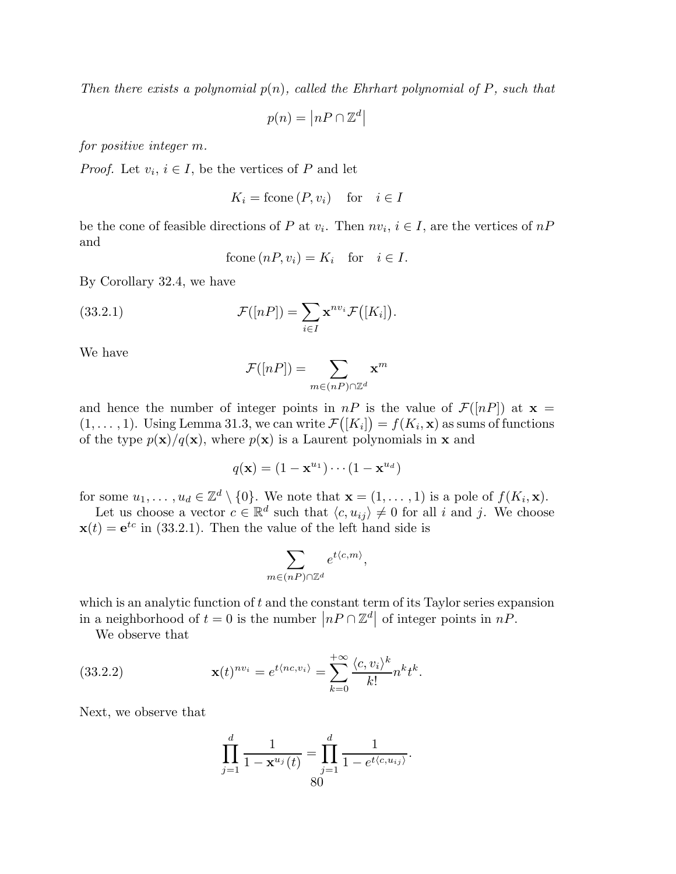*Then there exists a polynomial* p(n)*, called the Ehrhart polynomial of* P*, such that*

 $p(n) = |nP \cap \mathbb{Z}^d|$ 

*for positive integer* m*.*

*Proof.* Let  $v_i$ ,  $i \in I$ , be the vertices of P and let

$$
K_i = \text{fcone}\,(P, v_i) \quad \text{for} \quad i \in I
$$

be the cone of feasible directions of P at  $v_i$ . Then  $nv_i$ ,  $i \in I$ , are the vertices of  $nP$ and

$$
fcone(nP, v_i) = K_i \text{ for } i \in I.
$$

By Corollary 32.4, we have

(33.2.1) 
$$
\mathcal{F}([nP]) = \sum_{i \in I} \mathbf{x}^{nv_i} \mathcal{F}([K_i]).
$$

We have

$$
\mathcal{F}([nP]) = \sum_{m \in (nP) \cap \mathbb{Z}^d} \mathbf{x}^m
$$

and hence the number of integer points in  $nP$  is the value of  $\mathcal{F}([nP])$  at  $\mathbf{x} =$  $(1, \ldots, 1)$ . Using Lemma 31.3, we can write  $\mathcal{F}([K_i]) = f(K_i, \mathbf{x})$  as sums of functions of the type  $p(\mathbf{x})/q(\mathbf{x})$ , where  $p(\mathbf{x})$  is a Laurent polynomials in **x** and

$$
q(\mathbf{x}) = (1 - \mathbf{x}^{u_1}) \cdots (1 - \mathbf{x}^{u_d})
$$

for some  $u_1, \ldots, u_d \in \mathbb{Z}^d \setminus \{0\}$ . We note that  $\mathbf{x} = (1, \ldots, 1)$  is a pole of  $f(K_i, \mathbf{x})$ .

Let us choose a vector  $c \in \mathbb{R}^d$  such that  $\langle c, u_{ij} \rangle \neq 0$  for all i and j. We choose  $\mathbf{x}(t) = e^{tc}$  in (33.2.1). Then the value of the left hand side is

$$
\sum_{m \in (nP) \cap \mathbb{Z}^d} e^{t \langle c, m \rangle},
$$

which is an analytic function of  $t$  and the constant term of its Taylor series expansion in a neighborhood of  $t = 0$  is the number  $|nP \cap \mathbb{Z}^d|$  of integer points in  $nP$ .

We observe that

(33.2.2) 
$$
\mathbf{x}(t)^{nv_i} = e^{t \langle nc, v_i \rangle} = \sum_{k=0}^{+\infty} \frac{\langle c, v_i \rangle^k}{k!} n^k t^k.
$$

Next, we observe that

$$
\prod_{j=1}^{d} \frac{1}{1 - \mathbf{x}^{u_j}(t)} = \prod_{j=1}^{d} \frac{1}{1 - e^{t \langle c, u_{ij} \rangle}}.
$$
  
80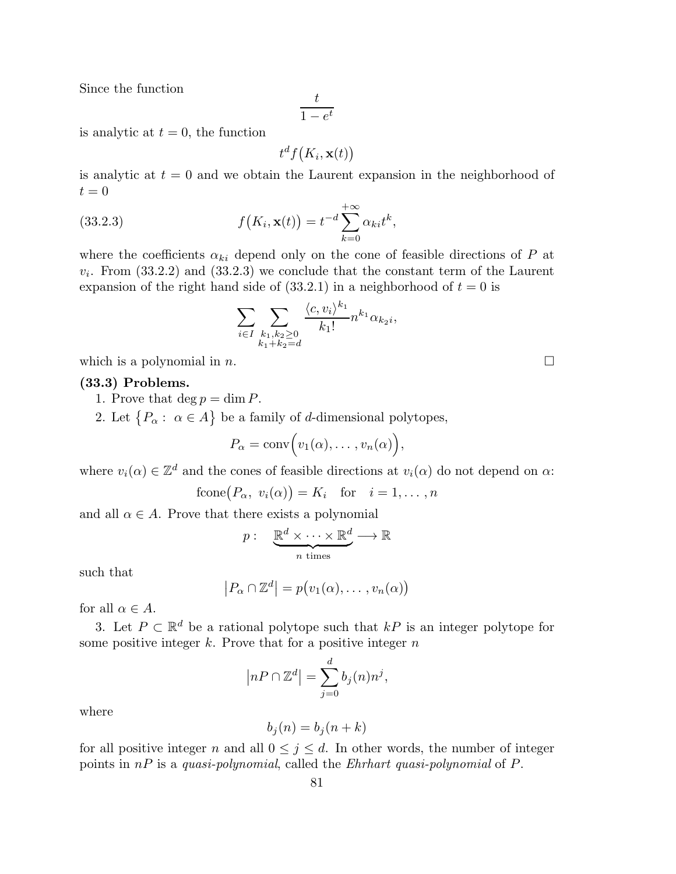Since the function

$$
\frac{t}{1 - e^t}
$$

is analytic at  $t = 0$ , the function

$$
t^d f\big(K_i, \mathbf{x}(t)\big)
$$

is analytic at  $t = 0$  and we obtain the Laurent expansion in the neighborhood of  $t = 0$ 

(33.2.3) 
$$
f(K_i, \mathbf{x}(t)) = t^{-d} \sum_{k=0}^{+\infty} \alpha_{ki} t^k,
$$

where the coefficients  $\alpha_{ki}$  depend only on the cone of feasible directions of P at  $v_i$ . From  $(33.2.2)$  and  $(33.2.3)$  we conclude that the constant term of the Laurent expansion of the right hand side of  $(33.2.1)$  in a neighborhood of  $t = 0$  is

$$
\sum_{i \in I} \sum_{\substack{k_1, k_2 \ge 0 \\ k_1 + k_2 = d}} \frac{\langle c, v_i \rangle^{k_1}}{k_1!} n^{k_1} \alpha_{k_2 i},
$$

which is a polynomial in n.

#### (33.3) Problems.

- 1. Prove that  $\deg p = \dim P$ .
- 2. Let  $\{P_{\alpha} : \alpha \in A\}$  be a family of *d*-dimensional polytopes,

$$
P_{\alpha} = \text{conv}\Big(v_1(\alpha), \ldots, v_n(\alpha)\Big),
$$

where  $v_i(\alpha) \in \mathbb{Z}^d$  and the cones of feasible directions at  $v_i(\alpha)$  do not depend on  $\alpha$ :

$$
fcone(P_{\alpha}, v_i(\alpha)) = K_i \text{ for } i = 1, ..., n
$$

and all  $\alpha \in A$ . Prove that there exists a polynomial

$$
p: \quad \underbrace{\mathbb{R}^d \times \cdots \times \mathbb{R}^d}_{n \text{ times}} \longrightarrow \mathbb{R}
$$

such that

$$
|P_{\alpha} \cap \mathbb{Z}^{d}| = p(v_{1}(\alpha), \ldots, v_{n}(\alpha))
$$

for all  $\alpha \in A$ .

3. Let  $P \subset \mathbb{R}^d$  be a rational polytope such that  $kP$  is an integer polytope for some positive integer  $k$ . Prove that for a positive integer  $n$ 

$$
|nP \cap \mathbb{Z}^d| = \sum_{j=0}^d b_j(n)n^j,
$$

where

$$
b_j(n) = b_j(n+k)
$$

for all positive integer n and all  $0 \leq j \leq d$ . In other words, the number of integer points in nP is a *quasi-polynomial*, called the *Ehrhart quasi-polynomial* of P.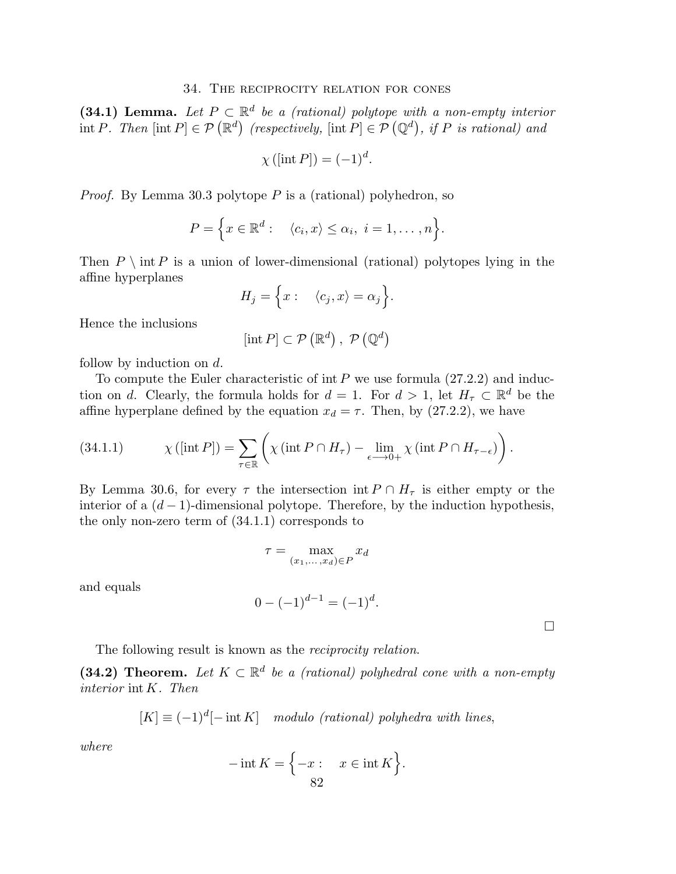### 34. The reciprocity relation for cones

(34.1) Lemma. Let  $P \subset \mathbb{R}^d$  be a (rational) polytope with a non-empty interior  $\text{int } P$ . Then  $[\text{int } P] \in \mathcal{P}(\mathbb{R}^d)$  (respectively,  $[\text{int } P] \in \mathcal{P}(\mathbb{Q}^d)$ , if P is rational) and

$$
\chi([\text{int }P]) = (-1)^d.
$$

*Proof.* By Lemma 30.3 polytope P is a (rational) polyhedron, so

$$
P = \Big\{ x \in \mathbb{R}^d : \langle c_i, x \rangle \leq \alpha_i, \ i = 1, \dots, n \Big\}.
$$

Then  $P \setminus \text{int } P$  is a union of lower-dimensional (rational) polytopes lying in the affine hyperplanes

$$
H_j = \Big\{ x : \langle c_j, x \rangle = \alpha_j \Big\}.
$$

Hence the inclusions

$$
[\text{int } P] \subset \mathcal{P}(\mathbb{R}^d), \ \mathcal{P}(\mathbb{Q}^d)
$$

follow by induction on d.

To compute the Euler characteristic of int  $P$  we use formula  $(27.2.2)$  and induction on d. Clearly, the formula holds for  $d = 1$ . For  $d > 1$ , let  $H_{\tau} \subset \mathbb{R}^d$  be the affine hyperplane defined by the equation  $x_d = \tau$ . Then, by (27.2.2), we have

(34.1.1) 
$$
\chi([\text{int } P]) = \sum_{\tau \in \mathbb{R}} \left( \chi(\text{int } P \cap H_{\tau}) - \lim_{\epsilon \to 0+} \chi(\text{int } P \cap H_{\tau - \epsilon}) \right).
$$

By Lemma 30.6, for every  $\tau$  the intersection int  $P \cap H_{\tau}$  is either empty or the interior of a  $(d-1)$ -dimensional polytope. Therefore, by the induction hypothesis, the only non-zero term of (34.1.1) corresponds to

$$
\tau = \max_{(x_1,\ldots,x_d)\in P} x_d
$$

and equals

$$
0 - (-1)^{d-1} = (-1)^d.
$$

 $\Box$ 

The following result is known as the *reciprocity relation*.

(34.2) Theorem. Let  $K \subset \mathbb{R}^d$  be a (rational) polyhedral cone with a non-empty *interior* int K*. Then*

$$
[K] \equiv (-1)^d [-\operatorname{int} K] \mod{u} \text{ for } (rational) \text{ polyhedra with lines},
$$

*where*

$$
-\operatorname{int} K = \left\{-x : x \in \operatorname{int} K\right\}.
$$
  
82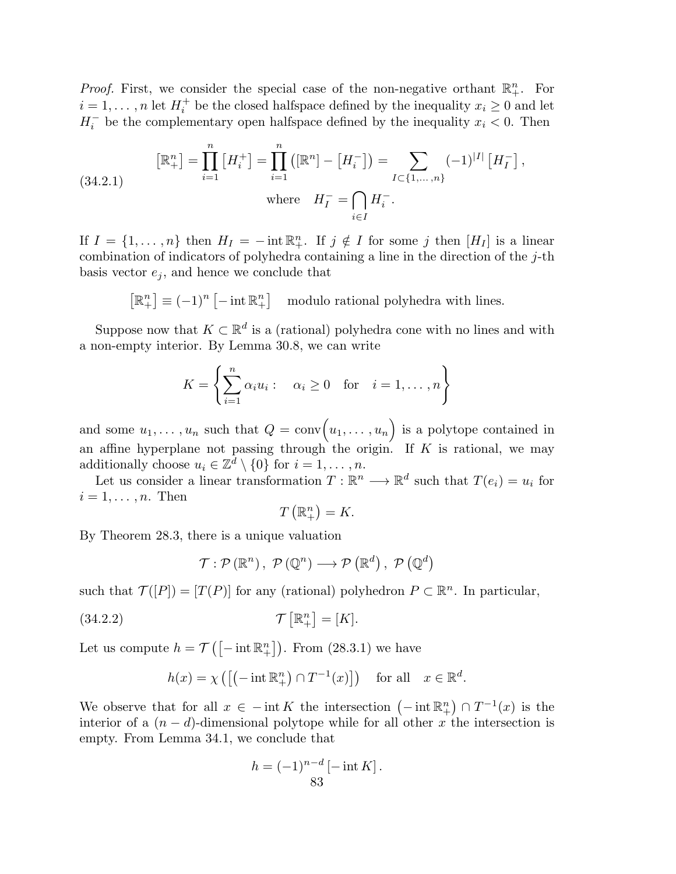*Proof.* First, we consider the special case of the non-negative orthant  $\mathbb{R}^n_+$ . For  $i=1,\ldots,n$  let  $H_i^+$ <sup> $\dagger$ </sup> be the closed halfspace defined by the inequality  $x_i \geq 0$  and let  $H_i^-$  be the complementary open halfspace defined by the inequality  $x_i < 0$ . Then

(34.2.1) 
$$
\left[\mathbb{R}^n_+\right] = \prod_{i=1}^n \left[H_i^+\right] = \prod_{i=1}^n \left(\left[\mathbb{R}^n\right] - \left[H_i^-\right]\right) = \sum_{I \subset \{1, \dots, n\}} (-1)^{|I|} \left[H_I^-\right],
$$
  
where  $H_I^- = \bigcap_{i \in I} H_i^-.$ 

If  $I = \{1, \ldots, n\}$  then  $H_I = -\text{int } \mathbb{R}^n_+$ . If  $j \notin I$  for some j then  $[H_I]$  is a linear combination of indicators of polyhedra containing a line in the direction of the  $j$ -th basis vector  $e_i$ , and hence we conclude that

> $\left[\mathbb{R}^n_+\right] \equiv (-1)^n \left[-\operatorname{int} \mathbb{R}^n_+\right]$ modulo rational polyhedra with lines.

Suppose now that  $K \subset \mathbb{R}^d$  is a (rational) polyhedra cone with no lines and with a non-empty interior. By Lemma 30.8, we can write

$$
K = \left\{ \sum_{i=1}^{n} \alpha_i u_i : \alpha_i \ge 0 \text{ for } i = 1, ..., n \right\}
$$

and some  $u_1, \ldots, u_n$  such that  $Q = \text{conv}(u_1, \ldots, u_n)$  is a polytope contained in an affine hyperplane not passing through the origin. If  $K$  is rational, we may additionally choose  $u_i \in \mathbb{Z}^d \setminus \{0\}$  for  $i = 1, \ldots, n$ .

Let us consider a linear transformation  $T : \mathbb{R}^n \longrightarrow \mathbb{R}^d$  such that  $T(e_i) = u_i$  for  $i = 1, \ldots, n$ . Then

$$
T\left(\mathbb{R}^n_+\right)=K.
$$

By Theorem 28.3, there is a unique valuation

$$
\mathcal{T}: \mathcal{P}(\mathbb{R}^n), \ \mathcal{P}(\mathbb{Q}^n) \longrightarrow \mathcal{P}(\mathbb{R}^d), \ \mathcal{P}(\mathbb{Q}^d)
$$

such that  $\mathcal{T}([P]) = [T(P)]$  for any (rational) polyhedron  $P \subset \mathbb{R}^n$ . In particular,

$$
\mathcal{T}\left[\mathbb{R}^n_+\right] = [K].
$$

Let us compute  $h = \mathcal{T}([-\text{int } \mathbb{R}^n_+])$ . From (28.3.1) we have

$$
h(x) = \chi \left( \left[ \left( -\inf \mathbb{R}^n_+ \right) \cap T^{-1}(x) \right] \right) \quad \text{for all} \quad x \in \mathbb{R}^d.
$$

We observe that for all  $x \in -\text{int } K$  the intersection  $(-\text{int } \mathbb{R}^n_+) \cap T^{-1}(x)$  is the interior of a  $(n - d)$ -dimensional polytope while for all other x the intersection is empty. From Lemma 34.1, we conclude that

$$
h = (-1)^{n-d} \left[ -\operatorname{int} K \right].
$$
  
83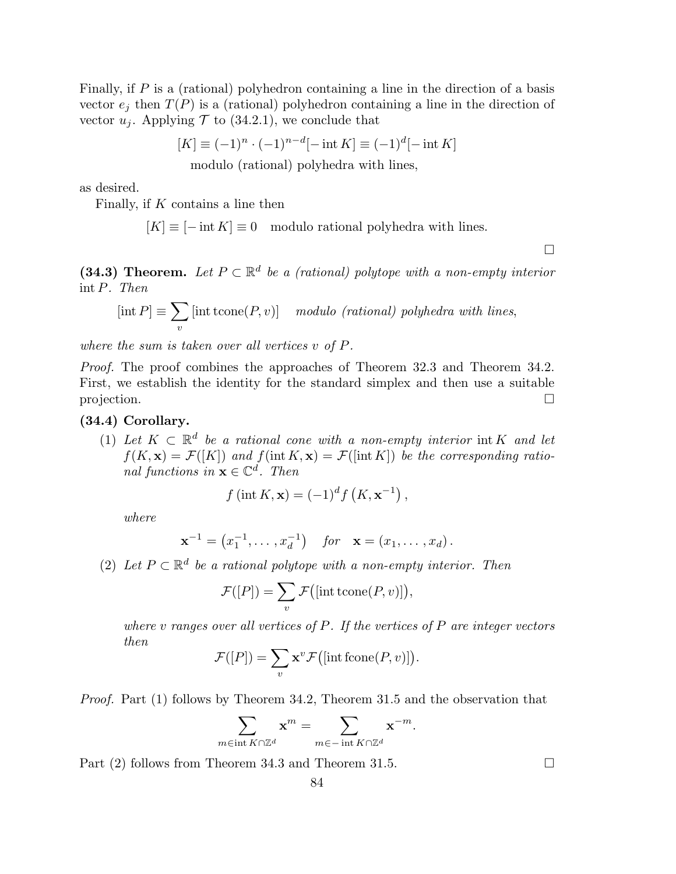Finally, if P is a (rational) polyhedron containing a line in the direction of a basis vector  $e_i$  then  $T(P)$  is a (rational) polyhedron containing a line in the direction of vector  $u_i$ . Applying  $\mathcal T$  to (34.2.1), we conclude that

$$
[K] \equiv (-1)^n \cdot (-1)^{n-d} [-\text{int } K] \equiv (-1)^d [-\text{int } K]
$$
  
modulo (rational) polyhedra with lines,

as desired.

Finally, if  $K$  contains a line then

 $[K] \equiv [-\text{int } K] \equiv 0 \mod 10$  rational polyhedra with lines.

 $\Box$ 

(34.3) Theorem. Let  $P \subset \mathbb{R}^d$  be a (rational) polytope with a non-empty interior int P*. Then*

$$
[\text{int } P] \equiv \sum_{v} [\text{int } \text{cone}(P, v)] \quad \text{modulo } (\text{rational}) \text{ polyhedra with lines,}
$$

*where the sum is taken over all vertices* v *of* P*.*

*Proof.* The proof combines the approaches of Theorem 32.3 and Theorem 34.2. First, we establish the identity for the standard simplex and then use a suitable projection.

# (34.4) Corollary.

(1) Let  $K \subset \mathbb{R}^d$  be a rational cone with a non-empty interior int K and let  $f(K, \mathbf{x}) = \mathcal{F}([K])$  and  $f(\text{int } K, \mathbf{x}) = \mathcal{F}([\text{int } K])$  be the corresponding ratio*nal functions in*  $\mathbf{x} \in \mathbb{C}^d$ *. Then* 

$$
f\left(\operatorname{int} K, \mathbf{x}\right) = (-1)^d f\left(K, \mathbf{x}^{-1}\right),
$$

*where*

$$
\mathbf{x}^{-1} = (x_1^{-1}, \dots, x_d^{-1})
$$
 for  $\mathbf{x} = (x_1, \dots, x_d)$ .

(2) Let  $P \subset \mathbb{R}^d$  be a rational polytope with a non-empty interior. Then

$$
\mathcal{F}([P]) = \sum_{v} \mathcal{F}([\text{int toone}(P, v)]),
$$

*where* v *ranges over all vertices of* P*. If the vertices of* P *are integer vectors then*

$$
\mathcal{F}([P]) = \sum_{v} \mathbf{x}^v \mathcal{F}([\text{int fcone}(P, v)]).
$$

*Proof.* Part (1) follows by Theorem 34.2, Theorem 31.5 and the observation that

$$
\sum_{m\in \operatorname{int} K\cap \mathbb{Z}^d} \mathbf{x}^m = \sum_{m\in -\operatorname{int} K\cap \mathbb{Z}^d} \mathbf{x}^{-m}.
$$

84

Part (2) follows from Theorem 34.3 and Theorem 31.5.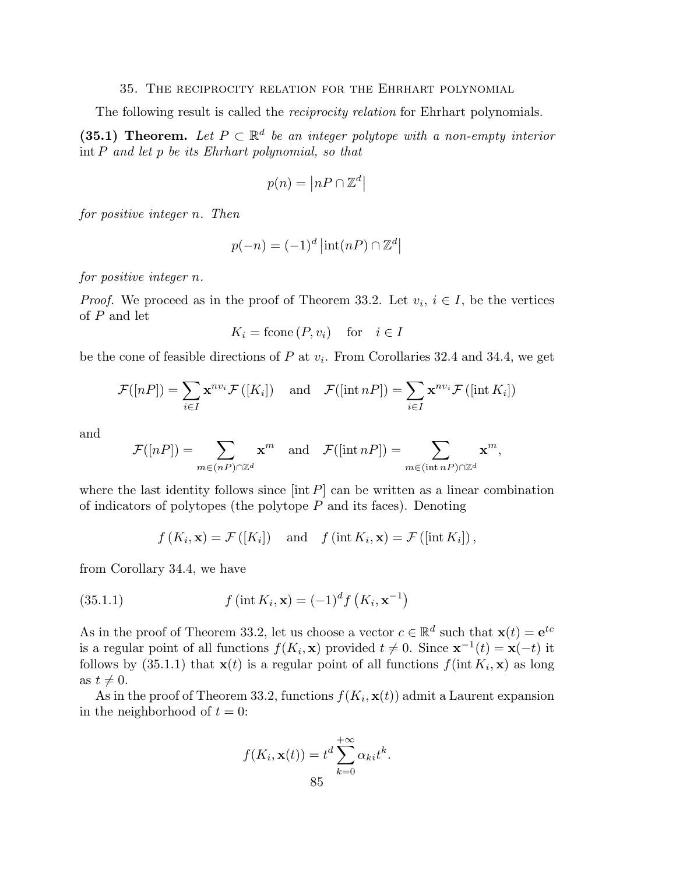### 35. The reciprocity relation for the Ehrhart polynomial

The following result is called the *reciprocity relation* for Ehrhart polynomials.

(35.1) Theorem. Let  $P \subset \mathbb{R}^d$  be an integer polytope with a non-empty interior int P *and let* p *be its Ehrhart polynomial, so that*

$$
p(n) = \left| nP \cap \mathbb{Z}^d \right|
$$

*for positive integer* n*. Then*

$$
p(-n) = (-1)^d \left| \text{int}(nP) \cap \mathbb{Z}^d \right|
$$

*for positive integer* n*.*

*Proof.* We proceed as in the proof of Theorem 33.2. Let  $v_i$ ,  $i \in I$ , be the vertices of P and let

$$
K_i = \text{fcone}\,(P, v_i) \quad \text{for} \quad i \in I
$$

be the cone of feasible directions of  $P$  at  $v_i$ . From Corollaries 32.4 and 34.4, we get

$$
\mathcal{F}([nP]) = \sum_{i \in I} \mathbf{x}^{nv_i} \mathcal{F}([K_i]) \quad \text{and} \quad \mathcal{F}([\text{int }nP]) = \sum_{i \in I} \mathbf{x}^{nv_i} \mathcal{F}([\text{int }K_i])
$$

and

$$
\mathcal{F}([nP]) = \sum_{m \in (nP) \cap \mathbb{Z}^d} \mathbf{x}^m \quad \text{and} \quad \mathcal{F}([\text{int }nP]) = \sum_{m \in (\text{int }nP) \cap \mathbb{Z}^d} \mathbf{x}^m,
$$

where the last identity follows since  $[\text{int } P]$  can be written as a linear combination of indicators of polytopes (the polytope  $P$  and its faces). Denoting

$$
f(K_i, \mathbf{x}) = \mathcal{F}([K_i])
$$
 and  $f(\text{int } K_i, \mathbf{x}) = \mathcal{F}([\text{int } K_i]),$ 

from Corollary 34.4, we have

(35.1.1) 
$$
f(\text{int } K_i, \mathbf{x}) = (-1)^d f(K_i, \mathbf{x}^{-1})
$$

As in the proof of Theorem 33.2, let us choose a vector  $c \in \mathbb{R}^d$  such that  $\mathbf{x}(t) = e^{tc}$ is a regular point of all functions  $f(K_i, \mathbf{x})$  provided  $t \neq 0$ . Since  $\mathbf{x}^{-1}(t) = \mathbf{x}(-t)$  it follows by (35.1.1) that  $\mathbf{x}(t)$  is a regular point of all functions  $f(int K_i, \mathbf{x})$  as long as  $t \neq 0$ .

As in the proof of Theorem 33.2, functions  $f(K_i, \mathbf{x}(t))$  admit a Laurent expansion in the neighborhood of  $t = 0$ :

$$
f(K_i, \mathbf{x}(t)) = t^d \sum_{k=0}^{+\infty} \alpha_{ki} t^k.
$$
  
85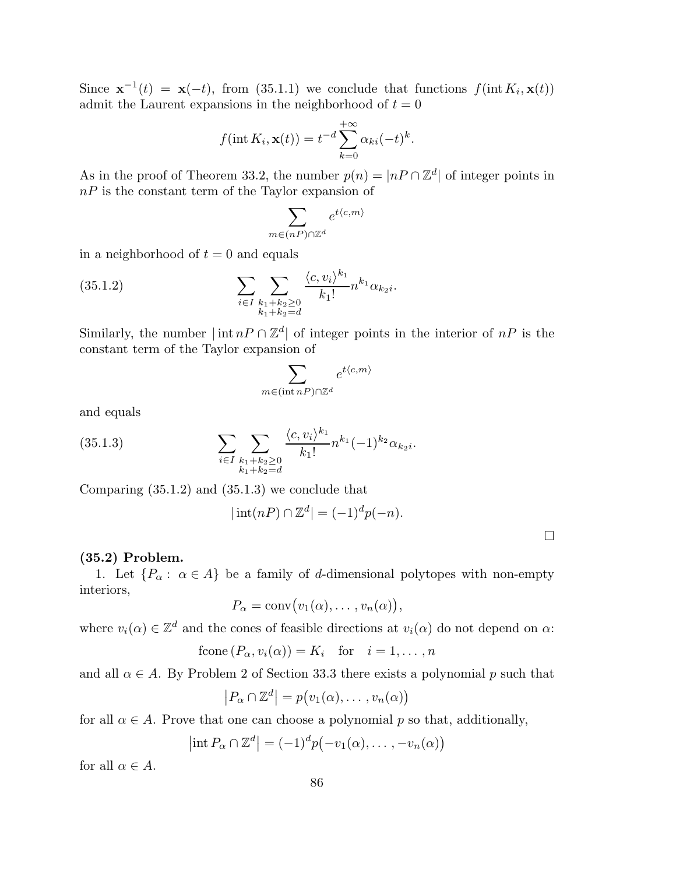Since  $\mathbf{x}^{-1}(t) = \mathbf{x}(-t)$ , from (35.1.1) we conclude that functions  $f(\text{int } K_i, \mathbf{x}(t))$ admit the Laurent expansions in the neighborhood of  $t = 0$ 

$$
f(\operatorname{int} K_i, \mathbf{x}(t)) = t^{-d} \sum_{k=0}^{+\infty} \alpha_{ki} (-t)^k.
$$

As in the proof of Theorem 33.2, the number  $p(n) = |nP \cap \mathbb{Z}^d|$  of integer points in  $nP$  is the constant term of the Taylor expansion of

$$
\sum_{m \in (nP) \cap \mathbb{Z}^d} e^{t \langle c, m \rangle}
$$

in a neighborhood of  $t = 0$  and equals

(35.1.2) 
$$
\sum_{i \in I} \sum_{\substack{k_1+k_2 \ge 0 \\ k_1+k_2 = d}} \frac{\langle c, v_i \rangle^{k_1}}{k_1!} n^{k_1} \alpha_{k_2 i}.
$$

Similarly, the number  $|\inf nP \cap \mathbb{Z}^d|$  of integer points in the interior of  $nP$  is the constant term of the Taylor expansion of

$$
\sum_{m \in (\operatorname{int} nP) \cap \mathbb{Z}^d} e^{t \langle c, m \rangle}
$$

and equals

(35.1.3) 
$$
\sum_{i \in I} \sum_{\substack{k_1 + k_2 \ge 0 \\ k_1 + k_2 = d}} \frac{\langle c, v_i \rangle^{k_1}}{k_1!} n^{k_1} (-1)^{k_2} \alpha_{k_2 i}.
$$

Comparing (35.1.2) and (35.1.3) we conclude that

$$
|\operatorname{int}(nP) \cap \mathbb{Z}^d| = (-1)^d p(-n).
$$

 $\Box$ 

# (35.2) Problem.

1. Let  $\{P_{\alpha} : \alpha \in A\}$  be a family of d-dimensional polytopes with non-empty interiors,

$$
P_{\alpha} = \text{conv}(v_1(\alpha), \dots, v_n(\alpha)),
$$

where  $v_i(\alpha) \in \mathbb{Z}^d$  and the cones of feasible directions at  $v_i(\alpha)$  do not depend on  $\alpha$ :

$$
fcone(P_{\alpha}, v_i(\alpha)) = K_i \quad \text{for} \quad i = 1, \dots, n
$$

and all  $\alpha \in A$ . By Problem 2 of Section 33.3 there exists a polynomial p such that

$$
|P_{\alpha} \cap \mathbb{Z}^{d}| = p(v_{1}(\alpha), \ldots, v_{n}(\alpha))
$$

for all  $\alpha \in A$ . Prove that one can choose a polynomial p so that, additionally,

$$
\left|\operatorname{int} P_{\alpha} \cap \mathbb{Z}^{d}\right| = (-1)^{d} p\big(-v_{1}(\alpha), \ldots, -v_{n}(\alpha)\big)
$$

for all  $\alpha \in A$ .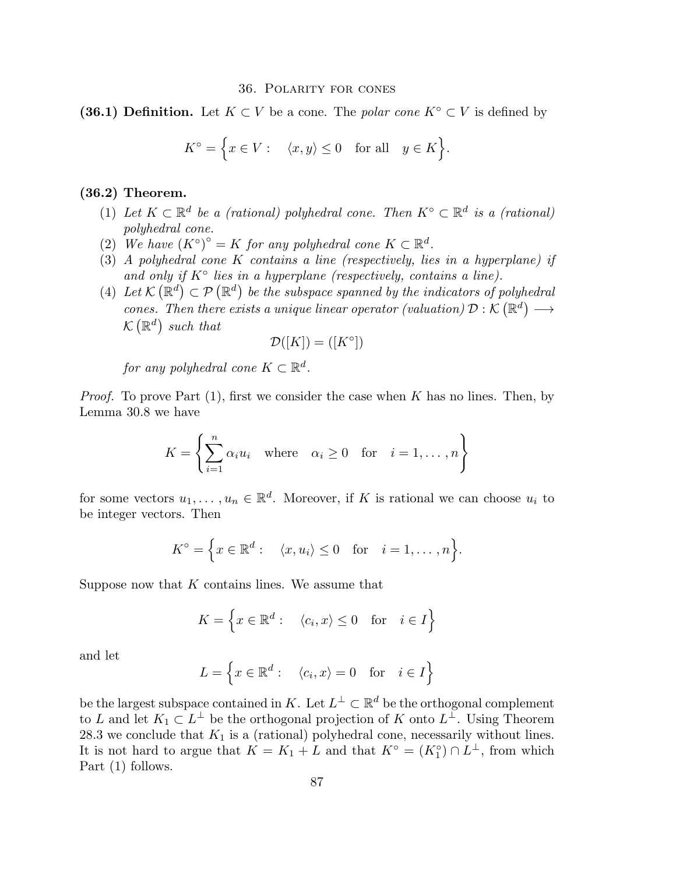#### 36. Polarity for cones

(36.1) Definition. Let  $K \subset V$  be a cone. The *polar cone*  $K^{\circ} \subset V$  is defined by

$$
K^{\circ} = \Big\{ x \in V : \quad \langle x, y \rangle \le 0 \quad \text{for all} \quad y \in K \Big\}.
$$

# (36.2) Theorem.

- (1) Let  $K \subset \mathbb{R}^d$  be a *(rational)* polyhedral cone. Then  $K^{\circ} \subset \mathbb{R}^d$  is a *(rational) polyhedral cone.*
- (2) We have  $(K^{\circ})^{\circ} = K$  *for any polyhedral cone*  $K \subset \mathbb{R}^d$ *.*
- (3) *A polyhedral cone* K *contains a line (respectively, lies in a hyperplane) if* and only if  $K^{\circ}$  lies in a hyperplane (respectively, contains a line).
- (4) Let  $\mathcal{K}(\mathbb{R}^d) \subset \mathcal{P}(\mathbb{R}^d)$  be the subspace spanned by the indicators of polyhedral *cones. Then there exists a unique linear operator (valuation)*  $\mathcal{D}: \mathcal{K}(\mathbb{R}^d) \longrightarrow$  $\mathcal{K}\left(\mathbb{R}^{d}\right)$  such that

$$
\mathcal{D}([K]) = ([K^\circ])
$$

 $for any polyhedral cone K \subset \mathbb{R}^d$ .

*Proof.* To prove Part (1), first we consider the case when K has no lines. Then, by Lemma 30.8 we have

$$
K = \left\{ \sum_{i=1}^{n} \alpha_i u_i \quad \text{where} \quad \alpha_i \ge 0 \quad \text{for} \quad i = 1, \dots, n \right\}
$$

for some vectors  $u_1, \ldots, u_n \in \mathbb{R}^d$ . Moreover, if K is rational we can choose  $u_i$  to be integer vectors. Then

$$
K^{\circ} = \Big\{ x \in \mathbb{R}^d : \langle x, u_i \rangle \le 0 \quad \text{for} \quad i = 1, \dots, n \Big\}.
$$

Suppose now that  $K$  contains lines. We assume that

$$
K = \left\{ x \in \mathbb{R}^d : \quad \langle c_i, x \rangle \le 0 \quad \text{for} \quad i \in I \right\}
$$

and let

$$
L = \left\{ x \in \mathbb{R}^d : \quad \langle c_i, x \rangle = 0 \quad \text{for} \quad i \in I \right\}
$$

be the largest subspace contained in K. Let  $L^{\perp} \subset \mathbb{R}^d$  be the orthogonal complement to L and let  $K_1 \subset L^{\perp}$  be the orthogonal projection of K onto  $L^{\perp}$ . Using Theorem 28.3 we conclude that  $K_1$  is a (rational) polyhedral cone, necessarily without lines. It is not hard to argue that  $K = K_1 + L$  and that  $K^{\circ} = (K_1^{\circ}) \cap L^{\perp}$ , from which Part  $(1)$  follows.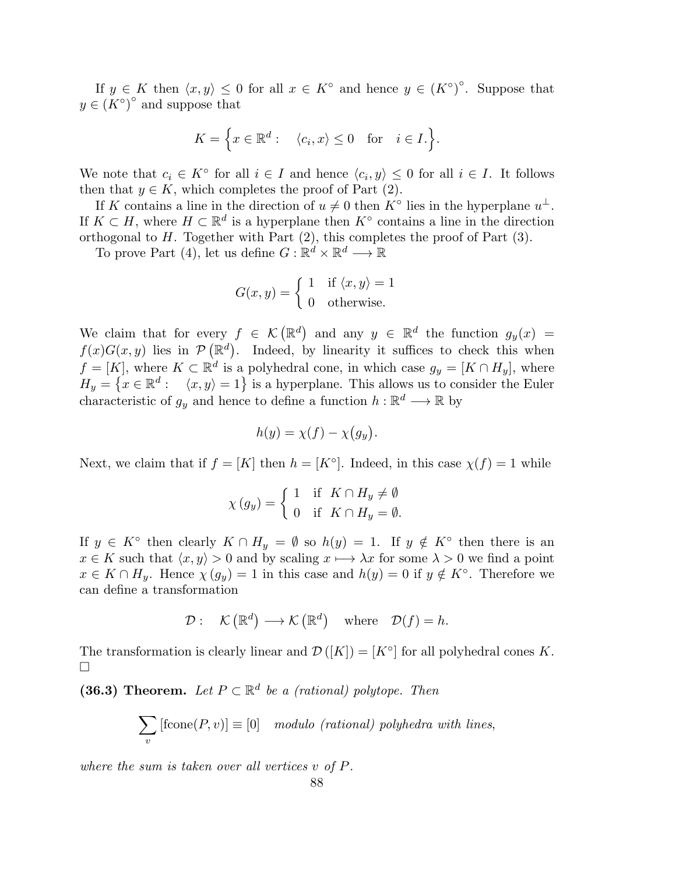If  $y \in K$  then  $\langle x, y \rangle \leq 0$  for all  $x \in K^{\circ}$  and hence  $y \in (K^{\circ})^{\circ}$ . Suppose that  $y \in (K^{\circ})^{\circ}$  and suppose that

$$
K = \Big\{ x \in \mathbb{R}^d : \langle c_i, x \rangle \le 0 \quad \text{for} \quad i \in I. \Big\}.
$$

We note that  $c_i \in K^{\circ}$  for all  $i \in I$  and hence  $\langle c_i, y \rangle \leq 0$  for all  $i \in I$ . It follows then that  $y \in K$ , which completes the proof of Part (2).

If K contains a line in the direction of  $u \neq 0$  then  $K^{\circ}$  lies in the hyperplane  $u^{\perp}$ . If  $K \subset H$ , where  $H \subset \mathbb{R}^d$  is a hyperplane then  $K^{\circ}$  contains a line in the direction orthogonal to  $H$ . Together with Part  $(2)$ , this completes the proof of Part  $(3)$ .

To prove Part (4), let us define  $G: \mathbb{R}^d \times \mathbb{R}^d \longrightarrow \mathbb{R}$ 

$$
G(x, y) = \begin{cases} 1 & \text{if } \langle x, y \rangle = 1 \\ 0 & \text{otherwise.} \end{cases}
$$

We claim that for every  $f \in \mathcal{K}(\mathbb{R}^d)$  and any  $y \in \mathbb{R}^d$  the function  $g_y(x) =$  $f(x)G(x, y)$  lies in  $\mathcal{P}(\mathbb{R}^d)$ . Indeed, by linearity it suffices to check this when  $f = [K]$ , where  $K \subset \mathbb{R}^d$  is a polyhedral cone, in which case  $g_y = [K \cap H_y]$ , where  $H_y = \left\{ x \in \mathbb{R}^d : \langle x, y \rangle = 1 \right\}$  is a hyperplane. This allows us to consider the Euler characteristic of  $g_y$  and hence to define a function  $h : \mathbb{R}^d \longrightarrow \mathbb{R}$  by

$$
h(y) = \chi(f) - \chi(g_y).
$$

Next, we claim that if  $f = [K]$  then  $h = [K^{\circ}]$ . Indeed, in this case  $\chi(f) = 1$  while

$$
\chi(g_y) = \begin{cases} 1 & \text{if } K \cap H_y \neq \emptyset \\ 0 & \text{if } K \cap H_y = \emptyset. \end{cases}
$$

If  $y \in K^{\circ}$  then clearly  $K \cap H_y = \emptyset$  so  $h(y) = 1$ . If  $y \notin K^{\circ}$  then there is an  $x \in K$  such that  $\langle x, y \rangle > 0$  and by scaling  $x \mapsto \lambda x$  for some  $\lambda > 0$  we find a point  $x \in K \cap H_y$ . Hence  $\chi(g_y) = 1$  in this case and  $h(y) = 0$  if  $y \notin K^\circ$ . Therefore we can define a transformation

$$
\mathcal{D}: \quad \mathcal{K}(\mathbb{R}^d) \longrightarrow \mathcal{K}(\mathbb{R}^d) \quad \text{where} \quad \mathcal{D}(f) = h.
$$

The transformation is clearly linear and  $\mathcal{D}([K]) = [K^{\circ}]$  for all polyhedral cones K.  $\Box$ 

(36.3) Theorem. Let  $P \subset \mathbb{R}^d$  be a (rational) polytope. Then

$$
\sum_{v} [\text{fcone}(P, v)] \equiv [0] \mod 0 \text{ (rational) polyhedra with lines,}
$$

*where the sum is taken over all vertices* v *of* P*.*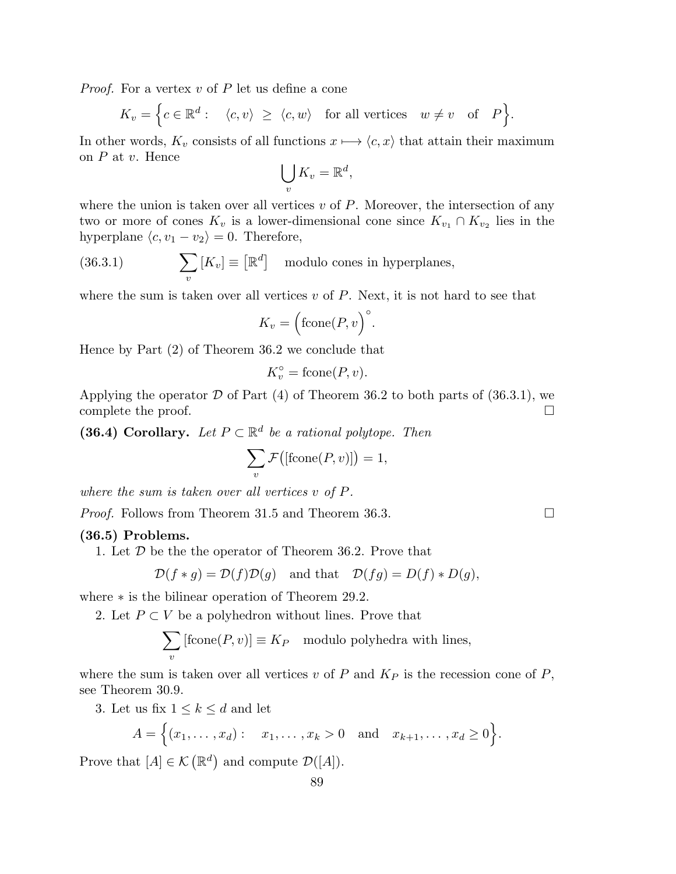*Proof.* For a vertex v of P let us define a cone

 $K_v = \Big\{c \in \mathbb{R}^d: \quad \langle c, v \rangle \ \ge \ \langle c, w \rangle \quad \text{for all vertices} \quad w \neq v \quad \text{of} \quad P \Big\}.$ 

In other words,  $K_v$  consists of all functions  $x \mapsto \langle c, x \rangle$  that attain their maximum on  $P$  at  $v$ . Hence

$$
\bigcup_{v} K_{v} = \mathbb{R}^{d},
$$

where the union is taken over all vertices  $v$  of  $P$ . Moreover, the intersection of any two or more of cones  $K_v$  is a lower-dimensional cone since  $K_{v_1} \cap K_{v_2}$  lies in the hyperplane  $\langle c, v_1 - v_2 \rangle = 0$ . Therefore,

(36.3.1) 
$$
\sum_{v} [K_{v}] \equiv [\mathbb{R}^{d}] \text{ modulo cones in hyperplanes},
$$

where the sum is taken over all vertices  $v$  of  $P$ . Next, it is not hard to see that

$$
K_v = \left(\text{fcone}(P, v)\right)^{\circ}.
$$

Hence by Part (2) of Theorem 36.2 we conclude that

$$
K_v^\circ = \text{fcone}(P, v).
$$

Applying the operator  $D$  of Part (4) of Theorem 36.2 to both parts of (36.3.1), we complete the proof. complete the proof.

(36.4) Corollary. Let  $P \subset \mathbb{R}^d$  be a rational polytope. Then

$$
\sum_{v} \mathcal{F}\big(\text{[fcone}(P,v)\text{]}\big) = 1,
$$

*where the sum is taken over all vertices* v *of* P*.*

*Proof.* Follows from Theorem 31.5 and Theorem 36.3. □

### (36.5) Problems.

1. Let  $D$  be the the operator of Theorem 36.2. Prove that

$$
\mathcal{D}(f * g) = \mathcal{D}(f)\mathcal{D}(g) \quad \text{and that} \quad \mathcal{D}(fg) = D(f) * D(g),
$$

where ∗ is the bilinear operation of Theorem 29.2.

2. Let  $P \subset V$  be a polyhedron without lines. Prove that

$$
\sum_{v} [\text{fcone}(P, v)] \equiv K_P \mod 10 \text{ polyhedra with lines},
$$

where the sum is taken over all vertices v of P and  $K_P$  is the recession cone of P, see Theorem 30.9.

3. Let us fix  $1 \leq k \leq d$  and let

$$
A = \{(x_1, ..., x_d): x_1, ..., x_k > 0 \text{ and } x_{k+1}, ..., x_d \ge 0\}.
$$

Prove that  $[A] \in \mathcal{K}(\mathbb{R}^d)$  and compute  $\mathcal{D}([A]).$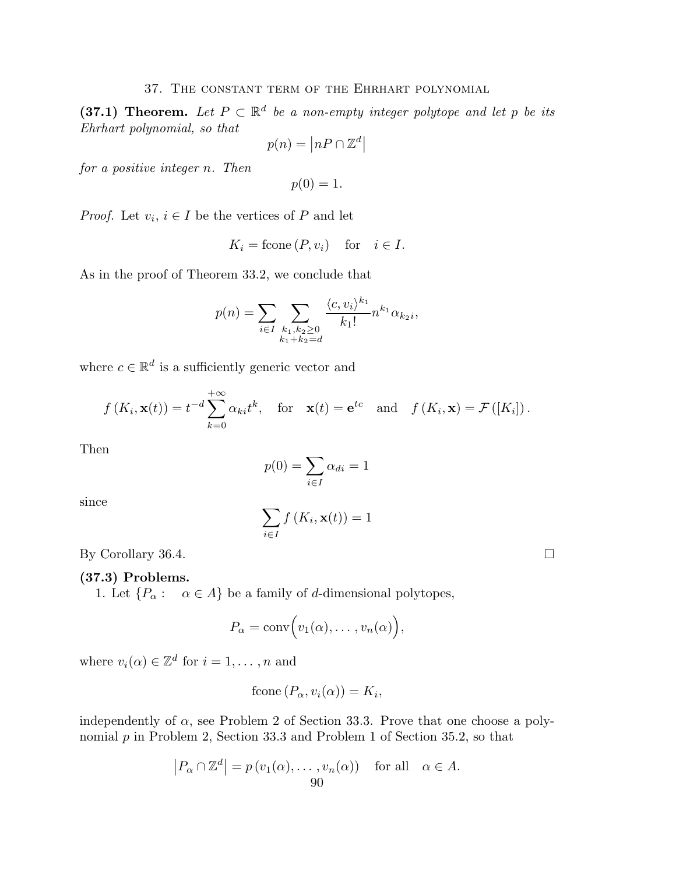# 37. The constant term of the Ehrhart polynomial

(37.1) Theorem. Let  $P \subset \mathbb{R}^d$  be a non-empty integer polytope and let p be its *Ehrhart polynomial, so that*

$$
p(n) = |nP \cap \mathbb{Z}^d|
$$

*for a positive integer* n*. Then*

$$
p(0)=1.
$$

*Proof.* Let  $v_i$ ,  $i \in I$  be the vertices of P and let

$$
K_i = \text{fcone}\,(P, v_i) \quad \text{for} \quad i \in I.
$$

As in the proof of Theorem 33.2, we conclude that

$$
p(n) = \sum_{i \in I} \sum_{\substack{k_1, k_2 \ge 0 \\ k_1 + k_2 = d}} \frac{\langle c, v_i \rangle^{k_1}}{k_1!} n^{k_1} \alpha_{k_2 i},
$$

where  $c \in \mathbb{R}^d$  is a sufficiently generic vector and

$$
f(K_i, \mathbf{x}(t)) = t^{-d} \sum_{k=0}^{+\infty} \alpha_{ki} t^k
$$
, for  $\mathbf{x}(t) = e^{tc}$  and  $f(K_i, \mathbf{x}) = \mathcal{F}([K_i])$ .

Then

$$
p(0) = \sum_{i \in I} \alpha_{di} = 1
$$

since

$$
\sum_{i\in I} f(K_i, \mathbf{x}(t)) = 1
$$

By Corollary 36.4.

# (37.3) Problems.

1. Let  $\{P_{\alpha} : \alpha \in A\}$  be a family of d-dimensional polytopes,

$$
P_{\alpha} = \text{conv}\Big(v_1(\alpha), \ldots, v_n(\alpha)\Big),
$$

where  $v_i(\alpha) \in \mathbb{Z}^d$  for  $i = 1, \ldots, n$  and

$$
fcone(P_{\alpha}, v_i(\alpha)) = K_i,
$$

independently of  $\alpha$ , see Problem 2 of Section 33.3. Prove that one choose a polynomial  $p$  in Problem 2, Section 33.3 and Problem 1 of Section 35.2, so that

$$
|P_{\alpha} \cap \mathbb{Z}^{d}| = p(v_{1}(\alpha), \dots, v_{n}(\alpha)) \text{ for all } \alpha \in A.
$$
  
90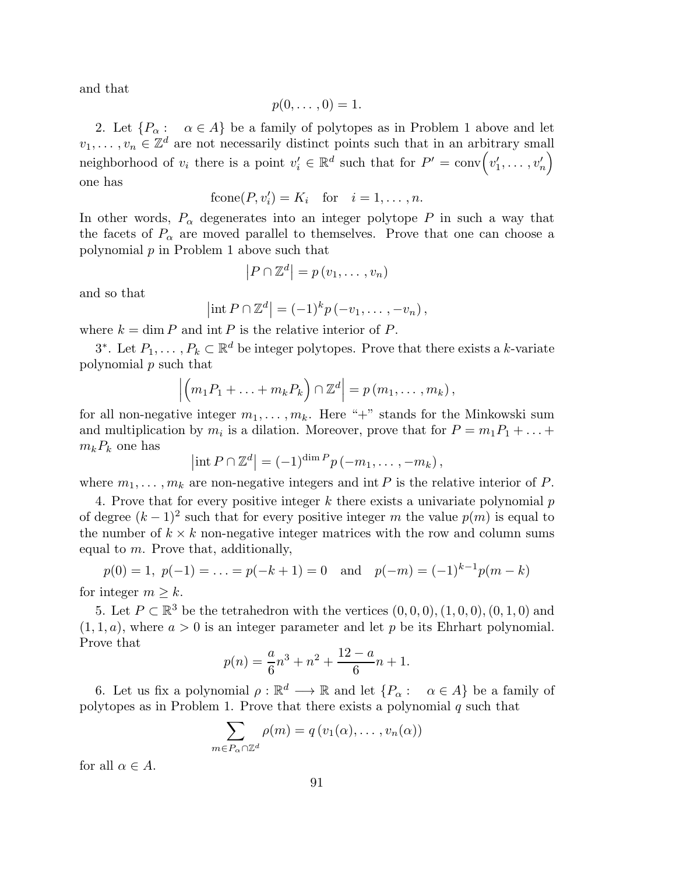and that

$$
p(0,\ldots,0)=1.
$$

2. Let  $\{P_{\alpha} : \alpha \in A\}$  be a family of polytopes as in Problem 1 above and let  $v_1, \ldots, v_n \in \mathbb{Z}^d$  are not necessarily distinct points such that in an arbitrary small neighborhood of  $v_i$  there is a point  $v'_i \in \mathbb{R}^d$  such that for  $P' = \text{conv}(v'_1, \dots, v'_n)$ one has

$$
fcone(P, v_i') = K_i \quad \text{for} \quad i = 1, \dots, n.
$$

In other words,  $P_{\alpha}$  degenerates into an integer polytope P in such a way that the facets of  $P_{\alpha}$  are moved parallel to themselves. Prove that one can choose a polynomial p in Problem 1 above such that

$$
|P \cap \mathbb{Z}^d| = p(v_1, \dots, v_n)
$$

and so that

$$
\left|\operatorname{int} P\cap\mathbb{Z}^d\right| = (-1)^k p\left(-v_1,\ldots,-v_n\right),\,
$$

where  $k = \dim P$  and  $\text{int } P$  is the relative interior of P.

3<sup>\*</sup>. Let  $P_1, \ldots, P_k \subset \mathbb{R}^d$  be integer polytopes. Prove that there exists a k-variate polynomial p such that

$$
\left|\left(m_1P_1+\ldots+m_kP_k\right)\cap\mathbb{Z}^d\right|=p(m_1,\ldots,m_k),
$$

for all non-negative integer  $m_1, \ldots, m_k$ . Here "+" stands for the Minkowski sum and multiplication by  $m_i$  is a dilation. Moreover, prove that for  $P = m_1 P_1 + \ldots +$  $m_kP_k$  one has

$$
\left|\operatorname{int} P\cap\mathbb{Z}^d\right| = (-1)^{\dim P} p(-m_1,\ldots,-m_k),
$$

where  $m_1, \ldots, m_k$  are non-negative integers and int P is the relative interior of P.

4. Prove that for every positive integer  $k$  there exists a univariate polynomial  $p$ of degree  $(k-1)^2$  such that for every positive integer m the value  $p(m)$  is equal to the number of  $k \times k$  non-negative integer matrices with the row and column sums equal to m. Prove that, additionally,

$$
p(0) = 1, p(-1) = ... = p(-k+1) = 0
$$
 and  $p(-m) = (-1)^{k-1}p(m-k)$ 

for integer  $m \geq k$ .

5. Let  $P \subset \mathbb{R}^3$  be the tetrahedron with the vertices  $(0,0,0), (1,0,0), (0,1,0)$  and  $(1, 1, a)$ , where  $a > 0$  is an integer parameter and let p be its Ehrhart polynomial. Prove that

$$
p(n) = \frac{a}{6}n^3 + n^2 + \frac{12 - a}{6}n + 1.
$$

6. Let us fix a polynomial  $\rho : \mathbb{R}^d \longrightarrow \mathbb{R}$  and let  $\{P_\alpha : \alpha \in A\}$  be a family of polytopes as in Problem 1. Prove that there exists a polynomial  $q$  such that

$$
\sum_{m \in P_{\alpha} \cap \mathbb{Z}^d} \rho(m) = q(v_1(\alpha), \dots, v_n(\alpha))
$$

for all  $\alpha \in A$ .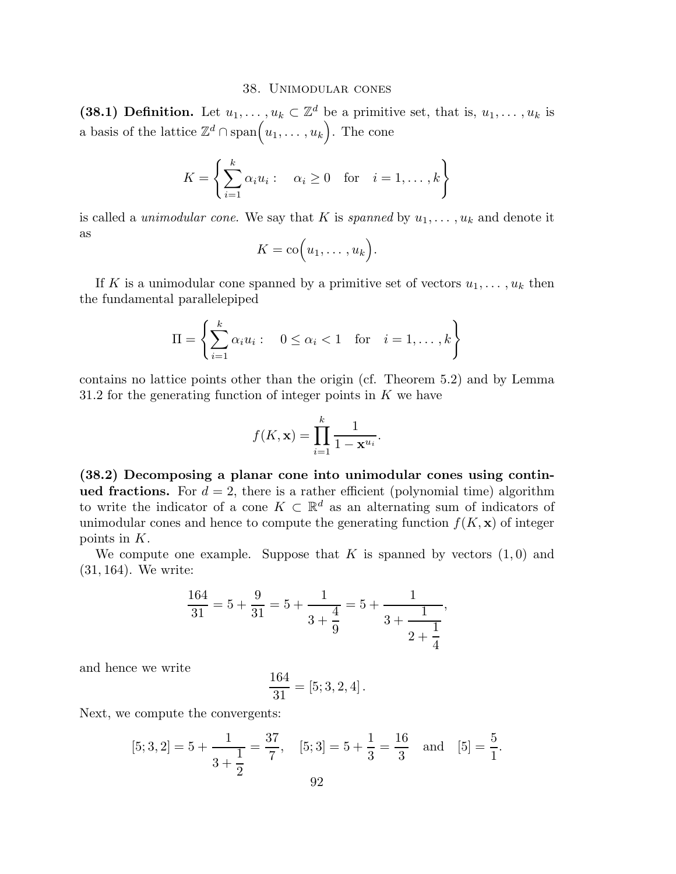#### 38. Unimodular cones

(38.1) Definition. Let  $u_1, \ldots, u_k \subset \mathbb{Z}^d$  be a primitive set, that is,  $u_1, \ldots, u_k$  is a basis of the lattice  $\mathbb{Z}^d \cap \text{span}\left(u_1, \ldots, u_k\right)$ . The cone

$$
K = \left\{ \sum_{i=1}^{k} \alpha_i u_i : \alpha_i \ge 0 \text{ for } i = 1, ..., k \right\}
$$

is called a *unimodular cone*. We say that K is *spanned* by  $u_1, \ldots, u_k$  and denote it as

$$
K = \mathrm{co}\Big(u_1, \ldots, u_k\Big).
$$

If K is a unimodular cone spanned by a primitive set of vectors  $u_1, \ldots, u_k$  then the fundamental parallelepiped

$$
\Pi = \left\{ \sum_{i=1}^{k} \alpha_i u_i : \quad 0 \le \alpha_i < 1 \quad \text{for} \quad i = 1, \dots, k \right\}
$$

contains no lattice points other than the origin (cf. Theorem 5.2) and by Lemma 31.2 for the generating function of integer points in  $K$  we have

$$
f(K, \mathbf{x}) = \prod_{i=1}^{k} \frac{1}{1 - \mathbf{x}^{u_i}}.
$$

(38.2) Decomposing a planar cone into unimodular cones using continued fractions. For  $d = 2$ , there is a rather efficient (polynomial time) algorithm to write the indicator of a cone  $K \subset \mathbb{R}^d$  as an alternating sum of indicators of unimodular cones and hence to compute the generating function  $f(K, x)$  of integer points in K.

We compute one example. Suppose that K is spanned by vectors  $(1,0)$  and (31, 164). We write:

$$
\frac{164}{31} = 5 + \frac{9}{31} = 5 + \frac{1}{3 + \frac{4}{9}} = 5 + \frac{1}{3 + \frac{1}{2 + \frac{1}{4}}},
$$

and hence we write

$$
\frac{164}{31} = [5; 3, 2, 4].
$$

Next, we compute the convergents:

$$
[5; 3, 2] = 5 + \frac{1}{3 + \frac{1}{2}} = \frac{37}{7}
$$
,  $[5; 3] = 5 + \frac{1}{3} = \frac{16}{3}$  and  $[5] = \frac{5}{1}$ .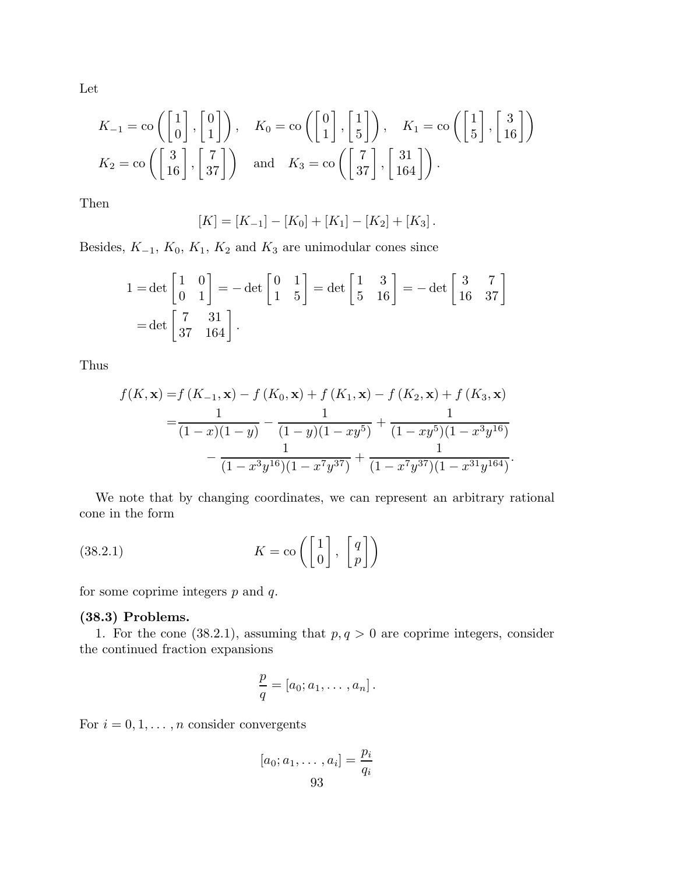Let

$$
K_{-1} = \text{co}\left(\begin{bmatrix} 1 \\ 0 \end{bmatrix}, \begin{bmatrix} 0 \\ 1 \end{bmatrix}\right), \quad K_0 = \text{co}\left(\begin{bmatrix} 0 \\ 1 \end{bmatrix}, \begin{bmatrix} 1 \\ 5 \end{bmatrix}\right), \quad K_1 = \text{co}\left(\begin{bmatrix} 1 \\ 5 \end{bmatrix}, \begin{bmatrix} 3 \\ 16 \end{bmatrix}\right)
$$

$$
K_2 = \text{co}\left(\begin{bmatrix} 3 \\ 16 \end{bmatrix}, \begin{bmatrix} 7 \\ 37 \end{bmatrix}\right) \quad \text{and} \quad K_3 = \text{co}\left(\begin{bmatrix} 7 \\ 37 \end{bmatrix}, \begin{bmatrix} 31 \\ 164 \end{bmatrix}\right).
$$

Then

$$
[K] = [K_{-1}] - [K_0] + [K_1] - [K_2] + [K_3].
$$

Besides,  $K_{-1}$ ,  $K_0$ ,  $K_1$ ,  $K_2$  and  $K_3$  are unimodular cones since

$$
1 = \det\begin{bmatrix} 1 & 0 \\ 0 & 1 \end{bmatrix} = -\det\begin{bmatrix} 0 & 1 \\ 1 & 5 \end{bmatrix} = \det\begin{bmatrix} 1 & 3 \\ 5 & 16 \end{bmatrix} = -\det\begin{bmatrix} 3 & 7 \\ 16 & 37 \end{bmatrix}
$$

$$
= \det\begin{bmatrix} 7 & 31 \\ 37 & 164 \end{bmatrix}.
$$

Thus

$$
f(K, \mathbf{x}) = f(K_{-1}, \mathbf{x}) - f(K_0, \mathbf{x}) + f(K_1, \mathbf{x}) - f(K_2, \mathbf{x}) + f(K_3, \mathbf{x})
$$
  
= 
$$
\frac{1}{(1-x)(1-y)} - \frac{1}{(1-y)(1-xy^5)} + \frac{1}{(1-xy^5)(1-x^3y^{16})}
$$
  

$$
-\frac{1}{(1-x^3y^{16})(1-x^7y^{37})} + \frac{1}{(1-x^7y^{37})(1-x^{31}y^{164})}.
$$

We note that by changing coordinates, we can represent an arbitrary rational cone in the form

(38.2.1) 
$$
K = \text{co}\left(\begin{bmatrix} 1 \\ 0 \end{bmatrix}, \begin{bmatrix} q \\ p \end{bmatrix}\right)
$$

for some coprime integers  $p$  and  $q$ .

# (38.3) Problems.

1. For the cone (38.2.1), assuming that  $p, q > 0$  are coprime integers, consider the continued fraction expansions

$$
\frac{p}{q} = [a_0; a_1, \dots, a_n].
$$

For  $i = 0, 1, \ldots, n$  consider convergents

$$
[a_0; a_1, \dots, a_i] = \frac{p_i}{q_i}
$$
  
93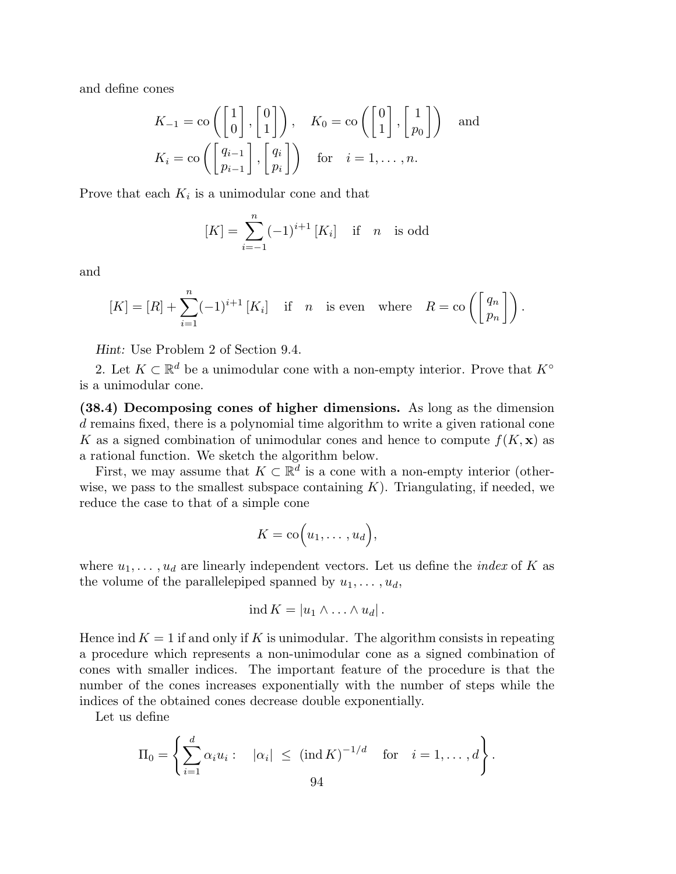and define cones

$$
K_{-1} = \text{co}\left(\begin{bmatrix} 1 \\ 0 \end{bmatrix}, \begin{bmatrix} 0 \\ 1 \end{bmatrix}\right), \quad K_0 = \text{co}\left(\begin{bmatrix} 0 \\ 1 \end{bmatrix}, \begin{bmatrix} 1 \\ p_0 \end{bmatrix}\right) \quad \text{and}
$$

$$
K_i = \text{co}\left(\begin{bmatrix} q_{i-1} \\ p_{i-1} \end{bmatrix}, \begin{bmatrix} q_i \\ p_i \end{bmatrix}\right) \quad \text{for} \quad i = 1, \dots, n.
$$

Prove that each  $K_i$  is a unimodular cone and that

$$
[K] = \sum_{i=-1}^{n} (-1)^{i+1} [K_i] \quad \text{if} \quad n \quad \text{is odd}
$$

and

$$
[K] = [R] + \sum_{i=1}^{n} (-1)^{i+1} [K_i] \quad \text{if} \quad n \quad \text{is even} \quad \text{where} \quad R = \text{co}\left(\begin{bmatrix} q_n \\ p_n \end{bmatrix}\right).
$$

Hint: Use Problem 2 of Section 9.4.

2. Let  $K \subset \mathbb{R}^d$  be a unimodular cone with a non-empty interior. Prove that  $K^{\circ}$ is a unimodular cone.

(38.4) Decomposing cones of higher dimensions. As long as the dimension d remains fixed, there is a polynomial time algorithm to write a given rational cone K as a signed combination of unimodular cones and hence to compute  $f(K, x)$  as a rational function. We sketch the algorithm below.

First, we may assume that  $K \subset \mathbb{R}^d$  is a cone with a non-empty interior (otherwise, we pass to the smallest subspace containing  $K$ ). Triangulating, if needed, we reduce the case to that of a simple cone

$$
K = \mathrm{co}\Big(u_1, \ldots, u_d\Big),
$$

where  $u_1, \ldots, u_d$  are linearly independent vectors. Let us define the *index* of K as the volume of the parallelepiped spanned by  $u_1, \ldots, u_d$ ,

$$
\operatorname{ind} K = |u_1 \wedge \ldots \wedge u_d|.
$$

Hence ind  $K = 1$  if and only if K is unimodular. The algorithm consists in repeating a procedure which represents a non-unimodular cone as a signed combination of cones with smaller indices. The important feature of the procedure is that the number of the cones increases exponentially with the number of steps while the indices of the obtained cones decrease double exponentially.

Let us define

$$
\Pi_0 = \left\{ \sum_{i=1}^d \alpha_i u_i : \quad |\alpha_i| \leq (\operatorname{ind} K)^{-1/d} \quad \text{for} \quad i = 1, \dots, d \right\}.
$$